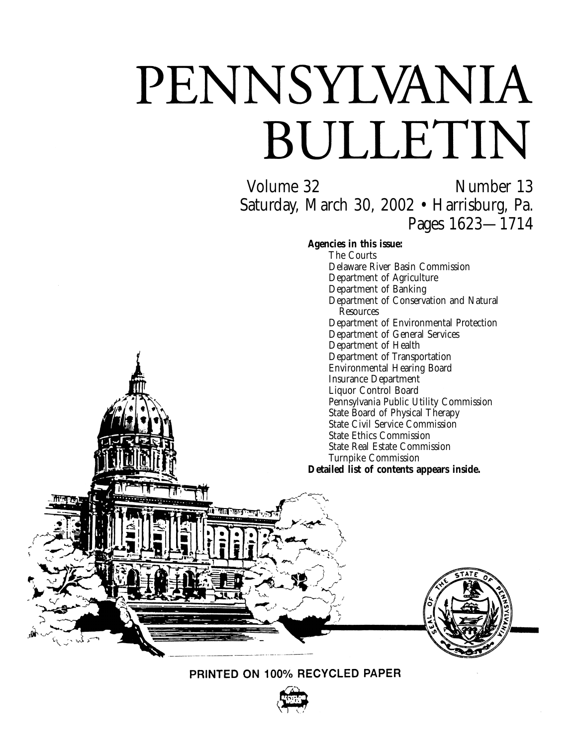# PENNSYLVANIA BULLETIN

Volume 32 Number 13 Saturday, March 30, 2002 • Harrisburg, Pa. Pages 1623—1714

**Agencies in this issue:**

The Courts Delaware River Basin Commission Department of Agriculture Department of Banking Department of Conservation and Natural Resources Department of Environmental Protection Department of General Services Department of Health Department of Transportation Environmental Hearing Board Insurance Department Liquor Control Board Pennsylvania Public Utility Commission State Board of Physical Therapy State Civil Service Commission State Ethics Commission State Real Estate Commission Turnpike Commission **Detailed list of contents appears inside.**





PRINTED ON 100% RECYCLED PAPER

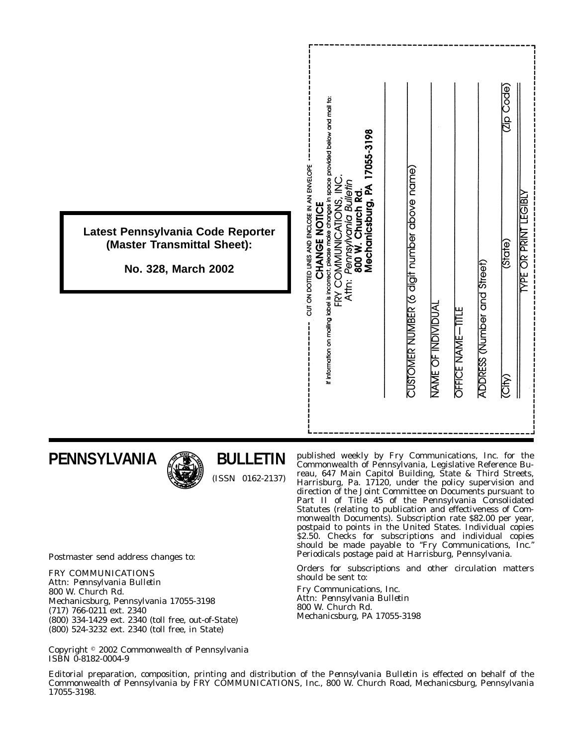|                                                                                         | If information on mailing idbel is incorrect, please make changes in space provided below and mail to:<br>17055-3198                                                     | <b>Code</b>                                                                                                                     |
|-----------------------------------------------------------------------------------------|--------------------------------------------------------------------------------------------------------------------------------------------------------------------------|---------------------------------------------------------------------------------------------------------------------------------|
| Latest Pennsylvania Code Reporter<br>(Master Transmittal Sheet):<br>No. 328, March 2002 | CUT ON DOTTED LINES AND ENCLOSE IN AN ENVELOPE<br>FRY COMMUNICATIONS, INC<br>Pennsylvania Bulletin<br>800 W. Church Rd.<br>Mechanicsburg, PA 1<br>CHANGE NOTICE<br>Attr: | <b>YPE OR PRINT LEGIBLY</b><br>(State)                                                                                          |
|                                                                                         |                                                                                                                                                                          | CUSTOMER NUMBER (6 digit number above name)<br>ADDRESS (Number and Street)<br>NAME OF INDIVIDUAL<br>OFFICE NAME-TITLE<br>(City) |
|                                                                                         |                                                                                                                                                                          |                                                                                                                                 |

**PENNSYLVANIA**



**BULLETIN** (ISSN 0162-2137)

Commonwealth of Pennsylvania, Legislative Reference Bureau, 647 Main Capitol Building, State & Third Streets, Harrisburg, Pa. 17120, under the policy supervision and direction of the Joint Committee on Documents pursuant to Part II of Title 45 of the Pennsylvania Consolidated Statutes (relating to publication and effectiveness of Commonwealth Documents). Subscription rate \$82.00 per year, postpaid to points in the United States. Individual copies \$2.50. Checks for subscriptions and individual copies should be made payable to ''*Fry Communications, Inc.*'' Periodicals postage paid at Harrisburg, Pennsylvania.

published weekly by Fry Communications, Inc. for the

Orders for subscriptions and other circulation matters should be sent to:

Fry Communications, Inc. Attn: *Pennsylvania Bulletin* 800 W. Church Rd. Mechanicsburg, PA 17055-3198

Postmaster send address changes to:

FRY COMMUNICATIONS Attn: *Pennsylvania Bulletin* 800 W. Church Rd. Mechanicsburg, Pennsylvania 17055-3198 (717) 766-0211 ext. 2340 (800) 334-1429 ext. 2340 (toll free, out-of-State) (800) 524-3232 ext. 2340 (toll free, in State)

Copyright 2002 Commonwealth of Pennsylvania ISBN 0-8182-0004-9

Editorial preparation, composition, printing and distribution of the *Pennsylvania Bulletin* is effected on behalf of the Commonwealth of Pennsylvania by FRY COMMUNICATIONS, Inc., 800 W. Church Road, Mechanicsburg, Pennsylvania 17055-3198.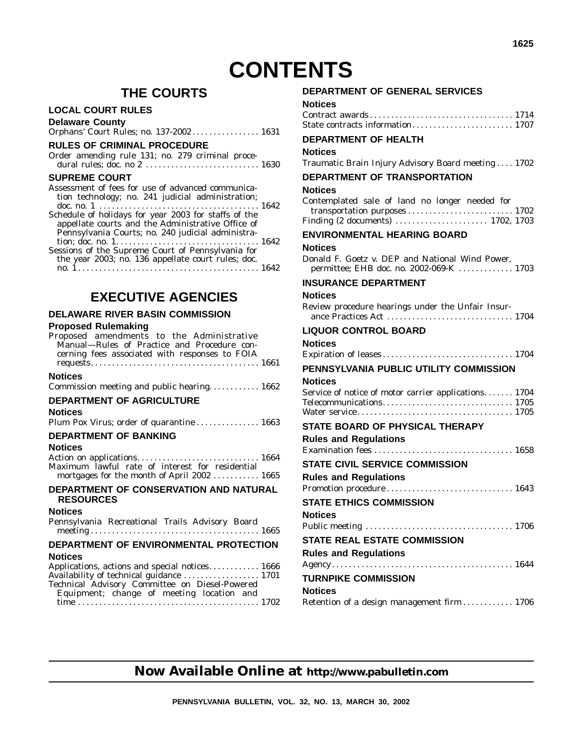# **THE COURTS**

# **LOCAL COURT RULES**

**Delaware County**

| Orphans' Court Rules; no. 137-2002 1631 |  |  |
|-----------------------------------------|--|--|
|-----------------------------------------|--|--|

# **RULES OF CRIMINAL PROCEDURE**

| Order amending rule 131; no. 279 criminal proce- |  |  |  |  |
|--------------------------------------------------|--|--|--|--|
|                                                  |  |  |  |  |

# **SUPREME COURT**

| Assessment of fees for use of advanced communica-    |  |
|------------------------------------------------------|--|
| tion technology; no. 241 judicial administration;    |  |
|                                                      |  |
| Schedule of holidays for year 2003 for staffs of the |  |
| appellate courts and the Administrative Office of    |  |
| Pennsylvania Courts; no. 240 judicial administra-    |  |
|                                                      |  |
| Sessions of the Supreme Court of Pennsylvania for    |  |
| the year 2003; no. 136 appellate court rules; doc.   |  |
|                                                      |  |

# **EXECUTIVE AGENCIES**

# **DELAWARE RIVER BASIN COMMISSION**

# **Proposed Rulemaking**

| Proposed amendments to the Administrative<br>Manual-Rules of Practice and Procedure con-<br>cerning fees associated with responses to FOIA |      |
|--------------------------------------------------------------------------------------------------------------------------------------------|------|
| <b>Notices</b>                                                                                                                             |      |
| Commission meeting and public hearing 1662                                                                                                 |      |
| DEPARTMENT OF AGRICULTURE                                                                                                                  |      |
| <b>Notices</b>                                                                                                                             |      |
| Plum Pox Virus; order of quarantine  1663                                                                                                  |      |
| <b>DEPARTMENT OF BANKING</b>                                                                                                               |      |
| <b>Notices</b>                                                                                                                             |      |
| Action on applications 1664                                                                                                                |      |
| Maximum lawful rate of interest for residential<br>mortgages for the month of April 2002  1665                                             |      |
| DEPARTMENT OF CONSERVATION AND NATURAL<br><b>RESOURCES</b>                                                                                 |      |
| <b>Notices</b>                                                                                                                             |      |
| Pennsylvania Recreational Trails Advisory Board                                                                                            |      |
| DEPARTMENT OF ENVIRONMENTAL PROTECTION                                                                                                     |      |
| <b>Notices</b>                                                                                                                             |      |
| Applications actions and special potices                                                                                                   | 1666 |

| Applications, actions and special notices 1666 |  |
|------------------------------------------------|--|
| Availability of technical guidance  1701       |  |
| Technical Advisory Committee on Diesel-Powered |  |
| Equipment; change of meeting location and      |  |
|                                                |  |

# **DEPARTMENT OF GENERAL SERVICES**

| Notices              |  |
|----------------------|--|
| Contract awards 1714 |  |
|                      |  |

# **DEPARTMENT OF HEALTH**

**Notices**

Traumatic Brain Injury Advisory Board meeting .... 1702

# **DEPARTMENT OF TRANSPORTATION**

#### **Notices**

| Contemplated sale of land no longer needed for |  |  |  |  |
|------------------------------------------------|--|--|--|--|
|                                                |  |  |  |  |
|                                                |  |  |  |  |

# **ENVIRONMENTAL HEARING BOARD**

# **Notices**

| Donald F. Goetz v. DEP and National Wind Power. |  |  |  |                                          |  |  |  |
|-------------------------------------------------|--|--|--|------------------------------------------|--|--|--|
|                                                 |  |  |  | permittee; EHB doc. no. 2002-069-K  1703 |  |  |  |

# **INSURANCE DEPARTMENT**

#### **Notices**

| Review procedure hearings under the Unfair Insur- |  |
|---------------------------------------------------|--|
|                                                   |  |

# **LIQUOR CONTROL BOARD**

# **Notices**

| PENNSYLVANIA PUBLIC UTILITY COMMISSION |  |
|----------------------------------------|--|

# **Notices**

| Service of notice of motor carrier applications 1704 |  |
|------------------------------------------------------|--|
|                                                      |  |
|                                                      |  |

# **STATE BOARD OF PHYSICAL THERAPY Rules and Regulations**

# **Now Available Online at http://www.pabulletin.com**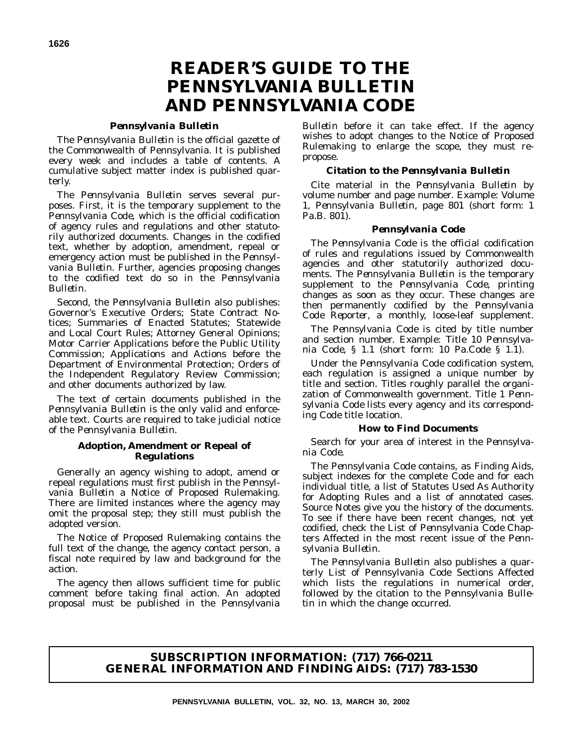# *Pennsylvania Bulletin*

The *Pennsylvania Bulletin* is the official gazette of the Commonwealth of Pennsylvania. It is published every week and includes a table of contents. A cumulative subject matter index is published quarterly.

The *Pennsylvania Bulletin* serves several purposes. First, it is the temporary supplement to the *Pennsylvania Code*, which is the official codification of agency rules and regulations and other statutorily authorized documents. Changes in the codified text, whether by adoption, amendment, repeal or emergency action must be published in the *Pennsylvania Bulletin*. Further, agencies proposing changes to the codified text do so in the *Pennsylvania Bulletin*.

Second, the *Pennsylvania Bulletin* also publishes: Governor's Executive Orders; State Contract Notices; Summaries of Enacted Statutes; Statewide and Local Court Rules; Attorney General Opinions; Motor Carrier Applications before the Public Utility Commission; Applications and Actions before the Department of Environmental Protection; Orders of the Independent Regulatory Review Commission; and other documents authorized by law.

The text of certain documents published in the *Pennsylvania Bulletin* is the only valid and enforceable text. Courts are required to take judicial notice of the *Pennsylvania Bulletin*.

# **Adoption, Amendment or Repeal of Regulations**

Generally an agency wishing to adopt, amend or repeal regulations must first publish in the *Pennsylvania Bulletin* a Notice of Proposed Rulemaking. There are limited instances where the agency may omit the proposal step; they still must publish the adopted version.

The Notice of Proposed Rulemaking contains the full text of the change, the agency contact person, a fiscal note required by law and background for the action.

The agency then allows sufficient time for public comment before taking final action. An adopted proposal must be published in the *Pennsylvania*

*Bulletin* before it can take effect. If the agency wishes to adopt changes to the Notice of Proposed Rulemaking to enlarge the scope, they must repropose.

# **Citation to the** *Pennsylvania Bulletin*

Cite material in the *Pennsylvania Bulletin* by volume number and page number. Example: Volume 1, *Pennsylvania Bulletin*, page 801 (short form: 1 Pa.B. 801).

# *Pennsylvania Code*

The *Pennsylvania Code* is the official codification of rules and regulations issued by Commonwealth agencies and other statutorily authorized documents. The *Pennsylvania Bulletin* is the temporary supplement to the *Pennsylvania Code*, printing changes as soon as they occur. These changes are then permanently codified by the *Pennsylvania Code Reporter*, a monthly, loose-leaf supplement.

The *Pennsylvania Code* is cited by title number and section number. Example: Title 10 *Pennsylvania Code*, § 1.1 (short form: 10 Pa.Code § 1.1).

Under the *Pennsylvania Code* codification system, each regulation is assigned a unique number by title and section. Titles roughly parallel the organization of Commonwealth government. Title 1 *Pennsylvania Code* lists every agency and its corresponding *Code* title location.

# **How to Find Documents**

Search for your area of interest in the *Pennsylvania Code*.

The *Pennsylvania Code* contains, as Finding Aids, subject indexes for the complete *Code* and for each individual title, a list of Statutes Used As Authority for Adopting Rules and a list of annotated cases. Source Notes give you the history of the documents. To see if there have been recent changes, not yet codified, check the List of *Pennsylvania Code* Chapters Affected in the most recent issue of the *Pennsylvania Bulletin*.

The *Pennsylvania Bulletin* also publishes a quarterly List of Pennsylvania Code Sections Affected which lists the regulations in numerical order, followed by the citation to the *Pennsylvania Bulletin* in which the change occurred.

# **SUBSCRIPTION INFORMATION: (717) 766-0211 GENERAL INFORMATION AND FINDING AIDS: (717) 783-1530**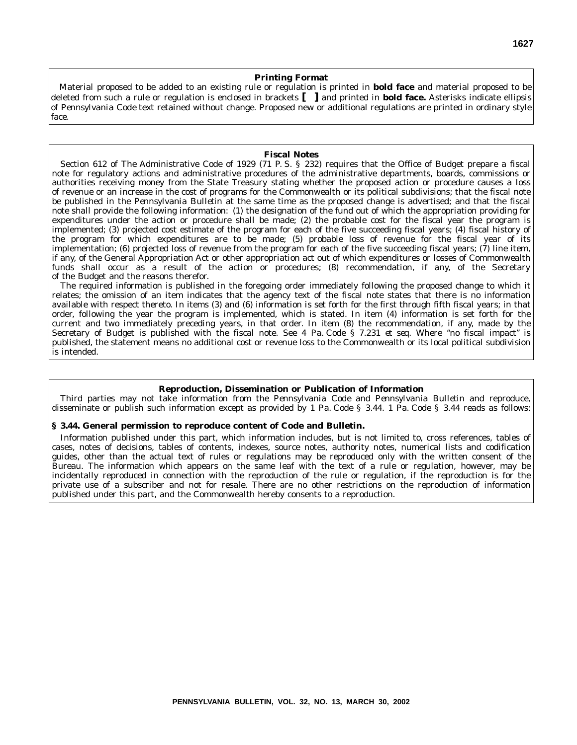#### **Printing Format**

Material proposed to be added to an existing rule or regulation is printed in **bold face** and material proposed to be deleted from such a rule or regulation is enclosed in brackets **[ ]** and printed in **bold face.** Asterisks indicate ellipsis of *Pennsylvania Code* text retained without change. Proposed new or additional regulations are printed in ordinary style face.

#### **Fiscal Notes**

Section 612 of The Administrative Code of 1929 (71 P. S. § 232) requires that the Office of Budget prepare a fiscal note for regulatory actions and administrative procedures of the administrative departments, boards, commissions or authorities receiving money from the State Treasury stating whether the proposed action or procedure causes a loss of revenue or an increase in the cost of programs for the Commonwealth or its political subdivisions; that the fiscal note be published in the *Pennsylvania Bulletin* at the same time as the proposed change is advertised; and that the fiscal note shall provide the following information: (1) the designation of the fund out of which the appropriation providing for expenditures under the action or procedure shall be made; (2) the probable cost for the fiscal year the program is implemented; (3) projected cost estimate of the program for each of the five succeeding fiscal years; (4) fiscal history of the program for which expenditures are to be made; (5) probable loss of revenue for the fiscal year of its implementation; (6) projected loss of revenue from the program for each of the five succeeding fiscal years; (7) line item, if any, of the General Appropriation Act or other appropriation act out of which expenditures or losses of Commonwealth funds shall occur as a result of the action or procedures; (8) recommendation, if any, of the Secretary of the Budget and the reasons therefor.

The required information is published in the foregoing order immediately following the proposed change to which it relates; the omission of an item indicates that the agency text of the fiscal note states that there is no information available with respect thereto. In items (3) and (6) information is set forth for the first through fifth fiscal years; in that order, following the year the program is implemented, which is stated. In item (4) information is set forth for the current and two immediately preceding years, in that order. In item (8) the recommendation, if any, made by the Secretary of Budget is published with the fiscal note. See 4 Pa. Code § 7.231 *et seq.* Where ''no fiscal impact'' is published, the statement means no additional cost or revenue loss to the Commonwealth or its local political subdivision is intended.

#### **Reproduction, Dissemination or Publication of Information**

Third parties may not take information from the *Pennsylvania Code* and *Pennsylvania Bulletin* and reproduce, disseminate or publish such information except as provided by 1 Pa. Code § 3.44. 1 Pa. Code § 3.44 reads as follows:

#### **§ 3.44. General permission to reproduce content of Code and Bulletin.**

Information published under this part, which information includes, but is not limited to, cross references, tables of cases, notes of decisions, tables of contents, indexes, source notes, authority notes, numerical lists and codification guides, other than the actual text of rules or regulations may be reproduced only with the written consent of the Bureau. The information which appears on the same leaf with the text of a rule or regulation, however, may be incidentally reproduced in connection with the reproduction of the rule or regulation, if the reproduction is for the private use of a subscriber and not for resale. There are no other restrictions on the reproduction of information published under this part, and the Commonwealth hereby consents to a reproduction.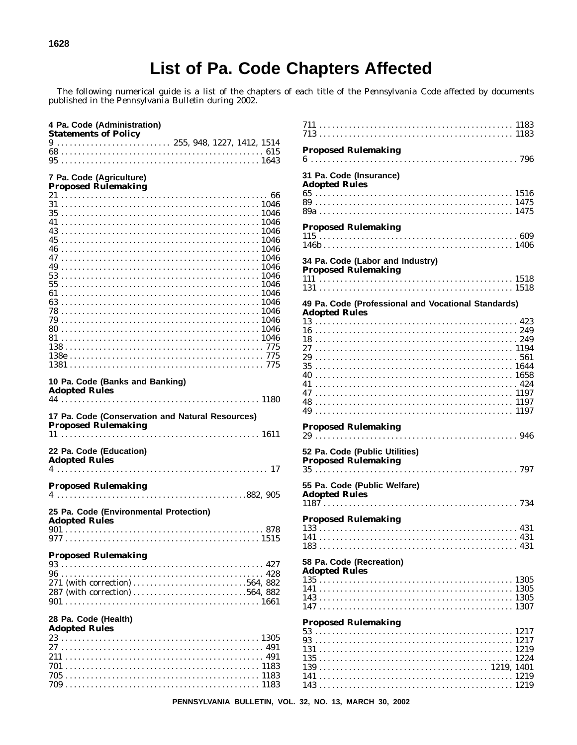The following numerical guide is a list of the chapters of each title of the *Pennsylvania Code* affected by documents published in the *Pennsylvania Bulletin* during 2002.

| <b>Statements of Policy</b><br>$9 \ldots \ldots \ldots \ldots \ldots \ldots \ldots \ldots \ldots \ldots 255, 948, 1227, 1412, 1514$ |  |  |  |
|-------------------------------------------------------------------------------------------------------------------------------------|--|--|--|
|                                                                                                                                     |  |  |  |
|                                                                                                                                     |  |  |  |
|                                                                                                                                     |  |  |  |
| 7 Pa. Code (Agriculture)<br><b>Proposed Rulemaking</b>                                                                              |  |  |  |
|                                                                                                                                     |  |  |  |
|                                                                                                                                     |  |  |  |
|                                                                                                                                     |  |  |  |
|                                                                                                                                     |  |  |  |
|                                                                                                                                     |  |  |  |
|                                                                                                                                     |  |  |  |
|                                                                                                                                     |  |  |  |
|                                                                                                                                     |  |  |  |
|                                                                                                                                     |  |  |  |
|                                                                                                                                     |  |  |  |
|                                                                                                                                     |  |  |  |
|                                                                                                                                     |  |  |  |
|                                                                                                                                     |  |  |  |
|                                                                                                                                     |  |  |  |
|                                                                                                                                     |  |  |  |
|                                                                                                                                     |  |  |  |
|                                                                                                                                     |  |  |  |
|                                                                                                                                     |  |  |  |
|                                                                                                                                     |  |  |  |
| 10 Pa. Code (Banks and Banking)<br><b>Adopted Rules</b>                                                                             |  |  |  |
|                                                                                                                                     |  |  |  |
| 17 Pa. Code (Conservation and Natural Resources)<br><b>Proposed Rulemaking</b>                                                      |  |  |  |
| 22 Pa. Code (Education)<br><b>Adopted Rules</b><br><del>лаорса кась</del><br>4 …………………………………………………17                                |  |  |  |
|                                                                                                                                     |  |  |  |
|                                                                                                                                     |  |  |  |
|                                                                                                                                     |  |  |  |
|                                                                                                                                     |  |  |  |
| <b>Proposed Rulemaking</b><br>25 Pa. Code (Environmental Protection)                                                                |  |  |  |
|                                                                                                                                     |  |  |  |
|                                                                                                                                     |  |  |  |
|                                                                                                                                     |  |  |  |
|                                                                                                                                     |  |  |  |
| <b>Adopted Rules</b><br><b>Proposed Rulemaking</b>                                                                                  |  |  |  |
|                                                                                                                                     |  |  |  |
|                                                                                                                                     |  |  |  |
|                                                                                                                                     |  |  |  |

| Auvpluu Ivulus |  |  |  |  |  |  |  |  |  |  |  |  |  |  |  |  |  |  |  |  |  |  |  |  |  |
|----------------|--|--|--|--|--|--|--|--|--|--|--|--|--|--|--|--|--|--|--|--|--|--|--|--|--|
|                |  |  |  |  |  |  |  |  |  |  |  |  |  |  |  |  |  |  |  |  |  |  |  |  |  |
|                |  |  |  |  |  |  |  |  |  |  |  |  |  |  |  |  |  |  |  |  |  |  |  |  |  |
|                |  |  |  |  |  |  |  |  |  |  |  |  |  |  |  |  |  |  |  |  |  |  |  |  |  |
|                |  |  |  |  |  |  |  |  |  |  |  |  |  |  |  |  |  |  |  |  |  |  |  |  |  |
|                |  |  |  |  |  |  |  |  |  |  |  |  |  |  |  |  |  |  |  |  |  |  |  |  |  |
|                |  |  |  |  |  |  |  |  |  |  |  |  |  |  |  |  |  |  |  |  |  |  |  |  |  |

| <b>Proposed Rulemaking</b>                                                  |
|-----------------------------------------------------------------------------|
| 31 Pa. Code (Insurance)<br><b>Adopted Rules</b>                             |
| <b>Proposed Rulemaking</b>                                                  |
| 34 Pa. Code (Labor and Industry)<br><b>Proposed Rulemaking</b>              |
|                                                                             |
| 49 Pa. Code (Professional and Vocational Standards)<br><b>Adopted Rules</b> |
| <b>Proposed Rulemaking</b>                                                  |
| 52 Pa. Code (Public Utilities)<br><b>Proposed Rulemaking</b>                |
| 55 Pa. Code (Public Welfare)<br><b>Adopted Rules</b>                        |
| <b>Proposed Rulemaking</b>                                                  |
| 58 Pa. Code (Recreation)<br><b>Adopted Rules</b>                            |
| <b>Proposed Rulemaking</b>                                                  |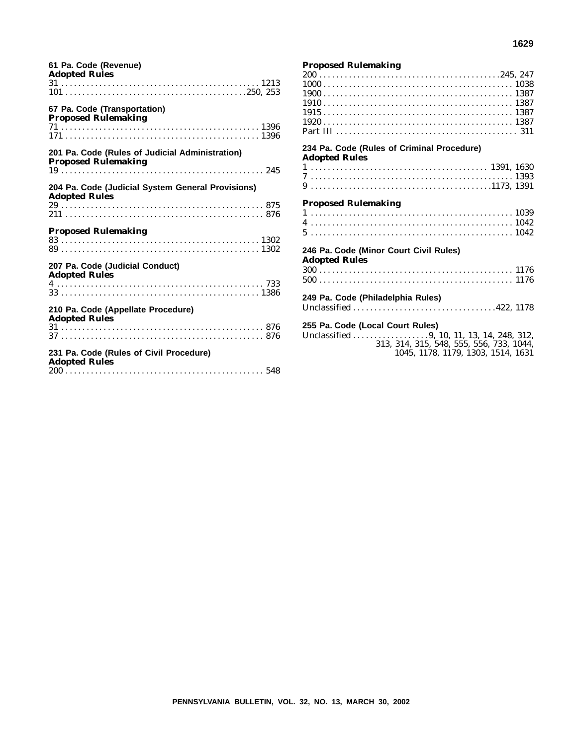| 61 Pa. Code (Revenue)<br><b>Adopted Rules</b>                                 |
|-------------------------------------------------------------------------------|
|                                                                               |
| 67 Pa. Code (Transportation)<br><b>Proposed Rulemaking</b>                    |
| 201 Pa. Code (Rules of Judicial Administration)<br><b>Proposed Rulemaking</b> |
| 204 Pa. Code (Judicial System General Provisions)<br><b>Adopted Rules</b>     |
| <b>Proposed Rulemaking</b>                                                    |
| 207 Pa. Code (Judicial Conduct)<br><b>Adopted Rules</b>                       |
| 210 Pa. Code (Appellate Procedure)<br><b>Adopted Rules</b>                    |
| 231 Pa. Code (Rules of Civil Procedure)<br><b>Adopted Rules</b>               |

#### **Proposed Rulemaking**

| 234 Pa. Code (Rules of Criminal Procedure) |  |
|--------------------------------------------|--|
| <b>Adopted Rules</b>                       |  |
|                                            |  |
|                                            |  |
|                                            |  |
|                                            |  |
| <b>Proposed Rulemaking</b>                 |  |
|                                            |  |
|                                            |  |
|                                            |  |
|                                            |  |
| 246 Pa. Code (Minor Court Civil Rules)     |  |
|                                            |  |
| <b>Adopted Rules</b>                       |  |
|                                            |  |
|                                            |  |
|                                            |  |
| 249 Pa. Code (Philadelphia Rules)          |  |
|                                            |  |
|                                            |  |
| 255 Pa. Code (Local Court Rules)           |  |
|                                            |  |
|                                            |  |
| 313, 314, 315, 548, 555, 556, 733, 1044,   |  |
| 1045, 1178, 1179, 1303, 1514, 1631         |  |
|                                            |  |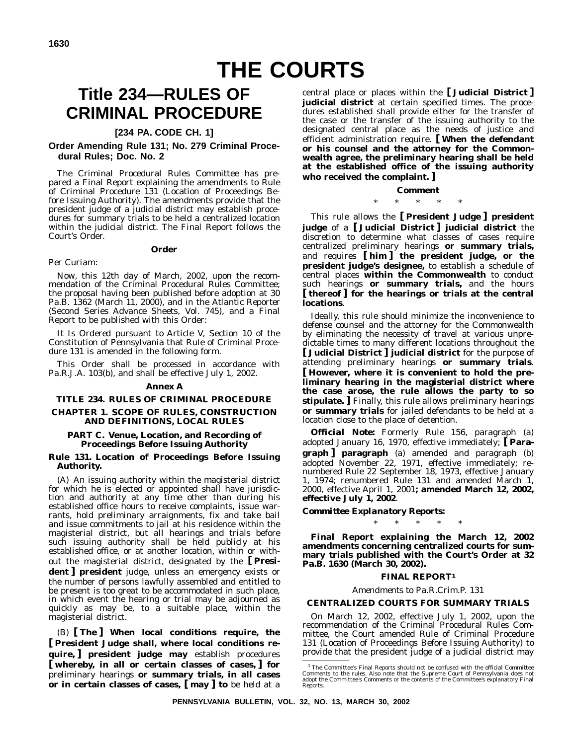# **THE COURTS**

# **Title 234—RULES OF CRIMINAL PROCEDURE**

# **[234 PA. CODE CH. 1]**

## **Order Amending Rule 131; No. 279 Criminal Procedural Rules; Doc. No. 2**

The Criminal Procedural Rules Committee has prepared a Final Report explaining the amendments to Rule of Criminal Procedure 131 (Location of Proceedings Before Issuing Authority). The amendments provide that the president judge of a judicial district may establish procedures for summary trials to be held a centralized location within the judicial district. The Final Report follows the Court's Order.

#### **Order**

#### *Per Curiam:*

*Now*, this 12th day of March, 2002, upon the recommendation of the Criminal Procedural Rules Committee; the proposal having been published before adoption at 30 Pa.B. 1362 (March 11, 2000), and in the *Atlantic Reporter* (Second Series Advance Sheets, Vol. 745), and a Final Report to be published with this Order:

*It Is Ordered* pursuant to Article V, Section 10 of the Constitution of Pennsylvania that Rule of Criminal Procedure 131 is amended in the following form.

This Order shall be processed in accordance with Pa.R.J.A. 103(b), and shall be effective July 1, 2002.

#### **Annex A**

## **TITLE 234. RULES OF CRIMINAL PROCEDURE**

#### **CHAPTER 1. SCOPE OF RULES, CONSTRUCTION AND DEFINITIONS, LOCAL RULES**

#### **PART C. Venue, Location, and Recording of Proceedings Before Issuing Authority**

#### **Rule 131. Location of Proceedings Before Issuing Authority.**

(A) An issuing authority within the magisterial district for which he is elected or appointed shall have jurisdiction and authority at any time other than during his established office hours to receive complaints, issue warrants, hold preliminary arraignments, fix and take bail and issue commitments to jail at his residence within the magisterial district, but all hearings and trials before such issuing authority shall be held publicly at his established office, or at another location, within or without the magisterial district, designated by the **[ President ] president** judge, unless an emergency exists or the number of persons lawfully assembled and entitled to be present is too great to be accommodated in such place, in which event the hearing or trial may be adjourned as quickly as may be, to a suitable place, within the magisterial district.

(B) **[ The ] When local conditions require, the [ President Judge shall, where local conditions require, ] president judge may** establish procedures **[ whereby, in all or certain classes of cases, ] for** preliminary hearings **or summary trials, in all cases or in certain classes of cases, [ may ] to** be held at a

central place or places within the **[ Judicial District ] judicial district** at certain specified times. The procedures established shall provide either for the transfer of the case or the transfer of the issuing authority to the designated central place as the needs of justice and efficient administration require. **[ When the defendant or his counsel and the attorney for the Commonwealth agree, the preliminary hearing shall be held at the established office of the issuing authority who received the complaint. ]**

#### **Comment**

# \*\*\*\*\*

This rule allows the **[ President Judge ] president judge** of a **[ Judicial District ] judicial district** the discretion to determine what classes of cases require centralized preliminary hearings **or summary trials,** and requires **[ him ] the president judge, or the president judge's designee,** to establish a schedule of central places **within the Commonwealth** to conduct such hearings **or summary trials,** and the hours **[ thereof ] for the hearings or trials at the central locations**.

Ideally, this rule should minimize the inconvenience to defense counsel and the attorney for the Commonwealth by eliminating the necessity of travel at various unpredictable times to many different locations throughout the **[ Judicial District ] judicial district** for the purpose of attending preliminary hearings **or summary trials**. **[ However, where it is convenient to hold the preliminary hearing in the magisterial district where the case arose, the rule allows the party to so stipulate. ]** Finally, this rule allows preliminary hearings **or summary trials** for jailed defendants to be held at a location close to the place of detention.

*Official Note:* Formerly Rule 156, paragraph (a) adopted January 16, 1970, effective immediately; **[ Paragraph ] paragraph** (a) amended and paragraph (b) adopted November 22, 1971, effective immediately; renumbered Rule 22 September 18, 1973, effective January 1974; renumbered Rule 131 and amended March 1, 2000, effective April 1, 2001**; amended March 12, 2002, effective July 1, 2002**.

*Committee Explanatory Reports:*

\*\*\*\*\*

**Final Report explaining the March 12, 2002 amendments concerning centralized courts for summary trials published with the Court's Order at 32 Pa.B. 1630 (March 30, 2002).**

#### *FINAL REPORT1*

#### *Amendments to Pa.R.Crim.P. 131*

#### **CENTRALIZED COURTS FOR SUMMARY TRIALS**

On March 12, 2002, effective July 1, 2002, upon the recommendation of the Criminal Procedural Rules Committee, the Court amended Rule of Criminal Procedure 131 (Location of Proceedings Before Issuing Authority) to provide that the president judge of a judicial district may

<sup>&</sup>lt;sup>1</sup> The Committee's Final Reports should not be confused with the official Committee Comments to the rules. Also note that the Supreme Court of Pennsylvania does not adopt the Committee's Comments or the contents of the Committee's explanatory Final Reports.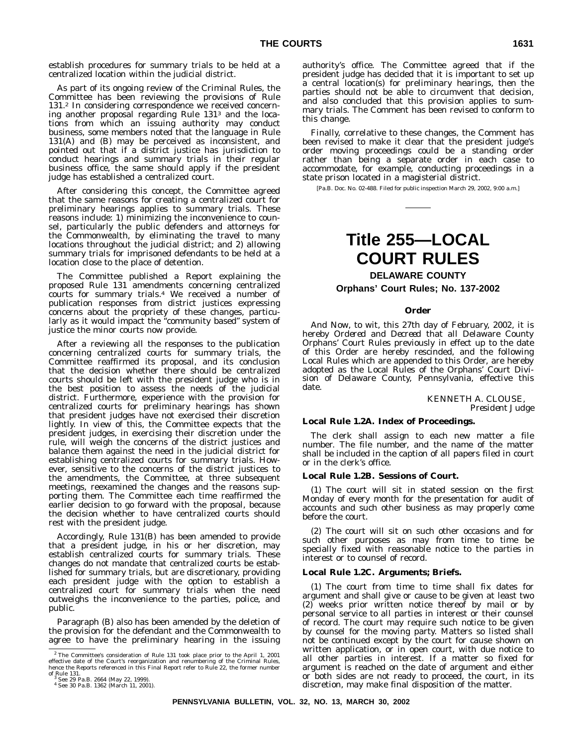establish procedures for summary trials to be held at a centralized location within the judicial district.

As part of its ongoing review of the Criminal Rules, the Committee has been reviewing the provisions of Rule 131.2 In considering correspondence we received concerning another proposal regarding Rule 1313 and the locations from which an issuing authority may conduct business, some members noted that the language in Rule 131(A) and (B) may be perceived as inconsistent, and pointed out that if a district justice has jurisdiction to conduct hearings and summary trials in their regular business office, the same should apply if the president judge has established a centralized court.

After considering this concept, the Committee agreed that the same reasons for creating a centralized court for preliminary hearings applies to summary trials. These reasons include: 1) minimizing the inconvenience to counsel, particularly the public defenders and attorneys for the Commonwealth, by eliminating the travel to many locations throughout the judicial district; and 2) allowing summary trials for imprisoned defendants to be held at a location close to the place of detention.

The Committee published a Report explaining the proposed Rule 131 amendments concerning centralized courts for summary trials.4 We received a number of publication responses from district justices expressing concerns about the propriety of these changes, particularly as it would impact the ''community based'' system of justice the minor courts now provide.

After a reviewing all the responses to the publication concerning centralized courts for summary trials, the Committee reaffirmed its proposal, and its conclusion that the decision whether there should be centralized courts should be left with the president judge who is in the best position to assess the needs of the judicial district. Furthermore, experience with the provision for centralized courts for preliminary hearings has shown that president judges have not exercised their discretion lightly. In view of this, the Committee expects that the president judges, in exercising their discretion under the rule, will weigh the concerns of the district justices and balance them against the need in the judicial district for establishing centralized courts for summary trials. However, sensitive to the concerns of the district justices to the amendments, the Committee, at three subsequent meetings, reexamined the changes and the reasons supporting them. The Committee each time reaffirmed the earlier decision to go forward with the proposal, because the decision whether to have centralized courts should rest with the president judge.

Accordingly, Rule 131(B) has been amended to provide that a president judge, in his or her discretion, may establish centralized courts for summary trials. These changes do not mandate that centralized courts be established for summary trials, but are discretionary, providing each president judge with the option to establish a centralized court for summary trials when the need outweighs the inconvenience to the parties, police, and public.

Paragraph (B) also has been amended by the deletion of the provision for the defendant and the Commonwealth to agree to have the preliminary hearing in the issuing

authority's office. The Committee agreed that if the president judge has decided that it is important to set up a central location(s) for preliminary hearings, then the parties should not be able to circumvent that decision, and also concluded that this provision applies to summary trials. The Comment has been revised to conform to this change.

Finally, correlative to these changes, the Comment has been revised to make it clear that the president judge's order moving proceedings could be a standing order rather than being a separate order in each case to accommodate, for example, conducting proceedings in a state prison located in a magisterial district.

[Pa.B. Doc. No. 02-488. Filed for public inspection March 29, 2002, 9:00 a.m.]

# **Title 255—LOCAL COURT RULES**

## **DELAWARE COUNTY**

#### **Orphans' Court Rules; No. 137-2002**

#### **Order**

*And Now*, to wit, this 27th day of February, 2002, it is hereby *Ordered* and *Decreed* that all Delaware County Orphans' Court Rules previously in effect up to the date of this Order are hereby rescinded, and the following Local Rules which are appended to this Order, are hereby adopted as the Local Rules of the Orphans' Court Division of Delaware County, Pennsylvania, effective this date.

#### KENNETH A. CLOUSE, *President Judge*

#### **Local Rule 1.2A. Index of Proceedings.**

The clerk shall assign to each new matter a file number. The file number, and the name of the matter shall be included in the caption of all papers filed in court or in the clerk's office.

#### **Local Rule 1.2B. Sessions of Court.**

(1) The court will sit in stated session on the first Monday of every month for the presentation for audit of accounts and such other business as may properly come before the court.

(2) The court will sit on such other occasions and for such other purposes as may from time to time be specially fixed with reasonable notice to the parties in interest or to counsel of record.

#### **Local Rule 1.2C. Arguments; Briefs.**

(1) The court from time to time shall fix dates for argument and shall give or cause to be given at least two (2) weeks prior written notice thereof by mail or by personal service to all parties in interest or their counsel of record. The court may require such notice to be given by counsel for the moving party. Matters so listed shall not be continued except by the court for cause shown on written application, or in open court, with due notice to all other parties in interest. If a matter so fixed for argument is reached on the date of argument and either or both sides are not ready to proceed, the court, in its discretion, may make final disposition of the matter.

 $^2$  The Committee's consideration of Rule 131 took place prior to the April 1, 2001<br>effective date of the Court's reorganization and renumbering of the Criminal Rules,<br>hence the Reports referenced in this Final Report re

of Rule 131. <sup>3</sup> See 29 Pa.B. 2664 (May 22, 1999). <sup>4</sup> See 30 Pa.B. 1362 (March 11, 2001).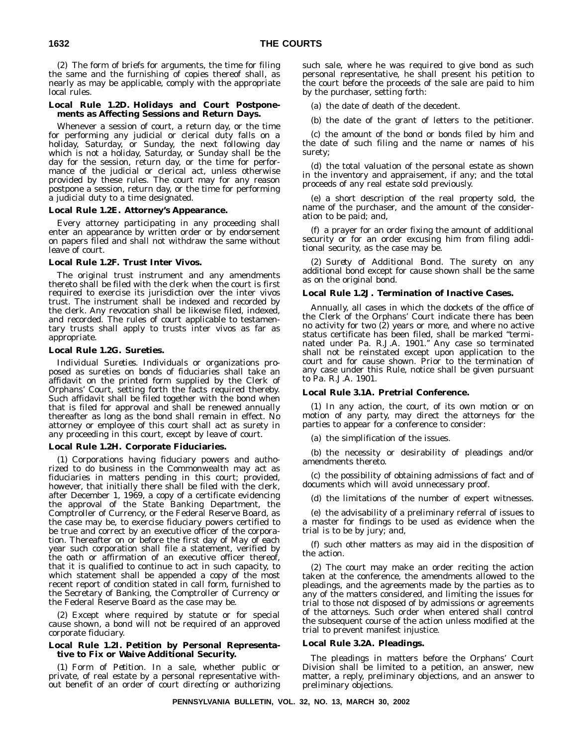(2) The form of briefs for arguments, the time for filing the same and the furnishing of copies thereof shall, as nearly as may be applicable, comply with the appropriate local rules.

#### **Local Rule 1.2D. Holidays and Court Postponements as Affecting Sessions and Return Days.**

Whenever a session of court, a return day, or the time for performing any judicial or clerical duty falls on a holiday, Saturday, or Sunday, the next following day which is not a holiday, Saturday, or Sunday shall be the day for the session, return day, or the time for performance of the judicial or clerical act, unless otherwise provided by these rules. The court may for any reason postpone a session, return day, or the time for performing a judicial duty to a time designated.

#### **Local Rule 1.2E. Attorney's Appearance.**

Every attorney participating in any proceeding shall enter an appearance by written order or by endorsement on papers filed and shall not withdraw the same without leave of court.

#### **Local Rule 1.2F. Trust Inter Vivos.**

The original trust instrument and any amendments thereto shall be filed with the clerk when the court is first required to exercise its jurisdiction over the inter vivos trust. The instrument shall be indexed and recorded by the clerk. Any revocation shall be likewise filed, indexed, and recorded. The rules of court applicable to testamentary trusts shall apply to trusts inter vivos as far as appropriate.

#### **Local Rule 1.2G. Sureties.**

*Individual Sureties.* Individuals or organizations proposed as sureties on bonds of fiduciaries shall take an affidavit on the printed form supplied by the Clerk of Orphans' Court, setting forth the facts required thereby. Such affidavit shall be filed together with the bond when that is filed for approval and shall be renewed annually thereafter as long as the bond shall remain in effect. No attorney or employee of this court shall act as surety in any proceeding in this court, except by leave of court.

#### **Local Rule 1.2H. Corporate Fiduciaries.**

(1) Corporations having fiduciary powers and authorized to do business in the Commonwealth may act as fiduciaries in matters pending in this court; provided, however, that initially there shall be filed with the clerk, after December 1, 1969, a copy of a certificate evidencing the approval of the State Banking Department, the Comptroller of Currency, or the Federal Reserve Board, as the case may be, to exercise fiduciary powers certified to be true and correct by an executive officer of the corporation. Thereafter on or before the first day of May of each year such corporation shall file a statement, verified by the oath or affirmation of an executive officer thereof, that it is qualified to continue to act in such capacity, to which statement shall be appended a copy of the most recent report of condition stated in call form, furnished to the Secretary of Banking, the Comptroller of Currency or the Federal Reserve Board as the case may be.

(2) Except where required by statute or for special cause shown, a bond will not be required of an approved corporate fiduciary.

#### **Local Rule 1.2I. Petition by Personal Representative to Fix or Waive Additional Security.**

(1) *Form of Petition.* In a sale, whether public or private, of real estate by a personal representative without benefit of an order of court directing or authorizing such sale, where he was required to give bond as such personal representative, he shall present his petition to the court before the proceeds of the sale are paid to him by the purchaser, setting forth:

(a) the date of death of the decedent.

(b) the date of the grant of letters to the petitioner.

(c) the amount of the bond or bonds filed by him and the date of such filing and the name or names of his surety;

(d) the total valuation of the personal estate as shown in the inventory and appraisement, if any; and the total proceeds of any real estate sold previously.

(e) a short description of the real property sold, the name of the purchaser, and the amount of the consideration to be paid; and,

(f) a prayer for an order fixing the amount of additional security or for an order excusing him from filing additional security, as the case may be.

(2) *Surety of Additional Bond.* The surety on any additional bond except for cause shown shall be the same as on the original bond.

#### **Local Rule 1.2J. Termination of Inactive Cases.**

Annually, all cases in which the dockets of the office of the Clerk of the Orphans' Court indicate there has been no activity for two (2) years or more, and where no active status certificate has been filed, shall be marked ''terminated under Pa. R.J.A. 1901.'' Any case so terminated shall not be reinstated except upon application to the court and for cause shown. Prior to the termination of any case under this Rule, notice shall be given pursuant to Pa. R.J.A. 1901.

#### **Local Rule 3.1A. Pretrial Conference.**

(1) In any action, the court, of its own motion or on motion of any party, may direct the attorneys for the parties to appear for a conference to consider:

(a) the simplification of the issues.

(b) the necessity or desirability of pleadings and/or amendments thereto.

(c) the possibility of obtaining admissions of fact and of documents which will avoid unnecessary proof.

(d) the limitations of the number of expert witnesses.

(e) the advisability of a preliminary referral of issues to a master for findings to be used as evidence when the trial is to be by jury; and,

(f) such other matters as may aid in the disposition of the action.

(2) The court may make an order reciting the action taken at the conference, the amendments allowed to the pleadings, and the agreements made by the parties as to any of the matters considered, and limiting the issues for trial to those not disposed of by admissions or agreements of the attorneys. Such order when entered shall control the subsequent course of the action unless modified at the trial to prevent manifest injustice.

#### **Local Rule 3.2A. Pleadings.**

The pleadings in matters before the Orphans' Court Division shall be limited to a petition, an answer, new matter, a reply, preliminary objections, and an answer to preliminary objections.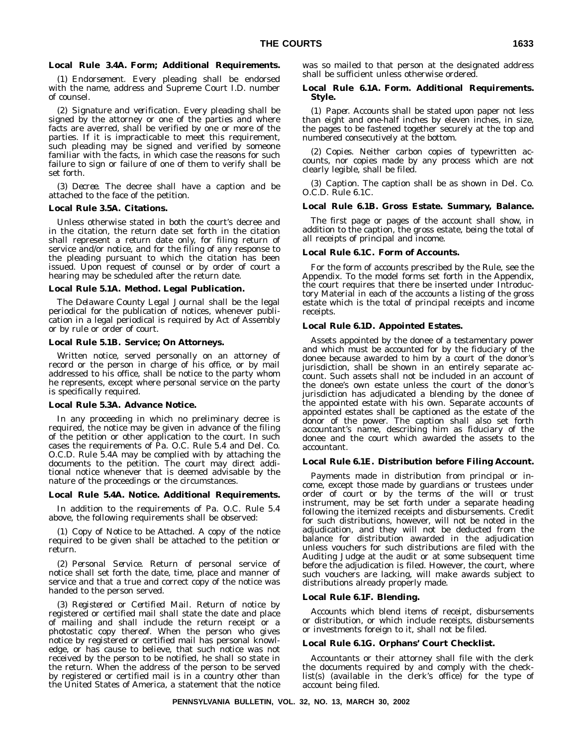#### **Local Rule 3.4A. Form; Additional Requirements.**

(1) *Endorsement.* Every pleading shall be endorsed with the name, address and Supreme Court I.D. number of counsel.

(2) *Signature and verification.* Every pleading shall be signed by the attorney or one of the parties and where facts are averred, shall be verified by one or more of the parties. If it is impracticable to meet this requirement, such pleading may be signed and verified by someone familiar with the facts, in which case the reasons for such failure to sign or failure of one of them to verify shall be set forth.

(3) *Decree.* The decree shall have a caption and be attached to the face of the petition.

#### **Local Rule 3.5A. Citations.**

Unless otherwise stated in both the court's decree and in the citation, the return date set forth in the citation shall represent a return date only, for filing return of service and/or notice, and for the filing of any response to the pleading pursuant to which the citation has been issued. Upon request of counsel or by order of court a hearing may be scheduled after the return date.

#### **Local Rule 5.1A. Method. Legal Publication.**

*The Delaware County Legal Journal* shall be the legal periodical for the publication of notices, whenever publication in a legal periodical is required by Act of Assembly or by rule or order of court.

#### **Local Rule 5.1B. Service; On Attorneys.**

Written notice, served personally on an attorney of record or the person in charge of his office, or by mail addressed to his office, shall be notice to the party whom he represents, except where personal service on the party is specifically required.

## **Local Rule 5.3A. Advance Notice.**

In any proceeding in which no preliminary decree is required, the notice may be given in advance of the filing of the petition or other application to the court. In such cases the requirements of Pa. O.C. Rule 5.4 and Del. Co. O.C.D. Rule 5.4A may be complied with by attaching the documents to the petition. The court may direct additional notice whenever that is deemed advisable by the nature of the proceedings or the circumstances.

#### **Local Rule 5.4A. Notice. Additional Requirements.**

In addition to the requirements of Pa. O.C. Rule 5.4 above, the following requirements shall be observed:

(1) *Copy of Notice to be Attached.* A copy of the notice required to be given shall be attached to the petition or return.

(2) *Personal Service.* Return of personal service of notice shall set forth the date, time, place and manner of service and that a true and correct copy of the notice was handed to the person served.

(3) *Registered or Certified Mail.* Return of notice by registered or certified mail shall state the date and place of mailing and shall include the return receipt or a photostatic copy thereof. When the person who gives notice by registered or certified mail has personal knowledge, or has cause to believe, that such notice was not received by the person to be notified, he shall so state in the return. When the address of the person to be served by registered or certified mail is in a country other than the United States of America, a statement that the notice

was so mailed to that person at the designated address shall be sufficient unless otherwise ordered.

#### **Local Rule 6.1A. Form. Additional Requirements. Style.**

(1) *Paper.* Accounts shall be stated upon paper not less than eight and one-half inches by eleven inches, in size, the pages to be fastened together securely at the top and numbered consecutively at the bottom.

(2) *Copies.* Neither carbon copies of typewritten accounts, nor copies made by any process which are not clearly legible, shall be filed.

(3) *Caption.* The caption shall be as shown in Del. Co. O.C.D. Rule 6.1C.

#### **Local Rule 6.1B. Gross Estate. Summary, Balance.**

The first page or pages of the account shall show, in addition to the caption, the gross estate, being the total of all receipts of principal and income.

#### **Local Rule 6.1C. Form of Accounts.**

For the form of accounts prescribed by the Rule, see the Appendix. To the model forms set forth in the Appendix, the court requires that there be inserted under Introductory Material in each of the accounts a listing of the gross estate which is the total of principal receipts and income receipts.

#### **Local Rule 6.1D. Appointed Estates.**

Assets appointed by the donee of a testamentary power and which must be accounted for by the fiduciary of the donee because awarded to him by a court of the donor's jurisdiction, shall be shown in an entirely separate account. Such assets shall not be included in an account of the donee's own estate unless the court of the donor's jurisdiction has adjudicated a blending by the donee of the appointed estate with his own. Separate accounts of appointed estates shall be captioned as the estate of the donor of the power. The caption shall also set forth accountant's name, describing him as fiduciary of the donee and the court which awarded the assets to the accountant.

#### **Local Rule 6.1E. Distribution before Filing Account.**

Payments made in distribution from principal or income, except those made by guardians or trustees under order of court or by the terms of the will or trust instrument, may be set forth under a separate heading following the itemized receipts and disbursements. Credit for such distributions, however, will not be noted in the adjudication, and they will not be deducted from the balance for distribution awarded in the adjudication unless vouchers for such distributions are filed with the Auditing Judge at the audit or at some subsequent time before the adjudication is filed. However, the court, where such vouchers are lacking, will make awards subject to distributions already properly made.

#### **Local Rule 6.1F. Blending.**

Accounts which blend items of receipt, disbursements or distribution, or which include receipts, disbursements or investments foreign to it, shall not be filed.

#### **Local Rule 6.1G. Orphans' Court Checklist.**

Accountants or their attorney shall file with the clerk the documents required by and comply with the checklist(s) (available in the clerk's office) for the type of account being filed.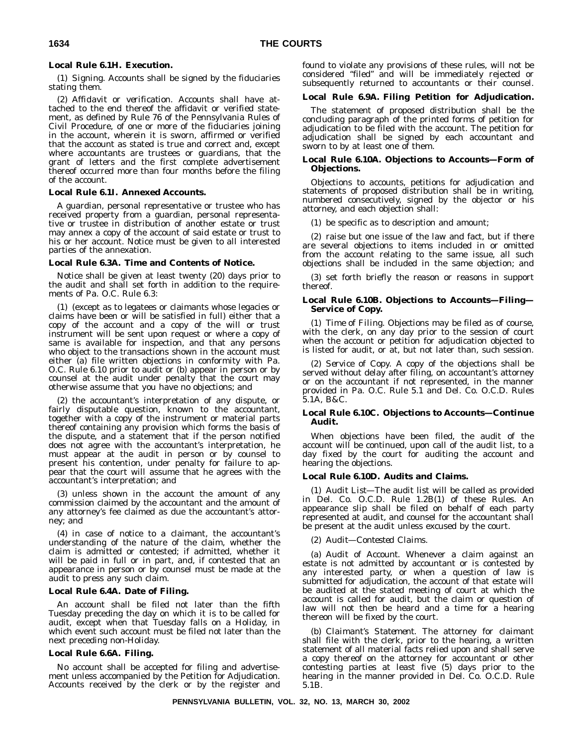## **Local Rule 6.1H. Execution.**

(1) *Signing.* Accounts shall be signed by the fiduciaries stating them.

(2) *Affidavit or verification.* Accounts shall have attached to the end thereof the affidavit or verified statement, as defined by Rule 76 of the Pennsylvania Rules of Civil Procedure, of one or more of the fiduciaries joining in the account, wherein it is sworn, affirmed or verified that the account as stated is true and correct and, except where accountants are trustees or guardians, that the grant of letters and the first complete advertisement thereof occurred more than four months before the filing of the account.

#### **Local Rule 6.1I. Annexed Accounts.**

A guardian, personal representative or trustee who has received property from a guardian, personal representative or trustee in distribution of another estate or trust may annex a copy of the account of said estate or trust to his or her account. Notice must be given to all interested parties of the annexation.

#### **Local Rule 6.3A. Time and Contents of Notice.**

Notice shall be given at least twenty (20) days prior to the audit and shall set forth in addition to the requirements of Pa. O.C. Rule 6.3:

(1) (except as to legatees or claimants whose legacies or claims have been or will be satisfied in full) either that a copy of the account and a copy of the will or trust instrument will be sent upon request or where a copy of same is available for inspection, and that any persons who object to the transactions shown in the account must either (a) file written objections in conformity with Pa. O.C. Rule 6.10 prior to audit or (b) appear in person or by counsel at the audit under penalty that the court may otherwise assume that you have no objections; and

(2) the accountant's interpretation of any dispute, or fairly disputable question, known to the accountant, together with a copy of the instrument or material parts thereof containing any provision which forms the basis of the dispute, and a statement that if the person notified does not agree with the accountant's interpretation, he must appear at the audit in person or by counsel to present his contention, under penalty for failure to appear that the court will assume that he agrees with the accountant's interpretation; and

(3) unless shown in the account the amount of any commission claimed by the accountant and the amount of any attorney's fee claimed as due the accountant's attorney; and

(4) in case of notice to a claimant, the accountant's understanding of the nature of the claim, whether the claim is admitted or contested; if admitted, whether it will be paid in full or in part, and, if contested that an appearance in person or by counsel must be made at the audit to press any such claim.

## **Local Rule 6.4A. Date of Filing.**

An account shall be filed not later than the fifth Tuesday preceding the day on which it is to be called for audit, except when that Tuesday falls on a Holiday, in which event such account must be filed not later than the next preceding non-Holiday.

#### **Local Rule 6.6A. Filing.**

No account shall be accepted for filing and advertisement unless accompanied by the Petition for Adjudication. Accounts received by the clerk or by the register and found to violate any provisions of these rules, will not be considered ''filed'' and will be immediately rejected or subsequently returned to accountants or their counsel.

## **Local Rule 6.9A. Filing Petition for Adjudication.**

The statement of proposed distribution shall be the concluding paragraph of the printed forms of petition for adjudication to be filed with the account. The petition for adjudication shall be signed by each accountant and sworn to by at least one of them.

#### **Local Rule 6.10A. Objections to Accounts—Form of Objections.**

Objections to accounts, petitions for adjudication and statements of proposed distribution shall be in writing, numbered consecutively, signed by the objector or his attorney, and each objection shall:

(1) be specific as to description and amount;

(2) raise but one issue of the law and fact, but if there are several objections to items included in or omitted from the account relating to the same issue, all such objections shall be included in the same objection; and

(3) set forth briefly the reason or reasons in support thereof.

#### **Local Rule 6.10B. Objections to Accounts—Filing— Service of Copy.**

(1) *Time of Filing.* Objections may be filed as of course, with the clerk, on any day prior to the session of court when the account or petition for adjudication objected to is listed for audit, or at, but not later than, such session.

(2) *Service of Copy.* A copy of the objections shall be served without delay after filing, on accountant's attorney or on the accountant if not represented, in the manner provided in Pa. O.C. Rule 5.1 and Del. Co. O.C.D. Rules 5.1A, B&C.

#### **Local Rule 6.10C. Objections to Accounts—Continue Audit.**

When objections have been filed, the audit of the account will be continued, upon call of the audit list, to a day fixed by the court for auditing the account and hearing the objections.

#### **Local Rule 6.10D. Audits and Claims.**

(1) *Audit List*—The audit list will be called as provided in Del. Co. O.C.D. Rule 1.2B(1) of these Rules. An appearance slip shall be filed on behalf of each party represented at audit, and counsel for the accountant shall be present at the audit unless excused by the court.

#### (2) *Audit—Contested Claims.*

(a) *Audit of Account.* Whenever a claim against an estate is not admitted by accountant or is contested by any interested party, or when a question of law is submitted for adjudication, the account of that estate will be audited at the stated meeting of court at which the account is called for audit, but the claim or question of law will not then be heard and a time for a hearing thereon will be fixed by the court.

(b) *Claimant's Statement.* The attorney for claimant shall file with the clerk, prior to the hearing, a written statement of all material facts relied upon and shall serve a copy thereof on the attorney for accountant or other contesting parties at least five (5) days prior to the hearing in the manner provided in Del. Co. O.C.D. Rule 5.1B.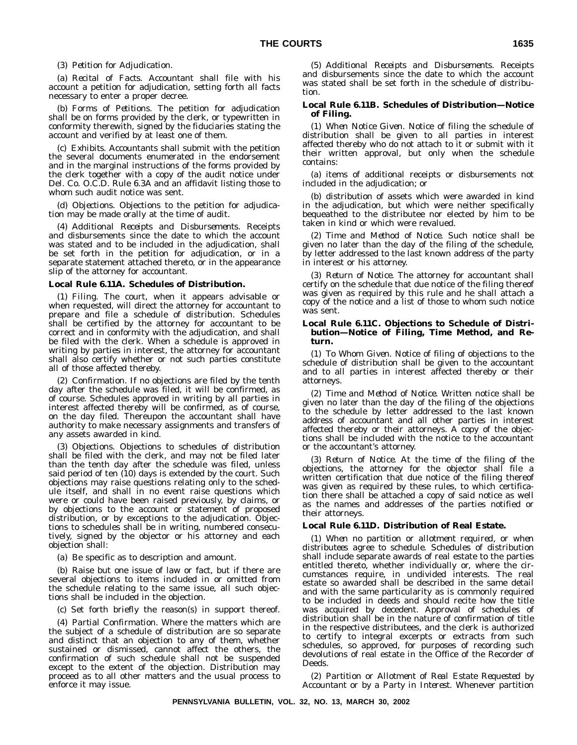#### (3) *Petition for Adjudication.*

(a) *Recital of Facts.* Accountant shall file with his account a petition for adjudication, setting forth all facts necessary to enter a proper decree.

(b) *Forms of Petitions.* The petition for adjudication shall be on forms provided by the clerk, or typewritten in conformity therewith, signed by the fiduciaries stating the account and verified by at least one of them.

(c) *Exhibits.* Accountants shall submit with the petition the several documents enumerated in the endorsement and in the marginal instructions of the forms provided by the clerk together with a copy of the audit notice under Del. Co. O.C.D. Rule 6.3A and an affidavit listing those to whom such audit notice was sent.

(d) *Objections.* Objections to the petition for adjudication may be made orally at the time of audit.

(4) *Additional Receipts and Disbursements.* Receipts and disbursements since the date to which the account was stated and to be included in the adjudication, shall be set forth in the petition for adjudication, or in a separate statement attached thereto, or in the appearance slip of the attorney for accountant.

#### **Local Rule 6.11A. Schedules of Distribution.**

(1) *Filing.* The court, when it appears advisable or when requested, will direct the attorney for accountant to prepare and file a schedule of distribution. Schedules shall be certified by the attorney for accountant to be correct and in conformity with the adjudication, and shall be filed with the clerk. When a schedule is approved in writing by parties in interest, the attorney for accountant shall also certify whether or not such parties constitute all of those affected thereby.

(2) *Confirmation.* If no objections are filed by the tenth day after the schedule was filed, it will be confirmed, as of course. Schedules approved in writing by all parties in interest affected thereby will be confirmed, as of course, on the day filed. Thereupon the accountant shall have authority to make necessary assignments and transfers of any assets awarded in kind.

(3) *Objections.* Objections to schedules of distribution shall be filed with the clerk, and may not be filed later than the tenth day after the schedule was filed, unless said period of ten (10) days is extended by the court. Such objections may raise questions relating only to the schedule itself, and shall in no event raise questions which were or could have been raised previously, by claims, or by objections to the account or statement of proposed distribution, or by exceptions to the adjudication. Objections to schedules shall be in writing, numbered consecutively, signed by the objector or his attorney and each objection shall:

(a) Be specific as to description and amount.

(b) Raise but one issue of law or fact, but if there are several objections to items included in or omitted from the schedule relating to the same issue, all such objections shall be included in the objection.

(c) Set forth briefly the reason(s) in support thereof.

(4) *Partial Confirmation.* Where the matters which are the subject of a schedule of distribution are so separate and distinct that an objection to any of them, whether sustained or dismissed, cannot affect the others, the confirmation of such schedule shall not be suspended except to the extent of the objection. Distribution may proceed as to all other matters and the usual process to enforce it may issue.

(5) *Additional Receipts and Disbursements.* Receipts and disbursements since the date to which the account was stated shall be set forth in the schedule of distribution.

#### **Local Rule 6.11B. Schedules of Distribution—Notice of Filing.**

(1) *When Notice Given.* Notice of filing the schedule of distribution shall be given to all parties in interest affected thereby who do not attach to it or submit with it their written approval, but only when the schedule contains:

(a) items of additional receipts or disbursements not included in the adjudication; or

(b) distribution of assets which were awarded in kind in the adjudication, but which were neither specifically bequeathed to the distributee nor elected by him to be taken in kind or which were revalued.

(2) *Time and Method of Notice.* Such notice shall be given no later than the day of the filing of the schedule, by letter addressed to the last known address of the party in interest or his attorney.

(3) *Return of Notice.* The attorney for accountant shall certify on the schedule that due notice of the filing thereof was given as required by this rule and he shall attach a copy of the notice and a list of those to whom such notice was sent.

#### **Local Rule 6.11C. Objections to Schedule of Distribution—Notice of Filing, Time Method, and Return.**

(1) *To Whom Given.* Notice of filing of objections to the schedule of distribution shall be given to the accountant and to all parties in interest affected thereby or their attorneys.

(2) *Time and Method of Notice.* Written notice shall be given no later than the day of the filing of the objections to the schedule by letter addressed to the last known address of accountant and all other parties in interest affected thereby or their attorneys. A copy of the objections shall be included with the notice to the accountant or the accountant's attorney.

(3) *Return of Notice.* At the time of the filing of the objections, the attorney for the objector shall file a written certification that due notice of the filing thereof was given as required by these rules, to which certification there shall be attached a copy of said notice as well as the names and addresses of the parties notified or their attorneys.

#### **Local Rule 6.11D. Distribution of Real Estate.**

(1) *When no partition or allotment required, or when distributees agree to schedule.* Schedules of distribution shall include separate awards of real estate to the parties entitled thereto, whether individually or, where the circumstances require, in undivided interests. The real estate so awarded shall be described in the same detail and with the same particularity as is commonly required to be included in deeds and should recite how the title was acquired by decedent. Approval of schedules of distribution shall be in the nature of confirmation of title in the respective distributees, and the clerk is authorized to certify to integral excerpts or extracts from such schedules, so approved, for purposes of recording such devolutions of real estate in the Office of the Recorder of Deeds.

(2) *Partition or Allotment of Real Estate Requested by Accountant or by a Party in Interest.* Whenever partition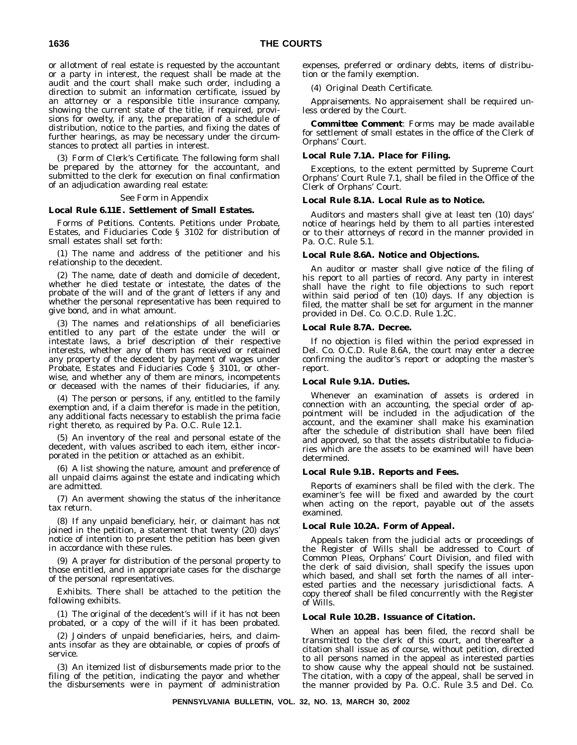or allotment of real estate is requested by the accountant or a party in interest, the request shall be made at the audit and the court shall make such order, including a direction to submit an information certificate, issued by an attorney or a responsible title insurance company, showing the current state of the title, if required, provisions for owelty, if any, the preparation of a schedule of distribution, notice to the parties, and fixing the dates of further hearings, as may be necessary under the circumstances to protect all parties in interest.

(3) *Form of Clerk's Certificate.* The following form shall be prepared by the attorney for the accountant, and submitted to the clerk for execution on final confirmation of an adjudication awarding real estate:

#### See Form in Appendix

#### **Local Rule 6.11E. Settlement of Small Estates.**

*Forms of Petitions. Contents.* Petitions under Probate, Estates, and Fiduciaries Code § 3102 for distribution of small estates shall set forth:

(1) The name and address of the petitioner and his relationship to the decedent.

(2) The name, date of death and domicile of decedent, whether he died testate or intestate, the dates of the probate of the will and of the grant of letters if any and whether the personal representative has been required to give bond, and in what amount.

(3) The names and relationships of all beneficiaries entitled to any part of the estate under the will or intestate laws, a brief description of their respective interests, whether any of them has received or retained any property of the decedent by payment of wages under Probate, Estates and Fiduciaries Code § 3101, or otherwise, and whether any of them are minors, incompetents or deceased with the names of their fiduciaries, if any.

(4) The person or persons, if any, entitled to the family exemption and, if a claim therefor is made in the petition, any additional facts necessary to establish the prima facie right thereto, as required by Pa. O.C. Rule 12.1.

(5) An inventory of the real and personal estate of the decedent, with values ascribed to each item, either incorporated in the petition or attached as an exhibit.

(6) A list showing the nature, amount and preference of all unpaid claims against the estate and indicating which are admitted.

(7) An averment showing the status of the inheritance tax return.

(8) If any unpaid beneficiary, heir, or claimant has not joined in the petition, a statement that twenty (20) days' notice of intention to present the petition has been given in accordance with these rules.

(9) A prayer for distribution of the personal property to those entitled, and in appropriate cases for the discharge of the personal representatives.

*Exhibits.* There shall be attached to the petition the following exhibits.

(1) The original of the decedent's will if it has not been probated, or a copy of the will if it has been probated.

(2) Joinders of unpaid beneficiaries, heirs, and claimants insofar as they are obtainable, or copies of proofs of service.

(3) An itemized list of disbursements made prior to the filing of the petition, indicating the payor and whether the disbursements were in payment of administration expenses, preferred or ordinary debts, items of distribution or the family exemption.

(4) Original Death Certificate.

*Appraisements.* No appraisement shall be required unless ordered by the Court.

*Committee Comment*: Forms may be made available for settlement of small estates in the office of the Clerk of Orphans' Court.

#### **Local Rule 7.1A. Place for Filing.**

Exceptions, to the extent permitted by Supreme Court Orphans' Court Rule 7.1, shall be filed in the Office of the Clerk of Orphans' Court.

#### **Local Rule 8.1A. Local Rule as to Notice.**

Auditors and masters shall give at least ten (10) days' notice of hearings held by them to all parties interested or to their attorneys of record in the manner provided in Pa. O.C. Rule 5.1.

#### **Local Rule 8.6A. Notice and Objections.**

An auditor or master shall give notice of the filing of his report to all parties of record. Any party in interest shall have the right to file objections to such report within said period of ten (10) days. If any objection is filed, the matter shall be set for argument in the manner provided in Del. Co. O.C.D. Rule 1.2C.

#### **Local Rule 8.7A. Decree.**

If no objection is filed within the period expressed in Del. Co. O.C.D. Rule 8.6A, the court may enter a decree confirming the auditor's report or adopting the master's report.

#### **Local Rule 9.1A. Duties.**

Whenever an examination of assets is ordered in connection with an accounting, the special order of appointment will be included in the adjudication of the account, and the examiner shall make his examination after the schedule of distribution shall have been filed and approved, so that the assets distributable to fiduciaries which are the assets to be examined will have been determined.

#### **Local Rule 9.1B. Reports and Fees.**

Reports of examiners shall be filed with the clerk. The examiner's fee will be fixed and awarded by the court when acting on the report, payable out of the assets examined.

#### **Local Rule 10.2A. Form of Appeal.**

Appeals taken from the judicial acts or proceedings of the Register of Wills shall be addressed to Court of Common Pleas, Orphans' Court Division, and filed with the clerk of said division, shall specify the issues upon which based, and shall set forth the names of all interested parties and the necessary jurisdictional facts. A copy thereof shall be filed concurrently with the Register of Wills.

#### **Local Rule 10.2B. Issuance of Citation.**

When an appeal has been filed, the record shall be transmitted to the clerk of this court, and thereafter a citation shall issue as of course, without petition, directed to all persons named in the appeal as interested parties to show cause why the appeal should not be sustained. The citation, with a copy of the appeal, shall be served in the manner provided by Pa. O.C. Rule 3.5 and Del. Co.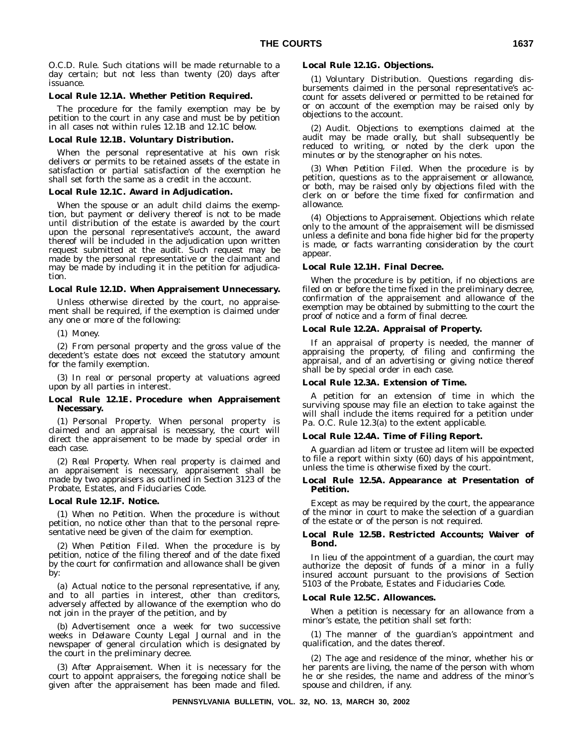O.C.D. Rule. Such citations will be made returnable to a day certain; but not less than twenty (20) days after issuance.

#### **Local Rule 12.1A. Whether Petition Required.**

The procedure for the family exemption may be by petition to the court in any case and must be by petition in all cases not within rules 12.1B and 12.1C below.

#### **Local Rule 12.1B. Voluntary Distribution.**

When the personal representative at his own risk delivers or permits to be retained assets of the estate in satisfaction or partial satisfaction of the exemption he shall set forth the same as a credit in the account.

#### **Local Rule 12.1C. Award in Adjudication.**

When the spouse or an adult child claims the exemption, but payment or delivery thereof is not to be made until distribution of the estate is awarded by the court upon the personal representative's account, the award thereof will be included in the adjudication upon written request submitted at the audit. Such request may be made by the personal representative or the claimant and may be made by including it in the petition for adjudication.

#### **Local Rule 12.1D. When Appraisement Unnecessary.**

Unless otherwise directed by the court, no appraisement shall be required, if the exemption is claimed under any one or more of the following:

(1) Money.

(2) From personal property and the gross value of the decedent's estate does not exceed the statutory amount for the family exemption.

(3) In real or personal property at valuations agreed upon by all parties in interest.

#### **Local Rule 12.1E. Procedure when Appraisement Necessary.**

(1) *Personal Property.* When personal property is claimed and an appraisal is necessary, the court will direct the appraisement to be made by special order in each case.

(2) *Real Property.* When real property is claimed and an appraisement is necessary, appraisement shall be made by two appraisers as outlined in Section 3123 of the Probate, Estates, and Fiduciaries Code.

#### **Local Rule 12.1F. Notice.**

(1) *When no Petition.* When the procedure is without petition, no notice other than that to the personal representative need be given of the claim for exemption.

(2) *When Petition Filed.* When the procedure is by petition, notice of the filing thereof and of the date fixed by the court for confirmation and allowance shall be given by:

(a) Actual notice to the personal representative, if any, and to all parties in interest, other than creditors, adversely affected by allowance of the exemption who do not join in the prayer of the petition, and by

(b) Advertisement once a week for two successive weeks in *Delaware County Legal Journal* and in the newspaper of general circulation which is designated by the court in the preliminary decree.

(3) *After Appraisement.* When it is necessary for the court to appoint appraisers, the foregoing notice shall be given after the appraisement has been made and filed.

#### **Local Rule 12.1G. Objections.**

(1) *Voluntary Distribution.* Questions regarding disbursements claimed in the personal representative's account for assets delivered or permitted to be retained for or on account of the exemption may be raised only by objections to the account.

(2) *Audit.* Objections to exemptions claimed at the audit may be made orally, but shall subsequently be reduced to writing, or noted by the clerk upon the minutes or by the stenographer on his notes.

(3) *When Petition Filed.* When the procedure is by petition, questions as to the appraisement or allowance, or both, may be raised only by objections filed with the clerk on or before the time fixed for confirmation and allowance.

(4) *Objections to Appraisement.* Objections which relate only to the amount of the appraisement will be dismissed unless a definite and bona fide higher bid for the property is made, or facts warranting consideration by the court appear.

#### **Local Rule 12.1H. Final Decree.**

When the procedure is by petition, if no objections are filed on or before the time fixed in the preliminary decree, confirmation of the appraisement and allowance of the exemption may be obtained by submitting to the court the proof of notice and a form of final decree.

#### **Local Rule 12.2A. Appraisal of Property.**

If an appraisal of property is needed, the manner of appraising the property, of filing and confirming the appraisal, and of an advertising or giving notice thereof shall be by special order in each case.

#### **Local Rule 12.3A. Extension of Time.**

A petition for an extension of time in which the surviving spouse may file an election to take against the will shall include the items required for a petition under Pa. O.C. Rule 12.3(a) to the extent applicable.

## **Local Rule 12.4A. Time of Filing Report.**

A guardian ad litem or trustee ad litem will be expected to file a report within sixty (60) days of his appointment, unless the time is otherwise fixed by the court.

#### **Local Rule 12.5A. Appearance at Presentation of Petition.**

Except as may be required by the court, the appearance of the minor in court to make the selection of a guardian of the estate or of the person is not required.

#### **Local Rule 12.5B. Restricted Accounts; Waiver of Bond.**

In lieu of the appointment of a guardian, the court may authorize the deposit of funds of a minor in a fully insured account pursuant to the provisions of Section 5103 of the Probate, Estates and Fiduciaries Code.

#### **Local Rule 12.5C. Allowances.**

When a petition is necessary for an allowance from a minor's estate, the petition shall set forth:

(1) The manner of the guardian's appointment and qualification, and the dates thereof.

(2) The age and residence of the minor, whether his or her parents are living, the name of the person with whom he or she resides, the name and address of the minor's spouse and children, if any.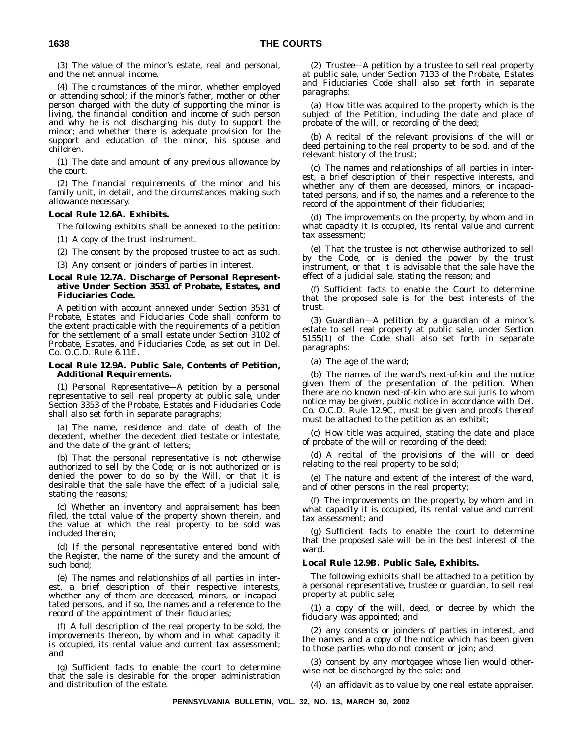(3) The value of the minor's estate, real and personal, and the net annual income.

(4) The circumstances of the minor, whether employed or attending school; if the minor's father, mother or other person charged with the duty of supporting the minor is living, the financial condition and income of such person and why he is not discharging his duty to support the minor; and whether there is adequate provision for the support and education of the minor, his spouse and children.

(1) The date and amount of any previous allowance by the court.

(2) The financial requirements of the minor and his family unit, in detail, and the circumstances making such allowance necessary.

#### **Local Rule 12.6A. Exhibits.**

The following exhibits shall be annexed to the petition:

(1) A copy of the trust instrument.

(2) The consent by the proposed trustee to act as such.

(3) Any consent or joinders of parties in interest.

#### **Local Rule 12.7A. Discharge of Personal Representative Under Section 3531 of Probate, Estates, and Fiduciaries Code.**

A petition with account annexed under Section 3531 of Probate, Estates and Fiduciaries Code shall conform to the extent practicable with the requirements of a petition for the settlement of a small estate under Section 3102 of Probate, Estates, and Fiduciaries Code, as set out in Del. Co. O.C.D. Rule 6.11E.

#### **Local Rule 12.9A. Public Sale, Contents of Petition, Additional Requirements.**

(1) *Personal Representative*—A petition by a personal representative to sell real property at public sale, under Section 3353 of the Probate, Estates and Fiduciaries Code shall also set forth in separate paragraphs:

(a) The name, residence and date of death of the decedent, whether the decedent died testate or intestate, and the date of the grant of letters;

(b) That the personal representative is not otherwise authorized to sell by the Code; or is not authorized or is denied the power to do so by the Will, or that it is desirable that the sale have the effect of a judicial sale, stating the reasons;

(c) Whether an inventory and appraisement has been filed, the total value of the property shown therein, and the value at which the real property to be sold was included therein;

(d) If the personal representative entered bond with the Register, the name of the surety and the amount of such bond;

(e) The names and relationships of all parties in interest, a brief description of their respective interests, whether any of them are deceased, minors, or incapacitated persons, and if so, the names and a reference to the record of the appointment of their fiduciaries;

(f) A full description of the real property to be sold, the improvements thereon, by whom and in what capacity it is occupied, its rental value and current tax assessment; and

(g) Sufficient facts to enable the court to determine that the sale is desirable for the proper administration and distribution of the estate.

(2) *Trustee—*A petition by a trustee to sell real property at public sale, under Section 7133 of the Probate, Estates and Fiduciaries Code shall also set forth in separate paragraphs:

(a) How title was acquired to the property which is the subject of the Petition, including the date and place of probate of the will, or recording of the deed;

(b) A recital of the relevant provisions of the will or deed pertaining to the real property to be sold, and of the relevant history of the trust;

(c) The names and relationships of all parties in interest, a brief description of their respective interests, and whether any of them are deceased, minors, or incapacitated persons, and if so, the names and a reference to the record of the appointment of their fiduciaries;

(d) The improvements on the property, by whom and in what capacity it is occupied, its rental value and current tax assessment;

(e) That the trustee is not otherwise authorized to sell by the Code, or is denied the power by the trust instrument, or that it is advisable that the sale have the effect of a judicial sale, stating the reason; and

(f) Sufficient facts to enable the Court to determine that the proposed sale is for the best interests of the trust.

(3) *Guardian—*A petition by a guardian of a minor's estate to sell real property at public sale, under Section 5155(1) of the Code shall also set forth in separate paragraphs:

(a) The age of the ward;

(b) The names of the ward's next-of-kin and the notice given them of the presentation of the petition. When there are no known next-of-kin who are sui juris to whom notice may be given, public notice in accordance with Del. Co. O.C.D. Rule 12.9C, must be given and proofs thereof must be attached to the petition as an exhibit;

(c) How title was acquired, stating the date and place of probate of the will or recording of the deed;

(d) A recital of the provisions of the will or deed relating to the real property to be sold;

(e) The nature and extent of the interest of the ward, and of other persons in the real property;

(f) The improvements on the property, by whom and in what capacity it is occupied, its rental value and current tax assessment; and

(g) Sufficient facts to enable the court to determine that the proposed sale will be in the best interest of the ward.

#### **Local Rule 12.9B. Public Sale, Exhibits.**

The following exhibits shall be attached to a petition by a personal representative, trustee or guardian, to sell real property at public sale;

(1) a copy of the will, deed, or decree by which the fiduciary was appointed; and

(2) any consents or joinders of parties in interest, and the names and a copy of the notice which has been given to those parties who do not consent or join; and

(3) consent by any mortgagee whose lien would otherwise not be discharged by the sale; and

(4) an affidavit as to value by one real estate appraiser.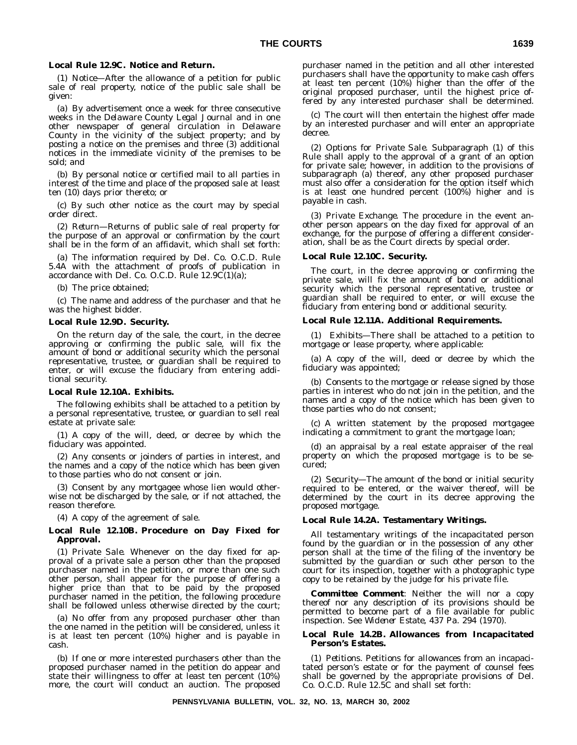#### **Local Rule 12.9C. Notice and Return.**

(1) *Notice—*After the allowance of a petition for public sale of real property, notice of the public sale shall be given:

(a) By advertisement once a week for three consecutive weeks in the *Delaware County Legal Journal* and in one other newspaper of general circulation in Delaware County in the vicinity of the subject property; and by posting a notice on the premises and three (3) additional notices in the immediate vicinity of the premises to be sold; and

(b) By personal notice or certified mail to all parties in interest of the time and place of the proposed sale at least ten (10) days prior thereto; or

(c) By such other notice as the court may by special order direct.

(2) *Return—*Returns of public sale of real property for the purpose of an approval or confirmation by the court shall be in the form of an affidavit, which shall set forth:

(a) The information required by Del. Co. O.C.D. Rule 5.4A with the attachment of proofs of publication in accordance with Del. Co. O.C.D. Rule  $12.9C(1)(a)$ ;

(b) The price obtained;

(c) The name and address of the purchaser and that he was the highest bidder.

#### **Local Rule 12.9D. Security.**

On the return day of the sale, the court, in the decree approving or confirming the public sale, will fix the amount of bond or additional security which the personal representative, trustee, or guardian shall be required to enter, or will excuse the fiduciary from entering additional security.

#### **Local Rule 12.10A. Exhibits.**

The following exhibits shall be attached to a petition by a personal representative, trustee, or guardian to sell real estate at private sale:

(1) A copy of the will, deed, or decree by which the fiduciary was appointed.

(2) Any consents or joinders of parties in interest, and the names and a copy of the notice which has been given to those parties who do not consent or join.

(3) Consent by any mortgagee whose lien would otherwise not be discharged by the sale, or if not attached, the reason therefore.

(4) A copy of the agreement of sale.

#### **Local Rule 12.10B. Procedure on Day Fixed for Approval.**

(1) *Private Sale.* Whenever on the day fixed for approval of a private sale a person other than the proposed purchaser named in the petition, or more than one such other person, shall appear for the purpose of offering a higher price than that to be paid by the proposed purchaser named in the petition, the following procedure shall be followed unless otherwise directed by the court;

(a) No offer from any proposed purchaser other than the one named in the petition will be considered, unless it is at least ten percent (10%) higher and is payable in cash.

(b) If one or more interested purchasers other than the proposed purchaser named in the petition do appear and state their willingness to offer at least ten percent (10%) more, the court will conduct an auction. The proposed purchaser named in the petition and all other interested purchasers shall have the opportunity to make cash offers at least ten percent (10%) higher than the offer of the original proposed purchaser, until the highest price offered by any interested purchaser shall be determined.

(c) The court will then entertain the highest offer made by an interested purchaser and will enter an appropriate decree.

(2) *Options for Private Sale.* Subparagraph (1) of this Rule shall apply to the approval of a grant of an option for private sale; however, in addition to the provisions of subparagraph (a) thereof, any other proposed purchaser must also offer a consideration for the option itself which is at least one hundred percent (100%) higher and is payable in cash.

(3) *Private Exchange.* The procedure in the event another person appears on the day fixed for approval of an exchange, for the purpose of offering a different consideration, shall be as the Court directs by special order.

#### **Local Rule 12.10C. Security.**

The court, in the decree approving or confirming the private sale, will fix the amount of bond or additional security which the personal representative, trustee or guardian shall be required to enter, or will excuse the fiduciary from entering bond or additional security.

#### **Local Rule 12.11A. Additional Requirements.**

(1) *Exhibits—*There shall be attached to a petition to mortgage or lease property, where applicable:

(a) A copy of the will, deed or decree by which the fiduciary was appointed;

(b) Consents to the mortgage or release signed by those parties in interest who do not join in the petition, and the names and a copy of the notice which has been given to those parties who do not consent;

(c) A written statement by the proposed mortgagee indicating a commitment to grant the mortgage loan;

(d) an appraisal by a real estate appraiser of the real property on which the proposed mortgage is to be secured;

(2) *Security—*The amount of the bond or initial security required to be entered, or the waiver thereof, will be determined by the court in its decree approving the proposed mortgage.

#### **Local Rule 14.2A. Testamentary Writings.**

All testamentary writings of the incapacitated person found by the guardian or in the possession of any other person shall at the time of the filing of the inventory be submitted by the guardian or such other person to the court for its inspection, together with a photographic type copy to be retained by the judge for his private file.

*Committee Comment*: Neither the will nor a copy thereof nor any description of its provisions should be permitted to become part of a file available for public inspection. See *Widener Estate*, 437 Pa. 294 (1970).

#### **Local Rule 14.2B. Allowances from Incapacitated Person's Estates.**

(1) *Petitions.* Petitions for allowances from an incapacitated person's estate or for the payment of counsel fees shall be governed by the appropriate provisions of Del. Co. O.C.D. Rule 12.5C and shall set forth: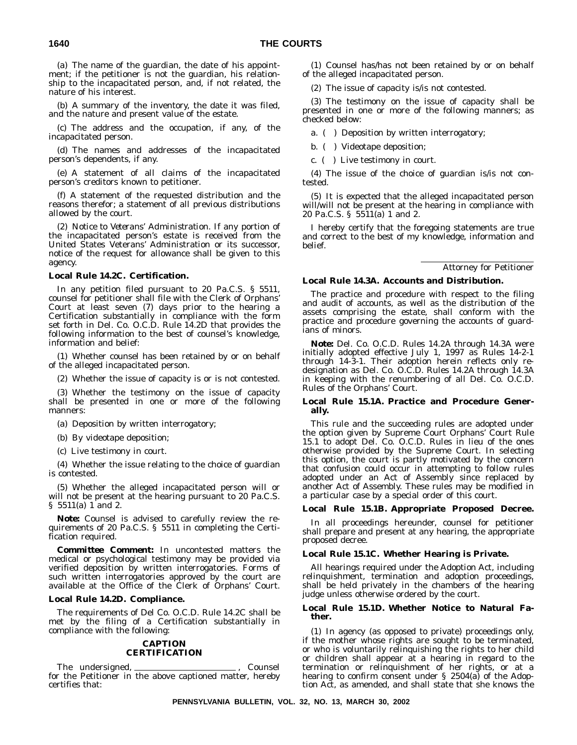(a) The name of the guardian, the date of his appointment; if the petitioner is not the guardian, his relationship to the incapacitated person, and, if not related, the nature of his interest.

(b) A summary of the inventory, the date it was filed, and the nature and present value of the estate.

(c) The address and the occupation, if any, of the incapacitated person.

(d) The names and addresses of the incapacitated person's dependents, if any.

(e) A statement of all claims of the incapacitated person's creditors known to petitioner.

(f) A statement of the requested distribution and the reasons therefor; a statement of all previous distributions allowed by the court.

(2) *Notice to Veterans' Administration.* If any portion of the incapacitated person's estate is received from the United States Veterans' Administration or its successor, notice of the request for allowance shall be given to this agency.

#### **Local Rule 14.2C. Certification.**

In any petition filed pursuant to 20 Pa.C.S. § 5511, counsel for petitioner shall file with the Clerk of Orphans' Court at least seven (7) days prior to the hearing a Certification substantially in compliance with the form set forth in Del. Co. O.C.D. Rule 14.2D that provides the following information to the best of counsel's knowledge, information and belief:

(1) Whether counsel has been retained by or on behalf of the alleged incapacitated person.

(2) Whether the issue of capacity is or is not contested.

(3) Whether the testimony on the issue of capacity shall be presented in one or more of the following manners:

(a) Deposition by written interrogatory;

(b) By videotape deposition;

(c) Live testimony in court.

(4) Whether the issue relating to the choice of guardian is contested.

(5) Whether the alleged incapacitated person will or will not be present at the hearing pursuant to 20 Pa.C.S. § 5511(a) 1 and 2.

*Note:* Counsel is advised to carefully review the requirements of 20 Pa.C.S. § 5511 in completing the Certification required.

*Committee Comment:* In uncontested matters the medical or psychological testimony may be provided via verified deposition by written interrogatories. Forms of such written interrogatories approved by the court are available at the Office of the Clerk of Orphans' Court.

#### **Local Rule 14.2D. Compliance.**

The requirements of Del Co. O.C.D. Rule 14.2C shall be met by the filing of a Certification substantially in compliance with the following:

#### **CAPTION CERTIFICATION**

The undersigned, \_\_\_\_\_\_\_\_\_\_\_\_\_\_\_\_\_\_\_\_\_\_\_\_\_\_, Counsel for the Petitioner in the above captioned matter, hereby certifies that:

(1) Counsel has/has not been retained by or on behalf of the alleged incapacitated person.

(2) The issue of capacity is/is not contested.

(3) The testimony on the issue of capacity shall be presented in one or more of the following manners; as checked below:

a. ( ) Deposition by written interrogatory;

b. ( ) Videotape deposition;

c. ( ) Live testimony in court.

(4) The issue of the choice of guardian is/is not contested.

(5) It is expected that the alleged incapacitated person will/will not be present at the hearing in compliance with 20 Pa.C.S. § 5511(a) 1 and 2.

I hereby certify that the foregoing statements are true and correct to the best of my knowledge, information and belief.

Attorney for Petitioner

#### **Local Rule 14.3A. Accounts and Distribution.**

The practice and procedure with respect to the filing and audit of accounts, as well as the distribution of the assets comprising the estate, shall conform with the practice and procedure governing the accounts of guardians of minors.

*Note:* Del. Co. O.C.D. Rules 14.2A through 14.3A were initially adopted effective July 1, 1997 as Rules 14-2-1 through 14-3-1. Their adoption herein reflects only redesignation as Del. Co. O.C.D. Rules 14.2A through 14.3A in keeping with the renumbering of all Del. Co. O.C.D. Rules of the Orphans' Court.

#### **Local Rule 15.1A. Practice and Procedure Generally.**

This rule and the succeeding rules are adopted under the option given by Supreme Court Orphans' Court Rule 15.1 to adopt Del. Co. O.C.D. Rules in lieu of the ones otherwise provided by the Supreme Court. In selecting this option, the court is partly motivated by the concern that confusion could occur in attempting to follow rules adopted under an Act of Assembly since replaced by another Act of Assembly. These rules may be modified in a particular case by a special order of this court.

#### **Local Rule 15.1B. Appropriate Proposed Decree.**

In all proceedings hereunder, counsel for petitioner shall prepare and present at any hearing, the appropriate proposed decree.

#### **Local Rule 15.1C. Whether Hearing is Private.**

All hearings required under the Adoption Act, including relinquishment, termination and adoption proceedings, shall be held privately in the chambers of the hearing judge unless otherwise ordered by the court.

#### **Local Rule 15.1D. Whether Notice to Natural Father.**

(1) In agency (as opposed to private) proceedings only, if the mother whose rights are sought to be terminated, or who is voluntarily relinquishing the rights to her child or children shall appear at a hearing in regard to the termination or relinquishment of her rights, or at a hearing to confirm consent under § 2504(a) of the Adoption Act, as amended, and shall state that she knows the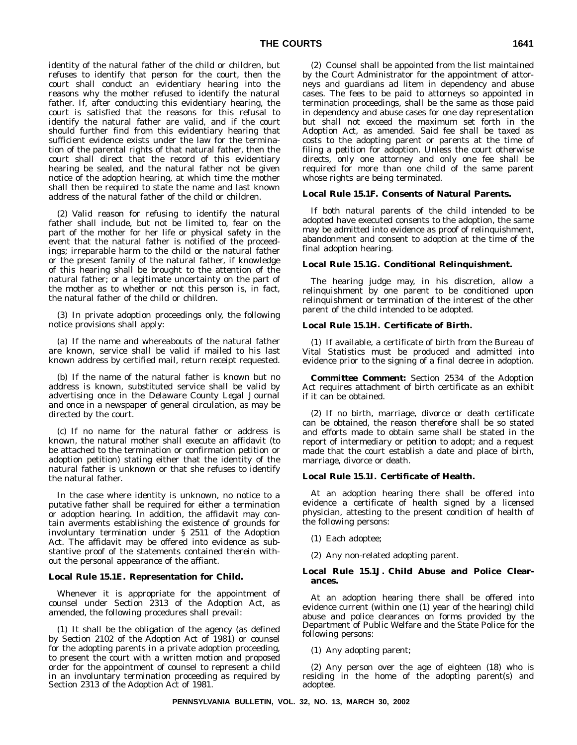identity of the natural father of the child or children, but refuses to identify that person for the court, then the court shall conduct an evidentiary hearing into the reasons why the mother refused to identify the natural father. If, after conducting this evidentiary hearing, the court is satisfied that the reasons for this refusal to identify the natural father are valid, and if the court should further find from this evidentiary hearing that sufficient evidence exists under the law for the termination of the parental rights of that natural father, then the court shall direct that the record of this evidentiary hearing be sealed, and the natural father not be given notice of the adoption hearing, at which time the mother shall then be required to state the name and last known address of the natural father of the child or children.

(2) Valid reason for refusing to identify the natural father shall include, but not be limited to, fear on the part of the mother for her life or physical safety in the event that the natural father is notified of the proceedings; irreparable harm to the child or the natural father or the present family of the natural father, if knowledge of this hearing shall be brought to the attention of the natural father; or a legitimate uncertainty on the part of the mother as to whether or not this person is, in fact, the natural father of the child or children.

(3) In private adoption proceedings only, the following notice provisions shall apply:

(a) If the name and whereabouts of the natural father are known, service shall be valid if mailed to his last known address by certified mail, return receipt requested.

(b) If the name of the natural father is known but no address is known, substituted service shall be valid by advertising once in the *Delaware County Legal Journal* and once in a newspaper of general circulation, as may be directed by the court.

(c) If no name for the natural father or address is known, the natural mother shall execute an affidavit (to be attached to the termination or confirmation petition or adoption petition) stating either that the identity of the natural father is unknown or that she refuses to identify the natural father.

In the case where identity is unknown, no notice to a putative father shall be required for either a termination or adoption hearing. In addition, the affidavit may contain averments establishing the existence of grounds for involuntary termination under § 2511 of the Adoption Act. The affidavit may be offered into evidence as substantive proof of the statements contained therein without the personal appearance of the affiant.

#### **Local Rule 15.1E. Representation for Child.**

Whenever it is appropriate for the appointment of counsel under Section 2313 of the Adoption Act, as amended, the following procedures shall prevail:

(1) It shall be the obligation of the agency (as defined by Section 2102 of the Adoption Act of 1981) or counsel for the adopting parents in a private adoption proceeding, to present the court with a written motion and proposed order for the appointment of counsel to represent a child in an involuntary termination proceeding as required by Section 2313 of the Adoption Act of 1981.

(2) Counsel shall be appointed from the list maintained by the Court Administrator for the appointment of attorneys and guardians ad litem in dependency and abuse cases. The fees to be paid to attorneys so appointed in termination proceedings, shall be the same as those paid in dependency and abuse cases for one day representation but shall not exceed the maximum set forth in the Adoption Act, as amended. Said fee shall be taxed as costs to the adopting parent or parents at the time of filing a petition for adoption. Unless the court otherwise directs, only one attorney and only one fee shall be required for more than one child of the same parent whose rights are being terminated.

#### **Local Rule 15.1F. Consents of Natural Parents.**

If both natural parents of the child intended to be adopted have executed consents to the adoption, the same may be admitted into evidence as proof of relinquishment, abandonment and consent to adoption at the time of the final adoption hearing.

#### **Local Rule 15.1G. Conditional Relinquishment.**

The hearing judge may, in his discretion, allow a relinquishment by one parent to be conditioned upon relinquishment or termination of the interest of the other parent of the child intended to be adopted.

#### **Local Rule 15.1H. Certificate of Birth.**

(1) If available, a certificate of birth from the Bureau of Vital Statistics must be produced and admitted into evidence prior to the signing of a final decree in adoption.

*Committee Comment***:** Section 2534 of the Adoption Act requires attachment of birth certificate as an exhibit if it can be obtained.

(2) If no birth, marriage, divorce or death certificate can be obtained, the reason therefore shall be so stated and efforts made to obtain same shall be stated in the report of intermediary or petition to adopt; and a request made that the court establish a date and place of birth, marriage, divorce or death.

#### **Local Rule 15.1I. Certificate of Health.**

At an adoption hearing there shall be offered into evidence a certificate of health signed by a licensed physician, attesting to the present condition of health of the following persons:

(1) Each adoptee;

(2) Any non-related adopting parent.

#### **Local Rule 15.1J. Child Abuse and Police Clearances.**

At an adoption hearing there shall be offered into evidence current (within one (1) year of the hearing) child abuse and police clearances on forms provided by the Department of Public Welfare and the State Police for the following persons:

(1) Any adopting parent;

(2) Any person over the age of eighteen (18) who is residing in the home of the adopting parent(s) and adoptee.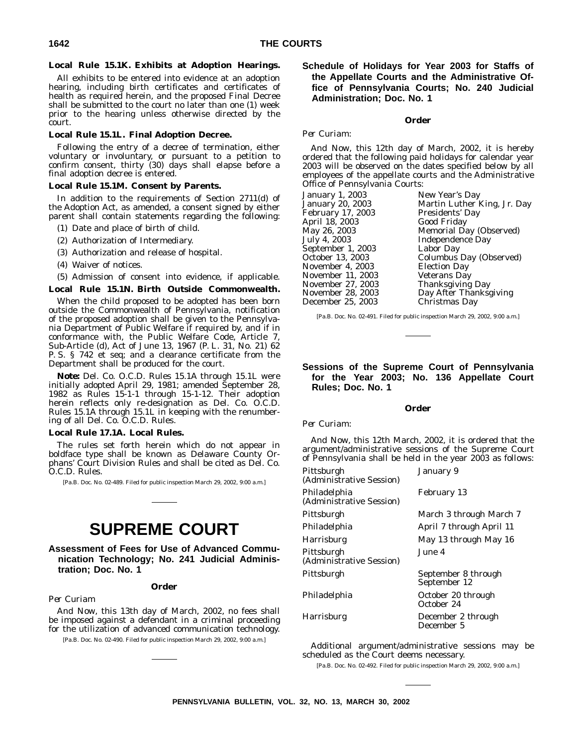#### **Local Rule 15.1K. Exhibits at Adoption Hearings.**

All exhibits to be entered into evidence at an adoption hearing, including birth certificates and certificates of health as required herein, and the proposed Final Decree shall be submitted to the court no later than one (1) week prior to the hearing unless otherwise directed by the court.

#### **Local Rule 15.1L. Final Adoption Decree.**

Following the entry of a decree of termination, either voluntary or involuntary, or pursuant to a petition to confirm consent, thirty (30) days shall elapse before a final adoption decree is entered.

#### **Local Rule 15.1M. Consent by Parents.**

In addition to the requirements of Section 2711(d) of the Adoption Act, as amended, a consent signed by either parent shall contain statements regarding the following:

- (1) Date and place of birth of child.
- (2) Authorization of Intermediary.
- (3) Authorization and release of hospital.
- (4) Waiver of notices.

(5) Admission of consent into evidence, if applicable.

#### **Local Rule 15.1N. Birth Outside Commonwealth.**

When the child proposed to be adopted has been born outside the Commonwealth of Pennsylvania, notification of the proposed adoption shall be given to the Pennsylvania Department of Public Welfare if required by, and if in conformance with, the Public Welfare Code, Article 7, Sub-Article (d), Act of June 13, 1967 (P. L. 31, No. 21) 62 P. S. § 742 et seq; and a clearance certificate from the Department shall be produced for the court.

*Note***:** Del. Co. O.C.D. Rules 15.1A through 15.1L were initially adopted April 29, 1981; amended September 28, 1982 as Rules 15-1-1 through 15-1-12. Their adoption herein reflects only re-designation as Del. Co. O.C.D. Rules 15.1A through 15.1L in keeping with the renumbering of all Del. Co. O.C.D. Rules.

#### **Local Rule 17.1A. Local Rules.**

The rules set forth herein which do not appear in boldface type shall be known as Delaware County Orphans' Court Division Rules and shall be cited as Del. Co. O.C.D. Rules.

[Pa.B. Doc. No. 02-489. Filed for public inspection March 29, 2002, 9:00 a.m.]

# **SUPREME COURT**

**Assessment of Fees for Use of Advanced Communication Technology; No. 241 Judicial Administration; Doc. No. 1**

#### **Order**

#### *Per Curiam*

*And Now*, this 13th day of March, 2002, no fees shall be imposed against a defendant in a criminal proceeding for the utilization of advanced communication technology.

[Pa.B. Doc. No. 02-490. Filed for public inspection March 29, 2002, 9:00 a.m.]

# **Schedule of Holidays for Year 2003 for Staffs of the Appellate Courts and the Administrative Office of Pennsylvania Courts; No. 240 Judicial Administration; Doc. No. 1**

#### **Order**

#### *Per Curiam:*

*And Now*, this 12th day of March, 2002, it is hereby ordered that the following paid holidays for calendar year 2003 will be observed on the dates specified below by all employees of the appellate courts and the Administrative Office of Pennsylvania Courts:

| January 1, 2003   | New Year's Day                 |
|-------------------|--------------------------------|
| January 20, 2003  | Martin Luther King, Jr. Day    |
| February 17, 2003 | Presidents' Day                |
| April 18, 2003    | Good Friday                    |
| May 26, 2003      | <b>Memorial Day (Observed)</b> |
| July 4, 2003      | Independence Day               |
| September 1, 2003 | Labor Day                      |
| October 13, 2003  | Columbus Day (Observed)        |
| November 4, 2003  | <b>Election Day</b>            |
| November 11, 2003 | <b>Veterans Day</b>            |
| November 27, 2003 | <b>Thanksgiving Day</b>        |
| November 28, 2003 | Day After Thanksgiving         |
| December 25, 2003 | Christmas Day                  |
|                   |                                |

[Pa.B. Doc. No. 02-491. Filed for public inspection March 29, 2002, 9:00 a.m.]

## **Sessions of the Supreme Court of Pennsylvania for the Year 2003; No. 136 Appellate Court Rules; Doc. No. 1**

**Order**

#### *Per Curiam:*

*And Now*, this 12th March, 2002, it is ordered that the argument/administrative sessions of the Supreme Court of Pennsylvania shall be held in the year 2003 as follows:

| Pittsburgh<br>(Administrative Session)   | January 9                           |
|------------------------------------------|-------------------------------------|
| Philadelphia<br>(Administrative Session) | February 13                         |
| Pittsburgh                               | March 3 through March 7             |
| Philadelphia                             | April 7 through April 11            |
| <b>Harrisburg</b>                        | May 13 through May 16               |
| Pittsburgh<br>(Administrative Session)   | June 4.                             |
| Pittsburgh                               | September 8 through<br>September 12 |
| Philadelphia                             | October 20 through<br>October 24    |
| <b>Harrisburg</b>                        | December 2 through<br>December 5    |

Additional argument/administrative sessions may be scheduled as the Court deems necessary.

[Pa.B. Doc. No. 02-492. Filed for public inspection March 29, 2002, 9:00 a.m.]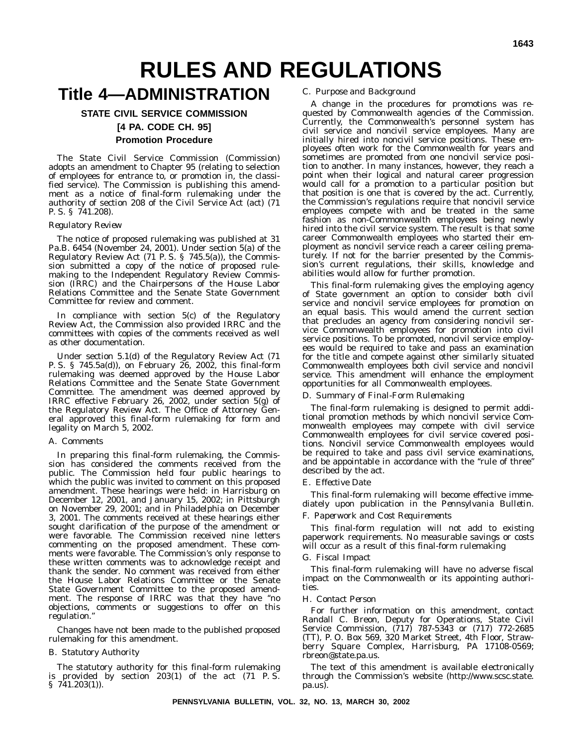# **RULES AND REGULATIONS**

# **Title 4—ADMINISTRATION**

# **STATE CIVIL SERVICE COMMISSION [4 PA. CODE CH. 95] Promotion Procedure**

The State Civil Service Commission (Commission) adopts an amendment to Chapter 95 (relating to selection of employees for entrance to, or promotion in, the classified service). The Commission is publishing this amendment as a notice of final-form rulemaking under the authority of section 208 of the Civil Service Act (act) (71 P. S. § 741.208).

#### *Regulatory Review*

The notice of proposed rulemaking was published at 31 Pa.B. 6454 (November 24, 2001). Under section 5(a) of the Regulatory Review Act (71 P. S. § 745.5(a)), the Commission submitted a copy of the notice of proposed rulemaking to the Independent Regulatory Review Commission (IRRC) and the Chairpersons of the House Labor Relations Committee and the Senate State Government Committee for review and comment.

In compliance with section 5(c) of the Regulatory Review Act, the Commission also provided IRRC and the committees with copies of the comments received as well as other documentation.

Under section 5.1(d) of the Regulatory Review Act (71 P. S. § 745.5a(d)), on February 26, 2002, this final-form rulemaking was deemed approved by the House Labor Relations Committee and the Senate State Government Committee. The amendment was deemed approved by IRRC effective February 26, 2002, under section 5(g) of the Regulatory Review Act. The Office of Attorney General approved this final-form rulemaking for form and legality on March 5, 2002.

#### A. *Comments*

In preparing this final-form rulemaking, the Commission has considered the comments received from the public. The Commission held four public hearings to which the public was invited to comment on this proposed amendment. These hearings were held: in Harrisburg on December 12, 2001, and January 15, 2002; in Pittsburgh on November 29, 2001; and in Philadelphia on December 3, 2001. The comments received at these hearings either sought clarification of the purpose of the amendment or were favorable. The Commission received nine letters commenting on the proposed amendment. These comments were favorable. The Commission's only response to these written comments was to acknowledge receipt and thank the sender. No comment was received from either the House Labor Relations Committee or the Senate State Government Committee to the proposed amendment. The response of IRRC was that they have "no objections, comments or suggestions to offer on this regulation.''

Changes have not been made to the published proposed rulemaking for this amendment.

#### B. *Statutory Authority*

The statutory authority for this final-form rulemaking is provided by section  $203(1)$  of the act  $(71 \text{ P. S.})$  $\S$  741.203(1)).

#### C. *Purpose and Background*

A change in the procedures for promotions was requested by Commonwealth agencies of the Commission. Currently, the Commonwealth's personnel system has civil service and noncivil service employees. Many are initially hired into noncivil service positions. These employees often work for the Commonwealth for years and sometimes are promoted from one noncivil service position to another. In many instances, however, they reach a point when their logical and natural career progression would call for a promotion to a particular position but that position is one that is covered by the act. Currently, the Commission's regulations require that noncivil service employees compete with and be treated in the same fashion as non-Commonwealth employees being newly hired into the civil service system. The result is that some career Commonwealth employees who started their employment as noncivil service reach a career ceiling prematurely. If not for the barrier presented by the Commission's current regulations, their skills, knowledge and abilities would allow for further promotion.

This final-form rulemaking gives the employing agency of State government an option to consider both civil service and noncivil service employees for promotion on an equal basis. This would amend the current section that precludes an agency from considering noncivil service Commonwealth employees for promotion into civil service positions. To be promoted, noncivil service employees would be required to take and pass an examination for the title and compete against other similarly situated Commonwealth employees both civil service and noncivil service. This amendment will enhance the employment opportunities for all Commonwealth employees.

#### D. *Summary of Final-Form Rulemaking*

The final-form rulemaking is designed to permit additional promotion methods by which noncivil service Commonwealth employees may compete with civil service Commonwealth employees for civil service covered positions. Noncivil service Commonwealth employees would be required to take and pass civil service examinations, and be appointable in accordance with the ''rule of three'' described by the act.

#### E. *Effective Date*

This final-form rulemaking will become effective immediately upon publication in the *Pennsylvania Bulletin*.

#### F. *Paperwork and Cost Requirements*

This final-form regulation will not add to existing paperwork requirements. No measurable savings or costs will occur as a result of this final-form rulemaking

#### G. *Fiscal Impact*

This final-form rulemaking will have no adverse fiscal impact on the Commonwealth or its appointing authorities.

#### H. *Contact Person*

For further information on this amendment, contact Randall C. Breon, Deputy for Operations, State Civil Service Commission, (717) 787-5343 or (717) 772-2685 (TT), P. O. Box 569, 320 Market Street, 4th Floor, Strawberry Square Complex, Harrisburg, PA 17108-0569; rbreon@state.pa.us.

The text of this amendment is available electronically through the Commission's website (http://www.scsc.state. pa.us).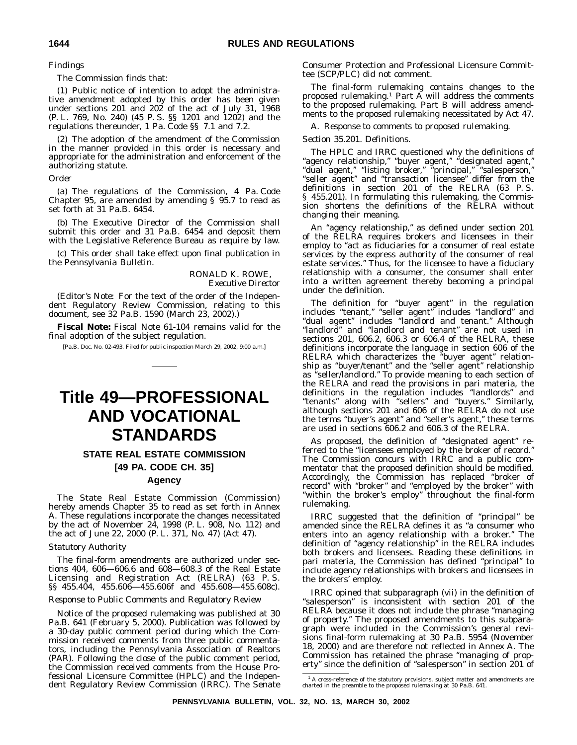*Findings*

The Commission finds that:

(1) Public notice of intention to adopt the administrative amendment adopted by this order has been given under sections 201 and 202 of the act of July 31, 1968 (P. L. 769, No. 240) (45 P. S. §§ 1201 and 1202) and the regulations thereunder, 1 Pa. Code §§ 7.1 and 7.2.

(2) The adoption of the amendment of the Commission in the manner provided in this order is necessary and appropriate for the administration and enforcement of the authorizing statute.

*Order*

(a) The regulations of the Commission, 4 Pa. Code Chapter 95, are amended by amending § 95.7 to read as set forth at 31 Pa.B. 6454.

(b) The Executive Director of the Commission shall submit this order and 31 Pa.B. 6454 and deposit them with the Legislative Reference Bureau as require by law.

(c) This order shall take effect upon final publication in the *Pennsylvania Bulletin*.

> RONALD K. ROWE, *Executive Director*

(*Editor's Note*: For the text of the order of the Independent Regulatory Review Commission, relating to this document, see 32 Pa.B. 1590 (March 23, 2002).)

**Fiscal Note:** Fiscal Note 61-104 remains valid for the final adoption of the subject regulation.

[Pa.B. Doc. No. 02-493. Filed for public inspection March 29, 2002, 9:00 a.m.]

# **Title 49—PROFESSIONAL AND VOCATIONAL STANDARDS**

# **STATE REAL ESTATE COMMISSION**

**[49 PA. CODE CH. 35]**

## **Agency**

The State Real Estate Commission (Commission) hereby amends Chapter 35 to read as set forth in Annex A. These regulations incorporate the changes necessitated by the act of November 24, 1998 (P. L. 908, No. 112) and the act of June 22, 2000 (P. L. 371, No. 47) (Act 47).

#### *Statutory Authority*

The final-form amendments are authorized under sections 404, 606—606.6 and 608—608.3 of the Real Estate Licensing and Registration Act (RELRA) (63 P. S. §§ 455.404, 455.606—455.606f and 455.608—455.608c).

#### *Response to Public Comments and Regulatory Review*

Notice of the proposed rulemaking was published at 30 Pa.B. 641 (February 5, 2000). Publication was followed by a 30-day public comment period during which the Commission received comments from three public commentators, including the Pennsylvania Association of Realtors (PAR). Following the close of the public comment period, the Commission received comments from the House Professional Licensure Committee (HPLC) and the Independent Regulatory Review Commission (IRRC). The Senate Consumer Protection and Professional Licensure Committee (SCP/PLC) did not comment.

The final-form rulemaking contains changes to the proposed rulemaking.<sup>1</sup> Part  $\overline{A}$  will address the comments to the proposed rulemaking. Part B will address amendments to the proposed rulemaking necessitated by Act 47.

A. *Response to comments to proposed rulemaking.*

#### *Section 35.201. Definitions.*

The HPLC and IRRC questioned why the definitions of ''agency relationship,'' ''buyer agent,'' ''designated agent,'' ''dual agent,'' ''listing broker,'' ''principal,'' ''salesperson,'' "seller agent" and "transaction licensee" differ from the definitions in section 201 of the RELRA (63 P. S. § 455.201). In formulating this rulemaking, the Commission shortens the definitions of the RELRA without changing their meaning.

An "agency relationship," as defined under section 201 of the RELRA requires brokers and licensees in their employ to "act as fiduciaries for a consumer of real estate services by the express authority of the consumer of real estate services.'' Thus, for the licensee to have a fiduciary relationship with a consumer, the consumer shall enter into a written agreement thereby becoming a principal under the definition.

The definition for ''buyer agent'' in the regulation includes ''tenant,'' ''seller agent'' includes ''landlord'' and ''dual agent'' includes ''landlord and tenant.'' Although "landlord" and "landlord and tenant" are not used in sections 201, 606.2, 606.3 or 606.4 of the RELRA, these definitions incorporate the language in section 606 of the RELRA which characterizes the ''buyer agent'' relationship as ''buyer/tenant'' and the ''seller agent'' relationship as ''seller/landlord.'' To provide meaning to each section of the RELRA and read the provisions in pari materia, the definitions in the regulation includes ''landlords'' and ''tenants'' along with ''sellers'' and ''buyers.'' Similarly, although sections 201 and 606 of the RELRA do not use the terms "buyer's agent" and "seller's agent," these terms are used in sections 606.2 and 606.3 of the RELRA.

As proposed, the definition of ''designated agent'' referred to the ''licensees employed by the broker of record.'' The Commission concurs with IRRC and a public commentator that the proposed definition should be modified. Accordingly, the Commission has replaced ''broker of record'' with ''broker'' and ''employed by the broker'' with ''within the broker's employ'' throughout the final-form rulemaking.

IRRC suggested that the definition of ''principal'' be amended since the RELRA defines it as ''a consumer who enters into an agency relationship with a broker.'' The definition of ''agency relationship'' in the RELRA includes both brokers and licensees. Reading these definitions in pari materia, the Commission has defined "principal" to include agency relationships with brokers and licensees in the brokers' employ.

IRRC opined that subparagraph (vii) in the definition of "salesperson" is inconsistent with section 201 of the RELRA because it does not include the phrase ''managing of property.'' The proposed amendments to this subparagraph were included in the Commission's general revisions final-form rulemaking at 30 Pa.B. 5954 (November 18, 2000) and are therefore not reflected in Annex A. The Commission has retained the phrase ''managing of property'' since the definition of ''salesperson'' in section 201 of

 $1$  A cross-reference of the statutory provisions, subject matter and amendments are charted in the preamble to the proposed rulemaking at 30 Pa.B. 641.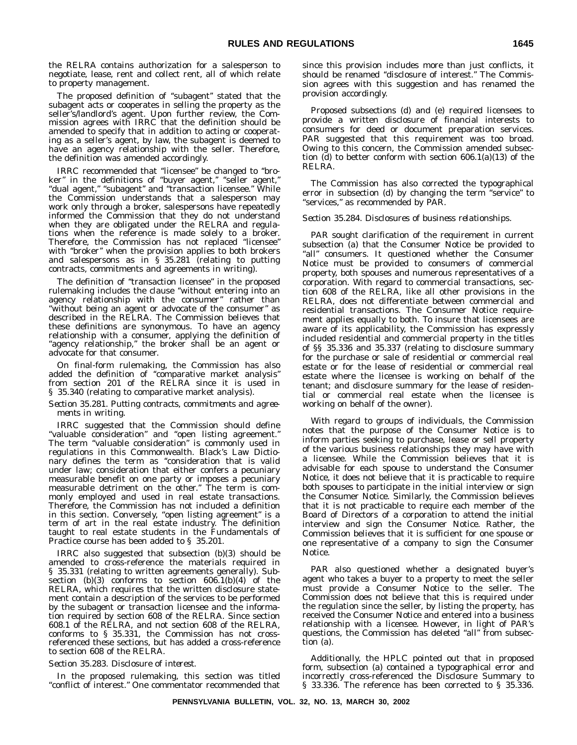the RELRA contains authorization for a salesperson to negotiate, lease, rent and collect rent, all of which relate to property management.

The proposed definition of ''subagent'' stated that the subagent acts or cooperates in selling the property as the seller's/landlord's agent. Upon further review, the Commission agrees with IRRC that the definition should be amended to specify that in addition to acting or cooperating as a seller's agent, by law, the subagent is deemed to have an agency relationship with the seller. Therefore, the definition was amended accordingly.

IRRC recommended that ''licensee'' be changed to ''broker" in the definitions of "buyer agent," "seller agent," "dual agent," "subagent" and "transaction licensee." While the Commission understands that a salesperson may work only through a broker, salespersons have repeatedly informed the Commission that they do not understand when they are obligated under the RELRA and regulations when the reference is made solely to a broker. Therefore, the Commission has not replaced ''licensee'' with ''broker'' when the provision applies to both brokers and salespersons as in § 35.281 (relating to putting contracts, commitments and agreements in writing).

The definition of ''transaction licensee'' in the proposed rulemaking includes the clause ''without entering into an agency relationship with the consumer'' rather than ''without being an agent or advocate of the consumer'' as described in the RELRA. The Commission believes that these definitions are synonymous. To have an agency relationship with a consumer, applying the definition of "agency relationship," the broker shall be an agent or advocate for that consumer.

On final-form rulemaking, the Commission has also added the definition of ''comparative market analysis'' from section 201 of the RELRA since it is used in § 35.340 (relating to comparative market analysis).

#### *Section 35.281. Putting contracts, commitments and agreements in writing.*

IRRC suggested that the Commission should define ''valuable consideration'' and ''open listing agreement.'' The term "valuable consideration" is commonly used in regulations in this Commonwealth. Black's Law Dictionary defines the term as ''consideration that is valid under law; consideration that either confers a pecuniary measurable benefit on one party or imposes a pecuniary measurable detriment on the other.'' The term is commonly employed and used in real estate transactions. Therefore, the Commission has not included a definition in this section. Conversely, "open listing agreement" is a term of art in the real estate industry. The definition taught to real estate students in the Fundamentals of Practice course has been added to § 35.201.

IRRC also suggested that subsection (b)(3) should be amended to cross-reference the materials required in § 35.331 (relating to written agreements generally). Subsection  $(b)(3)$  conforms to section  $606.1(b)(4)$  of the RELRA, which requires that the written disclosure statement contain a description of the services to be performed by the subagent or transaction licensee and the information required by section 608 of the RELRA. Since section 608.1 of the RELRA, and not section 608 of the RELRA, conforms to § 35.331, the Commission has not crossreferenced these sections, but has added a cross-reference to section 608 of the RELRA.

## *Section 35.283. Disclosure of interest.*

In the proposed rulemaking, this section was titled ''conflict of interest.'' One commentator recommended that

since this provision includes more than just conflicts, it should be renamed ''disclosure of interest.'' The Commission agrees with this suggestion and has renamed the provision accordingly.

Proposed subsections (d) and (e) required licensees to provide a written disclosure of financial interests to consumers for deed or document preparation services. PAR suggested that this requirement was too broad. Owing to this concern, the Commission amended subsection (d) to better conform with section 606.1(a)(13) of the RELRA.

The Commission has also corrected the typographical error in subsection (d) by changing the term ''service'' to ''services,'' as recommended by PAR.

#### *Section 35.284. Disclosures of business relationships.*

PAR sought clarification of the requirement in current subsection (a) that the Consumer Notice be provided to "all" consumers. It questioned whether the Consumer Notice must be provided to consumers of commercial property, both spouses and numerous representatives of a corporation. With regard to commercial transactions, section 608 of the RELRA, like all other provisions in the RELRA, does not differentiate between commercial and residential transactions. The Consumer Notice requirement applies equally to both. To insure that licensees are aware of its applicability, the Commission has expressly included residential and commercial property in the titles of §§ 35.336 and 35.337 (relating to disclosure summary for the purchase or sale of residential or commercial real estate or for the lease of residential or commercial real estate where the licensee is working on behalf of the tenant; and disclosure summary for the lease of residential or commercial real estate when the licensee is working on behalf of the owner).

With regard to groups of individuals, the Commission notes that the purpose of the Consumer Notice is to inform parties seeking to purchase, lease or sell property of the various business relationships they may have with a licensee. While the Commission believes that it is advisable for each spouse to understand the Consumer Notice, it does not believe that it is practicable to require both spouses to participate in the initial interview or sign the Consumer Notice. Similarly, the Commission believes that it is not practicable to require each member of the Board of Directors of a corporation to attend the initial interview and sign the Consumer Notice. Rather, the Commission believes that it is sufficient for one spouse or one representative of a company to sign the Consumer Notice.

PAR also questioned whether a designated buyer's agent who takes a buyer to a property to meet the seller must provide a Consumer Notice to the seller. The Commission does not believe that this is required under the regulation since the seller, by listing the property, has received the Consumer Notice and entered into a business relationship with a licensee. However, in light of PAR's questions, the Commission has deleted "all" from subsection (a).

Additionally, the HPLC pointed out that in proposed form, subsection (a) contained a typographical error and incorrectly cross-referenced the Disclosure Summary to § 33.336. The reference has been corrected to § 35.336.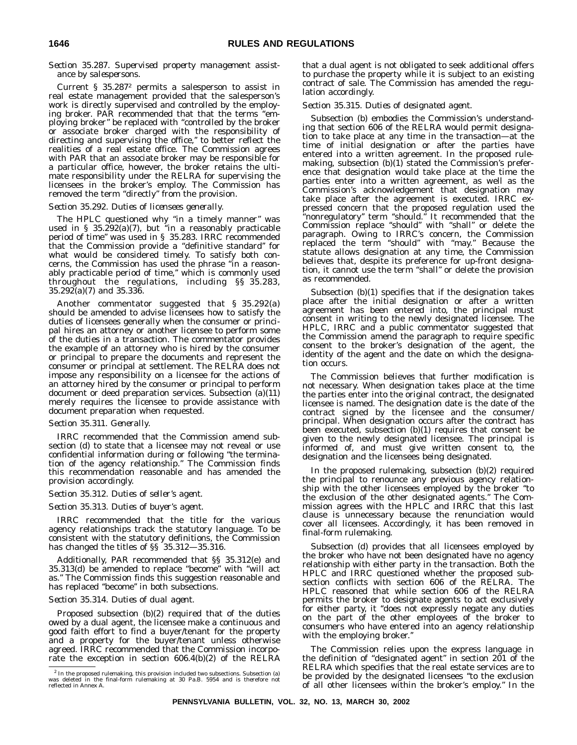#### *Section 35.287. Supervised property management assistance by salespersons.*

Current § 35.2872 permits a salesperson to assist in real estate management provided that the salesperson's work is directly supervised and controlled by the employing broker. PAR recommended that that the terms ''employing broker'' be replaced with ''controlled by the broker or associate broker charged with the responsibility of directing and supervising the office,'' to better reflect the realities of a real estate office. The Commission agrees with PAR that an associate broker may be responsible for a particular office, however, the broker retains the ultimate responsibility under the RELRA for supervising the licensees in the broker's employ. The Commission has removed the term "directly" from the provision.

#### *Section 35.292. Duties of licensees generally.*

The HPLC questioned why "in a timely manner" was used in § 35.292(a)(7), but ''in a reasonably practicable period of time'' was used in § 35.283. IRRC recommended that the Commission provide a ''definitive standard'' for what would be considered timely. To satisfy both concerns, the Commission has used the phrase ''in a reasonably practicable period of time,'' which is commonly used throughout the regulations, including §§ 35.283,  $35.29\overline{2}(a)(7)$  and  $35.33\overline{6}$ .

Another commentator suggested that § 35.292(a) should be amended to advise licensees how to satisfy the duties of licensees generally when the consumer or principal hires an attorney or another licensee to perform some of the duties in a transaction. The commentator provides the example of an attorney who is hired by the consumer or principal to prepare the documents and represent the consumer or principal at settlement. The RELRA does not impose any responsibility on a licensee for the actions of an attorney hired by the consumer or principal to perform document or deed preparation services. Subsection (a)(11) merely requires the licensee to provide assistance with document preparation when requested.

#### *Section 35.311. Generally.*

IRRC recommended that the Commission amend subsection (d) to state that a licensee may not reveal or use confidential information during or following ''the termination of the agency relationship.'' The Commission finds this recommendation reasonable and has amended the provision accordingly.

#### *Section 35.312. Duties of seller's agent.*

#### *Section 35.313. Duties of buyer's agent.*

IRRC recommended that the title for the various agency relationships track the statutory language. To be consistent with the statutory definitions, the Commission has changed the titles of  $\S$ § 35.312–35.316.

Additionally, PAR recommended that §§ 35.312(e) and 35.313(d) be amended to replace ''become'' with ''will act as.'' The Commission finds this suggestion reasonable and has replaced "become" in both subsections.

#### *Section 35.314. Duties of dual agent.*

Proposed subsection (b)(2) required that of the duties owed by a dual agent, the licensee make a continuous and good faith effort to find a buyer/tenant for the property and a property for the buyer/tenant unless otherwise agreed. IRRC recommended that the Commission incorporate the exception in section 606.4(b)(2) of the RELRA that a dual agent is not obligated to seek additional offers to purchase the property while it is subject to an existing contract of sale. The Commission has amended the regulation accordingly.

#### *Section 35.315. Duties of designated agent.*

Subsection (b) embodies the Commission's understanding that section 606 of the RELRA would permit designation to take place at any time in the transaction—at the time of initial designation or after the parties have entered into a written agreement. In the proposed rulemaking, subsection (b)(1) stated the Commission's preference that designation would take place at the time the parties enter into a written agreement, as well as the Commission's acknowledgement that designation may take place after the agreement is executed. IRRC expressed concern that the proposed regulation used the ''nonregulatory'' term ''should.'' It recommended that the Commission replace ''should'' with ''shall'' or delete the paragraph. Owing to IRRC's concern, the Commission replaced the term ''should'' with ''may.'' Because the statute allows designation at any time, the Commission believes that, despite its preference for up-front designation, it cannot use the term ''shall'' or delete the provision as recommended.

Subsection (b)(1) specifies that if the designation takes place after the initial designation or after a written agreement has been entered into, the principal must consent in writing to the newly designated licensee. The HPLC, IRRC and a public commentator suggested that the Commission amend the paragraph to require specific consent to the broker's designation of the agent, the identity of the agent and the date on which the designation occurs.

The Commission believes that further modification is not necessary. When designation takes place at the time the parties enter into the original contract, the designated licensee is named. The designation date is the date of the contract signed by the licensee and the consumer/ principal. When designation occurs after the contract has been executed, subsection (b)(1) requires that consent be given to the newly designated licensee. The principal is informed of, and must give written consent to, the designation and the licensees being designated.

In the proposed rulemaking, subsection (b)(2) required the principal to renounce any previous agency relationship with the other licensees employed by the broker ''to the exclusion of the other designated agents.'' The Commission agrees with the HPLC and IRRC that this last clause is unnecessary because the renunciation would cover all licensees. Accordingly, it has been removed in final-form rulemaking.

Subsection (d) provides that all licensees employed by the broker who have not been designated have no agency relationship with either party in the transaction. Both the HPLC and IRRC questioned whether the proposed subsection conflicts with section 606 of the RELRA. The HPLC reasoned that while section 606 of the RELRA permits the broker to designate agents to act exclusively for either party, it "does not expressly negate any duties on the part of the other employees of the broker to consumers who have entered into an agency relationship with the employing broker.''

The Commission relies upon the express language in the definition of ''designated agent'' in section 201 of the RELRA which specifies that the real estate services are to be provided by the designated licensees ''to the exclusion of all other licensees within the broker's employ.'' In the

<sup>2</sup> In the proposed rulemaking, this provision included two subsections. Subsection (a) was deleted in the final-form rulemaking at 30 Pa.B. 5954 and is therefore not reflected in Annex A.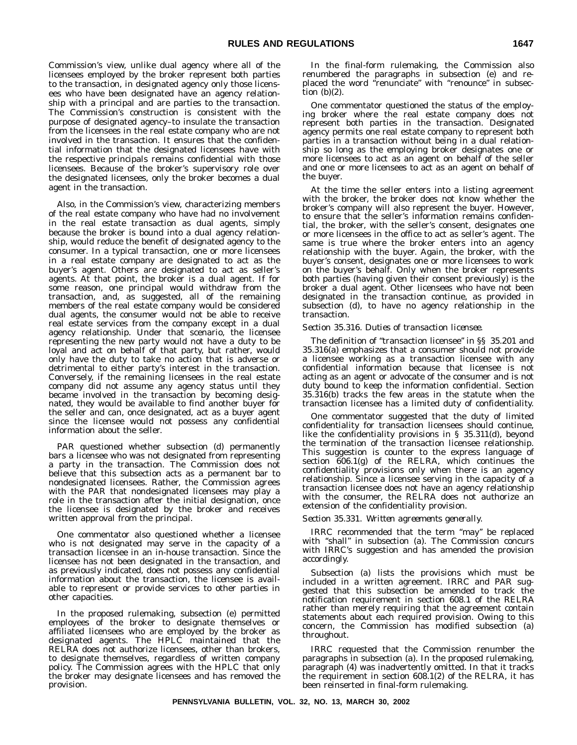Commission's view, unlike dual agency where all of the licensees employed by the broker represent both parties to the transaction, in designated agency only those licensees who have been designated have an agency relationship with a principal and are parties to the transaction. The Commission's construction is consistent with the purpose of designated agency–to insulate the transaction from the licensees in the real estate company who are not involved in the transaction. It ensures that the confidential information that the designated licensees have with the respective principals remains confidential with those licensees. Because of the broker's supervisory role over the designated licensees, only the broker becomes a dual agent in the transaction.

Also, in the Commission's view, characterizing members of the real estate company who have had no involvement in the real estate transaction as dual agents, simply because the broker is bound into a dual agency relationship, would reduce the benefit of designated agency to the consumer. In a typical transaction, one or more licensees in a real estate company are designated to act as the buyer's agent. Others are designated to act as seller's agents. At that point, the broker is a dual agent. If for some reason, one principal would withdraw from the transaction, and, as suggested, all of the remaining members of the real estate company would be considered dual agents, the consumer would not be able to receive real estate services from the company except in a dual agency relationship. Under that scenario, the licensee representing the new party would not have a duty to be loyal and act on behalf of that party, but rather, would only have the duty to take no action that is adverse or detrimental to either party's interest in the transaction. Conversely, if the remaining licensees in the real estate company did not assume any agency status until they became involved in the transaction by becoming designated, they would be available to find another buyer for the seller and can, once designated, act as a buyer agent since the licensee would not possess any confidential information about the seller.

PAR questioned whether subsection (d) permanently bars a licensee who was not designated from representing a party in the transaction. The Commission does not believe that this subsection acts as a permanent bar to nondesignated licensees. Rather, the Commission agrees with the PAR that nondesignated licensees may play a role in the transaction after the initial designation, once the licensee is designated by the broker and receives written approval from the principal.

One commentator also questioned whether a licensee who is not designated may serve in the capacity of a transaction licensee in an in-house transaction. Since the licensee has not been designated in the transaction, and as previously indicated, does not possess any confidential information about the transaction, the licensee is available to represent or provide services to other parties in other capacities.

In the proposed rulemaking, subsection (e) permitted employees of the broker to designate themselves or affiliated licensees who are employed by the broker as designated agents. The HPLC maintained that the RELRA does not authorize licensees, other than brokers, to designate themselves, regardless of written company policy. The Commission agrees with the HPLC that only the broker may designate licensees and has removed the provision.

In the final-form rulemaking, the Commission also renumbered the paragraphs in subsection (e) and replaced the word ''renunciate'' with ''renounce'' in subsection  $(b)(2)$ .

One commentator questioned the status of the employing broker where the real estate company does not represent both parties in the transaction. Designated agency permits one real estate company to represent both parties in a transaction without being in a dual relationship so long as the employing broker designates one or more licensees to act as an agent on behalf of the seller and one or more licensees to act as an agent on behalf of the buyer.

At the time the seller enters into a listing agreement with the broker, the broker does not know whether the broker's company will also represent the buyer. However, to ensure that the seller's information remains confidential, the broker, with the seller's consent, designates one or more licensees in the office to act as seller's agent. The same is true where the broker enters into an agency relationship with the buyer. Again, the broker, with the buyer's consent, designates one or more licensees to work on the buyer's behalf. Only when the broker represents both parties (having given their consent previously) is the broker a dual agent. Other licensees who have not been designated in the transaction continue, as provided in subsection (d), to have no agency relationship in the transaction.

#### *Section 35.316. Duties of transaction licensee.*

The definition of "transaction licensee" in §§ 35.201 and 35.316(a) emphasizes that a consumer should not provide a licensee working as a transaction licensee with any confidential information because that licensee is not acting as an agent or advocate of the consumer and is not duty bound to keep the information confidential. Section 35.316(b) tracks the few areas in the statute when the transaction licensee has a limited duty of confidentiality.

One commentator suggested that the duty of limited confidentiality for transaction licensees should continue, like the confidentiality provisions in § 35.311(d), beyond the termination of the transaction licensee relationship. This suggestion is counter to the express language of section 606.1(g) of the RELRA, which continues the confidentiality provisions only when there is an agency relationship. Since a licensee serving in the capacity of a transaction licensee does not have an agency relationship with the consumer, the RELRA does not authorize an extension of the confidentiality provision.

#### *Section 35.331. Written agreements generally.*

IRRC recommended that the term "may" be replaced with "shall" in subsection (a). The Commission concurs with IRRC's suggestion and has amended the provision accordingly.

Subsection (a) lists the provisions which must be included in a written agreement. IRRC and PAR suggested that this subsection be amended to track the notification requirement in section 608.1 of the RELRA rather than merely requiring that the agreement contain statements about each required provision. Owing to this concern, the Commission has modified subsection (a) throughout.

IRRC requested that the Commission renumber the paragraphs in subsection (a). In the proposed rulemaking, paragraph (4) was inadvertently omitted. In that it tracks the requirement in section 608.1(2) of the RELRA, it has been reinserted in final-form rulemaking.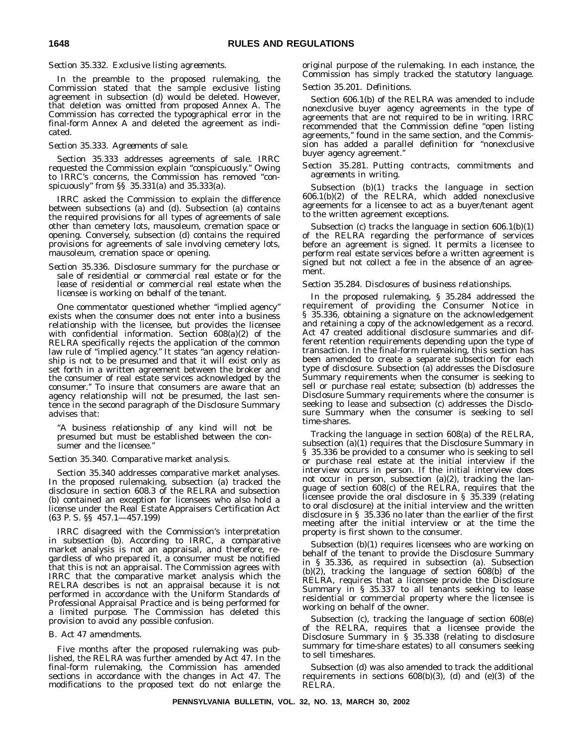#### *Section 35.332. Exclusive listing agreements.*

In the preamble to the proposed rulemaking, the Commission stated that the sample exclusive listing agreement in subsection (d) would be deleted. However, that deletion was omitted from proposed Annex A. The Commission has corrected the typographical error in the final-form Annex A and deleted the agreement as indicated.

#### *Section 35.333. Agreements of sale.*

Section 35.333 addresses agreements of sale. IRRC requested the Commission explain ''conspicuously.'' Owing to IRRC's concerns, the Commission has removed ''conspicuously'' from §§ 35.331(a) and 35.333(a).

IRRC asked the Commission to explain the difference between subsections (a) and (d). Subsection (a) contains the required provisions for all types of agreements of sale other than cemetery lots, mausoleum, cremation space or opening. Conversely, subsection (d) contains the required provisions for agreements of sale involving cemetery lots, mausoleum, cremation space or opening.

#### *Section 35.336. Disclosure summary for the purchase or sale of residential or commercial real estate or for the lease of residential or commercial real estate when the licensee is working on behalf of the tenant.*

One commentator questioned whether ''implied agency'' exists when the consumer does not enter into a business relationship with the licensee, but provides the licensee with confidential information. Section 608(a)(2) of the RELRA specifically rejects the application of the common law rule of ''implied agency.'' It states ''an agency relationship is not to be presumed and that it will exist only as set forth in a written agreement between the broker and the consumer of real estate services acknowledged by the consumer.'' To insure that consumers are aware that an agency relationship will not be presumed, the last sentence in the second paragraph of the Disclosure Summary advises that:

''A business relationship of any kind will not be presumed but must be established between the consumer and the licensee.''

#### *Section 35.340. Comparative market analysis.*

Section 35.340 addresses comparative market analyses. In the proposed rulemaking, subsection (a) tracked the disclosure in section 608.3 of the RELRA and subsection (b) contained an exception for licensees who also hold a license under the Real Estate Appraisers Certification Act (63 P. S. §§ 457.1—457.199)

IRRC disagreed with the Commission's interpretation in subsection (b). According to IRRC, a comparative market analysis is not an appraisal, and therefore, regardless of who prepared it, a consumer must be notified that this is not an appraisal. The Commission agrees with IRRC that the comparative market analysis which the RELRA describes is not an appraisal because it is not performed in accordance with the Uniform Standards of Professional Appraisal Practice and is being performed for a limited purpose. The Commission has deleted this provision to avoid any possible confusion.

#### *B. Act 47 amendments.*

Five months after the proposed rulemaking was published, the RELRA was further amended by Act 47. In the final-form rulemaking, the Commission has amended sections in accordance with the changes in Act 47. The modifications to the proposed text do not enlarge the original purpose of the rulemaking. In each instance, the Commission has simply tracked the statutory language.

#### *Section 35.201. Definitions.*

Section 606.1(b) of the RELRA was amended to include nonexclusive buyer agency agreements in the type of agreements that are not required to be in writing. IRRC recommended that the Commission define ''open listing agreements,'' found in the same section, and the Commission has added a parallel definition for ''nonexclusive buyer agency agreement.''

#### *Section 35.281. Putting contracts, commitments and agreements in writing.*

Subsection (b)(1) tracks the language in section 606.1(b)(2) of the RELRA, which added nonexclusive agreements for a licensee to act as a buyer/tenant agent to the written agreement exceptions.

Subsection (c) tracks the language in section 606.1(b)(1) of the RELRA regarding the performance of services before an agreement is signed. It permits a licensee to perform real estate services before a written agreement is signed but not collect a fee in the absence of an agreement.

#### *Section 35.284. Disclosures of business relationships.*

In the proposed rulemaking, § 35.284 addressed the requirement of providing the Consumer Notice in § 35.336, obtaining a signature on the acknowledgement and retaining a copy of the acknowledgement as a record. Act 47 created additional disclosure summaries and different retention requirements depending upon the type of transaction. In the final-form rulemaking, this section has been amended to create a separate subsection for each type of disclosure. Subsection (a) addresses the Disclosure Summary requirements when the consumer is seeking to sell or purchase real estate; subsection (b) addresses the Disclosure Summary requirements where the consumer is seeking to lease and subsection (c) addresses the Disclosure Summary when the consumer is seeking to sell time-shares.

Tracking the language in section 608(a) of the RELRA, subsection (a)(1) requires that the Disclosure Summary in § 35.336 be provided to a consumer who is seeking to sell or purchase real estate at the initial interview if the interview occurs in person. If the initial interview does not occur in person, subsection (a)(2), tracking the language of section 608(c) of the RELRA, requires that the licensee provide the oral disclosure in § 35.339 (relating to oral disclosure) at the initial interview and the written disclosure in § 35.336 no later than the earlier of the first meeting after the initial interview or at the time the property is first shown to the consumer.

Subsection (b)(1) requires licensees who are working on behalf of the tenant to provide the Disclosure Summary in § 35.336, as required in subsection (a). Subsection (b)(2), tracking the language of section 608(b) of the RELRA, requires that a licensee provide the Disclosure Summary in § 35.337 to all tenants seeking to lease residential or commercial property where the licensee is working on behalf of the owner.

Subsection (c), tracking the language of section 608(e) of the RELRA, requires that a licensee provide the Disclosure Summary in § 35.338 (relating to disclosure summary for time-share estates) to all consumers seeking to sell timeshares.

Subsection (d) was also amended to track the additional requirements in sections  $608(b)(3)$ , (d) and (e)(3) of the RELRA.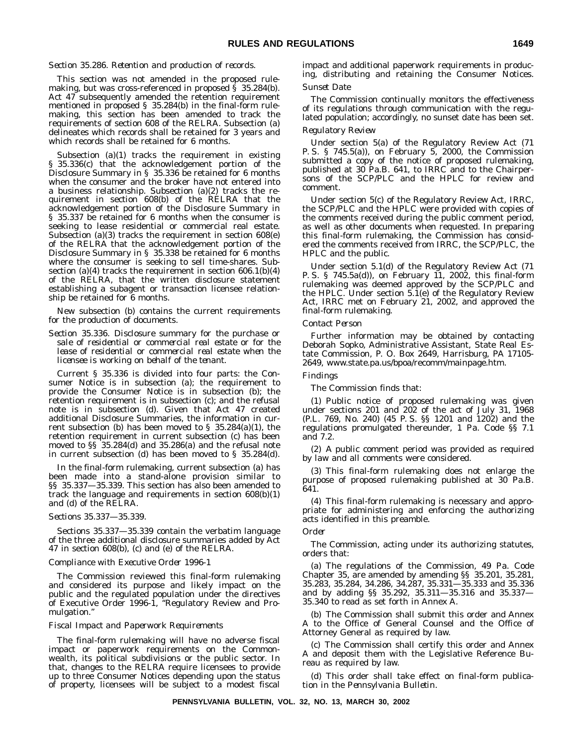#### *Section 35.286. Retention and production of records.*

This section was not amended in the proposed rulemaking, but was cross-referenced in proposed § 35.284(b). Act 47 subsequently amended the retention requirement mentioned in proposed § 35.284(b) in the final-form rulemaking, this section has been amended to track the requirements of section 608 of the RELRA. Subsection (a) delineates which records shall be retained for 3 years and which records shall be retained for 6 months.

Subsection (a)(1) tracks the requirement in existing § 35.336(c) that the acknowledgement portion of the Disclosure Summary in § 35.336 be retained for 6 months when the consumer and the broker have not entered into a business relationship. Subsection (a)(2) tracks the requirement in section 608(b) of the RELRA that the acknowledgement portion of the Disclosure Summary in § 35.337 be retained for 6 months when the consumer is seeking to lease residential or commercial real estate. Subsection (a)(3) tracks the requirement in section 608(e) of the RELRA that the acknowledgement portion of the Disclosure Summary in § 35.338 be retained for 6 months where the consumer is seeking to sell time-shares. Subsection (a)(4) tracks the requirement in section  $606.1(b)(4)$ of the RELRA, that the written disclosure statement establishing a subagent or transaction licensee relationship be retained for 6 months.

New subsection (b) contains the current requirements for the production of documents.

*Section 35.336. Disclosure summary for the purchase or sale of residential or commercial real estate or for the lease of residential or commercial real estate when the licensee is working on behalf of the tenant.*

Current § 35.336 is divided into four parts: the Consumer Notice is in subsection (a); the requirement to provide the Consumer Notice is in subsection (b); the retention requirement is in subsection (c); and the refusal note is in subsection (d). Given that Act 47 created additional Disclosure Summaries, the information in current subsection (b) has been moved to § 35.284(a)(1), the retention requirement in current subsection (c) has been moved to §§ 35.284(d) and 35.286(a) and the refusal note in current subsection (d) has been moved to § 35.284(d).

In the final-form rulemaking, current subsection (a) has been made into a stand-alone provision similar to §§ 35.337—35.339. This section has also been amended to track the language and requirements in section 608(b)(1) and (d) of the RELRA.

#### *Sections 35.337—35.339.*

Sections 35.337—35.339 contain the verbatim language of the three additional disclosure summaries added by Act 47 in section 608(b), (c) and (e) of the RELRA.

#### *Compliance with Executive Order 1996-1*

The Commission reviewed this final-form rulemaking and considered its purpose and likely impact on the public and the regulated population under the directives of Executive Order 1996-1, ''Regulatory Review and Promulgation.''

#### *Fiscal Impact and Paperwork Requirements*

The final-form rulemaking will have no adverse fiscal impact or paperwork requirements on the Commonwealth, its political subdivisions or the public sector. In that, changes to the RELRA require licensees to provide up to three Consumer Notices depending upon the status of property, licensees will be subject to a modest fiscal

impact and additional paperwork requirements in producing, distributing and retaining the Consumer Notices.

#### *Sunset Date*

The Commission continually monitors the effectiveness of its regulations through communication with the regulated population; accordingly, no sunset date has been set.

#### *Regulatory Review*

Under section 5(a) of the Regulatory Review Act (71 P. S. § 745.5(a)), on February 5, 2000, the Commission submitted a copy of the notice of proposed rulemaking, published at 30 Pa.B. 641, to IRRC and to the Chairpersons of the SCP/PLC and the HPLC for review and comment.

Under section 5(c) of the Regulatory Review Act, IRRC, the SCP/PLC and the HPLC were provided with copies of the comments received during the public comment period, as well as other documents when requested. In preparing this final-form rulemaking, the Commission has considered the comments received from IRRC, the SCP/PLC, the HPLC and the public.

Under section 5.1(d) of the Regulatory Review Act (71 P. S. § 745.5a(d)), on February 11, 2002, this final-form rulemaking was deemed approved by the SCP/PLC and the HPLC. Under section 5.1(e) of the Regulatory Review Act, IRRC met on February 21, 2002, and approved the final-form rulemaking.

#### *Contact Person*

Further information may be obtained by contacting Deborah Sopko, Administrative Assistant, State Real Estate Commission, P. O. Box 2649, Harrisburg, PA 17105- 2649, www.state.pa.us/bpoa/recomm/mainpage.htm.

#### *Findings*

#### The Commission finds that:

(1) Public notice of proposed rulemaking was given under sections 201 and 202 of the act of July 31, 1968 (P.L. 769, No. 240) (45 P. S. §§ 1201 and 1202) and the regulations promulgated thereunder, 1 Pa. Code §§ 7.1 and 7.2.

(2) A public comment period was provided as required by law and all comments were considered.

(3) This final-form rulemaking does not enlarge the purpose of proposed rulemaking published at 30 Pa.B. 641.

(4) This final-form rulemaking is necessary and appropriate for administering and enforcing the authorizing acts identified in this preamble.

#### *Order*

The Commission, acting under its authorizing statutes, orders that:

(a) The regulations of the Commission, 49 Pa. Code Chapter 35, are amended by amending §§ 35.201, 35.281, 35.283, 35.284, 34.286, 34.287, 35.331—35.333 and 35.336 and by adding §§ 35.292, 35.311—35.316 and 35.337— 35.340 to read as set forth in Annex A.

(b) The Commission shall submit this order and Annex A to the Office of General Counsel and the Office of Attorney General as required by law.

(c) The Commission shall certify this order and Annex A and deposit them with the Legislative Reference Bureau as required by law.

(d) This order shall take effect on final-form publication in the *Pennsylvania Bulletin*.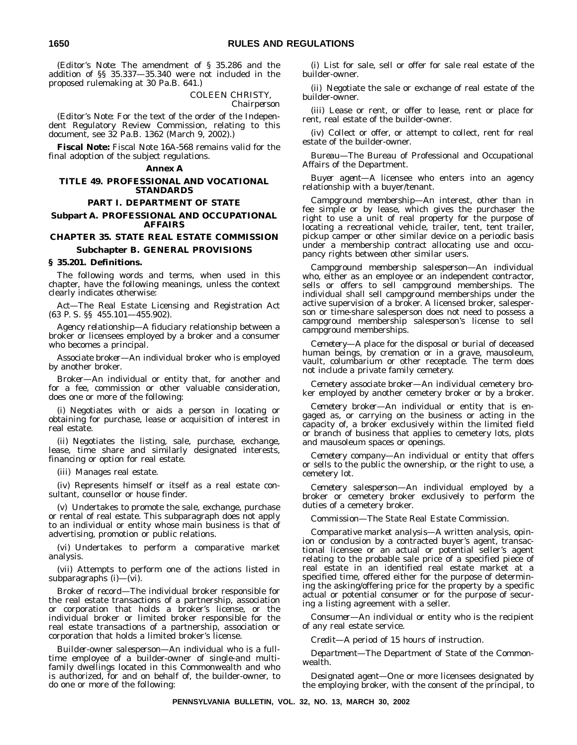(*Editor's Note:* The amendment of § 35.286 and the addition of §§ 35.337—35.340 were not included in the proposed rulemaking at 30 Pa.B. 641.)

COLEEN CHRISTY,

*Chairperson*

(*Editor's Note:* For the text of the order of the Independent Regulatory Review Commission, relating to this document, see 32 Pa.B. 1362 (March 9, 2002).)

**Fiscal Note:** Fiscal Note 16A-568 remains valid for the final adoption of the subject regulations.

#### **Annex A**

#### **TITLE 49. PROFESSIONAL AND VOCATIONAL STANDARDS**

#### **PART I. DEPARTMENT OF STATE**

**Subpart A. PROFESSIONAL AND OCCUPATIONAL AFFAIRS**

# **CHAPTER 35. STATE REAL ESTATE COMMISSION**

# **Subchapter B. GENERAL PROVISIONS**

#### **§ 35.201. Definitions.**

The following words and terms, when used in this chapter, have the following meanings, unless the context clearly indicates otherwise:

*Act*—The Real Estate Licensing and Registration Act (63 P. S. §§ 455.101—455.902).

*Agency relationship*—A fiduciary relationship between a broker or licensees employed by a broker and a consumer who becomes a principal.

*Associate broker*—An individual broker who is employed by another broker.

*Broker*—An individual or entity that, for another and for a fee, commission or other valuable consideration, does one or more of the following:

(i) Negotiates with or aids a person in locating or obtaining for purchase, lease or acquisition of interest in real estate.

(ii) Negotiates the listing, sale, purchase, exchange, lease, time share and similarly designated interests, financing or option for real estate.

(iii) Manages real estate.

(iv) Represents himself or itself as a real estate consultant, counsellor or house finder.

(v) Undertakes to promote the sale, exchange, purchase or rental of real estate. This subparagraph does not apply to an individual or entity whose main business is that of advertising, promotion or public relations.

(vi) Undertakes to perform a comparative market analysis.

(vii) Attempts to perform one of the actions listed in subparagraphs  $(i)$ — $(vi)$ .

*Broker of record*—The individual broker responsible for the real estate transactions of a partnership, association or corporation that holds a broker's license, or the individual broker or limited broker responsible for the real estate transactions of a partnership, association or corporation that holds a limited broker's license.

*Builder-owner salesperson*—An individual who is a fulltime employee of a builder-owner of single-and multifamily dwellings located in this Commonwealth and who is authorized, for and on behalf of, the builder-owner, to do one or more of the following:

(i) List for sale, sell or offer for sale real estate of the builder-owner.

(ii) Negotiate the sale or exchange of real estate of the builder-owner.

(iii) Lease or rent, or offer to lease, rent or place for rent, real estate of the builder-owner.

(iv) Collect or offer, or attempt to collect, rent for real estate of the builder-owner.

*Bureau*—The Bureau of Professional and Occupational Affairs of the Department.

*Buyer agent*—A licensee who enters into an agency relationship with a buyer/tenant.

*Campground membership*—An interest, other than in fee simple or by lease, which gives the purchaser the right to use a unit of real property for the purpose of locating a recreational vehicle, trailer, tent, tent trailer, pickup camper or other similar device on a periodic basis under a membership contract allocating use and occupancy rights between other similar users.

*Campground membership salesperson*—An individual who, either as an employee or an independent contractor, sells or offers to sell campground memberships. The individual shall sell campground memberships under the active supervision of a broker. A licensed broker, salesperson or time-share salesperson does not need to possess a campground membership salesperson's license to sell campground memberships.

*Cemetery*—A place for the disposal or burial of deceased human beings, by cremation or in a grave, mausoleum, vault, columbarium or other receptacle. The term does not include a private family cemetery.

*Cemetery associate broker*—An individual cemetery broker employed by another cemetery broker or by a broker.

*Cemetery broker*—An individual or entity that is engaged as, or carrying on the business or acting in the capacity of, a broker exclusively within the limited field or branch of business that applies to cemetery lots, plots and mausoleum spaces or openings.

*Cemetery company*—An individual or entity that offers or sells to the public the ownership, or the right to use, a cemetery lot.

*Cemetery salesperson*—An individual employed by a broker or cemetery broker exclusively to perform the duties of a cemetery broker.

*Commission*—The State Real Estate Commission.

*Comparative market analysis*—A written analysis, opinion or conclusion by a contracted buyer's agent, transactional licensee or an actual or potential seller's agent relating to the probable sale price of a specified piece of real estate in an identified real estate market at a specified time, offered either for the purpose of determining the asking/offering price for the property by a specific actual or potential consumer or for the purpose of securing a listing agreement with a seller.

*Consumer*—An individual or entity who is the recipient of any real estate service.

*Credit*—A period of 15 hours of instruction.

*Department*—The Department of State of the Commonwealth.

*Designated agent*—One or more licensees designated by the employing broker, with the consent of the principal, to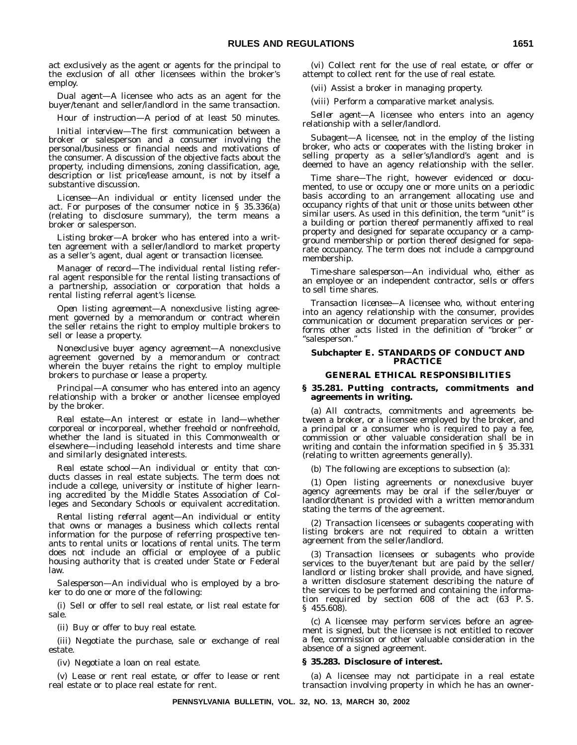act exclusively as the agent or agents for the principal to the exclusion of all other licensees within the broker's employ.

*Dual agent*—A licensee who acts as an agent for the buyer/tenant and seller/landlord in the same transaction.

*Hour of instruction*—A period of at least 50 minutes.

*Initial interview*—The first communication between a broker or salesperson and a consumer involving the personal/business or financial needs and motivations of the consumer. A discussion of the objective facts about the property, including dimensions, zoning classification, age, description or list price/lease amount, is not by itself a substantive discussion.

*Licensee*—An individual or entity licensed under the act. For purposes of the consumer notice in § 35.336(a) (relating to disclosure summary), the term means a broker or salesperson.

*Listing broker*—A broker who has entered into a written agreement with a seller/landlord to market property as a seller's agent, dual agent or transaction licensee.

*Manager of record*—The individual rental listing referral agent responsible for the rental listing transactions of a partnership, association or corporation that holds a rental listing referral agent's license.

*Open listing agreement*—A nonexclusive listing agreement governed by a memorandum or contract wherein the seller retains the right to employ multiple brokers to sell or lease a property.

*Nonexclusive buyer agency agreement*—A nonexclusive agreement governed by a memorandum or contract wherein the buyer retains the right to employ multiple brokers to purchase or lease a property.

*Principal*—A consumer who has entered into an agency relationship with a broker or another licensee employed by the broker.

*Real estate*—An interest or estate in land—whether corporeal or incorporeal, whether freehold or nonfreehold, whether the land is situated in this Commonwealth or elsewhere—including leasehold interests and time share and similarly designated interests.

*Real estate school*—An individual or entity that conducts classes in real estate subjects. The term does not include a college, university or institute of higher learning accredited by the Middle States Association of Colleges and Secondary Schools or equivalent accreditation.

*Rental listing referral agent*—An individual or entity that owns or manages a business which collects rental information for the purpose of referring prospective tenants to rental units or locations of rental units. The term does not include an official or employee of a public housing authority that is created under State or Federal law.

*Salesperson*—An individual who is employed by a broker to do one or more of the following:

(i) Sell or offer to sell real estate, or list real estate for sale.

(ii) Buy or offer to buy real estate.

(iii) Negotiate the purchase, sale or exchange of real estate.

(iv) Negotiate a loan on real estate.

(v) Lease or rent real estate, or offer to lease or rent real estate or to place real estate for rent.

(vi) Collect rent for the use of real estate, or offer or attempt to collect rent for the use of real estate.

(vii) Assist a broker in managing property.

(viii) Perform a comparative market analysis.

*Seller agent*—A licensee who enters into an agency relationship with a seller/landlord.

*Subagent*—A licensee, not in the employ of the listing broker, who acts or cooperates with the listing broker in selling property as a seller's/landlord's agent and is deemed to have an agency relationship with the seller.

*Time share*—The right, however evidenced or documented, to use or occupy one or more units on a periodic basis according to an arrangement allocating use and occupancy rights of that unit or those units between other similar users. As used in this definition, the term "unit" is a building or portion thereof permanently affixed to real property and designed for separate occupancy or a campground membership or portion thereof designed for separate occupancy. The term does not include a campground membership.

*Time-share salesperson*—An individual who, either as an employee or an independent contractor, sells or offers to sell time shares.

*Transaction licensee*—A licensee who, without entering into an agency relationship with the consumer, provides communication or document preparation services or performs other acts listed in the definition of ''broker'' or ''salesperson.''

#### **Subchapter E. STANDARDS OF CONDUCT AND PRACTICE**

#### **GENERAL ETHICAL RESPONSIBILITIES**

#### **§ 35.281. Putting contracts, commitments and agreements in writing.**

(a) All contracts, commitments and agreements between a broker, or a licensee employed by the broker, and a principal or a consumer who is required to pay a fee, commission or other valuable consideration shall be in writing and contain the information specified in § 35.331 (relating to written agreements generally).

(b) The following are exceptions to subsection (a):

(1) Open listing agreements or nonexclusive buyer agency agreements may be oral if the seller/buyer or landlord/tenant is provided with a written memorandum stating the terms of the agreement.

(2) Transaction licensees or subagents cooperating with listing brokers are not required to obtain a written agreement from the seller/landlord.

(3) Transaction licensees or subagents who provide services to the buyer/tenant but are paid by the seller/ landlord or listing broker shall provide, and have signed, a written disclosure statement describing the nature of the services to be performed and containing the information required by section 608 of the act (63 P. S. § 455.608).

(c) A licensee may perform services before an agreement is signed, but the licensee is not entitled to recover a fee, commission or other valuable consideration in the absence of a signed agreement.

#### **§ 35.283. Disclosure of interest.**

(a) A licensee may not participate in a real estate transaction involving property in which he has an owner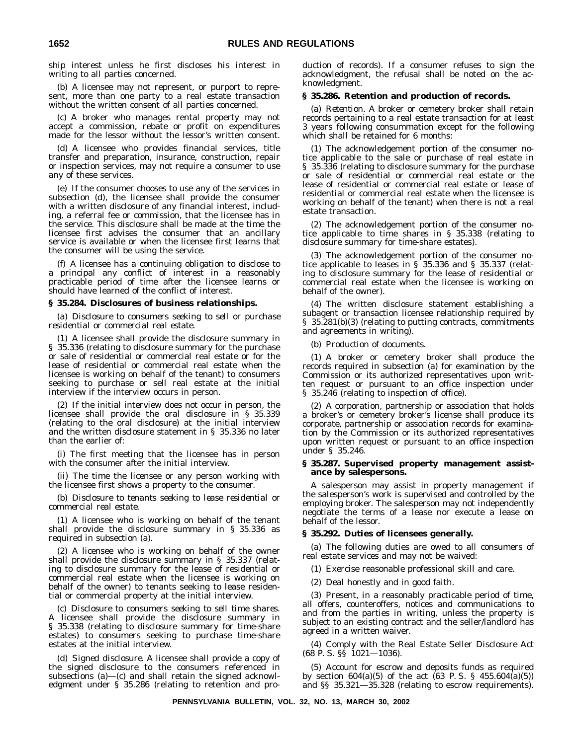ship interest unless he first discloses his interest in writing to all parties concerned.

(b) A licensee may not represent, or purport to represent, more than one party to a real estate transaction without the written consent of all parties concerned.

(c) A broker who manages rental property may not accept a commission, rebate or profit on expenditures made for the lessor without the lessor's written consent.

(d) A licensee who provides financial services, title transfer and preparation, insurance, construction, repair or inspection services, may not require a consumer to use any of these services.

(e) If the consumer chooses to use any of the services in subsection (d), the licensee shall provide the consumer with a written disclosure of any financial interest, including, a referral fee or commission, that the licensee has in the service. This disclosure shall be made at the time the licensee first advises the consumer that an ancillary service is available or when the licensee first learns that the consumer will be using the service.

(f) A licensee has a continuing obligation to disclose to a principal any conflict of interest in a reasonably practicable period of time after the licensee learns or should have learned of the conflict of interest.

#### **§ 35.284. Disclosures of business relationships.**

(a) *Disclosure to consumers seeking to sell or purchase residential or commercial real estate.*

(1) A licensee shall provide the disclosure summary in § 35.336 (relating to disclosure summary for the purchase or sale of residential or commercial real estate or for the lease of residential or commercial real estate when the licensee is working on behalf of the tenant) to consumers seeking to purchase or sell real estate at the initial interview if the interview occurs in person.

(2) If the initial interview does not occur in person, the licensee shall provide the oral disclosure in § 35.339 (relating to the oral disclosure) at the initial interview and the written disclosure statement in § 35.336 no later than the earlier of:

(i) The first meeting that the licensee has in person with the consumer after the initial interview.

(ii) The time the licensee or any person working with the licensee first shows a property to the consumer.

(b) *Disclosure to tenants seeking to lease residential or commercial real estate.*

(1) A licensee who is working on behalf of the tenant shall provide the disclosure summary in § 35.336 as required in subsection (a).

(2) A licensee who is working on behalf of the owner shall provide the disclosure summary in § 35.337 (relating to disclosure summary for the lease of residential or commercial real estate when the licensee is working on behalf of the owner) to tenants seeking to lease residential or commercial property at the initial interview.

(c) *Disclosure to consumers seeking to sell time shares.* A licensee shall provide the disclosure summary in § 35.338 (relating to disclosure summary for time-share estates) to consumers seeking to purchase time-share estates at the initial interview.

(d) *Signed disclosure.* A licensee shall provide a copy of the signed disclosure to the consumers referenced in subsections (a)—(c) and shall retain the signed acknowledgment under § 35.286 (relating to retention and production of records). If a consumer refuses to sign the acknowledgment, the refusal shall be noted on the acknowledgment.

#### **§ 35.286. Retention and production of records.**

(a) *Retention.* A broker or cemetery broker shall retain records pertaining to a real estate transaction for at least 3 years following consummation except for the following which shall be retained for 6 months:

(1) The acknowledgement portion of the consumer notice applicable to the sale or purchase of real estate in § 35.336 (relating to disclosure summary for the purchase or sale of residential or commercial real estate or the lease of residential or commercial real estate or lease of residential or commercial real estate when the licensee is working on behalf of the tenant) when there is not a real estate transaction.

(2) The acknowledgement portion of the consumer notice applicable to time shares in § 35.338 (relating to disclosure summary for time-share estates).

(3) The acknowledgement portion of the consumer notice applicable to leases in § 35.336 and § 35.337 (relating to disclosure summary for the lease of residential or commercial real estate when the licensee is working on behalf of the owner).

(4) The written disclosure statement establishing a subagent or transaction licensee relationship required by § 35.281(b)(3) (relating to putting contracts, commitments and agreements in writing).

(b) *Production of documents.*

(1) A broker or cemetery broker shall produce the records required in subsection (a) for examination by the Commission or its authorized representatives upon written request or pursuant to an office inspection under § 35.246 (relating to inspection of office).

(2) A corporation, partnership or association that holds a broker's or cemetery broker's license shall produce its corporate, partnership or association records for examination by the Commission or its authorized representatives upon written request or pursuant to an office inspection under § 35.246.

#### **§ 35.287. Supervised property management assistance by salespersons.**

A salesperson may assist in property management if the salesperson's work is supervised and controlled by the employing broker. The salesperson may not independently negotiate the terms of a lease nor execute a lease on behalf of the lessor.

#### **§ 35.292. Duties of licensees generally.**

(a) The following duties are owed to all consumers of real estate services and may not be waived:

(1) Exercise reasonable professional skill and care.

(2) Deal honestly and in good faith.

(3) Present, in a reasonably practicable period of time, all offers, counteroffers, notices and communications to and from the parties in writing, unless the property is subject to an existing contract and the seller/landlord has agreed in a written waiver.

(4) Comply with the Real Estate Seller Disclosure Act  $(68 \text{ P. S. }$   $\frac{65}{1021} - 1036)$ .

(5) Account for escrow and deposits funds as required by section  $604(a)(5)$  of the act  $(63 \text{ P. S. } § \ 455.604(a)(5))$ and §§ 35.321—35.328 (relating to escrow requirements).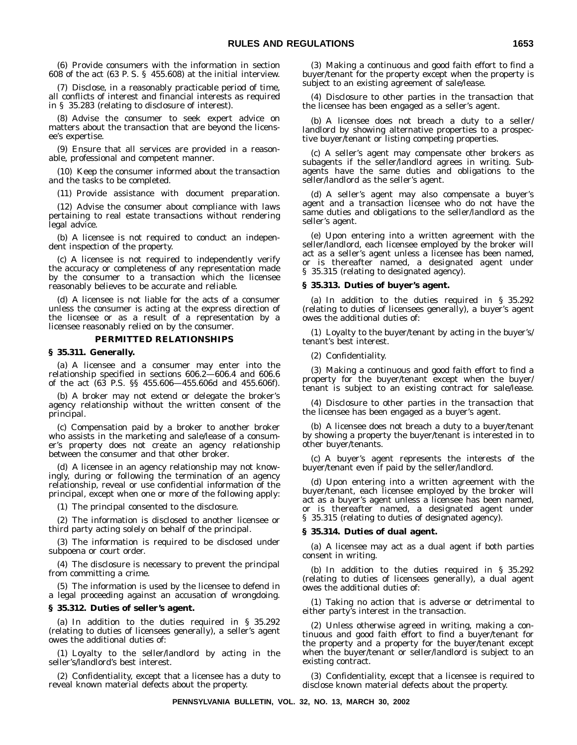(6) Provide consumers with the information in section 608 of the act (63 P. S. § 455.608) at the initial interview.

(7) Disclose, in a reasonably practicable period of time, all conflicts of interest and financial interests as required in § 35.283 (relating to disclosure of interest).

(8) Advise the consumer to seek expert advice on matters about the transaction that are beyond the licensee's expertise.

(9) Ensure that all services are provided in a reasonable, professional and competent manner.

(10) Keep the consumer informed about the transaction and the tasks to be completed.

(11) Provide assistance with document preparation.

(12) Advise the consumer about compliance with laws pertaining to real estate transactions without rendering legal advice.

(b) A licensee is not required to conduct an independent inspection of the property.

(c) A licensee is not required to independently verify the accuracy or completeness of any representation made by the consumer to a transaction which the licensee reasonably believes to be accurate and reliable.

(d) A licensee is not liable for the acts of a consumer unless the consumer is acting at the express direction of the licensee or as a result of a representation by a licensee reasonably relied on by the consumer.

#### **PERMITTED RELATIONSHIPS**

#### **§ 35.311. Generally.**

(a) A licensee and a consumer may enter into the relationship specified in sections 606.2—606.4 and 606.6 of the act (63 P.S. §§ 455.606—455.606d and 455.606f).

(b) A broker may not extend or delegate the broker's agency relationship without the written consent of the principal.

(c) Compensation paid by a broker to another broker who assists in the marketing and sale/lease of a consumer's property does not create an agency relationship between the consumer and that other broker.

(d) A licensee in an agency relationship may not knowingly, during or following the termination of an agency relationship, reveal or use confidential information of the principal, except when one or more of the following apply:

(1) The principal consented to the disclosure.

(2) The information is disclosed to another licensee or third party acting solely on behalf of the principal.

(3) The information is required to be disclosed under subpoena or court order.

(4) The disclosure is necessary to prevent the principal from committing a crime.

(5) The information is used by the licensee to defend in a legal proceeding against an accusation of wrongdoing.

#### **§ 35.312. Duties of seller's agent.**

(a) In addition to the duties required in § 35.292 (relating to duties of licensees generally), a seller's agent owes the additional duties of:

(1) Loyalty to the seller/landlord by acting in the seller's/landlord's best interest.

(2) Confidentiality, except that a licensee has a duty to reveal known material defects about the property.

(3) Making a continuous and good faith effort to find a buyer/tenant for the property except when the property is subject to an existing agreement of sale/lease.

(4) Disclosure to other parties in the transaction that the licensee has been engaged as a seller's agent.

(b) A licensee does not breach a duty to a seller/ landlord by showing alternative properties to a prospective buyer/tenant or listing competing properties.

(c) A seller's agent may compensate other brokers as subagents if the seller/landlord agrees in writing. Subagents have the same duties and obligations to the seller/landlord as the seller's agent.

(d) A seller's agent may also compensate a buyer's agent and a transaction licensee who do not have the same duties and obligations to the seller/landlord as the seller's agent.

(e) Upon entering into a written agreement with the seller/landlord, each licensee employed by the broker will act as a seller's agent unless a licensee has been named, or is thereafter named, a designated agent under § 35.315 (relating to designated agency).

#### **§ 35.313. Duties of buyer's agent.**

(a) In addition to the duties required in § 35.292 (relating to duties of licensees generally), a buyer's agent owes the additional duties of:

(1) Loyalty to the buyer/tenant by acting in the buyer's/ tenant's best interest.

(2) Confidentiality.

(3) Making a continuous and good faith effort to find a property for the buyer/tenant except when the buyer/ tenant is subject to an existing contract for sale/lease.

(4) Disclosure to other parties in the transaction that the licensee has been engaged as a buyer's agent.

(b) A licensee does not breach a duty to a buyer/tenant by showing a property the buyer/tenant is interested in to other buyer/tenants.

(c) A buyer's agent represents the interests of the buyer/tenant even if paid by the seller/landlord.

(d) Upon entering into a written agreement with the buyer/tenant, each licensee employed by the broker will act as a buyer's agent unless a licensee has been named, or is thereafter named, a designated agent under § 35.315 (relating to duties of designated agency).

#### **§ 35.314. Duties of dual agent.**

(a) A licensee may act as a dual agent if both parties consent in writing.

(b) In addition to the duties required in § 35.292 (relating to duties of licensees generally), a dual agent owes the additional duties of:

(1) Taking no action that is adverse or detrimental to either party's interest in the transaction.

(2) Unless otherwise agreed in writing, making a continuous and good faith effort to find a buyer/tenant for the property and a property for the buyer/tenant except when the buyer/tenant or seller/landlord is subject to an existing contract.

(3) Confidentiality, except that a licensee is required to disclose known material defects about the property.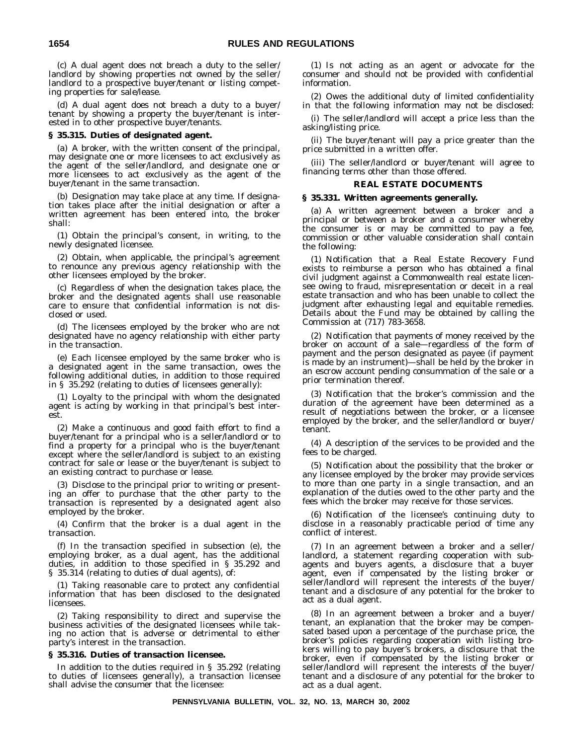(c) A dual agent does not breach a duty to the seller/ landlord by showing properties not owned by the seller/ landlord to a prospective buyer/tenant or listing competing properties for sale/lease.

(d) A dual agent does not breach a duty to a buyer/ tenant by showing a property the buyer/tenant is interested in to other prospective buyer/tenants.

#### **§ 35.315. Duties of designated agent.**

(a) A broker, with the written consent of the principal, may designate one or more licensees to act exclusively as the agent of the seller/landlord, and designate one or more licensees to act exclusively as the agent of the buyer/tenant in the same transaction.

(b) Designation may take place at any time. If designation takes place after the initial designation or after a written agreement has been entered into, the broker shall:

(1) Obtain the principal's consent, in writing, to the newly designated licensee.

(2) Obtain, when applicable, the principal's agreement to renounce any previous agency relationship with the other licensees employed by the broker.

(c) Regardless of when the designation takes place, the broker and the designated agents shall use reasonable care to ensure that confidential information is not disclosed or used.

(d) The licensees employed by the broker who are not designated have no agency relationship with either party in the transaction.

(e) Each licensee employed by the same broker who is a designated agent in the same transaction, owes the following additional duties, in addition to those required in § 35.292 (relating to duties of licensees generally):

(1) Loyalty to the principal with whom the designated agent is acting by working in that principal's best interest.

(2) Make a continuous and good faith effort to find a buyer/tenant for a principal who is a seller/landlord or to find a property for a principal who is the buyer/tenant except where the seller/landlord is subject to an existing contract for sale or lease or the buyer/tenant is subject to an existing contract to purchase or lease.

(3) Disclose to the principal prior to writing or presenting an offer to purchase that the other party to the transaction is represented by a designated agent also employed by the broker.

(4) Confirm that the broker is a dual agent in the transaction.

(f) In the transaction specified in subsection (e), the employing broker, as a dual agent, has the additional duties, in addition to those specified in § 35.292 and § 35.314 (relating to duties of dual agents), of:

(1) Taking reasonable care to protect any confidential information that has been disclosed to the designated licensees.

(2) Taking responsibility to direct and supervise the business activities of the designated licensees while taking no action that is adverse or detrimental to either party's interest in the transaction.

#### **§ 35.316. Duties of transaction licensee.**

In addition to the duties required in § 35.292 (relating to duties of licensees generally), a transaction licensee shall advise the consumer that the licensee:

(1) Is not acting as an agent or advocate for the consumer and should not be provided with confidential information.

(2) Owes the additional duty of limited confidentiality in that the following information may not be disclosed:

(i) The seller/landlord will accept a price less than the asking/listing price.

(ii) The buyer/tenant will pay a price greater than the price submitted in a written offer.

(iii) The seller/landlord or buyer/tenant will agree to financing terms other than those offered.

#### **REAL ESTATE DOCUMENTS**

#### **§ 35.331. Written agreements generally.**

(a) A written agreement between a broker and a principal or between a broker and a consumer whereby the consumer is or may be committed to pay a fee, commission or other valuable consideration shall contain the following:

(1) Notification that a Real Estate Recovery Fund exists to reimburse a person who has obtained a final civil judgment against a Commonwealth real estate licensee owing to fraud, misrepresentation or deceit in a real estate transaction and who has been unable to collect the judgment after exhausting legal and equitable remedies. Details about the Fund may be obtained by calling the Commission at (717) 783-3658.

(2) Notification that payments of money received by the broker on account of a sale—regardless of the form of payment and the person designated as payee (if payment is made by an instrument)—shall be held by the broker in an escrow account pending consummation of the sale or a prior termination thereof.

(3) Notification that the broker's commission and the duration of the agreement have been determined as a result of negotiations between the broker, or a licensee employed by the broker, and the seller/landlord or buyer/ tenant.

(4) A description of the services to be provided and the fees to be charged.

(5) Notification about the possibility that the broker or any licensee employed by the broker may provide services to more than one party in a single transaction, and an explanation of the duties owed to the other party and the fees which the broker may receive for those services.

(6) Notification of the licensee's continuing duty to disclose in a reasonably practicable period of time any conflict of interest.

(7) In an agreement between a broker and a seller/ landlord, a statement regarding cooperation with subagents and buyers agents, a disclosure that a buyer agent, even if compensated by the listing broker or seller/landlord will represent the interests of the buyer/ tenant and a disclosure of any potential for the broker to act as a dual agent.

(8) In an agreement between a broker and a buyer/ tenant, an explanation that the broker may be compensated based upon a percentage of the purchase price, the broker's policies regarding cooperation with listing brokers willing to pay buyer's brokers, a disclosure that the broker, even if compensated by the listing broker or seller/landlord will represent the interests of the buyer/ tenant and a disclosure of any potential for the broker to act as a dual agent.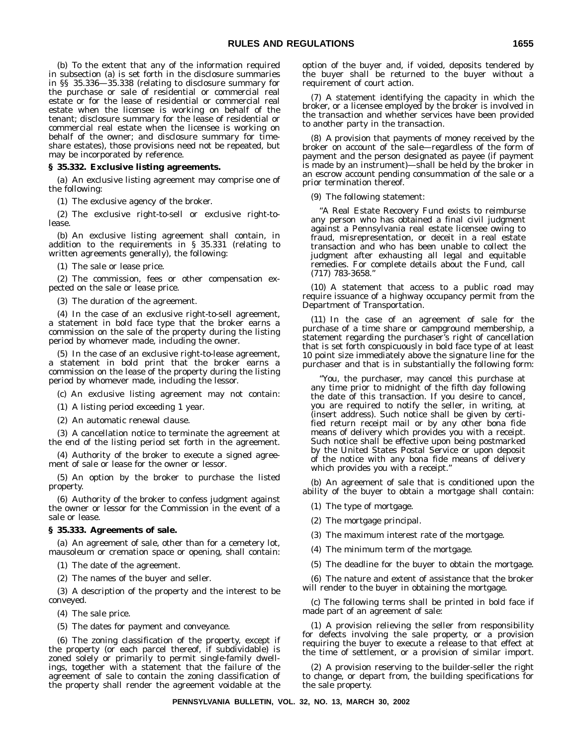(b) To the extent that any of the information required in subsection (a) is set forth in the disclosure summaries in §§ 35.336—35.338 (relating to disclosure summary for the purchase or sale of residential or commercial real estate or for the lease of residential or commercial real estate when the licensee is working on behalf of the tenant; disclosure summary for the lease of residential or commercial real estate when the licensee is working on behalf of the owner; and disclosure summary for timeshare estates), those provisions need not be repeated, but may be incorporated by reference.

#### **§ 35.332. Exclusive listing agreements.**

(a) An exclusive listing agreement may comprise one of the following:

(1) The exclusive agency of the broker.

(2) The exclusive right-to-sell or exclusive right-tolease.

(b) An exclusive listing agreement shall contain, in addition to the requirements in § 35.331 (relating to written agreements generally), the following:

(1) The sale or lease price.

(2) The commission, fees or other compensation expected on the sale or lease price.

(3) The duration of the agreement.

(4) In the case of an exclusive right-to-sell agreement, a statement in bold face type that the broker earns a commission on the sale of the property during the listing period by whomever made, including the owner.

(5) In the case of an exclusive right-to-lease agreement, a statement in bold print that the broker earns a commission on the lease of the property during the listing period by whomever made, including the lessor.

(c) An exclusive listing agreement may not contain:

(1) A listing period exceeding 1 year.

(2) An automatic renewal clause.

(3) A cancellation notice to terminate the agreement at the end of the listing period set forth in the agreement.

(4) Authority of the broker to execute a signed agreement of sale or lease for the owner or lessor.

(5) An option by the broker to purchase the listed property.

(6) Authority of the broker to confess judgment against the owner or lessor for the Commission in the event of a sale or lease.

#### **§ 35.333. Agreements of sale.**

(a) An agreement of sale, other than for a cemetery lot, mausoleum or cremation space or opening, shall contain:

(1) The date of the agreement.

(2) The names of the buyer and seller.

(3) A description of the property and the interest to be conveyed.

(4) The sale price.

(5) The dates for payment and conveyance.

(6) The zoning classification of the property, except if the property (or each parcel thereof, if subdividable) is zoned solely or primarily to permit single-family dwellings, together with a statement that the failure of the agreement of sale to contain the zoning classification of the property shall render the agreement voidable at the

option of the buyer and, if voided, deposits tendered by the buyer shall be returned to the buyer without a requirement of court action.

(7) A statement identifying the capacity in which the broker, or a licensee employed by the broker is involved in the transaction and whether services have been provided to another party in the transaction.

(8) A provision that payments of money received by the broker on account of the sale—regardless of the form of payment and the person designated as payee (if payment is made by an instrument)—shall be held by the broker in an escrow account pending consummation of the sale or a prior termination thereof.

(9) The following statement:

"A Real Estate Recovery Fund exists to reimburse any person who has obtained a final civil judgment against a Pennsylvania real estate licensee owing to fraud, misrepresentation, or deceit in a real estate transaction and who has been unable to collect the judgment after exhausting all legal and equitable remedies. For complete details about the Fund, call (717) 783-3658."

(10) A statement that access to a public road may require issuance of a highway occupancy permit from the Department of Transportation.

(11) In the case of an agreement of sale for the purchase of a time share or campground membership, a statement regarding the purchaser's right of cancellation that is set forth conspicuously in bold face type of at least 10 point size immediately above the signature line for the purchaser and that is in substantially the following form:

"You, the purchaser, may cancel this purchase at any time prior to midnight of the fifth day following the date of this transaction. If you desire to cancel, you are required to notify the seller, in writing, at (insert address). Such notice shall be given by certified return receipt mail or by any other bona fide means of delivery which provides you with a receipt. Such notice shall be effective upon being postmarked by the United States Postal Service or upon deposit of the notice with any bona fide means of delivery which provides you with a receipt."

(b) An agreement of sale that is conditioned upon the ability of the buyer to obtain a mortgage shall contain:

- (1) The type of mortgage.
- (2) The mortgage principal.
- (3) The maximum interest rate of the mortgage.
- (4) The minimum term of the mortgage.
- (5) The deadline for the buyer to obtain the mortgage.

(6) The nature and extent of assistance that the broker will render to the buyer in obtaining the mortgage.

(c) The following terms shall be printed in bold face if made part of an agreement of sale:

(1) A provision relieving the seller from responsibility for defects involving the sale property, or a provision requiring the buyer to execute a release to that effect at the time of settlement, or a provision of similar import.

(2) A provision reserving to the builder-seller the right to change, or depart from, the building specifications for the sale property.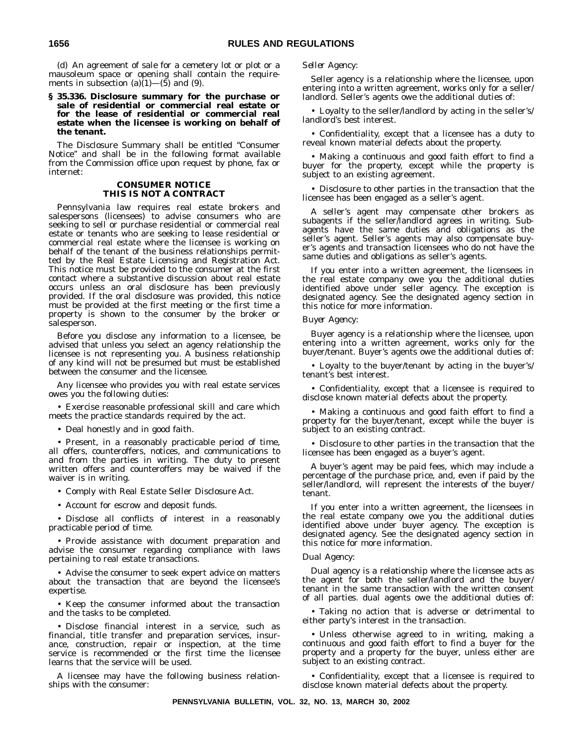(d) An agreement of sale for a cemetery lot or plot or a mausoleum space or opening shall contain the requirements in subsection  $(a)(1)$ — $(5)$  and  $(9)$ .

#### **§ 35.336. Disclosure summary for the purchase or sale of residential or commercial real estate or for the lease of residential or commercial real estate when the licensee is working on behalf of the tenant.**

The Disclosure Summary shall be entitled ''Consumer Notice'' and shall be in the following format available from the Commission office upon request by phone, fax or internet:

#### **CONSUMER NOTICE THIS IS NOT A CONTRACT**

Pennsylvania law requires real estate brokers and salespersons (licensees) to advise consumers who are seeking to sell or purchase residential or commercial real estate or tenants who are seeking to lease residential or commercial real estate where the licensee is working on behalf of the tenant of the business relationships permitted by the Real Estate Licensing and Registration Act. This notice must be provided to the consumer at the first contact where a substantive discussion about real estate occurs unless an oral disclosure has been previously provided. If the oral disclosure was provided, this notice must be provided at the first meeting or the first time a property is shown to the consumer by the broker or salesperson.

Before you disclose any information to a licensee, be advised that unless you select an agency relationship the licensee is not representing you. A business relationship of any kind will not be presumed but must be established between the consumer and the licensee.

Any licensee who provides you with real estate services owes you the following duties:

• Exercise reasonable professional skill and care which meets the practice standards required by the act.

• Deal honestly and in good faith.

• Present, in a reasonably practicable period of time, all offers, counteroffers, notices, and communications to and from the parties in writing. The duty to present written offers and counteroffers may be waived if the waiver is in writing.

- Comply with Real Estate Seller Disclosure Act.
- Account for escrow and deposit funds.

• Disclose all conflicts of interest in a reasonably practicable period of time.

• Provide assistance with document preparation and advise the consumer regarding compliance with laws pertaining to real estate transactions.

• Advise the consumer to seek expert advice on matters about the transaction that are beyond the licensee's expertise.

• Keep the consumer informed about the transaction and the tasks to be completed.

• Disclose financial interest in a service, such as financial, title transfer and preparation services, insurance, construction, repair or inspection, at the time service is recommended or the first time the licensee learns that the service will be used.

A licensee may have the following business relationships with the consumer:

#### *Seller Agency:*

Seller agency is a relationship where the licensee, upon entering into a written agreement, works only for a seller/ landlord. Seller's agents owe the additional duties of:

• Loyalty to the seller/landlord by acting in the seller's/ landlord's best interest.

• Confidentiality, except that a licensee has a duty to reveal known material defects about the property.

• Making a continuous and good faith effort to find a buyer for the property, except while the property is subject to an existing agreement.

• Disclosure to other parties in the transaction that the licensee has been engaged as a seller's agent.

A seller's agent may compensate other brokers as subagents if the seller/landlord agrees in writing. Subagents have the same duties and obligations as the seller's agent. Seller's agents may also compensate buyer's agents and transaction licensees who do not have the same duties and obligations as seller's agents.

If you enter into a written agreement, the licensees in the real estate company owe you the additional duties identified above under seller agency. The exception is designated agency. See the designated agency section in this notice for more information.

#### *Buyer Agency:*

Buyer agency is a relationship where the licensee, upon entering into a written agreement, works only for the buyer/tenant. Buyer's agents owe the additional duties of:

• Loyalty to the buyer/tenant by acting in the buyer's/ tenant's best interest.

• Confidentiality, except that a licensee is required to disclose known material defects about the property.

• Making a continuous and good faith effort to find a property for the buyer/tenant, except while the buyer is subject to an existing contract.

• Disclosure to other parties in the transaction that the licensee has been engaged as a buyer's agent.

A buyer's agent may be paid fees, which may include a percentage of the purchase price, and, even if paid by the seller/landlord, will represent the interests of the buyer/ tenant.

If you enter into a written agreement, the licensees in the real estate company owe you the additional duties identified above under buyer agency. The exception is designated agency. See the designated agency section in this notice for more information.

#### *Dual Agency:*

Dual agency is a relationship where the licensee acts as the agent for both the seller/landlord and the buyer/ tenant in the same transaction with the written consent of all parties. dual agents owe the additional duties of:

• Taking no action that is adverse or detrimental to either party's interest in the transaction.

• Unless otherwise agreed to in writing, making a continuous and good faith effort to find a buyer for the property and a property for the buyer, unless either are subject to an existing contract.

• Confidentiality, except that a licensee is required to disclose known material defects about the property.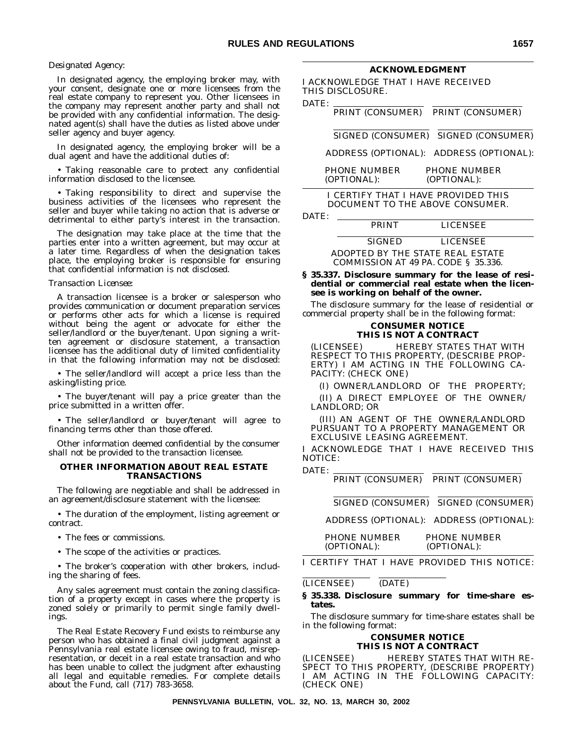#### *Designated Agency:*

In designated agency, the employing broker may, with your consent, designate one or more licensees from the real estate company to represent you. Other licensees in the company may represent another party and shall not be provided with any confidential information. The designated agent(s) shall have the duties as listed above under seller agency and buyer agency.

In designated agency, the employing broker will be a dual agent and have the additional duties of:

• Taking reasonable care to protect any confidential information disclosed to the licensee.

• Taking responsibility to direct and supervise the business activities of the licensees who represent the seller and buyer while taking no action that is adverse or detrimental to either party's interest in the transaction.

The designation may take place at the time that the parties enter into a written agreement, but may occur at a later time. Regardless of when the designation takes place, the employing broker is responsible for ensuring that confidential information is not disclosed.

#### *Transaction Licensee:*

A transaction licensee is a broker or salesperson who provides communication or document preparation services or performs other acts for which a license is required without being the agent or advocate for either the seller/landlord or the buyer/tenant. Upon signing a written agreement or disclosure statement, a transaction licensee has the additional duty of limited confidentiality in that the following information may not be disclosed:

• The seller/landlord will accept a price less than the asking/listing price.

• The buyer/tenant will pay a price greater than the price submitted in a written offer.

• The seller/landlord or buyer/tenant will agree to financing terms other than those offered.

Other information deemed confidential by the consumer shall not be provided to the transaction licensee.

#### **OTHER INFORMATION ABOUT REAL ESTATE TRANSACTIONS**

The following are negotiable and shall be addressed in an agreement/disclosure statement with the licensee:

• The duration of the employment, listing agreement or contract.

• The fees or commissions.

• The scope of the activities or practices.

• The broker's cooperation with other brokers, including the sharing of fees.

Any sales agreement must contain the zoning classification of a property except in cases where the property is zoned solely or primarily to permit single family dwellings.

The Real Estate Recovery Fund exists to reimburse any person who has obtained a final civil judgment against a Pennsylvania real estate licensee owing to fraud, misrepresentation, or deceit in a real estate transaction and who has been unable to collect the judgment after exhausting all legal and equitable remedies. For complete details about the Fund, call (717) 783-3658.

#### **ACKNOWLEDGMENT**

I ACKNOWLEDGE THAT I HAVE RECEIVED THIS DISCLOSURE.

DATE: PRINT (CONSUMER) PRINT (CONSUMER)

SIGNED (CONSUMER) SIGNED (CONSUMER)

#### ADDRESS (OPTIONAL): ADDRESS (OPTIONAL):

PHONE NUMBER PHONE NUMBER (OPTIONAL): (OPTIONAL):

#### I CERTIFY THAT I HAVE PROVIDED THIS DOCUMENT TO THE ABOVE CONSUMER.

DATE:

PRINT LICENSEE SIGNED LICENSEE ADOPTED BY THE STATE REAL ESTATE

COMMISSION AT 49 PA. CODE § 35.336.

#### **§ 35.337. Disclosure summary for the lease of residential or commercial real estate when the licensee is working on behalf of the owner.**

The disclosure summary for the lease of residential or commercial property shall be in the following format:

#### **CONSUMER NOTICE THIS IS NOT A CONTRACT**

(LICENSEE) HEREBY STATES THAT WITH RESPECT TO THIS PROPERTY, (DESCRIBE PROP-ERTY) I AM ACTING IN THE FOLLOWING CA-PACITY: (CHECK ONE)

(I) OWNER/LANDLORD OF THE PROPERTY;

(II) A DIRECT EMPLOYEE OF THE OWNER/ LANDLORD; OR

(III) AN AGENT OF THE OWNER/LANDLORD PURSUANT TO A PROPERTY MANAGEMENT OR EXCLUSIVE LEASING AGREEMENT.

I ACKNOWLEDGE THAT I HAVE RECEIVED THIS NOTICE:

DATE:

PRINT (CONSUMER) PRINT (CONSUMER)

SIGNED (CONSUMER) SIGNED (CONSUMER)

ADDRESS (OPTIONAL): ADDRESS (OPTIONAL):

PHONE NUMBER PHONE NUMBER (OPTIONAL): (OPTIONAL):

I CERTIFY THAT I HAVE PROVIDED THIS NOTICE:

(LICENSEE) (DATE)

#### **§ 35.338. Disclosure summary for time-share estates.**

The disclosure summary for time-share estates shall be in the following format:

#### **CONSUMER NOTICE THIS IS NOT A CONTRACT**

(LICENSEE) HEREBY STATES THAT WITH RE-SPECT TO THIS PROPERTY, (DESCRIBE PROPERTY) I AM ACTING IN THE FOLLOWING CAPACITY: (CHECK ONE)

**PENNSYLVANIA BULLETIN, VOL. 32, NO. 13, MARCH 30, 2002**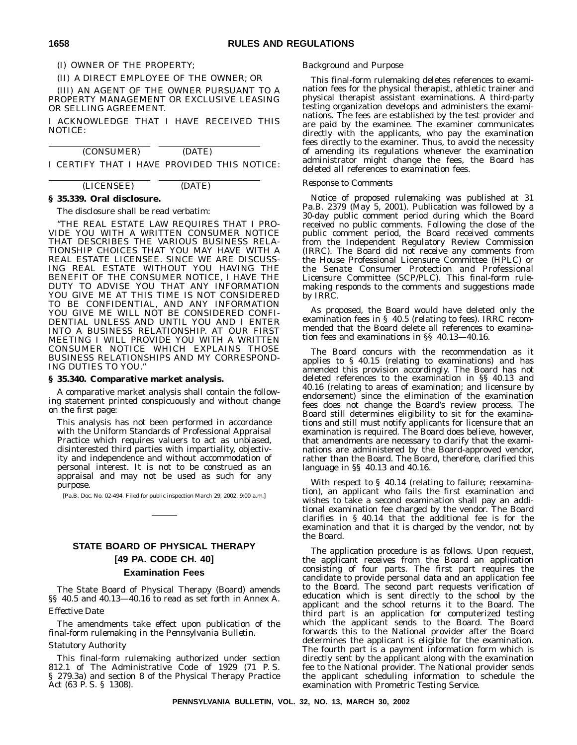(II) A DIRECT EMPLOYEE OF THE OWNER; OR

(III) AN AGENT OF THE OWNER PURSUANT TO A PROPERTY MANAGEMENT OR EXCLUSIVE LEASING OR SELLING AGREEMENT.

I ACKNOWLEDGE THAT I HAVE RECEIVED THIS NOTICE:

| (CONSUMER) | (DATE)                                      |  |
|------------|---------------------------------------------|--|
|            | I CERTIFY THAT I HAVE PROVIDED THIS NOTICE: |  |

# (LICENSEE) (DATE)

# **§ 35.339. Oral disclosure.**

The disclosure shall be read verbatim:

"THE REAL ESTATE LAW REQUIRES THAT I PRO-VIDE YOU WITH A WRITTEN CONSUMER NOTICE THAT DESCRIBES THE VARIOUS BUSINESS RELA-TIONSHIP CHOICES THAT YOU MAY HAVE WITH A REAL ESTATE LICENSEE. SINCE WE ARE DISCUSS-ING REAL ESTATE WITHOUT YOU HAVING THE BENEFIT OF THE CONSUMER NOTICE, I HAVE THE DUTY TO ADVISE YOU THAT ANY INFORMATION YOU GIVE ME AT THIS TIME IS NOT CONSIDERED TO BE CONFIDENTIAL, AND ANY INFORMATION YOU GIVE ME WILL NOT BE CONSIDERED CONFI-DENTIAL UNLESS AND UNTIL YOU AND I ENTER INTO A BUSINESS RELATIONSHIP. AT OUR FIRST MEETING I WILL PROVIDE YOU WITH A WRITTEN CONSUMER NOTICE WHICH EXPLAINS THOSE BUSINESS RELATIONSHIPS AND MY CORRESPOND-ING DUTIES TO YOU."

#### **§ 35.340. Comparative market analysis.**

A comparative market analysis shall contain the following statement printed conspicuously and without change on the first page:

This analysis has not been performed in accordance with the Uniform Standards of Professional Appraisal Practice which requires valuers to act as unbiased, disinterested third parties with impartiality, objectivity and independence and without accommodation of personal interest. It is not to be construed as an appraisal and may not be used as such for any purpose.

[Pa.B. Doc. No. 02-494. Filed for public inspection March 29, 2002, 9:00 a.m.]

# **STATE BOARD OF PHYSICAL THERAPY [49 PA. CODE CH. 40] Examination Fees**

The State Board of Physical Therapy (Board) amends §§ 40.5 and 40.13—40.16 to read as set forth in Annex A.

#### *Effective Date*

The amendments take effect upon publication of the final-form rulemaking in the *Pennsylvania Bulletin*.

#### *Statutory Authority*

This final-form rulemaking authorized under section 812.1 of The Administrative Code of 1929 (71 P. S. § 279.3a) and section 8 of the Physical Therapy Practice Act (63 P. S. § 1308).

#### *Background and Purpose*

This final-form rulemaking deletes references to examination fees for the physical therapist, athletic trainer and physical therapist assistant examinations. A third-party testing organization develops and administers the examinations. The fees are established by the test provider and are paid by the examinee. The examiner communicates directly with the applicants, who pay the examination fees directly to the examiner. Thus, to avoid the necessity of amending its regulations whenever the examination administrator might change the fees, the Board has deleted all references to examination fees.

#### *Response to Comments*

Notice of proposed rulemaking was published at 31 Pa.B. 2379 (May 5, 2001). Publication was followed by a 30-day public comment period during which the Board received no public comments. Following the close of the public comment period, the Board received comments from the Independent Regulatory Review Commission (IRRC). The Board did not receive any comments from the House Professional Licensure Committee (HPLC) or the Senate Consumer Protection and Professional Licensure Committee (SCP/PLC). This final-form rulemaking responds to the comments and suggestions made by IRRC.

As proposed, the Board would have deleted only the examination fees in § 40.5 (relating to fees). IRRC recommended that the Board delete all references to examination fees and examinations in §§ 40.13—40.16.

The Board concurs with the recommendation as it applies to § 40.15 (relating to examinations) and has amended this provision accordingly. The Board has not deleted references to the examination in §§ 40.13 and 40.16 (relating to areas of examination; and licensure by endorsement) since the elimination of the examination fees does not change the Board's review process. The Board still determines eligibility to sit for the examinations and still must notify applicants for licensure that an examination is required. The Board does believe, however, that amendments are necessary to clarify that the examinations are administered by the Board-approved vendor, rather than the Board. The Board, therefore, clarified this language in §§ 40.13 and 40.16.

With respect to § 40.14 (relating to failure; reexamination), an applicant who fails the first examination and wishes to take a second examination shall pay an additional examination fee charged by the vendor. The Board clarifies in § 40.14 that the additional fee is for the examination and that it is charged by the vendor, not by the Board.

The application procedure is as follows. Upon request, the applicant receives from the Board an application consisting of four parts. The first part requires the candidate to provide personal data and an application fee to the Board. The second part requests verification of education which is sent directly to the school by the applicant and the school returns it to the Board. The third part is an application for computerized testing which the applicant sends to the Board. The Board forwards this to the National provider after the Board determines the applicant is eligible for the examination. The fourth part is a payment information form which is directly sent by the applicant along with the examination fee to the National provider. The National provider sends the applicant scheduling information to schedule the examination with Prometric Testing Service.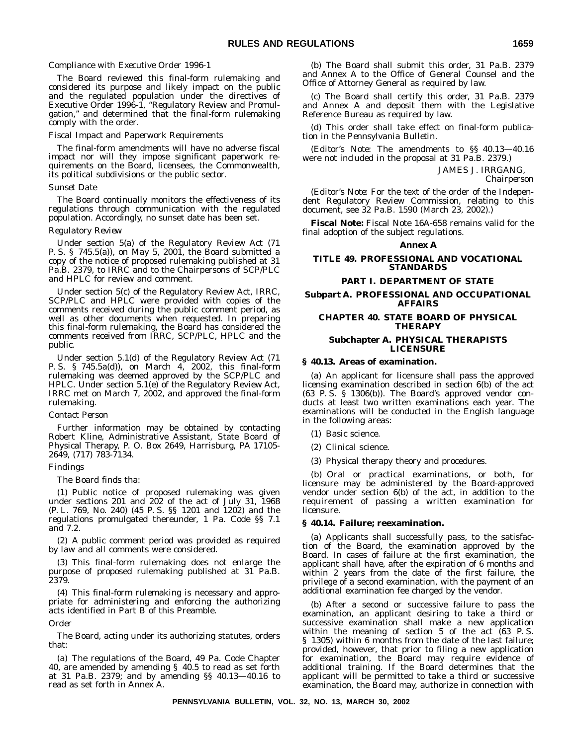# *Compliance with Executive Order 1996-1*

The Board reviewed this final-form rulemaking and considered its purpose and likely impact on the public and the regulated population under the directives of Executive Order 1996-1, ''Regulatory Review and Promulgation,'' and determined that the final-form rulemaking comply with the order.

#### *Fiscal Impact and Paperwork Requirements*

The final-form amendments will have no adverse fiscal impact nor will they impose significant paperwork requirements on the Board, licensees, the Commonwealth, its political subdivisions or the public sector.

#### *Sunset Date*

The Board continually monitors the effectiveness of its regulations through communication with the regulated population. Accordingly, no sunset date has been set.

### *Regulatory Review*

Under section 5(a) of the Regulatory Review Act (71 P. S. § 745.5(a)), on May 5, 2001, the Board submitted a copy of the notice of proposed rulemaking published at 31 Pa.B. 2379, to IRRC and to the Chairpersons of SCP/PLC and HPLC for review and comment.

Under section 5(c) of the Regulatory Review Act, IRRC, SCP/PLC and HPLC were provided with copies of the comments received during the public comment period, as well as other documents when requested. In preparing this final-form rulemaking, the Board has considered the comments received from IRRC, SCP/PLC, HPLC and the public.

Under section 5.1(d) of the Regulatory Review Act (71 P. S. § 745.5a(d)), on March 4, 2002, this final-form rulemaking was deemed approved by the SCP/PLC and HPLC. Under section 5.1(e) of the Regulatory Review Act, IRRC met on March 7, 2002, and approved the final-form rulemaking.

#### *Contact Person*

Further information may be obtained by contacting Robert Kline, Administrative Assistant, State Board of Physical Therapy, P. O. Box 2649, Harrisburg, PA 17105- 2649, (717) 783-7134.

# *Findings*

The Board finds tha:

(1) Public notice of proposed rulemaking was given under sections 201 and 202 of the act of July 31, 1968 (P. L. 769, No. 240) (45 P. S. §§ 1201 and 1202) and the regulations promulgated thereunder, 1 Pa. Code §§ 7.1 and 7.2.

(2) A public comment period was provided as required by law and all comments were considered.

(3) This final-form rulemaking does not enlarge the purpose of proposed rulemaking published at 31 Pa.B. 2379.

(4) This final-form rulemaking is necessary and appropriate for administering and enforcing the authorizing acts identified in Part B of this Preamble.

*Order*

The Board, acting under its authorizing statutes, orders that:

(a) The regulations of the Board, 49 Pa. Code Chapter 40, are amended by amending § 40.5 to read as set forth at 31 Pa.B. 2379; and by amending §§ 40.13—40.16 to read as set forth in Annex A.

(b) The Board shall submit this order, 31 Pa.B. 2379 and Annex A to the Office of General Counsel and the Office of Attorney General as required by law.

(c) The Board shall certify this order, 31 Pa.B. 2379 and Annex A and deposit them with the Legislative Reference Bureau as required by law.

(d) This order shall take effect on final-form publication in the *Pennsylvania Bulletin*.

(*Editor's Note:* The amendments to §§ 40.13—40.16 were not included in the proposal at 31 Pa.B. 2379.)

JAMES J. IRRGANG,

*Chairperson*

(*Editor's Note:* For the text of the order of the Independent Regulatory Review Commission, relating to this document, see 32 Pa.B. 1590 (March 23, 2002).)

**Fiscal Note:** Fiscal Note 16A-658 remains valid for the final adoption of the subject regulations.

#### **Annex A**

# **TITLE 49. PROFESSIONAL AND VOCATIONAL STANDARDS**

# **PART I. DEPARTMENT OF STATE**

## **Subpart A. PROFESSIONAL AND OCCUPATIONAL AFFAIRS**

# **CHAPTER 40. STATE BOARD OF PHYSICAL THERAPY**

### **Subchapter A. PHYSICAL THERAPISTS LICENSURE**

#### **§ 40.13. Areas of examination.**

(a) An applicant for licensure shall pass the approved licensing examination described in section 6(b) of the act (63 P. S. § 1306(b)). The Board's approved vendor conducts at least two written examinations each year. The examinations will be conducted in the English language in the following areas:

(1) Basic science.

- (2) Clinical science.
- (3) Physical therapy theory and procedures.

(b) Oral or practical examinations, or both, for licensure may be administered by the Board-approved vendor under section 6(b) of the act, in addition to the requirement of passing a written examination for licensure.

#### **§ 40.14. Failure; reexamination.**

(a) Applicants shall successfully pass, to the satisfaction of the Board, the examination approved by the Board. In cases of failure at the first examination, the applicant shall have, after the expiration of 6 months and within 2 years from the date of the first failure, the privilege of a second examination, with the payment of an additional examination fee charged by the vendor.

(b) After a second or successive failure to pass the examination, an applicant desiring to take a third or successive examination shall make a new application within the meaning of section 5 of the act (63 P. S. § 1305) within 6 months from the date of the last failure; provided, however, that prior to filing a new application for examination, the Board may require evidence of additional training. If the Board determines that the applicant will be permitted to take a third or successive examination, the Board may, authorize in connection with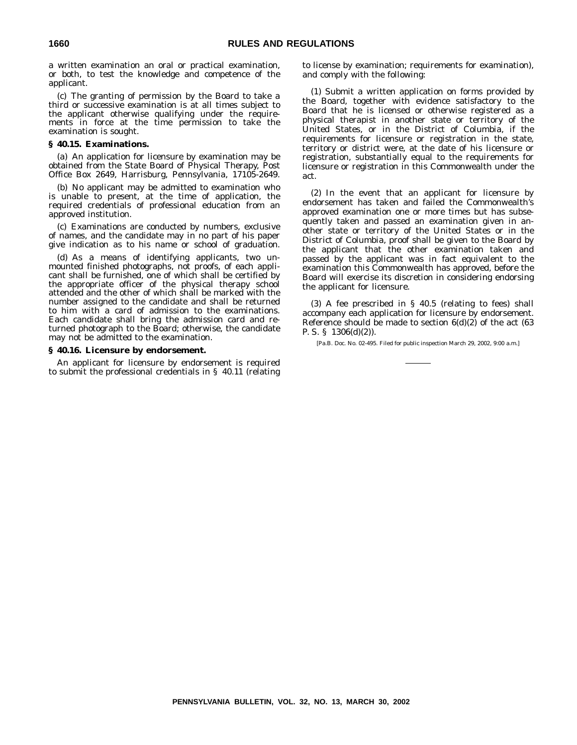a written examination an oral or practical examination, or both, to test the knowledge and competence of the applicant.

(c) The granting of permission by the Board to take a third or successive examination is at all times subject to the applicant otherwise qualifying under the requirements in force at the time permission to take the examination is sought.

#### **§ 40.15. Examinations.**

(a) An application for licensure by examination may be obtained from the State Board of Physical Therapy, Post Office Box 2649, Harrisburg, Pennsylvania, 17105-2649.

(b) No applicant may be admitted to examination who is unable to present, at the time of application, the required credentials of professional education from an approved institution.

(c) Examinations are conducted by numbers, exclusive of names, and the candidate may in no part of his paper give indication as to his name or school of graduation.

(d) As a means of identifying applicants, two unmounted finished photographs, not proofs, of each applicant shall be furnished, one of which shall be certified by the appropriate officer of the physical therapy school attended and the other of which shall be marked with the number assigned to the candidate and shall be returned to him with a card of admission to the examinations. Each candidate shall bring the admission card and returned photograph to the Board; otherwise, the candidate may not be admitted to the examination.

# **§ 40.16. Licensure by endorsement.**

An applicant for licensure by endorsement is required to submit the professional credentials in § 40.11 (relating to license by examination; requirements for examination), and comply with the following:

(1) Submit a written application on forms provided by the Board, together with evidence satisfactory to the Board that he is licensed or otherwise registered as a physical therapist in another state or territory of the United States, or in the District of Columbia, if the requirements for licensure or registration in the state, territory or district were, at the date of his licensure or registration, substantially equal to the requirements for licensure or registration in this Commonwealth under the act.

(2) In the event that an applicant for licensure by endorsement has taken and failed the Commonwealth's approved examination one or more times but has subsequently taken and passed an examination given in another state or territory of the United States or in the District of Columbia, proof shall be given to the Board by the applicant that the other examination taken and passed by the applicant was in fact equivalent to the examination this Commonwealth has approved, before the Board will exercise its discretion in considering endorsing the applicant for licensure.

(3) A fee prescribed in § 40.5 (relating to fees) shall accompany each application for licensure by endorsement. Reference should be made to section  $6(d)(2)$  of the act  $(63$ P. S. § 1306(d)(2)).

[Pa.B. Doc. No. 02-495. Filed for public inspection March 29, 2002, 9:00 a.m.]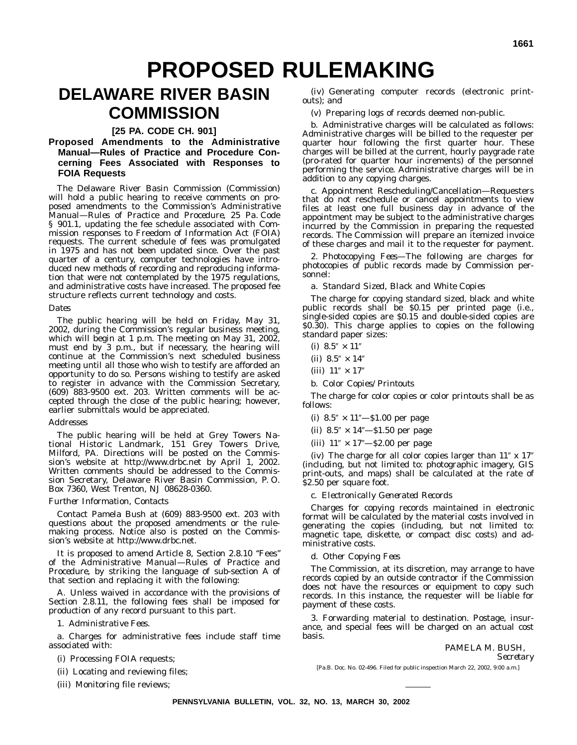# **PROPOSED RULEMAKING**

# **DELAWARE RIVER BASIN COMMISSION**

# **[25 PA. CODE CH. 901]**

# **Proposed Amendments to the Administrative Manual—Rules of Practice and Procedure Concerning Fees Associated with Responses to FOIA Requests**

The Delaware River Basin Commission (Commission) will hold a public hearing to receive comments on proposed amendments to the Commission's *Administrative Manual—Rules of Practice and Procedure*, 25 Pa. Code § 901.1, updating the fee schedule associated with Commission responses to Freedom of Information Act (FOIA) requests. The current schedule of fees was promulgated in 1975 and has not been updated since. Over the past quarter of a century, computer technologies have introduced new methods of recording and reproducing information that were not contemplated by the 1975 regulations, and administrative costs have increased. The proposed fee structure reflects current technology and costs.

# *Dates*

The public hearing will be held on Friday, May 31, 2002, during the Commission's regular business meeting, which will begin at 1 p.m. The meeting on May 31, 2002, must end by 3 p.m., but if necessary, the hearing will continue at the Commission's next scheduled business meeting until all those who wish to testify are afforded an opportunity to do so. Persons wishing to testify are asked to register in advance with the Commission Secretary, (609) 883-9500 ext. 203. Written comments will be accepted through the close of the public hearing; however, earlier submittals would be appreciated.

#### *Addresses*

The public hearing will be held at Grey Towers National Historic Landmark, 151 Grey Towers Drive, Milford, PA. Directions will be posted on the Commission's website at http://www.drbc.net by April 1, 2002. Written comments should be addressed to the Commission Secretary, Delaware River Basin Commission, P. O. Box 7360, West Trenton, NJ 08628-0360.

# *Further Information, Contacts*

Contact Pamela Bush at (609) 883-9500 ext. 203 with questions about the proposed amendments or the rulemaking process. Notice also is posted on the Commission's website at http://www.drbc.net.

It is proposed to amend Article 8, Section 2.8.10 "Fees" of the *Administrative Manual—Rules of Practice and Procedure*, by striking the language of sub-section A of that section and replacing it with the following:

A. Unless waived in accordance with the provisions of Section 2.8.11, the following fees shall be imposed for production of any record pursuant to this part.

1. *Administrative Fees*.

a. Charges for administrative fees include staff time associated with:

(i) Processing FOIA requests;

(ii) Locating and reviewing files;

(iii) Monitoring file reviews;

(iv) Generating computer records (electronic printouts); and

(v) Preparing logs of records deemed non-public.

b. Administrative charges will be calculated as follows: Administrative charges will be billed to the requester per quarter hour following the first quarter hour. These charges will be billed at the current, hourly paygrade rate (pro-rated for quarter hour increments) of the personnel performing the service. Administrative charges will be in addition to any copying charges.

c. Appointment Rescheduling/Cancellation—Requesters that do not reschedule or cancel appointments to view files at least one full business day in advance of the appointment may be subject to the administrative charges incurred by the Commission in preparing the requested records. The Commission will prepare an itemized invoice of these charges and mail it to the requester for payment.

2. *Photocopying Fees—*The following are charges for photocopies of public records made by Commission personnel:

# a. *Standard Sized, Black and White Copies*

The charge for copying standard sized, black and white public records shall be \$0.15 per printed page (i.e., single-sided copies are \$0.15 and double-sided copies are \$0.30). This charge applies to copies on the following standard paper sizes:

(i)  $8.5'' \times 11''$ 

(ii)  $8.5'' \times 14''$ 

(iii)  $11'' \times 17''$ 

b. *Color Copies/Printouts*

The charge for color copies or color printouts shall be as follows:

- (i)  $8.5'' \times 11'' $1.00$  per page
- (ii)  $8.5'' \times 14'' $1.50$  per page
- (iii)  $11'' \times 17'' $2.00$  per page

(iv) The charge for all color copies larger than  $11''$  x  $17''$ (including, but not limited to: photographic imagery, GIS print-outs, and maps) shall be calculated at the rate of \$2.50 per square foot.

c. *Electronically Generated Records*

Charges for copying records maintained in electronic format will be calculated by the material costs involved in generating the copies (including, but not limited to: magnetic tape, diskette, or compact disc costs) and administrative costs.

d. *Other Copying Fees*

The Commission, at its discretion, may arrange to have records copied by an outside contractor if the Commission does not have the resources or equipment to copy such records. In this instance, the requester will be liable for payment of these costs.

3. Forwarding material to destination. Postage, insurance, and special fees will be charged on an actual cost basis.

> PAMELA M. BUSH, *Secretary*

[Pa.B. Doc. No. 02-496. Filed for public inspection March 22, 2002, 9:00 a.m.]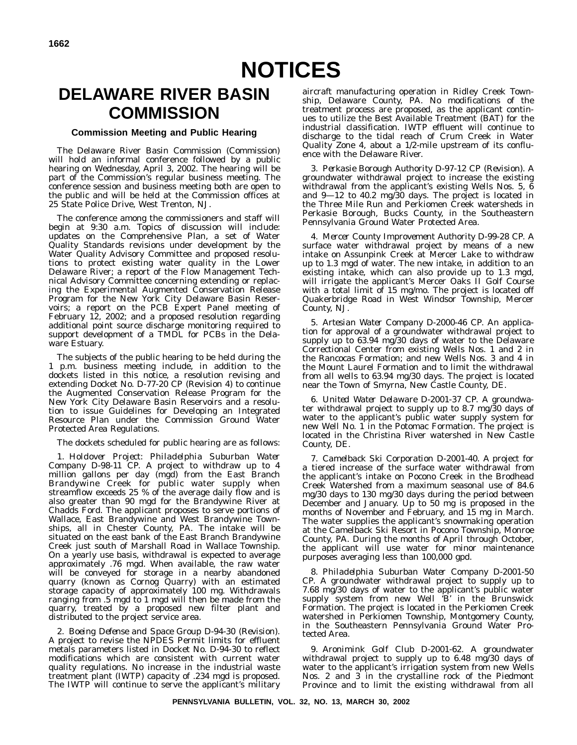# **DELAWARE RIVER BASIN COMMISSION**

# **Commission Meeting and Public Hearing**

The Delaware River Basin Commission (Commission) will hold an informal conference followed by a public hearing on Wednesday, April 3, 2002. The hearing will be part of the Commission's regular business meeting. The conference session and business meeting both are open to the public and will be held at the Commission offices at 25 State Police Drive, West Trenton, NJ.

The conference among the commissioners and staff will begin at 9:30 a.m. Topics of discussion will include: updates on the Comprehensive Plan, a set of Water Quality Standards revisions under development by the Water Quality Advisory Committee and proposed resolutions to protect existing water quality in the Lower Delaware River; a report of the Flow Management Technical Advisory Committee concerning extending or replacing the Experimental Augmented Conservation Release Program for the New York City Delaware Basin Reservoirs; a report on the PCB Expert Panel meeting of February 12, 2002; and a proposed resolution regarding additional point source discharge monitoring required to support development of a TMDL for PCBs in the Delaware Estuary.

The subjects of the public hearing to be held during the 1 p.m. business meeting include, in addition to the dockets listed in this notice, a resolution revising and extending Docket No. D-77-20 CP (Revision 4) to continue the Augmented Conservation Release Program for the New York City Delaware Basin Reservoirs and a resolution to issue Guidelines for Developing an Integrated Resource Plan under the Commission Ground Water Protected Area Regulations.

The dockets scheduled for public hearing are as follows:

1. *Holdover Project: Philadelphia Suburban Water Company D-98-11 CP.* A project to withdraw up to 4 million gallons per day (mgd) from the East Branch Brandywine Creek for public water supply when streamflow exceeds 25 % of the average daily flow and is also greater than 90 mgd for the Brandywine River at Chadds Ford. The applicant proposes to serve portions of Wallace, East Brandywine and West Brandywine Townships, all in Chester County, PA. The intake will be situated on the east bank of the East Branch Brandywine Creek just south of Marshall Road in Wallace Township. On a yearly use basis, withdrawal is expected to average approximately .76 mgd. When available, the raw water will be conveyed for storage in a nearby abandoned quarry (known as Cornog Quarry) with an estimated storage capacity of approximately 100 mg. Withdrawals ranging from .5 mgd to 1 mgd will then be made from the quarry, treated by a proposed new filter plant and distributed to the project service area.

2. *Boeing Defense and Space Group D-94-30 (Revision).* A project to revise the NPDES Permit limits for effluent metals parameters listed in Docket No. D-94-30 to reflect modifications which are consistent with current water quality regulations. No increase in the industrial waste treatment plant (IWTP) capacity of .234 mgd is proposed. The IWTP will continue to serve the applicant's military

aircraft manufacturing operation in Ridley Creek Township, Delaware County, PA. No modifications of the treatment process are proposed, as the applicant continues to utilize the Best Available Treatment (BAT) for the industrial classification. IWTP effluent will continue to discharge to the tidal reach of Crum Creek in Water Quality Zone 4, about a 1/2-mile upstream of its confluence with the Delaware River.

3. *Perkasie Borough Authority D-97-12 CP (Revision).* A groundwater withdrawal project to increase the existing withdrawal from the applicant's existing Wells Nos. 5,  $\overline{6}$ and 9—12 to 40.2 mg/30 days. The project is located in the Three Mile Run and Perkiomen Creek watersheds in Perkasie Borough, Bucks County, in the Southeastern Pennsylvania Ground Water Protected Area.

4. *Mercer County Improvement Authority D-99-28 CP.* A surface water withdrawal project by means of a new intake on Assunpink Creek at Mercer Lake to withdraw up to 1.3 mgd of water. The new intake, in addition to an existing intake, which can also provide up to 1.3 mgd, will irrigate the applicant's Mercer Oaks II Golf Course with a total limit of 15 mg/mo. The project is located off Quakerbridge Road in West Windsor Township, Mercer County, NJ.

5. *Artesian Water Company D-2000-46 CP.* An application for approval of a groundwater withdrawal project to supply up to 63.94 mg/30 days of water to the Delaware Correctional Center from existing Wells Nos. 1 and 2 in the Rancocas Formation; and new Wells Nos. 3 and 4 in the Mount Laurel Formation and to limit the withdrawal from all wells to 63.94 mg/30 days. The project is located near the Town of Smyrna, New Castle County, DE.

6. *United Water Delaware D-2001-37 CP.* A groundwater withdrawal project to supply up to 8.7 mg/30 days of water to the applicant's public water supply system for new Well No. 1 in the Potomac Formation. The project is located in the Christina River watershed in New Castle County, DE.

7. *Camelback Ski Corporation D-2001-40.* A project for a tiered increase of the surface water withdrawal from the applicant's intake on Pocono Creek in the Brodhead Creek Watershed from a maximum seasonal use of 84.6 mg/30 days to 130 mg/30 days during the period between December and January. Up to 50 mg is proposed in the months of November and February, and 15 mg in March. The water supplies the applicant's snowmaking operation at the Camelback Ski Resort in Pocono Township, Monroe County, PA. During the months of April through October, the applicant will use water for minor maintenance purposes averaging less than 100,000 gpd.

8. *Philadelphia Suburban Water Company D-2001-50 CP.* A groundwater withdrawal project to supply up to 7.68 mg/30 days of water to the applicant's public water supply system from new Well 'B' in the Brunswick Formation. The project is located in the Perkiomen Creek watershed in Perkiomen Township, Montgomery County, in the Southeastern Pennsylvania Ground Water Protected Area.

9. *Aronimink Golf Club D-2001-62.* A groundwater withdrawal project to supply up to 6.48 mg/30 days of water to the applicant's irrigation system from new Wells Nos. 2 and 3 in the crystalline rock of the Piedmont Province and to limit the existing withdrawal from all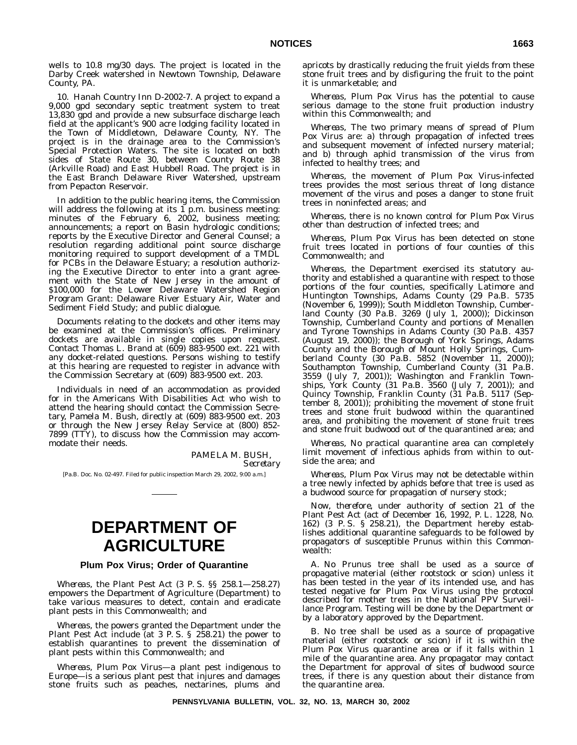wells to 10.8 mg/30 days. The project is located in the Darby Creek watershed in Newtown Township, Delaware County, PA.

10. *Hanah Country Inn D-2002-7.* A project to expand a 9,000 gpd secondary septic treatment system to treat 13,830 gpd and provide a new subsurface discharge leach field at the applicant's 900 acre lodging facility located in the Town of Middletown, Delaware County, NY. The project is in the drainage area to the Commission's Special Protection Waters. The site is located on both sides of State Route 30, between County Route 38 (Arkville Road) and East Hubbell Road. The project is in the East Branch Delaware River Watershed, upstream from Pepacton Reservoir.

In addition to the public hearing items, the Commission will address the following at its  $\overline{1}$  p.m. business meeting: minutes of the February 6, 2002, business meeting; announcements; a report on Basin hydrologic conditions; reports by the Executive Director and General Counsel; a resolution regarding additional point source discharge monitoring required to support development of a TMDL for PCBs in the Delaware Estuary; a resolution authorizing the Executive Director to enter into a grant agreement with the State of New Jersey in the amount of \$100,000 for the Lower Delaware Watershed Region Program Grant: Delaware River Estuary Air, Water and Sediment Field Study; and public dialogue.

Documents relating to the dockets and other items may be examined at the Commission's offices. Preliminary dockets are available in single copies upon request. Contact Thomas L. Brand at (609) 883-9500 ext. 221 with any docket-related questions. Persons wishing to testify at this hearing are requested to register in advance with the Commission Secretary at (609) 883-9500 ext. 203.

Individuals in need of an accommodation as provided for in the Americans With Disabilities Act who wish to attend the hearing should contact the Commission Secretary, Pamela M. Bush, directly at (609) 883-9500 ext. 203 or through the New Jersey Relay Service at (800) 852- 7899 (TTY), to discuss how the Commission may accommodate their needs.

> PAMELA M. BUSH, *Secretary*

[Pa.B. Doc. No. 02-497. Filed for public inspection March 29, 2002, 9:00 a.m.]

# **DEPARTMENT OF AGRICULTURE**

### **Plum Pox Virus; Order of Quarantine**

*Whereas*, the Plant Pest Act (3 P. S. §§ 258.1—258.27) empowers the Department of Agriculture (Department) to take various measures to detect, contain and eradicate plant pests in this Commonwealth; and

*Whereas*, the powers granted the Department under the Plant Pest Act include (at 3 P. S. § 258.21) the power to establish quarantines to prevent the dissemination of plant pests within this Commonwealth; and

*Whereas*, Plum Pox Virus—a plant pest indigenous to Europe—is a serious plant pest that injures and damages stone fruits such as peaches, nectarines, plums and apricots by drastically reducing the fruit yields from these stone fruit trees and by disfiguring the fruit to the point it is unmarketable; and

*Whereas*, Plum Pox Virus has the potential to cause serious damage to the stone fruit production industry within this Commonwealth; and

*Whereas*, The two primary means of spread of Plum Pox Virus are: a) through propagation of infected trees and subsequent movement of infected nursery material; and b) through aphid transmission of the virus from infected to healthy trees; and

*Whereas*, the movement of Plum Pox Virus-infected trees provides the most serious threat of long distance movement of the virus and poses a danger to stone fruit trees in noninfected areas; and

*Whereas*, there is no known control for Plum Pox Virus other than destruction of infected trees; and

*Whereas*, Plum Pox Virus has been detected on stone fruit trees located in portions of four counties of this Commonwealth; and

*Whereas*, the Department exercised its statutory authority and established a quarantine with respect to those portions of the four counties, specifically Latimore and Huntington Townships, Adams County (29 Pa.B. 5735 (November 6, 1999)); South Middleton Township, Cumberland County (30 Pa.B. 3269 (July 1, 2000)); Dickinson Township, Cumberland County and portions of Menallen and Tyrone Townships in Adams County (30 Pa.B. 4357 (August 19, 2000)); the Borough of York Springs, Adams County and the Borough of Mount Holly Springs, Cumberland County (30 Pa.B. 5852 (November 11, 2000)); Southampton Township, Cumberland County (31 Pa.B. 3559 (July 7, 2001)); Washington and Franklin Townships, York County (31 Pa.B. 3560 (July 7, 2001)); and Quincy Township, Franklin County (31 Pa.B. 5117 (September 8, 2001)); prohibiting the movement of stone fruit trees and stone fruit budwood within the quarantined area, and prohibiting the movement of stone fruit trees and stone fruit budwood out of the quarantined area; and

*Whereas*, No practical quarantine area can completely limit movement of infectious aphids from within to outside the area; and

*Whereas*, Plum Pox Virus may not be detectable within a tree newly infected by aphids before that tree is used as a budwood source for propagation of nursery stock;

*Now*, *therefore*, under authority of section 21 of the Plant Pest Act (act of December 16, 1992, P. L. 1228, No. 162) (3 P. S. § 258.21), the Department hereby establishes additional quarantine safeguards to be followed by propagators of susceptible Prunus within this Commonwealth:

A. No Prunus tree shall be used as a source of propagative material (either rootstock or scion) unless it has been tested in the year of its intended use, and has tested negative for Plum Pox Virus using the protocol described for mother trees in the National PPV Surveillance Program. Testing will be done by the Department or by a laboratory approved by the Department.

B. No tree shall be used as a source of propagative material (either rootstock or scion) if it is within the Plum Pox Virus quarantine area or if it falls within 1 mile of the quarantine area. Any propagator may contact the Department for approval of sites of budwood source trees, if there is any question about their distance from the quarantine area.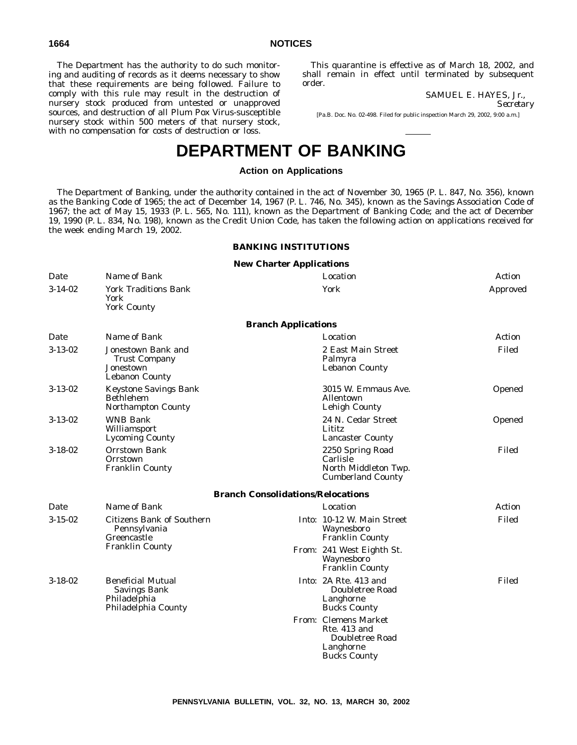The Department has the authority to do such monitoring and auditing of records as it deems necessary to show that these requirements are being followed. Failure to comply with this rule may result in the destruction of nursery stock produced from untested or unapproved sources, and destruction of all Plum Pox Virus-susceptible nursery stock within 500 meters of that nursery stock, with no compensation for costs of destruction or loss.

This quarantine is effective as of March 18, 2002, and shall remain in effect until terminated by subsequent order.

> SAMUEL E. HAYES, Jr., *Secretary*

[Pa.B. Doc. No. 02-498. Filed for public inspection March 29, 2002, 9:00 a.m.]

# **DEPARTMENT OF BANKING**

# **Action on Applications**

The Department of Banking, under the authority contained in the act of November 30, 1965 (P. L. 847, No. 356), known as the Banking Code of 1965; the act of December 14, 1967 (P. L. 746, No. 345), known as the Savings Association Code of 1967; the act of May 15, 1933 (P. L. 565, No. 111), known as the Department of Banking Code; and the act of December 19, 1990 (P. L. 834, No. 198), known as the Credit Union Code, has taken the following action on applications received for the week ending March 19, 2002.

# **BANKING INSTITUTIONS**

# **New Charter Applications**

| Date          | Name of Bank                                                                           |                                          | Location                                                                                    | Action   |
|---------------|----------------------------------------------------------------------------------------|------------------------------------------|---------------------------------------------------------------------------------------------|----------|
| $3 - 14 - 02$ | <b>York Traditions Bank</b><br>York<br><b>York County</b>                              |                                          | York                                                                                        | Approved |
|               |                                                                                        | <b>Branch Applications</b>               |                                                                                             |          |
| Date          | Name of Bank                                                                           |                                          | Location                                                                                    | Action   |
| $3 - 13 - 02$ | Jonestown Bank and<br><b>Trust Company</b><br>Jonestown<br><b>Lebanon County</b>       |                                          | 2 East Main Street<br>Palmyra<br><b>Lebanon County</b>                                      | Filed    |
| $3 - 13 - 02$ | <b>Keystone Savings Bank</b><br><b>Bethlehem</b><br>Northampton County                 |                                          | 3015 W. Emmaus Ave.<br><b>Allentown</b><br><b>Lehigh County</b>                             | Opened   |
| $3 - 13 - 02$ | <b>WNB Bank</b><br>Williamsport<br><b>Lycoming County</b>                              |                                          | 24 N. Cedar Street<br>Lititz<br><b>Lancaster County</b>                                     | Opened   |
| $3 - 18 - 02$ | <b>Orrstown Bank</b><br>Orrstown<br><b>Franklin County</b>                             |                                          | 2250 Spring Road<br>Carlisle<br>North Middleton Twp.<br><b>Cumberland County</b>            | Filed    |
|               |                                                                                        | <b>Branch Consolidations/Relocations</b> |                                                                                             |          |
| Date          | Name of Bank                                                                           |                                          | Location                                                                                    | Action   |
| $3-15-02$     | <b>Citizens Bank of Southern</b><br>Pennsylvania<br>Greencastle                        |                                          | Into: 10-12 W. Main Street<br>Waynesboro<br><b>Franklin County</b>                          | Filed    |
|               | <b>Franklin County</b>                                                                 |                                          | From: 241 West Eighth St.<br>Waynesboro<br><b>Franklin County</b>                           |          |
| $3 - 18 - 02$ | <b>Beneficial Mutual</b><br><b>Savings Bank</b><br>Philadelphia<br>Philadelphia County |                                          | Into: 2A Rte. 413 and<br>Doubletree Road<br>Langhorne<br><b>Bucks County</b>                | Filed    |
|               |                                                                                        |                                          | From: Clemens Market<br>Rte. 413 and<br>Doubletree Road<br>Langhorne<br><b>Bucks County</b> |          |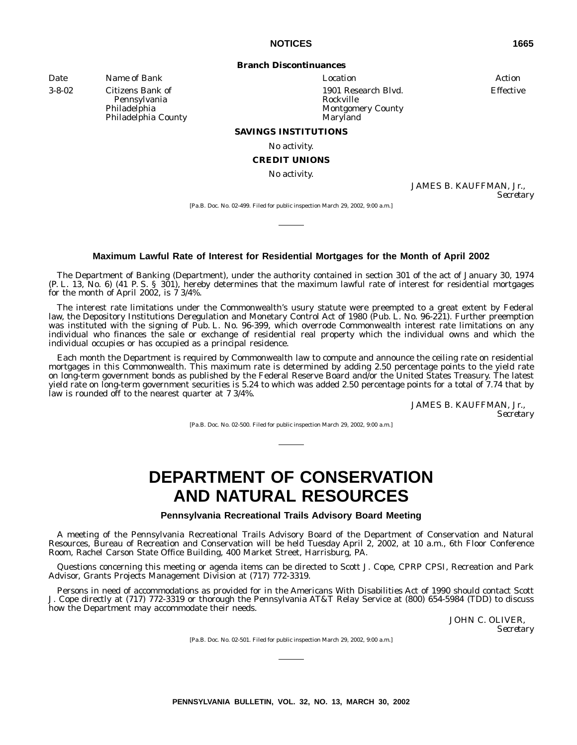# **Branch Discontinuances**

*Date Name of Bank Location Action*

3-8-02 Citizens Bank of Pennsylvania Philadelphia Philadelphia County 1901 Research Blvd. Rockville Montgomery County Maryland

Effective

#### **SAVINGS INSTITUTIONS**

No activity.

# **CREDIT UNIONS**

No activity.

JAMES B. KAUFFMAN, Jr., *Secretary*

[Pa.B. Doc. No. 02-499. Filed for public inspection March 29, 2002, 9:00 a.m.]

# **Maximum Lawful Rate of Interest for Residential Mortgages for the Month of April 2002**

The Department of Banking (Department), under the authority contained in section 301 of the act of January 30, 1974 (P. L. 13, No. 6) (41 P. S. § 301), hereby determines that the maximum lawful rate of interest for residential mortgages for the month of April 2002, is 7 3/4%.

The interest rate limitations under the Commonwealth's usury statute were preempted to a great extent by Federal law, the Depository Institutions Deregulation and Monetary Control Act of 1980 (Pub. L. No. 96-221). Further preemption was instituted with the signing of Pub. L. No. 96-399, which overrode Commonwealth interest rate limitations on any individual who finances the sale or exchange of residential real property which the individual owns and which the individual occupies or has occupied as a principal residence.

Each month the Department is required by Commonwealth law to compute and announce the ceiling rate on residential mortgages in this Commonwealth. This maximum rate is determined by adding 2.50 percentage points to the yield rate on long-term government bonds as published by the Federal Reserve Board and/or the United States Treasury. The latest yield rate on long-term government securities is 5.24 to which was added 2.50 percentage points for a total of 7.74 that by law is rounded off to the nearest quarter at 7 3/4%.

> JAMES B. KAUFFMAN, Jr., *Secretary*

[Pa.B. Doc. No. 02-500. Filed for public inspection March 29, 2002, 9:00 a.m.]

# **DEPARTMENT OF CONSERVATION AND NATURAL RESOURCES**

**Pennsylvania Recreational Trails Advisory Board Meeting**

A meeting of the Pennsylvania Recreational Trails Advisory Board of the Department of Conservation and Natural Resources, Bureau of Recreation and Conservation will be held Tuesday April 2, 2002, at 10 a.m., 6th Floor Conference Room, Rachel Carson State Office Building, 400 Market Street, Harrisburg, PA.

Questions concerning this meeting or agenda items can be directed to Scott J. Cope, CPRP CPSI, Recreation and Park Advisor, Grants Projects Management Division at (717) 772-3319.

Persons in need of accommodations as provided for in the Americans With Disabilities Act of 1990 should contact Scott J. Cope directly at (717) 772-3319 or thorough the Pennsylvania AT&T Relay Service at (800) 654-5984 (TDD) to discuss how the Department may accommodate their needs.

> JOHN C. OLIVER, *Secretary*

[Pa.B. Doc. No. 02-501. Filed for public inspection March 29, 2002, 9:00 a.m.]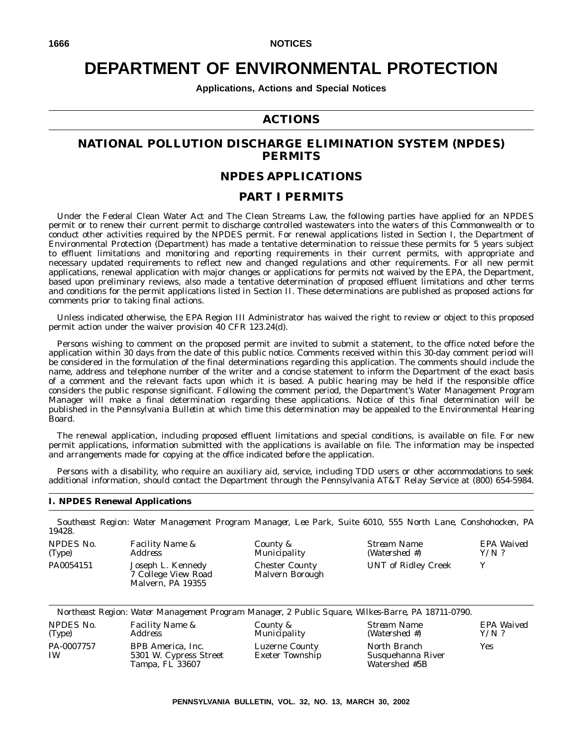# **DEPARTMENT OF ENVIRONMENTAL PROTECTION**

**Applications, Actions and Special Notices**

# **ACTIONS**

# **NATIONAL POLLUTION DISCHARGE ELIMINATION SYSTEM (NPDES) PERMITS**

# **NPDES APPLICATIONS**

# **PART I PERMITS**

Under the Federal Clean Water Act and The Clean Streams Law, the following parties have applied for an NPDES permit or to renew their current permit to discharge controlled wastewaters into the waters of this Commonwealth or to conduct other activities required by the NPDES permit. For renewal applications listed in Section I, the Department of Environmental Protection (Department) has made a tentative determination to reissue these permits for 5 years subject to effluent limitations and monitoring and reporting requirements in their current permits, with appropriate and necessary updated requirements to reflect new and changed regulations and other requirements. For all new permit applications, renewal application with major changes or applications for permits not waived by the EPA, the Department, based upon preliminary reviews, also made a tentative determination of proposed effluent limitations and other terms and conditions for the permit applications listed in Section II. These determinations are published as proposed actions for comments prior to taking final actions.

Unless indicated otherwise, the EPA Region III Administrator has waived the right to review or object to this proposed permit action under the waiver provision 40 CFR 123.24(d).

Persons wishing to comment on the proposed permit are invited to submit a statement, to the office noted before the application within 30 days from the date of this public notice. Comments received within this 30-day comment period will be considered in the formulation of the final determinations regarding this application. The comments should include the name, address and telephone number of the writer and a concise statement to inform the Department of the exact basis of a comment and the relevant facts upon which it is based. A public hearing may be held if the responsible office considers the public response significant. Following the comment period, the Department's Water Management Program Manager will make a final determination regarding these applications. Notice of this final determination will be published in the *Pennsylvania Bulletin* at which time this determination may be appealed to the Environmental Hearing Board.

The renewal application, including proposed effluent limitations and special conditions, is available on file. For new permit applications, information submitted with the applications is available on file. The information may be inspected and arrangements made for copying at the office indicated before the application.

Persons with a disability, who require an auxiliary aid, service, including TDD users or other accommodations to seek additional information, should contact the Department through the Pennsylvania AT&T Relay Service at (800) 654-5984.

# **I. NPDES Renewal Applications**

*Southeast Region: Water Management Program Manager, Lee Park, Suite 6010, 555 North Lane, Conshohocken, PA 19428. NPDES No. Facility Name & County &*

| (Type)    | <b>Address</b>                                                |
|-----------|---------------------------------------------------------------|
| PA0054151 | Joseph L. Kennedy<br>7 College View Road<br>Malvern, PA 19355 |

*Municipality* Chester County Malvern Borough *Stream Name (Watershed #)* UNT of Ridley Creek Y

*EPA Waived Y/N ?*

|  | Northeast Region: Water Management Program Manager, 2 Public Square, Wilkes-Barre, PA 18711-0790. |  |  |  |  |
|--|---------------------------------------------------------------------------------------------------|--|--|--|--|
|  |                                                                                                   |  |  |  |  |

*County & Municipality*

*NPDES No. (Type) Facility Name & Address* PA-0007757 IW BPB America, Inc. 5301 W. Cypress Street Tampa, FL 33607

*Stream Name (Watershed #)* North Branch Susquehanna River Watershed #5B

*EPA Waived Y/N ?* Yes

Luzerne County Exeter Township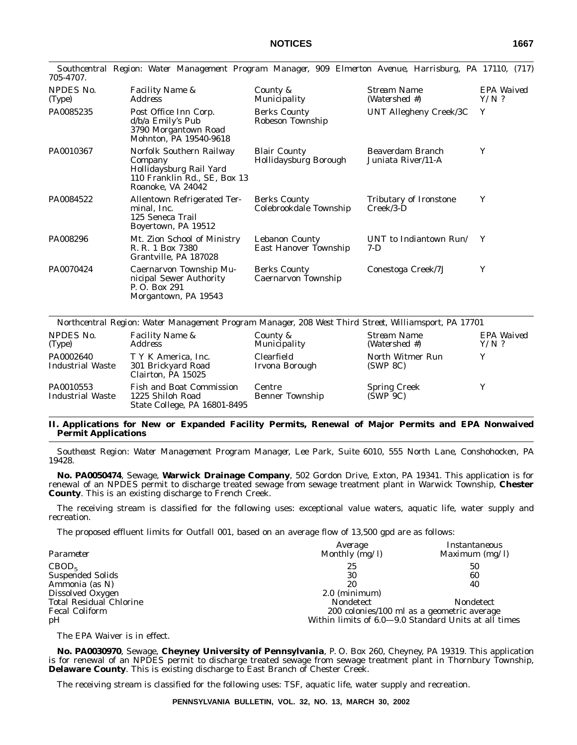| 705-4707.                  | $\sigma$                                                                                                            |                                               |                                              |                       |
|----------------------------|---------------------------------------------------------------------------------------------------------------------|-----------------------------------------------|----------------------------------------------|-----------------------|
| <b>NPDES No.</b><br>(Type) | <i>Facility Name &amp;</i><br>Address                                                                               | County &<br><i>Municipality</i>               | Stream Name<br>(Watershed #)                 | EPA Waived<br>$Y/N$ ? |
| PA0085235                  | Post Office Inn Corp.<br>d/b/a Emily's Pub<br>3790 Morgantown Road<br>Mohnton, PA 19540-9618                        | <b>Berks County</b><br>Robeson Township       | UNT Allegheny Creek/3C                       | Y                     |
| PA0010367                  | Norfolk Southern Railway<br>Company<br>Hollidaysburg Rail Yard<br>110 Franklin Rd., SE, Box 13<br>Roanoke, VA 24042 | <b>Blair County</b><br>Hollidaysburg Borough  | Beaverdam Branch<br>Juniata River/11-A       | Y                     |
| PA0084522                  | Allentown Refrigerated Ter-<br>minal, Inc.<br>125 Seneca Trail<br>Boyertown, PA 19512                               | <b>Berks County</b><br>Colebrookdale Township | <b>Tributary of Ironstone</b><br>$Creek/3-D$ | Y                     |
| PA008296                   | Mt. Zion School of Ministry<br>R. R. 1 Box 7380<br>Grantville, PA 187028                                            | Lebanon County<br>East Hanover Township       | UNT to Indiantown Run/<br>$7-D$              | Y                     |
| PA0070424                  | Caernarvon Township Mu-<br>nicipal Sewer Authority<br>P.O. Box 291<br>Morgantown, PA 19543                          | <b>Berks County</b><br>Caernarvon Township    | Conestoga Creek/7J                           | Y                     |

*Southcentral Region: Water Management Program Manager, 909 Elmerton Avenue, Harrisburg, PA 17110, (717)*

| Northcentral Region: Water Management Program Manager, 208 West Third Street, Williamsport, PA 17701 |                                                                                     |                                  |                                 |                       |  |  |
|------------------------------------------------------------------------------------------------------|-------------------------------------------------------------------------------------|----------------------------------|---------------------------------|-----------------------|--|--|
| NPDES No.<br>(Type)                                                                                  | <b>Facility Name &amp;</b><br><i>Address</i>                                        | County &<br>Municipality         | Stream Name<br>(Watershed #)    | EPA Waived<br>$Y/N$ ? |  |  |
| PA0002640<br><b>Industrial Waste</b>                                                                 | T Y K America, Inc.<br>301 Brickyard Road<br>Clairton, PA 15025                     | Clearfield<br>Irvona Borough     | North Witmer Run<br>(SWP 8C)    | Y                     |  |  |
| PA0010553<br><b>Industrial Waste</b>                                                                 | <b>Fish and Boat Commission</b><br>1225 Shiloh Road<br>State College, PA 16801-8495 | Centre<br><b>Benner Township</b> | <b>Spring Creek</b><br>(SWP 9C) |                       |  |  |

# **II. Applications for New or Expanded Facility Permits, Renewal of Major Permits and EPA Nonwaived Permit Applications**

*Southeast Region: Water Management Program Manager, Lee Park, Suite 6010, 555 North Lane, Conshohocken, PA 19428.*

**No. PA0050474**, Sewage, **Warwick Drainage Company**, 502 Gordon Drive, Exton, PA 19341. This application is for renewal of an NPDES permit to discharge treated sewage from sewage treatment plant in Warwick Township, **Chester County**. This is an existing discharge to French Creek.

The receiving stream is classified for the following uses: exceptional value waters, aquatic life, water supply and recreation.

The proposed effluent limits for Outfall 001, based on an average flow of 13,500 gpd are as follows:

| Parameter                      | Average<br>Monthly (mg/l) | Instantaneous<br>Maximum $(mg/l)$                    |
|--------------------------------|---------------------------|------------------------------------------------------|
| CBOD <sub>5</sub>              | 25                        | 50                                                   |
| <b>Suspended Solids</b>        | 30                        | 60                                                   |
| Ammonia (as N)                 | 20                        | 40                                                   |
| Dissolved Oxygen               | $2.0$ (minimum)           |                                                      |
| <b>Total Residual Chlorine</b> | <b>Nondetect</b>          | <b>Nondetect</b>                                     |
| <b>Fecal Coliform</b>          |                           | 200 colonies/100 ml as a geometric average           |
| pH                             |                           | Within limits of 6.0–9.0 Standard Units at all times |

The EPA Waiver is in effect.

**No. PA0030970**, Sewage, **Cheyney University of Pennsylvania**, P. O. Box 260, Cheyney, PA 19319. This application is for renewal of an NPDES permit to discharge treated sewage from sewage treatment plant in Thornbury Township, **Delaware County**. This is existing discharge to East Branch of Chester Creek.

The receiving stream is classified for the following uses: TSF, aquatic life, water supply and recreation.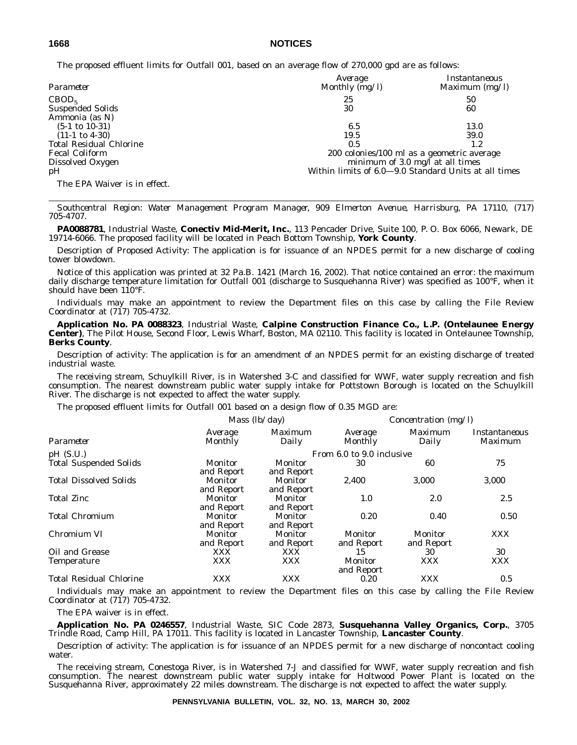The proposed effluent limits for Outfall 001, based on an average flow of 270,000 gpd are as follows:

| Parameter                      | Average<br>Monthly $(mg/l)$ | Instantaneous<br>Maximum $(mg/l)$                    |
|--------------------------------|-----------------------------|------------------------------------------------------|
| CBOD <sub>5</sub>              | 25                          | 50                                                   |
| <b>Suspended Solids</b>        | 30                          | 60                                                   |
| Ammonia (as N)                 |                             |                                                      |
| $(5-1 \text{ to } 10-31)$      | 6.5                         | 13.0                                                 |
| $(11-1 \text{ to } 4-30)$      | 19.5                        | 39.0                                                 |
| <b>Total Residual Chlorine</b> | 0.5                         | 1.2                                                  |
| <b>Fecal Coliform</b>          |                             | 200 colonies/100 ml as a geometric average           |
| Dissolved Oxygen               |                             | minimum of 3.0 mg/ $\overline{I}$ at all times       |
| pH                             |                             | Within limits of 6.0-9.0 Standard Units at all times |
| The EPA Waiver is in effect.   |                             |                                                      |

*Southcentral Region: Water Management Program Manager, 909 Elmerton Avenue, Harrisburg, PA 17110, (717) 705-4707.*

**PA0088781**, Industrial Waste, **Conectiv Mid-Merit, Inc.**, 113 Pencader Drive, Suite 100, P. O. Box 6066, Newark, DE 19714-6066. The proposed facility will be located in Peach Bottom Township, **York County**.

Description of Proposed Activity: The application is for issuance of an NPDES permit for a new discharge of cooling tower blowdown.

Notice of this application was printed at 32 Pa.B. 1421 (March 16, 2002). That notice contained an error: the maximum daily discharge temperature limitation for Outfall 001 (discharge to Susquehanna River) was specified as 100°F, when it should have been 110°F.

Individuals may make an appointment to review the Department files on this case by calling the File Review Coordinator at (717) 705-4732.

**Application No. PA 0088323**, Industrial Waste, **Calpine Construction Finance Co., L.P. (Ontelaunee Energy Center)**, The Pilot House, Second Floor, Lewis Wharf, Boston, MA 02110. This facility is located in Ontelaunee Township, **Berks County**.

Description of activity: The application is for an amendment of an NPDES permit for an existing discharge of treated industrial waste.

The receiving stream, Schuylkill River, is in Watershed 3-C and classified for WWF, water supply recreation and fish consumption. The nearest downstream public water supply intake for Pottstown Borough is located on the Schuylkill River. The discharge is not expected to affect the water supply.

The proposed effluent limits for Outfall 001 based on a design flow of 0.35 MGD are:

|                                | Mass $(lb/day)$              |                       | Concentration (mg/l)      |                              |                          |
|--------------------------------|------------------------------|-----------------------|---------------------------|------------------------------|--------------------------|
| Parameter                      | Average<br><b>Monthly</b>    | Maximum<br>Daily      | Average<br>Monthly        | Maximum<br>Daily             | Instantaneous<br>Maximum |
| pH(S.U.)                       |                              |                       | From 6.0 to 9.0 inclusive |                              |                          |
| <b>Total Suspended Solids</b>  | Monitor<br>and Report        | Monitor<br>and Report | 30                        | 60                           | 75                       |
| <b>Total Dissolved Solids</b>  | <b>Monitor</b><br>and Report | Monitor<br>and Report | 2.400                     | 3.000                        | 3,000                    |
| <b>Total Zinc</b>              | <b>Monitor</b><br>and Report | Monitor<br>and Report | 1.0                       | 2.0                          | 2.5                      |
| <b>Total Chromium</b>          | Monitor<br>and Report        | Monitor<br>and Report | 0.20                      | 0.40                         | 0.50                     |
| Chromium VI                    | Monitor<br>and Report        | Monitor<br>and Report | Monitor<br>and Report     | <b>Monitor</b><br>and Report | <b>XXX</b>               |
| Oil and Grease                 | XXX                          | <b>XXX</b>            | 15                        | 30                           | 30                       |
| <b>Temperature</b>             | XXX                          | <b>XXX</b>            | Monitor<br>and Report     | <b>XXX</b>                   | <b>XXX</b>               |
| <b>Total Residual Chlorine</b> | XXX                          | <b>XXX</b>            | 0.20                      | <b>XXX</b>                   | 0.5                      |

Individuals may make an appointment to review the Department files on this case by calling the File Review Coordinator at (717) 705-4732.

The EPA waiver is in effect.

**Application No. PA 0246557**, Industrial Waste, SIC Code 2873, **Susquehanna Valley Organics, Corp.**, 3705 Trindle Road, Camp Hill, PA 17011. This facility is located in Lancaster Township, **Lancaster County**.

Description of activity: The application is for issuance of an NPDES permit for a new discharge of noncontact cooling water.

The receiving stream, Conestoga River, is in Watershed 7-J and classified for WWF, water supply recreation and fish consumption. The nearest downstream public water supply intake for Holtwood Power Plant is located on the Susquehanna River, approximately 22 miles downstream. The discharge is not expected to affect the water supply.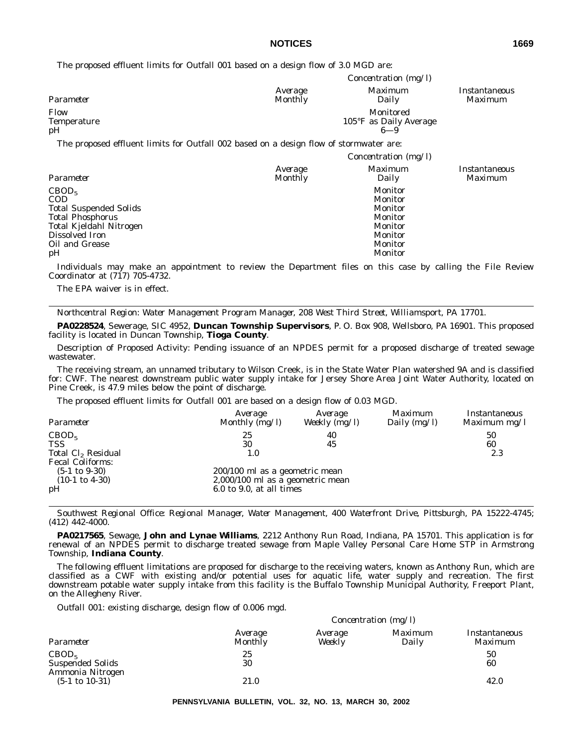The proposed effluent limits for Outfall 001 based on a design flow of 3.0 MGD are:

|                           | <i>Concentration</i> ( $mg/l$ ) |                                                          |                                 |  |  |
|---------------------------|---------------------------------|----------------------------------------------------------|---------------------------------|--|--|
| Parameter                 | Average<br>Monthly              | <i>Maximum</i><br>Daily                                  | Instantaneous<br><i>Maximum</i> |  |  |
| Flow<br>Temperature<br>pН |                                 | Monitored<br>$105^{\circ}$ F as Daily Average<br>$6 - 9$ |                                 |  |  |
| $\sim$<br>$\sim$          | $\sim$ $\sim$ $\sim$ $\sim$     |                                                          |                                 |  |  |

The proposed effluent limits for Outfall 002 based on a design flow of stormwater are:

|                                                                                                                                                                  |                           | <i>Concentration</i> ( $mg/l$ )                                                                                  |                                        |
|------------------------------------------------------------------------------------------------------------------------------------------------------------------|---------------------------|------------------------------------------------------------------------------------------------------------------|----------------------------------------|
| Parameter                                                                                                                                                        | Average<br><b>Monthly</b> | Maximum<br>Daily                                                                                                 | <i>Instantaneous</i><br><i>Maximum</i> |
| CBOD <sub>5</sub><br><b>COD</b><br><b>Total Suspended Solids</b><br><b>Total Phosphorus</b><br>Total Kjeldahl Nitrogen<br>Dissolved Iron<br>Oil and Grease<br>pH |                           | <b>Monitor</b><br><b>Monitor</b><br>Monitor<br>Monitor<br><b>Monitor</b><br><b>Monitor</b><br>Monitor<br>Monitor |                                        |

Individuals may make an appointment to review the Department files on this case by calling the File Review Coordinator at (717) 705-4732.

The EPA waiver is in effect.

*Northcentral Region: Water Management Program Manager, 208 West Third Street, Williamsport, PA 17701.*

**PA0228524**, Sewerage, SIC 4952, **Duncan Township Supervisors**, P. O. Box 908, Wellsboro, PA 16901. This proposed facility is located in Duncan Township, **Tioga County**.

Description of Proposed Activity: Pending issuance of an NPDES permit for a proposed discharge of treated sewage wastewater.

The receiving stream, an unnamed tributary to Wilson Creek, is in the State Water Plan watershed 9A and is classified for: CWF. The nearest downstream public water supply intake for Jersey Shore Area Joint Water Authority, located on Pine Creek, is 47.9 miles below the point of discharge.

The proposed effluent limits for Outfall 001 are based on a design flow of 0.03 MGD.

| Parameter                      | Average<br>Monthly $(mg/l)$      | Average<br>Weekly $(mg/l)$ | Maximum<br>Daily $(mg/l)$ | Instantaneous<br>Maximum $mg/l$ |
|--------------------------------|----------------------------------|----------------------------|---------------------------|---------------------------------|
| CBOD <sub>5</sub>              | 25                               | 40                         |                           | 50                              |
| <b>TSS</b>                     | 30                               | 45                         |                           | 60                              |
| Total Cl <sub>2</sub> Residual | 1.0                              |                            |                           | 2.3                             |
| <b>Fecal Coliforms:</b>        |                                  |                            |                           |                                 |
| $(5-1 \text{ to } 9-30)$       | 200/100 ml as a geometric mean   |                            |                           |                                 |
| $(10-1 \text{ to } 4-30)$      | 2,000/100 ml as a geometric mean |                            |                           |                                 |
| pH                             | $6.0$ to 9.0, at all times       |                            |                           |                                 |

*Southwest Regional Office: Regional Manager, Water Management, 400 Waterfront Drive, Pittsburgh, PA 15222-4745; (412) 442-4000.*

**PA0217565**, Sewage, **John and Lynae Williams**, 2212 Anthony Run Road, Indiana, PA 15701. This application is for renewal of an NPDES permit to discharge treated sewage from Maple Valley Personal Care Home STP in Armstrong Township, **Indiana County**.

The following effluent limitations are proposed for discharge to the receiving waters, known as Anthony Run, which are classified as a CWF with existing and/or potential uses for aquatic life, water supply and recreation. The first downstream potable water supply intake from this facility is the Buffalo Township Municipal Authority, Freeport Plant, on the Allegheny River.

*Outfall 001:* existing discharge, design flow of 0.006 mgd.

|                                                                  | Concentration $(mg/l)$    |                   |                  |                          |  |
|------------------------------------------------------------------|---------------------------|-------------------|------------------|--------------------------|--|
| Parameter                                                        | Average<br><b>Monthly</b> | Average<br>Weekly | Maximum<br>Daily | Instantaneous<br>Maximum |  |
| CBOD <sub>5</sub><br><b>Suspended Solids</b><br>Ammonia Nitrogen | 25<br>30                  |                   |                  | 50<br>60                 |  |
| $(5-1 \text{ to } 10-31)$                                        | 21.0                      |                   |                  | 42.0                     |  |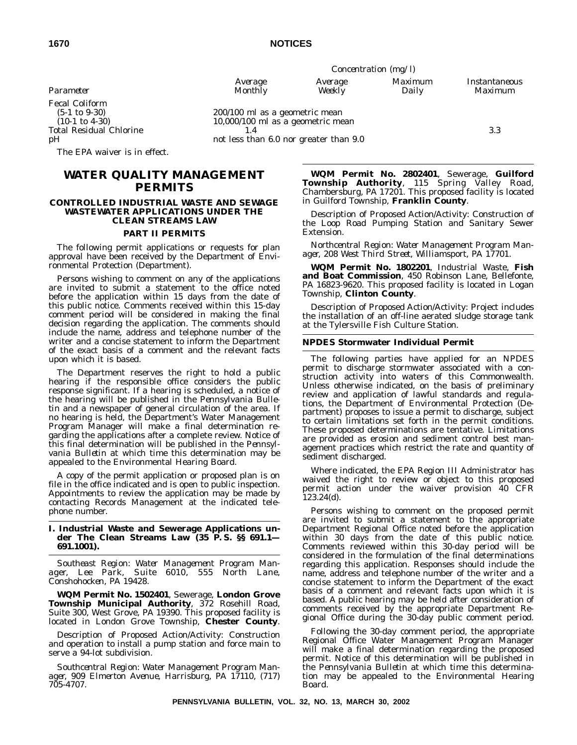| ×<br>×<br>۹<br>۰. |  |
|-------------------|--|
|-------------------|--|

Fecal Coliform<br>(5-1 to 9-30) (5-1 to 9-30) 200/100 ml as a geometric mean

The EPA waiver is in effect.

# **WATER QUALITY MANAGEMENT PERMITS**

#### **CONTROLLED INDUSTRIAL WASTE AND SEWAGE WASTEWATER APPLICATIONS UNDER THE CLEAN STREAMS LAW**

#### **PART II PERMITS**

The following permit applications or requests for plan approval have been received by the Department of Environmental Protection (Department).

Persons wishing to comment on any of the applications are invited to submit a statement to the office noted before the application within 15 days from the date of this public notice. Comments received within this 15-day comment period will be considered in making the final decision regarding the application. The comments should include the name, address and telephone number of the writer and a concise statement to inform the Department of the exact basis of a comment and the relevant facts upon which it is based.

The Department reserves the right to hold a public hearing if the responsible office considers the public response significant. If a hearing is scheduled, a notice of the hearing will be published in the *Pennsylvania Bulletin* and a newspaper of general circulation of the area. If no hearing is held, the Department's Water Management Program Manager will make a final determination regarding the applications after a complete review. Notice of this final determination will be published in the *Pennsylvania Bulletin* at which time this determination may be appealed to the Environmental Hearing Board.

A copy of the permit application or proposed plan is on file in the office indicated and is open to public inspection. Appointments to review the application may be made by contacting Records Management at the indicated telephone number.

### **I. Industrial Waste and Sewerage Applications under The Clean Streams Law (35 P. S. §§ 691.1— 691.1001).**

*Southeast Region: Water Management Program Manager, Lee Park, Suite 6010, 555 North Lane, Conshohocken, PA 19428.*

**WQM Permit No. 1502401**, Sewerage, **London Grove Township Municipal Authority**, 372 Rosehill Road, Suite 300, West Grove, PA 19390. This proposed facility is located in London Grove Township, **Chester County**.

Description of Proposed Action/Activity: Construction and operation to install a pump station and force main to serve a 94-lot subdivision.

*Southcentral Region: Water Management Program Manager, 909 Elmerton Avenue, Harrisburg, PA 17110, (717) 705-4707.*

*Concentration (mg/l) Average Average Maximum Instantaneous Parameter Monthly Weekly Daily Maximum*

 $10,000/100$  ml as a geometric mean Total Residual Chlorine 1.4 1.4 3.3<br>
pH not less than  $6.0$  nor greater than  $9.0$ 

> **WQM Permit No. 2802401**, Sewerage, **Guilford Township Authority**, 115 Spring Valley Road, Chambersburg, PA 17201. This proposed facility is located in Guilford Township, **Franklin County**.

Description of Proposed Action/Activity: Construction of the Loop Road Pumping Station and Sanitary Sewer Extension.

*Northcentral Region: Water Management Program Manager, 208 West Third Street, Williamsport, PA 17701.*

**WQM Permit No. 1802201**, Industrial Waste, **Fish and Boat Commission**, 450 Robinson Lane, Bellefonte, PA 16823-9620. This proposed facility is located in Logan Township, **Clinton County**.

Description of Proposed Action/Activity: Project includes the installation of an off-line aerated sludge storage tank at the Tylersville Fish Culture Station.

#### **NPDES Stormwater Individual Permit**

The following parties have applied for an NPDES permit to discharge stormwater associated with a construction activity into waters of this Commonwealth. Unless otherwise indicated, on the basis of preliminary review and application of lawful standards and regulations, the Department of Environmental Protection (Department) proposes to issue a permit to discharge, subject to certain limitations set forth in the permit conditions. These proposed determinations are tentative. Limitations are provided as erosion and sediment control best management practices which restrict the rate and quantity of sediment discharged.

Where indicated, the EPA Region III Administrator has waived the right to review or object to this proposed permit action under the waiver provision 40 CFR 123.24(d).

Persons wishing to comment on the proposed permit are invited to submit a statement to the appropriate Department Regional Office noted before the application within 30 days from the date of this public notice. Comments reviewed within this 30-day period will be considered in the formulation of the final determinations regarding this application. Responses should include the name, address and telephone number of the writer and a concise statement to inform the Department of the exact basis of a comment and relevant facts upon which it is based. A public hearing may be held after consideration of comments received by the appropriate Department Regional Office during the 30-day public comment period.

Following the 30-day comment period, the appropriate Regional Office Water Management Program Manager will make a final determination regarding the proposed permit. Notice of this determination will be published in the *Pennsylvania Bulletin* at which time this determination may be appealed to the Environmental Hearing Board.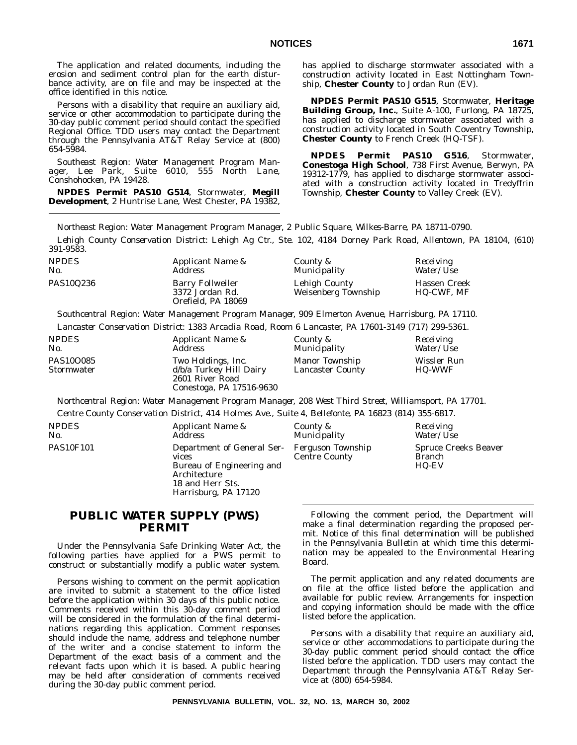The application and related documents, including the erosion and sediment control plan for the earth disturbance activity, are on file and may be inspected at the office identified in this notice.

Persons with a disability that require an auxiliary aid, service or other accommodation to participate during the 30-day public comment period should contact the specified Regional Office. TDD users may contact the Department through the Pennsylvania AT&T Relay Service at (800) 654-5984.

*Southeast Region: Water Management Program Manager, Lee Park, Suite 6010, 555 North Lane, Conshohocken, PA 19428.*

**NPDES Permit PAS10 G514**, Stormwater, **Megill Development**, 2 Huntrise Lane, West Chester, PA 19382, has applied to discharge stormwater associated with a construction activity located in East Nottingham Township, **Chester County** to Jordan Run (EV).

**NPDES Permit PAS10 G515**, Stormwater, **Heritage Building Group, Inc.**, Suite A-100, Furlong, PA 18725, has applied to discharge stormwater associated with a construction activity located in South Coventry Township, **Chester County** to French Creek (HQ-TSF).

**NPDES Permit PAS10 G516**, Stormwater, **Conestoga High School**, 738 First Avenue, Berwyn, PA 19312-1779, has applied to discharge stormwater associated with a construction activity located in Tredyffrin Township, **Chester County** to Valley Creek (EV).

*Northeast Region: Water Management Program Manager, 2 Public Square, Wilkes-Barre, PA 18711-0790.*

*Lehigh County Conservation District: Lehigh Ag Ctr., Ste. 102, 4184 Dorney Park Road, Allentown, PA 18104, (610) 391-9583.*

| <i>NPDES</i><br>No. | <i>Applicant Name &amp;</i><br><i>Address</i>                    | County &<br>Municipality             | Receiving<br><i>Water/Use</i>     |
|---------------------|------------------------------------------------------------------|--------------------------------------|-----------------------------------|
| PAS10Q236           | <b>Barry Follweiler</b><br>3372 Jordan Rd.<br>Orefield, PA 18069 | Lehigh County<br>Weisenberg Township | Hassen Creek<br><b>HQ-CWF, MF</b> |

*Southcentral Region: Water Management Program Manager, 909 Elmerton Avenue, Harrisburg, PA 17110. Lancaster Conservation District: 1383 Arcadia Road, Room 6 Lancaster, PA 17601-3149 (717) 299-5361.*

| <i>NPDES</i>            | Applicant Name &                                                                             | County &                                         | Receiving                    |
|-------------------------|----------------------------------------------------------------------------------------------|--------------------------------------------------|------------------------------|
| No.                     | Address                                                                                      | Municipality                                     | <i>Water/Use</i>             |
| PAS10O085<br>Stormwater | Two Holdings, Inc.<br>d/b/a Turkey Hill Dairy<br>2601 River Road<br>Conestoga, PA 17516-9630 | <b>Manor Township</b><br><b>Lancaster County</b> | Wissler Run<br><b>HO-WWF</b> |

*Northcentral Region: Water Management Program Manager, 208 West Third Street, Williamsport, PA 17701. Centre County Conservation District, 414 Holmes Ave., Suite 4, Bellefonte, PA 16823 (814) 355-6817.*

| <i>NPDES</i><br>No. | Applicant Name &<br>Address                                                                                                  | County &<br>Municipality                  | Receiving<br><i>Water/Use</i>                         |
|---------------------|------------------------------------------------------------------------------------------------------------------------------|-------------------------------------------|-------------------------------------------------------|
| <b>PAS10F101</b>    | Department of General Ser-<br>vices<br>Bureau of Engineering and<br>Architecture<br>18 and Herr Sts.<br>Harrisburg, PA 17120 | Ferguson Township<br><b>Centre County</b> | <b>Spruce Creeks Beaver</b><br><b>Branch</b><br>HQ-EV |

# **PUBLIC WATER SUPPLY (PWS) PERMIT**

Under the Pennsylvania Safe Drinking Water Act, the following parties have applied for a PWS permit to construct or substantially modify a public water system.

Persons wishing to comment on the permit application are invited to submit a statement to the office listed before the application within 30 days of this public notice. Comments received within this 30-day comment period will be considered in the formulation of the final determinations regarding this application. Comment responses should include the name, address and telephone number of the writer and a concise statement to inform the Department of the exact basis of a comment and the relevant facts upon which it is based. A public hearing may be held after consideration of comments received during the 30-day public comment period.

Following the comment period, the Department will make a final determination regarding the proposed permit. Notice of this final determination will be published in the *Pennsylvania Bulletin* at which time this determination may be appealed to the Environmental Hearing Board.

The permit application and any related documents are on file at the office listed before the application and available for public review. Arrangements for inspection and copying information should be made with the office listed before the application.

Persons with a disability that require an auxiliary aid, service or other accommodations to participate during the 30-day public comment period should contact the office listed before the application. TDD users may contact the Department through the Pennsylvania AT&T Relay Service at (800) 654-5984.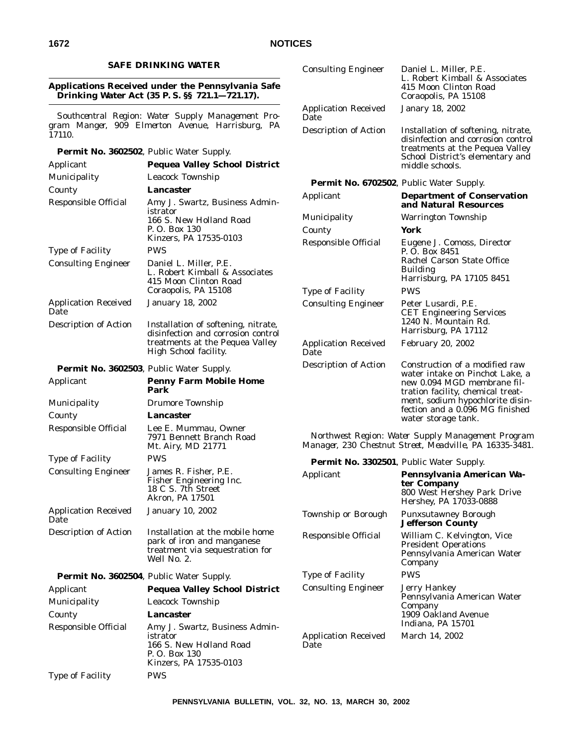# **SAFE DRINKING WATER**

# **Applications Received under the Pennsylvania Safe Drinking Water Act (35 P. S. §§ 721.1—721.17).**

*Southcentral Region: Water Supply Management Program Manger, 909 Elmerton Avenue, Harrisburg, PA 17110.*

**Permit No. 3602502**, Public Water Supply.

| Applicant                           | <b>Pequea Valley School District</b>                                                                            |                    |
|-------------------------------------|-----------------------------------------------------------------------------------------------------------------|--------------------|
| Municipality                        | Leacock Township                                                                                                |                    |
| County                              | Lancaster                                                                                                       | Pe <sub>l</sub>    |
| Responsible Official                | Amy J. Swartz, Business Admin-                                                                                  | Appli              |
|                                     | istrator<br>166 S. New Holland Road                                                                             | Muni               |
|                                     | P. O. Box 130                                                                                                   | Coun               |
|                                     | Kinzers, PA 17535-0103                                                                                          | Respo              |
| <b>Type of Facility</b>             | <b>PWS</b>                                                                                                      |                    |
| <b>Consulting Engineer</b>          | Daniel L. Miller, P.E.<br>L. Robert Kimball & Associates<br>415 Moon Clinton Road<br>Coraopolis, PA 15108       | Type               |
| <b>Application Received</b><br>Date | <b>January 18, 2002</b>                                                                                         | Const              |
| Description of Action               | Installation of softening, nitrate,                                                                             |                    |
|                                     | disinfection and corrosion control<br>treatments at the Pequea Valley                                           | Appli              |
|                                     | High School facility.                                                                                           | Date               |
|                                     | Permit No. 3602503, Public Water Supply.                                                                        | Descr              |
| Applicant                           | <b>Penny Farm Mobile Home</b>                                                                                   |                    |
|                                     | Park                                                                                                            |                    |
| Municipality                        | Drumore Township                                                                                                |                    |
| County                              | Lancaster                                                                                                       |                    |
| Responsible Official                | Lee E. Mummau, Owner<br>7971 Bennett Branch Road<br>Mt. Airy, MD 21771                                          | No.<br><i>Mana</i> |
| <b>Type of Facility</b>             | <b>PWS</b>                                                                                                      | Pel                |
| <b>Consulting Engineer</b>          | James R. Fisher, P.E.<br>Fisher Engineering Inc.<br>18 C S. 7th Street<br>Akron, PA 17501                       | Appli              |
| <b>Application Received</b><br>Date | <b>January 10, 2002</b>                                                                                         | Town               |
| Description of Action               | Installation at the mobile home<br>park of iron and manganese<br>treatment via sequestration for<br>Well No. 2. | Respo              |
|                                     | Permit No. 3602504, Public Water Supply.                                                                        | Type               |
| Applicant                           | <b>Pequea Valley School District</b>                                                                            | Const              |
| Municipality                        | Leacock Township                                                                                                |                    |
| County                              | Lancaster                                                                                                       |                    |
| Responsible Official                | Amy J. Swartz, Business Admin-<br>istrator<br>166 S. New Holland Road<br>P. O. Box 130                          | Appli<br>Date      |
|                                     | Kinzers, PA 17535-0103                                                                                          |                    |
| Type of Facility                    | <b>PWS</b>                                                                                                      |                    |

Consulting Engineer Daniel L. Miller, P.E. L. Robert Kimball & Associates 415 Moon Clinton Road Coraopolis, PA 15108 Application Received Date Janary 18, 2002 Description of Action Installation of softening, nitrate, disinfection and corrosion control treatments at the Pequea Valley School District's elementary and middle schools. **rmit No. 6702502**, Public Water Supply. **Propertment of Conservation and Natural Resources** icipality **Warrington Township** ty **York** onsible Official Eugene J. Comoss, Director P. O. Box 8451 Rachel Carson State Office Building Harrisburg, PA 17105 8451 of Facility PWS ulting Engineer Peter Lusardi, P.E. CET Engineering Services 1240 N. Mountain Rd. Harrisburg, PA 17112 ication Received February 20, 2002 iption of Action Construction of a modified raw water intake on Pinchot Lake, a new 0.094 MGD membrane filtration facility, chemical treatment, sodium hypochlorite disinfection and a 0.096 MG finished water storage tank.

*Northwest Region: Water Supply Management Program Manager, 230 Chestnut Street, Meadville, PA 16335-3481.*

**Permit No. 3302501**, Public Water Supply.

| Applicant                           | Pennsylvania American Wa-<br>ter Company<br>800 West Hershey Park Drive<br>Hershey, PA 17033-0888    |
|-------------------------------------|------------------------------------------------------------------------------------------------------|
| Township or Borough                 | Punxsutawney Borough<br><b>Jefferson County</b>                                                      |
| Responsible Official                | William C. Kelvington, Vice<br><b>President Operations</b><br>Pennsylvania American Water<br>Company |
| <b>Type of Facility</b>             | PWS                                                                                                  |
| <b>Consulting Engineer</b>          | Jerry Hankey<br>Pennsylvania American Water<br>Company<br>1909 Oakland Avenue<br>Indiana, PA 15701   |
| <b>Application Received</b><br>Date | March 14, 2002                                                                                       |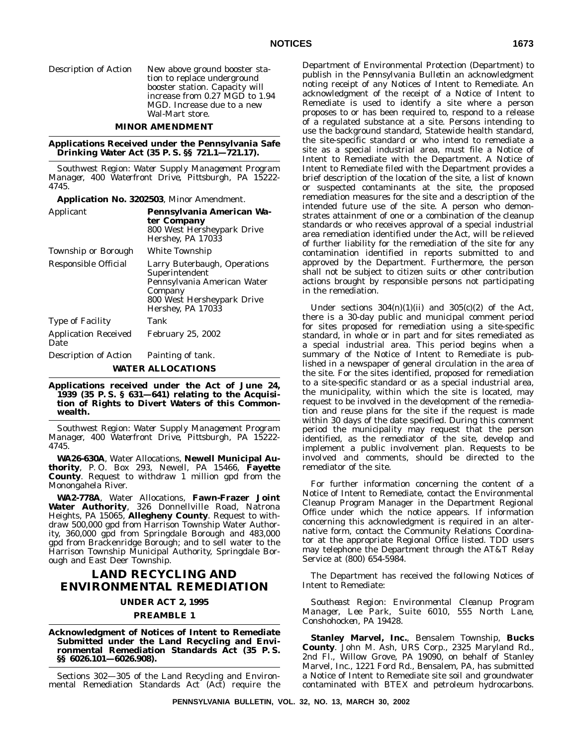Description of Action New above ground booster sta-

tion to replace underground booster station. Capacity will increase from 0.27 MGD to 1.94 MGD. Increase due to a new Wal-Mart store.

# **MINOR AMENDMENT**

**Applications Received under the Pennsylvania Safe Drinking Water Act (35 P. S. §§ 721.1—721.17).**

*Southwest Region: Water Supply Management Program Manager, 400 Waterfront Drive, Pittsburgh, PA 15222- 4745.*

| Application No. 3202503, Minor Amendment. |  |  |  |
|-------------------------------------------|--|--|--|
|-------------------------------------------|--|--|--|

| Applicant                           | Pennsylvania American Wa-<br>ter Company<br>800 West Hersheypark Drive<br>Hershey, PA 17033                                                 |
|-------------------------------------|---------------------------------------------------------------------------------------------------------------------------------------------|
| Township or Borough                 | White Township                                                                                                                              |
| Responsible Official                | Larry Buterbaugh, Operations<br>Superintendent<br>Pennsylvania American Water<br>Company<br>800 West Hersheypark Drive<br>Hershey, PA 17033 |
| <b>Type of Facility</b>             | Tank                                                                                                                                        |
| <b>Application Received</b><br>Date | <b>February 25, 2002</b>                                                                                                                    |
| Description of Action               | Painting of tank.                                                                                                                           |
|                                     | <b>WATER ALLOCATIONS</b>                                                                                                                    |

**Applications received under the Act of June 24, 1939 (35 P. S. § 631—641) relating to the Acquisition of Rights to Divert Waters of this Commonwealth.**

*Southwest Region: Water Supply Management Program Manager, 400 Waterfront Drive, Pittsburgh, PA 15222- 4745.*

**WA26-630A**, Water Allocations, **Newell Municipal Authority**, P. O. Box 293, Newell, PA 15466, **Fayette County**. Request to withdraw 1 million gpd from the Monongahela River.

**WA2-778A**, Water Allocations, **Fawn-Frazer Joint Water Authority**, 326 Donnellville Road, Natrona Heights, PA 15065, **Allegheny County**. Request to withdraw 500,000 gpd from Harrison Township Water Authority, 360,000 gpd from Springdale Borough and 483,000 gpd from Brackenridge Borough; and to sell water to the Harrison Township Municipal Authority, Springdale Borough and East Deer Township.

# **LAND RECYCLING AND ENVIRONMENTAL REMEDIATION**

#### **UNDER ACT 2, 1995**

## **PREAMBLE 1**

**Acknowledgment of Notices of Intent to Remediate Submitted under the Land Recycling and Environmental Remediation Standards Act (35 P. S. §§ 6026.101—6026.908).**

Sections 302—305 of the Land Recycling and Environmental Remediation Standards Act (Act) require the Department of Environmental Protection (Department) to publish in the *Pennsylvania Bulletin* an acknowledgment noting receipt of any Notices of Intent to Remediate. An acknowledgment of the receipt of a Notice of Intent to Remediate is used to identify a site where a person proposes to or has been required to, respond to a release of a regulated substance at a site. Persons intending to use the background standard, Statewide health standard, the site-specific standard or who intend to remediate a site as a special industrial area, must file a Notice of Intent to Remediate with the Department. A Notice of Intent to Remediate filed with the Department provides a brief description of the location of the site, a list of known or suspected contaminants at the site, the proposed remediation measures for the site and a description of the intended future use of the site. A person who demonstrates attainment of one or a combination of the cleanup standards or who receives approval of a special industrial area remediation identified under the Act, will be relieved of further liability for the remediation of the site for any contamination identified in reports submitted to and approved by the Department. Furthermore, the person shall not be subject to citizen suits or other contribution actions brought by responsible persons not participating in the remediation.

Under sections  $304(n)(1)(ii)$  and  $305(c)(2)$  of the Act, there is a 30-day public and municipal comment period for sites proposed for remediation using a site-specific standard, in whole or in part and for sites remediated as a special industrial area. This period begins when a summary of the Notice of Intent to Remediate is published in a newspaper of general circulation in the area of the site. For the sites identified, proposed for remediation to a site-specific standard or as a special industrial area, the municipality, within which the site is located, may request to be involved in the development of the remediation and reuse plans for the site if the request is made within 30 days of the date specified. During this comment period the municipality may request that the person identified, as the remediator of the site, develop and implement a public involvement plan. Requests to be involved and comments, should be directed to the remediator of the site.

For further information concerning the content of a Notice of Intent to Remediate, contact the Environmental Cleanup Program Manager in the Department Regional Office under which the notice appears. If information concerning this acknowledgment is required in an alternative form, contact the Community Relations Coordinator at the appropriate Regional Office listed. TDD users may telephone the Department through the AT&T Relay Service at (800) 654-5984.

The Department has received the following Notices of Intent to Remediate:

*Southeast Region: Environmental Cleanup Program Manager, Lee Park, Suite 6010, 555 North Lane, Conshohocken, PA 19428.*

**Stanley Marvel, Inc.**, Bensalem Township, **Bucks County**. John M. Ash, URS Corp., 2325 Maryland Rd., 2nd Fl., Willow Grove, PA 19090, on behalf of Stanley Marvel, Inc., 1221 Ford Rd., Bensalem, PA, has submitted a Notice of Intent to Remediate site soil and groundwater contaminated with BTEX and petroleum hydrocarbons.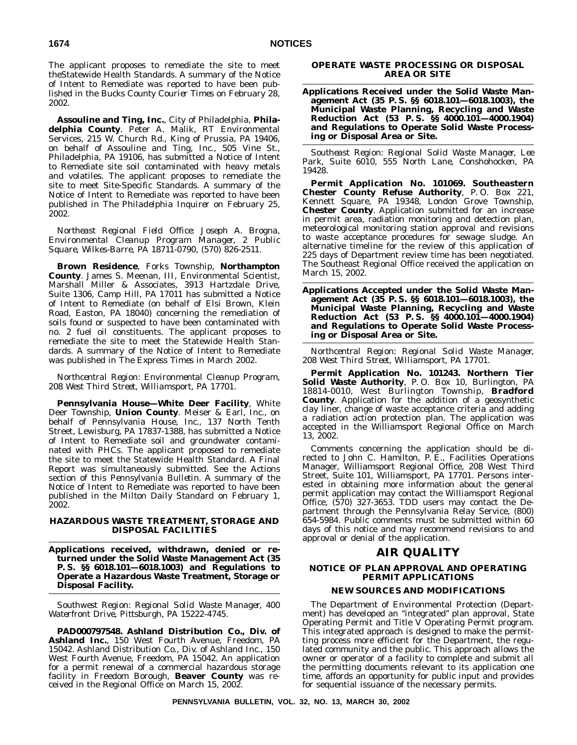The applicant proposes to remediate the site to meet theStatewide Health Standards. A summary of the Notice of Intent to Remediate was reported to have been published in the *Bucks County Courier Times* on February 28, 2002.

**Assouline and Ting, Inc.**, City of Philadelphia, **Philadelphia County**. Peter A. Malik, RT Environmental Services, 215 W. Church Rd., King of Prussia, PA 19406, on behalf of Assouline and Ting, Inc., 505 Vine St., Philadelphia, PA 19106, has submitted a Notice of Intent to Remediate site soil contaminated with heavy metals and volatiles. The applicant proposes to remediate the site to meet Site-Specific Standards. A summary of the Notice of Intent to Remediate was reported to have been published in *The Philadelphia Inquirer* on February 25, 2002.

*Northeast Regional Field Office: Joseph A. Brogna, Environmental Cleanup Program Manager, 2 Public Square, Wilkes-Barre, PA 18711-0790, (570) 826-2511.*

**Brown Residence**, Forks Township, **Northampton County**. James S. Meenan, III, Environmental Scientist, Marshall Miller & Associates, 3913 Hartzdale Drive, Suite 1306, Camp Hill, PA 17011 has submitted a Notice of Intent to Remediate (on behalf of Elsi Brown, Klein Road, Easton, PA 18040) concerning the remediation of soils found or suspected to have been contaminated with no. 2 fuel oil constituents. The applicant proposes to remediate the site to meet the Statewide Health Standards. A summary of the Notice of Intent to Remediate was published in *The Express Times* in March 2002.

*Northcentral Region: Environmental Cleanup Program, 208 West Third Street, Williamsport, PA 17701.*

**Pennsylvania House—White Deer Facility**, White Deer Township, **Union County**. Meiser & Earl, Inc., on behalf of Pennsylvania House, Inc., 137 North Tenth Street, Lewisburg, PA 17837-1388, has submitted a Notice of Intent to Remediate soil and groundwater contaminated with PHCs. The applicant proposed to remediate the site to meet the Statewide Health Standard. A Final Report was simultaneously submitted. See the Actions section of this *Pennsylvania Bulletin*. A summary of the Notice of Intent to Remediate was reported to have been published in the *Milton Daily Standard* on February 1, 2002.

# **HAZARDOUS WASTE TREATMENT, STORAGE AND DISPOSAL FACILITIES**

**Applications received, withdrawn, denied or returned under the Solid Waste Management Act (35 P. S. §§ 6018.101—6018.1003) and Regulations to Operate a Hazardous Waste Treatment, Storage or Disposal Facility.**

*Southwest Region: Regional Solid Waste Manager, 400 Waterfront Drive, Pittsburgh, PA 15222-4745.*

**PAD000797548. Ashland Distribution Co., Div. of Ashland Inc.**, 150 West Fourth Avenue, Freedom, PA 15042. Ashland Distribution Co., Div. of Ashland Inc., 150 West Fourth Avenue, Freedom, PA 15042. An application for a permit renewal of a commercial hazardous storage facility in Freedom Borough, **Beaver County** was received in the Regional Office on March 15, 2002.

# **OPERATE WASTE PROCESSING OR DISPOSAL AREA OR SITE**

**Applications Received under the Solid Waste Management Act (35 P. S. §§ 6018.101—6018.1003), the Municipal Waste Planning, Recycling and Waste Reduction Act (53 P. S. §§ 4000.101—4000.1904) and Regulations to Operate Solid Waste Processing or Disposal Area or Site.**

*Southeast Region: Regional Solid Waste Manager, Lee Park, Suite 6010, 555 North Lane, Conshohocken, PA 19428.*

**Permit Application No. 101069. Southeastern Chester County Refuse Authority**, P. O. Box 221, Kennett Square, PA 19348, London Grove Township, **Chester County**. Application submitted for an increase in permit area, radiation monitoring and detection plan, meteorological monitoring station approval and revisions to waste acceptance procedures for sewage sludge. An alternative timeline for the review of this application of 225 days of Department review time has been negotiated. The Southeast Regional Office received the application on March 15, 2002.

**Applications Accepted under the Solid Waste Management Act (35 P. S. §§ 6018.101—6018.1003), the Municipal Waste Planning, Recycling and Waste Reduction Act (53 P. S. §§ 4000.101—4000.1904) and Regulations to Operate Solid Waste Processing or Disposal Area or Site.**

*Northcentral Region: Regional Solid Waste Manager, 208 West Third Street, Williamsport, PA 17701.*

**Permit Application No. 101243. Northern Tier Solid Waste Authority**, P. O. Box 10, Burlington, PA 18814-0010, West Burlington Township, **Bradford County**. Application for the addition of a geosynthetic clay liner, change of waste acceptance criteria and adding a radiation action protection plan. The application was accepted in the Williamsport Regional Office on March 13, 2002.

Comments concerning the application should be directed to John C. Hamilton, P. E., Facilities Operations Manager, Williamsport Regional Office, 208 West Third Street, Suite 101, Williamsport, PA 17701. Persons interested in obtaining more information about the general permit application may contact the Williamsport Regional Office, (570) 327-3653. TDD users may contact the Department through the Pennsylvania Relay Service, (800) 654-5984. Public comments must be submitted within 60 days of this notice and may recommend revisions to and approval or denial of the application.

# **AIR QUALITY**

# **NOTICE OF PLAN APPROVAL AND OPERATING PERMIT APPLICATIONS**

# **NEW SOURCES AND MODIFICATIONS**

The Department of Environmental Protection (Department) has developed an ''integrated'' plan approval, State Operating Permit and Title V Operating Permit program. This integrated approach is designed to make the permitting process more efficient for the Department, the regulated community and the public. This approach allows the owner or operator of a facility to complete and submit all the permitting documents relevant to its application one time, affords an opportunity for public input and provides for sequential issuance of the necessary permits.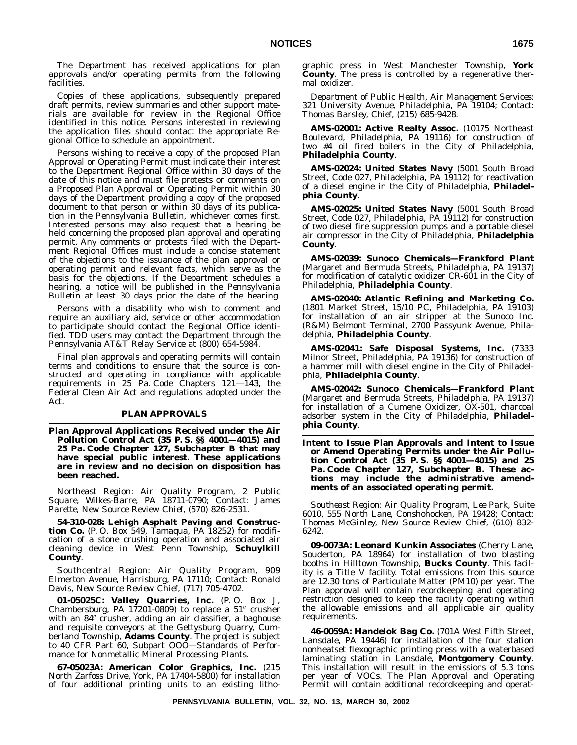The Department has received applications for plan approvals and/or operating permits from the following facilities.

Copies of these applications, subsequently prepared draft permits, review summaries and other support materials are available for review in the Regional Office identified in this notice. Persons interested in reviewing the application files should contact the appropriate Regional Office to schedule an appointment.

Persons wishing to receive a copy of the proposed Plan Approval or Operating Permit must indicate their interest to the Department Regional Office within 30 days of the date of this notice and must file protests or comments on a Proposed Plan Approval or Operating Permit within 30 days of the Department providing a copy of the proposed document to that person or within 30 days of its publication in the *Pennsylvania Bulletin*, whichever comes first. Interested persons may also request that a hearing be held concerning the proposed plan approval and operating permit. Any comments or protests filed with the Department Regional Offices must include a concise statement of the objections to the issuance of the plan approval or operating permit and relevant facts, which serve as the basis for the objections. If the Department schedules a hearing, a notice will be published in the *Pennsylvania Bulletin* at least 30 days prior the date of the hearing.

Persons with a disability who wish to comment and require an auxiliary aid, service or other accommodation to participate should contact the Regional Office identified. TDD users may contact the Department through the Pennsylvania AT&T Relay Service at (800) 654-5984.

Final plan approvals and operating permits will contain terms and conditions to ensure that the source is constructed and operating in compliance with applicable requirements in 25 Pa. Code Chapters 121—143, the Federal Clean Air Act and regulations adopted under the Act.

# **PLAN APPROVALS**

**Plan Approval Applications Received under the Air Pollution Control Act (35 P. S. §§ 4001—4015) and 25 Pa. Code Chapter 127, Subchapter B that may have special public interest. These applications are in review and no decision on disposition has been reached.**

*Northeast Region: Air Quality Program, 2 Public Square, Wilkes-Barre, PA 18711-0790; Contact: James Parette, New Source Review Chief, (570) 826-2531.*

**54-310-028: Lehigh Asphalt Paving and Construction Co.** (P. O. Box 549, Tamaqua, PA 18252) for modification of a stone crushing operation and associated air cleaning device in West Penn Township, **Schuylkill County**.

*Southcentral Region: Air Quality Program, 909 Elmerton Avenue, Harrisburg, PA 17110; Contact: Ronald Davis, New Source Review Chief, (717) 705-4702.*

**01-05025C: Valley Quarries, Inc.** (P. O. Box J, Chambersburg, PA 17201-0809) to replace a 51" crusher with an 84" crusher, adding an air classifier, a baghouse and requisite conveyors at the Gettysburg Quarry, Cumberland Township, **Adams County**. The project is subject to 40 CFR Part 60, Subpart OOO—Standards of Performance for Nonmetallic Mineral Processing Plants.

**67-05023A: American Color Graphics, Inc.** (215 North Zarfoss Drive, York, PA 17404-5800) for installation of four additional printing units to an existing lithographic press in West Manchester Township, **York County**. The press is controlled by a regenerative thermal oxidizer.

*Department of Public Health, Air Management Services: 321 University Avenue, Philadelphia, PA 19104; Contact: Thomas Barsley, Chief, (215) 685-9428.*

**AMS-02001: Active Realty Assoc.** (10175 Northeast Boulevard, Philadelphia, PA 19116) for construction of two #4 oil fired boilers in the City of Philadelphia, **Philadelphia County**.

**AMS-02024: United States Navy** (5001 South Broad Street, Code 027, Philadelphia, PA 19112) for reactivation of a diesel engine in the City of Philadelphia, **Philadelphia County**.

**AMS-02025: United States Navy** (5001 South Broad Street, Code 027, Philadelphia, PA 19112) for construction of two diesel fire suppression pumps and a portable diesel air compressor in the City of Philadelphia, **Philadelphia County**.

**AMS-02039: Sunoco Chemicals—Frankford Plant** (Margaret and Bermuda Streets, Philadelphia, PA 19137) for modification of catalytic oxidizer CR-601 in the City of Philadelphia, **Philadelphia County**.

**AMS-02040: Atlantic Refining and Marketing Co.** (1801 Market Street, 15/10 PC, Philadelphia, PA 19103) for installation of an air stripper at the Sunoco Inc. (R&M) Belmont Terminal, 2700 Passyunk Avenue, Philadelphia, **Philadelphia County**.

**AMS-02041: Safe Disposal Systems, Inc.** (7333 Milnor Street, Philadelphia, PA 19136) for construction of a hammer mill with diesel engine in the City of Philadelphia, **Philadelphia County**.

**AMS-02042: Sunoco Chemicals—Frankford Plant** (Margaret and Bermuda Streets, Philadelphia, PA 19137) for installation of a Cumene Oxidizer, OX-501, charcoal adsorber system in the City of Philadelphia, **Philadelphia County**.

**Intent to Issue Plan Approvals and Intent to Issue or Amend Operating Permits under the Air Pollution Control Act (35 P. S. §§ 4001—4015) and 25 Pa. Code Chapter 127, Subchapter B. These actions may include the administrative amendments of an associated operating permit.**

*Southeast Region: Air Quality Program, Lee Park, Suite 6010, 555 North Lane, Conshohocken, PA 19428; Contact: Thomas McGinley, New Source Review Chief, (610) 832- 6242.*

**09-0073A: Leonard Kunkin Associates** (Cherry Lane, Souderton, PA 18964) for installation of two blasting booths in Hilltown Township, **Bucks County**. This facility is a Title V facility. Total emissions from this source are 12.30 tons of Particulate Matter (PM10) per year. The Plan approval will contain recordkeeping and operating restriction designed to keep the facility operating within the allowable emissions and all applicable air quality requirements.

**46-0059A: Handelok Bag Co.** (701A West Fifth Street, Lansdale, PA 19446) for installation of the four station nonheatset flexographic printing press with a waterbased laminating station in Lansdale, **Montgomery County**. This installation will result in the emissions of 5.3 tons per year of VOCs. The Plan Approval and Operating Permit will contain additional recordkeeping and operat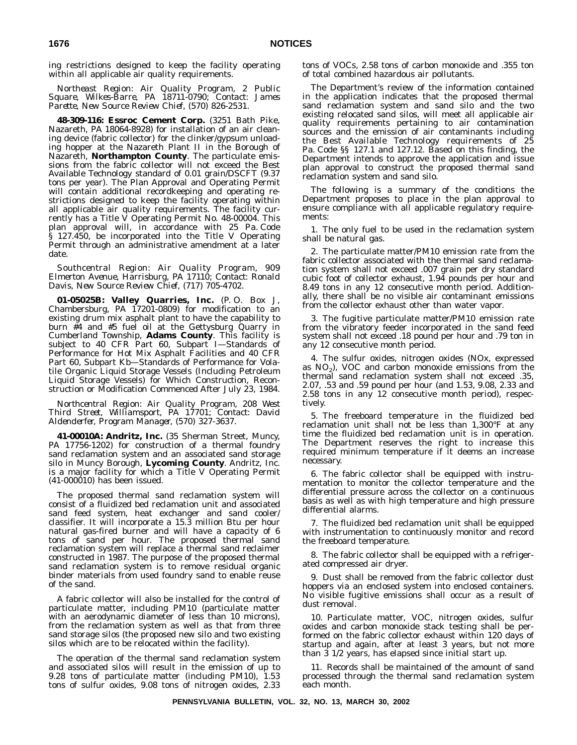ing restrictions designed to keep the facility operating within all applicable air quality requirements.

*Northeast Region: Air Quality Program, 2 Public Square, Wilkes-Barre, PA 18711-0790; Contact: James Parette, New Source Review Chief, (570) 826-2531.*

**48-309-116: Essroc Cement Corp.** (3251 Bath Pike, Nazareth, PA 18064-8928) for installation of an air cleaning device (fabric collector) for the clinker/gypsum unloading hopper at the Nazareth Plant II in the Borough of Nazareth, **Northampton County**. The particulate emissions from the fabric collector will not exceed the Best Available Technology standard of 0.01 grain/DSCFT (9.37 tons per year). The Plan Approval and Operating Permit will contain additional recordkeeping and operating restrictions designed to keep the facility operating within all applicable air quality requirements. The facility currently has a Title V Operating Permit No. 48-00004. This plan approval will, in accordance with 25 Pa. Code § 127.450, be incorporated into the Title V Operating Permit through an administrative amendment at a later date.

*Southcentral Region: Air Quality Program, 909 Elmerton Avenue, Harrisburg, PA 17110; Contact: Ronald Davis, New Source Review Chief, (717) 705-4702.*

**01-05025B: Valley Quarries, Inc.** (P. O. Box J, Chambersburg, PA 17201-0809) for modification to an existing drum mix asphalt plant to have the capability to burn #4 and #5 fuel oil at the Gettysburg Quarry in Cumberland Township, **Adams County**. This facility is subject to 40 CFR Part 60, Subpart I—Standards of Performance for Hot Mix Asphalt Facilities and 40 CFR Part 60, Subpart Kb—Standards of Performance for Volatile Organic Liquid Storage Vessels (Including Petroleum Liquid Storage Vessels) for Which Construction, Reconstruction or Modification Commenced After July 23, 1984.

*Northcentral Region: Air Quality Program, 208 West Third Street, Williamsport, PA 17701; Contact: David Aldenderfer, Program Manager, (570) 327-3637.*

**41-00010A: Andritz, Inc.** (35 Sherman Street, Muncy, PA 17756-1202) for construction of a thermal foundry sand reclamation system and an associated sand storage silo in Muncy Borough, **Lycoming County**. Andritz, Inc. is a major facility for which a Title V Operating Permit (41-000010) has been issued.

The proposed thermal sand reclamation system will consist of a fluidized bed reclamation unit and associated sand feed system, heat exchanger and sand cooler/ classifier. It will incorporate a 15.3 million Btu per hour natural gas-fired burner and will have a capacity of 6 tons of sand per hour. The proposed thermal sand reclamation system will replace a thermal sand reclaimer constructed in 1987. The purpose of the proposed thermal sand reclamation system is to remove residual organic binder materials from used foundry sand to enable reuse of the sand.

A fabric collector will also be installed for the control of particulate matter, including PM10 (particulate matter with an aerodynamic diameter of less than 10 microns), from the reclamation system as well as that from three sand storage silos (the proposed new silo and two existing silos which are to be relocated within the facility).

The operation of the thermal sand reclamation system and associated silos will result in the emission of up to 9.28 tons of particulate matter (including PM10), 1.53 tons of sulfur oxides, 9.08 tons of nitrogen oxides, 2.33 tons of VOCs, 2.58 tons of carbon monoxide and .355 ton of total combined hazardous air pollutants.

The Department's review of the information contained in the application indicates that the proposed thermal sand reclamation system and sand silo and the two existing relocated sand silos, will meet all applicable air quality requirements pertaining to air contamination sources and the emission of air contaminants including the Best Available Technology requirements of 25 Pa. Code §§ 127.1 and 127.12. Based on this finding, the Department intends to approve the application and issue plan approval to construct the proposed thermal sand reclamation system and sand silo.

The following is a summary of the conditions the Department proposes to place in the plan approval to ensure compliance with all applicable regulatory requirements:

1. The only fuel to be used in the reclamation system shall be natural gas.

2. The particulate matter/PM10 emission rate from the fabric collector associated with the thermal sand reclamation system shall not exceed .007 grain per dry standard cubic foot of collector exhaust, 1.94 pounds per hour and 8.49 tons in any 12 consecutive month period. Additionally, there shall be no visible air contaminant emissions from the collector exhaust other than water vapor.

3. The fugitive particulate matter/PM10 emission rate from the vibratory feeder incorporated in the sand feed system shall not exceed .18 pound per hour and .79 ton in any 12 consecutive month period.

4. The sulfur oxides, nitrogen oxides (NOx, expressed as  $NO<sub>2</sub>$ ), VOC and carbon monoxide emissions from the thermal sand reclamation system shall not exceed .35, 2.07, .53 and .59 pound per hour (and 1.53, 9.08, 2.33 and 2.58 tons in any 12 consecutive month period), respectively.

5. The freeboard temperature in the fluidized bed reclamation unit shall not be less than 1,300°F at any time the fluidized bed reclamation unit is in operation. The Department reserves the right to increase this required minimum temperature if it deems an increase necessary.

6. The fabric collector shall be equipped with instrumentation to monitor the collector temperature and the differential pressure across the collector on a continuous basis as well as with high temperature and high pressure differential alarms.

7. The fluidized bed reclamation unit shall be equipped with instrumentation to continuously monitor and record the freeboard temperature.

8. The fabric collector shall be equipped with a refrigerated compressed air dryer.

9. Dust shall be removed from the fabric collector dust hoppers via an enclosed system into enclosed containers. No visible fugitive emissions shall occur as a result of dust removal.

10. Particulate matter, VOC, nitrogen oxides, sulfur oxides and carbon monoxide stack testing shall be performed on the fabric collector exhaust within 120 days of startup and again, after at least 3 years, but not more than 3 1/2 years, has elapsed since initial start up.

11. Records shall be maintained of the amount of sand processed through the thermal sand reclamation system each month.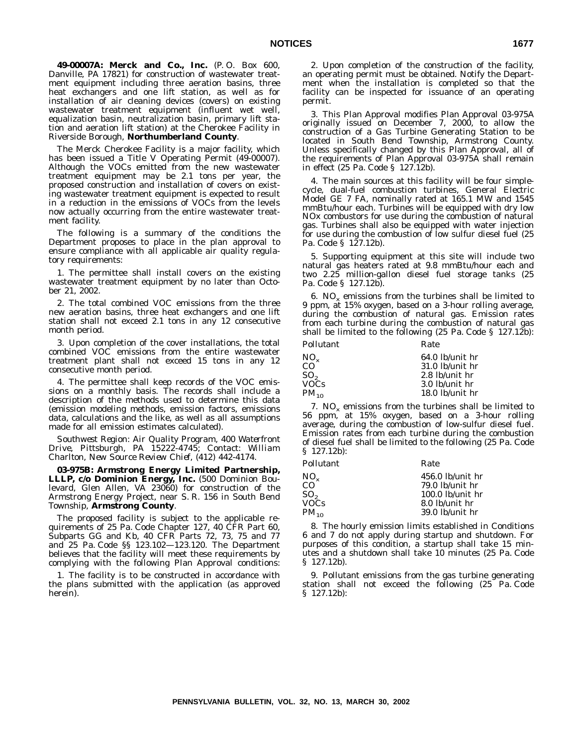**49-00007A: Merck and Co., Inc.** (P. O. Box 600, Danville, PA 17821) for construction of wastewater treatment equipment including three aeration basins, three heat exchangers and one lift station, as well as for installation of air cleaning devices (covers) on existing wastewater treatment equipment (influent wet well, equalization basin, neutralization basin, primary lift station and aeration lift station) at the Cherokee Facility in Riverside Borough, **Northumberland County**.

The Merck Cherokee Facility is a major facility, which has been issued a Title V Operating Permit (49-00007). Although the VOCs emitted from the new wastewater treatment equipment may be 2.1 tons per year, the proposed construction and installation of covers on existing wastewater treatment equipment is expected to result in a reduction in the emissions of VOCs from the levels now actually occurring from the entire wastewater treatment facility.

The following is a summary of the conditions the Department proposes to place in the plan approval to ensure compliance with all applicable air quality regulatory requirements:

1. The permittee shall install covers on the existing wastewater treatment equipment by no later than October 21, 2002.

2. The total combined VOC emissions from the three new aeration basins, three heat exchangers and one lift station shall not exceed 2.1 tons in any 12 consecutive month period.

3. Upon completion of the cover installations, the total combined VOC emissions from the entire wastewater treatment plant shall not exceed 15 tons in any 12 consecutive month period.

4. The permittee shall keep records of the VOC emissions on a monthly basis. The records shall include a description of the methods used to determine this data (emission modeling methods, emission factors, emissions data, calculations and the like, as well as all assumptions made for all emission estimates calculated).

*Southwest Region: Air Quality Program, 400 Waterfront Drive, Pittsburgh, PA 15222-4745; Contact: William Charlton, New Source Review Chief, (412) 442-4174.*

**03-975B: Armstrong Energy Limited Partnership, LLLP, c/o Dominion Energy, Inc.** (500 Dominion Boulevard, Glen Allen, VA 23060) for construction of the Armstrong Energy Project, near S. R. 156 in South Bend Township, **Armstrong County**.

The proposed facility is subject to the applicable requirements of 25 Pa. Code Chapter 127, 40 CFR Part 60, Subparts GG and Kb, 40 CFR Parts 72, 73, 75 and 77 and 25 Pa. Code §§ 123.102—123.120. The Department believes that the facility will meet these requirements by complying with the following Plan Approval conditions:

1. The facility is to be constructed in accordance with the plans submitted with the application (as approved herein).

2. Upon completion of the construction of the facility, an operating permit must be obtained. Notify the Department when the installation is completed so that the facility can be inspected for issuance of an operating permit.

3. This Plan Approval modifies Plan Approval 03-975A originally issued on December 7, 2000, to allow the construction of a Gas Turbine Generating Station to be located in South Bend Township, Armstrong County. Unless specifically changed by this Plan Approval, all of the requirements of Plan Approval 03-975A shall remain in effect (25 Pa. Code § 127.12b).

4. The main sources at this facility will be four simplecycle, dual-fuel combustion turbines, General Electric Model GE 7 FA, nominally rated at 165.1 MW and 1545 mmBtu/hour each. Turbines will be equipped with dry low NOx combustors for use during the combustion of natural gas. Turbines shall also be equipped with water injection for use during the combustion of low sulfur diesel fuel (25 Pa. Code § 127.12b).

5. Supporting equipment at this site will include two natural gas heaters rated at 9.8 mmBtu/hour each and two 2.25 million-gallon diesel fuel storage tanks (25 Pa. Code § 127.12b).

6. NO<sub>x</sub> emissions from the turbines shall be limited to 9 ppm, at 15% oxygen, based on a 3-hour rolling average, during the combustion of natural gas. Emission rates from each turbine during the combustion of natural gas shall be limited to the following (25 Pa. Code § 127.12b):

| Pollutant | Rate              |
|-----------|-------------------|
| $NO_{x}$  | $64.0$ lb/unit hr |
| CO        | $31.0$ lb/unit hr |
| SO,       | $2.8$ lb/unit hr  |
| VOCs      | $3.0$ lb/unit hr  |
| $PM_{10}$ | $18.0$ lb/unit hr |
|           |                   |

7. NO<sub>x</sub> emissions from the turbines shall be limited to 56 ppm, at 15% oxygen, based on a 3-hour rolling average, during the combustion of low-sulfur diesel fuel. Emission rates from each turbine during the combustion of diesel fuel shall be limited to the following (25 Pa. Code § 127.12b):

| Rate               |
|--------------------|
| $456.0$ lb/unit hr |
| $79.0$ lb/unit hr  |
| $100.0$ lb/unit hr |
| $8.0$ lb/unit hr   |
| $39.0$ lb/unit hr  |
|                    |

8. The hourly emission limits established in Conditions 6 and 7 do not apply during startup and shutdown. For purposes of this condition, a startup shall take 15 minutes and a shutdown shall take 10 minutes (25 Pa. Code § 127.12b).

9. Pollutant emissions from the gas turbine generating station shall not exceed the following (25 Pa. Code § 127.12b):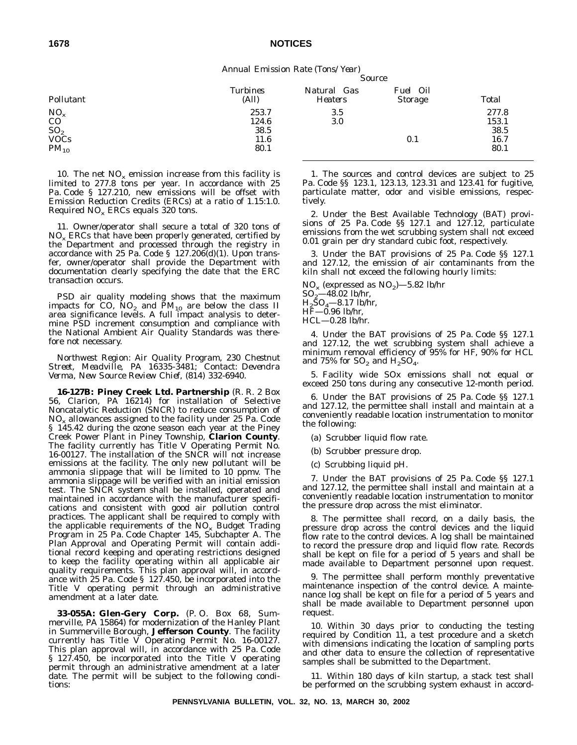*Annual Emission Rate (Tons/Year) Source*

| Total |
|-------|
| 277.8 |
| 153.1 |
| 38.5  |
| 16.7  |
| 80.1  |
|       |

10. The net  $NO_x$  emission increase from this facility is limited to 277.8 tons per year. In accordance with 25 Pa. Code § 127.210, new emissions will be offset with Emission Reduction Credits (ERCs) at a ratio of 1.15:1.0. Required  $NO_x$  ERCs equals 320 tons.

11. Owner/operator shall secure a total of 320 tons of  $NO<sub>x</sub>$  ERCs that have been properly generated, certified by the Department and processed through the registry in accordance with 25 Pa. Code § 127.206(d)(1). Upon transfer, owner/operator shall provide the Department with documentation clearly specifying the date that the ERC transaction occurs.

PSD air quality modeling shows that the maximum impacts for CO,  $NO<sub>2</sub>$  and  $\overline{PM}_{10}$  are below the class II area significance levels. A full impact analysis to determine PSD increment consumption and compliance with the National Ambient Air Quality Standards was therefore not necessary.

*Northwest Region: Air Quality Program, 230 Chestnut Street, Meadville, PA 16335-3481; Contact: Devendra Verma, New Source Review Chief, (814) 332-6940.*

**16-127B: Piney Creek Ltd. Partnership** (R. R. 2 Box 56, Clarion, PA 16214) for installation of Selective Noncatalytic Reduction (SNCR) to reduce consumption of  $NO<sub>x</sub>$  allowances assigned to the facility under 25 Pa. Code § 145.42 during the ozone season each year at the Piney Creek Power Plant in Piney Township, **Clarion County**. The facility currently has Title V Operating Permit No. 16-00127. The installation of the SNCR will not increase emissions at the facility. The only new pollutant will be ammonia slippage that will be limited to 10 ppmv. The ammonia slippage will be verified with an initial emission test. The SNCR system shall be installed, operated and maintained in accordance with the manufacturer specifications and consistent with good air pollution control practices. The applicant shall be required to comply with the applicable requirements of the  $NO<sub>x</sub>$  Budget Trading Program in 25 Pa. Code Chapter 145, Subchapter A. The Plan Approval and Operating Permit will contain additional record keeping and operating restrictions designed to keep the facility operating within all applicable air quality requirements. This plan approval will, in accordance with 25 Pa. Code § 127.450, be incorporated into the Title V operating permit through an administrative amendment at a later date.

**33-055A: Glen-Gery Corp.** (P. O. Box 68, Summerville, PA 15864) for modernization of the Hanley Plant in Summerville Borough, **Jefferson County**. The facility currently has Title V Operating Permit No. 16-00127. This plan approval will, in accordance with 25 Pa. Code § 127.450, be incorporated into the Title V operating permit through an administrative amendment at a later date. The permit will be subject to the following conditions:

1. The sources and control devices are subject to 25 Pa. Code §§ 123.1, 123.13, 123.31 and 123.41 for fugitive, particulate matter, odor and visible emissions, respectively.

2. Under the Best Available Technology (BAT) provisions of 25 Pa. Code §§ 127.1 and 127.12, particulate emissions from the wet scrubbing system shall not exceed 0.01 grain per dry standard cubic foot, respectively.

3. Under the BAT provisions of 25 Pa. Code §§ 127.1 and 127.12, the emission of air contaminants from the kiln shall not exceed the following hourly limits:

 $NO<sub>x</sub>$  (expressed as  $NO<sub>2</sub>$ ) -5.82 lb/hr  $SO_2$ —48.02 lb/hr,

 $H_2\text{SO}_4$ —8.17 lb/hr,

HF—0.96 lb/hr,

HCL—0.28 lb/hr.

4. Under the BAT provisions of 25 Pa. Code §§ 127.1 and 127.12, the wet scrubbing system shall achieve a minimum removal efficiency of 95% for HF, 90% for HCL and 75% for  $SO_2$  and  $H_2SO_4$ .

5. Facility wide SOx emissions shall not equal or exceed 250 tons during any consecutive 12-month period.

6. Under the BAT provisions of 25 Pa. Code §§ 127.1 and 127.12, the permittee shall install and maintain at a conveniently readable location instrumentation to monitor the following:

(a) Scrubber liquid flow rate.

(b) Scrubber pressure drop.

(c) Scrubbing liquid pH.

7. Under the BAT provisions of 25 Pa. Code §§ 127.1 and 127.12, the permittee shall install and maintain at a conveniently readable location instrumentation to monitor the pressure drop across the mist eliminator.

8. The permittee shall record, on a daily basis, the pressure drop across the control devices and the liquid flow rate to the control devices. A log shall be maintained to record the pressure drop and liquid flow rate. Records shall be kept on file for a period of 5 years and shall be made available to Department personnel upon request.

9. The permittee shall perform monthly preventative maintenance inspection of the control device. A maintenance log shall be kept on file for a period of 5 years and shall be made available to Department personnel upon request.

10. Within 30 days prior to conducting the testing required by Condition 11, a test procedure and a sketch with dimensions indicating the location of sampling ports and other data to ensure the collection of representative samples shall be submitted to the Department.

11. Within 180 days of kiln startup, a stack test shall be performed on the scrubbing system exhaust in accord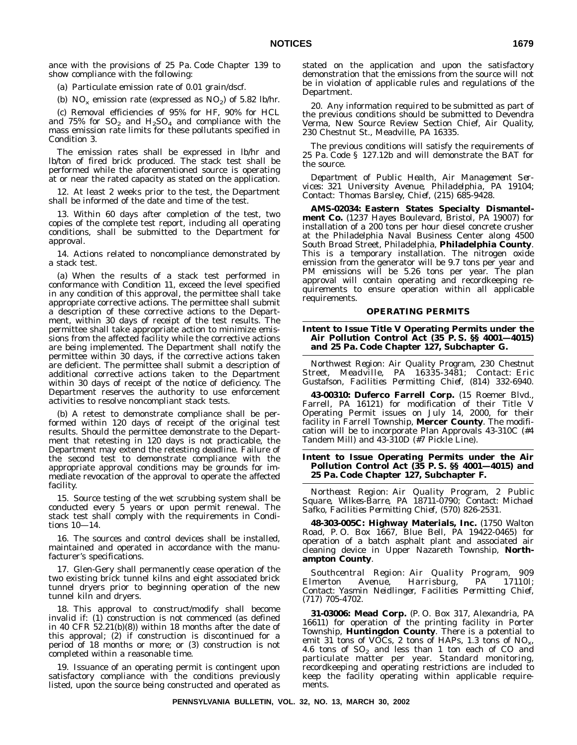ance with the provisions of 25 Pa. Code Chapter 139 to show compliance with the following:

(a) Particulate emission rate of 0.01 grain/dscf.

(b)  $NO_x$  emission rate (expressed as  $NO_2$ ) of 5.82 lb/hr.

(c) Removal efficiencies of 95% for HF, 90% for HCL and 75% for  $SO_2$  and  $H_2SO_4$  and compliance with the mass emission rate limits for these pollutants specified in Condition 3.

The emission rates shall be expressed in lb/hr and lb/ton of fired brick produced. The stack test shall be performed while the aforementioned source is operating at or near the rated capacity as stated on the application.

12. At least 2 weeks prior to the test, the Department shall be informed of the date and time of the test.

13. Within 60 days after completion of the test, two copies of the complete test report, including all operating conditions, shall be submitted to the Department for approval.

14. Actions related to noncompliance demonstrated by a stack test.

(a) When the results of a stack test performed in conformance with Condition 11, exceed the level specified in any condition of this approval, the permittee shall take appropriate corrective actions. The permittee shall submit a description of these corrective actions to the Department, within 30 days of receipt of the test results. The permittee shall take appropriate action to minimize emissions from the affected facility while the corrective actions are being implemented. The Department shall notify the permittee within 30 days, if the corrective actions taken are deficient. The permittee shall submit a description of additional corrective actions taken to the Department within 30 days of receipt of the notice of deficiency. The Department reserves the authority to use enforcement activities to resolve noncompliant stack tests.

(b) A retest to demonstrate compliance shall be performed within 120 days of receipt of the original test results. Should the permittee demonstrate to the Department that retesting in 120 days is not practicable, the Department may extend the retesting deadline. Failure of the second test to demonstrate compliance with the appropriate approval conditions may be grounds for immediate revocation of the approval to operate the affected facility.

15. Source testing of the wet scrubbing system shall be conducted every 5 years or upon permit renewal. The stack test shall comply with the requirements in Conditions 10—14.

16. The sources and control devices shall be installed, maintained and operated in accordance with the manufacturer's specifications.

17. Glen-Gery shall permanently cease operation of the two existing brick tunnel kilns and eight associated brick tunnel dryers prior to beginning operation of the new tunnel kiln and dryers.

18. This approval to construct/modify shall become invalid if: (1) construction is not commenced (as defined in 40 CFR 52.21(b)(8)) within 18 months after the date of this approval; (2) if construction is discontinued for a period of 18 months or more; or (3) construction is not completed within a reasonable time.

19. Issuance of an operating permit is contingent upon satisfactory compliance with the conditions previously listed, upon the source being constructed and operated as stated on the application and upon the satisfactory demonstration that the emissions from the source will not be in violation of applicable rules and regulations of the Department.

20. Any information required to be submitted as part of the previous conditions should be submitted to Devendra Verma, New Source Review Section Chief, Air Quality, 230 Chestnut St., Meadville, PA 16335.

The previous conditions will satisfy the requirements of 25 Pa. Code § 127.12b and will demonstrate the BAT for the source.

*Department of Public Health, Air Management Services: 321 University Avenue, Philadelphia, PA 19104; Contact: Thomas Barsley, Chief, (215) 685-9428.*

**AMS-02034: Eastern States Specialty Dismantelment Co.** (1237 Hayes Boulevard, Bristol, PA 19007) for installation of a 200 tons per hour diesel concrete crusher at the Philadelphia Naval Business Center along 4500 South Broad Street, Philadelphia, **Philadelphia County**. This is a temporary installation. The nitrogen oxide emission from the generator will be 9.7 tons per year and PM emissions will be 5.26 tons per year. The plan approval will contain operating and recordkeeping requirements to ensure operation within all applicable requirements.

# **OPERATING PERMITS**

#### **Intent to Issue Title V Operating Permits under the Air Pollution Control Act (35 P. S. §§ 4001—4015) and 25 Pa. Code Chapter 127, Subchapter G.**

*Northwest Region: Air Quality Program, 230 Chestnut Street, Meadville, PA 16335-3481; Contact: Eric Gustafson, Facilities Permitting Chief, (814) 332-6940.*

**43-00310: Duferco Farrell Corp.** (15 Roemer Blvd., Farrell, PA 16121) for modification of their Title V Operating Permit issues on July 14, 2000, for their facility in Farrell Township, **Mercer County**. The modification will be to incorporate Plan Approvals 43-310C (#4 Tandem Mill) and 43-310D (#7 Pickle Line).

# **Intent to Issue Operating Permits under the Air Pollution Control Act (35 P. S. §§ 4001—4015) and 25 Pa. Code Chapter 127, Subchapter F.**

*Northeast Region: Air Quality Program, 2 Public Square, Wilkes-Barre, PA 18711-0790; Contact: Michael Safko, Facilities Permitting Chief, (570) 826-2531.*

**48-303-005C: Highway Materials, Inc.** (1750 Walton Road, P. O. Box 1667, Blue Bell, PA 19422-0465) for operation of a batch asphalt plant and associated air cleaning device in Upper Nazareth Township, **Northampton County**.

*Southcentral Region: Air Quality Program, 909 Elmerton Avenue, Harrisburg, PA 17110l; Contact: Yasmin Neidlinger, Facilities Permitting Chief, (717) 705-4702.*

**31-03006: Mead Corp.** (P. O. Box 317, Alexandria, PA 16611) for operation of the printing facility in Porter Township, **Huntingdon County**. There is a potential to emit 31 tons of VOCs, 2 tons of HAPs, 1.3 tons of  $NO_{x}$ , 4.6 tons of  $SO_2$  and less than 1 ton each of CO and particulate matter per year. Standard monitoring, recordkeeping and operating restrictions are included to keep the facility operating within applicable requirements.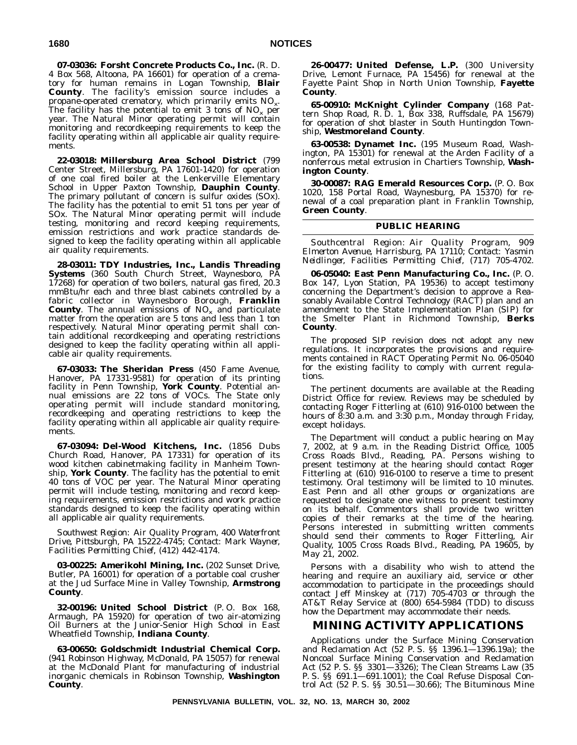**07-03036: Forsht Concrete Products Co., Inc.** (R. D. 4 Box 568, Altoona, PA 16601) for operation of a crematory for human remains in Logan Township, **Blair County**. The facility's emission source includes a propane-operated crematory, which primarily emits  $NO<sub>x</sub>$ . The facility has the potential to emit 3 tons of  $NO_x$  per year. The Natural Minor operating permit will contain monitoring and recordkeeping requirements to keep the facility operating within all applicable air quality requirements.

**22-03018: Millersburg Area School District** (799 Center Street, Millersburg, PA 17601-1420) for operation of one coal fired boiler at the Lenkerville Elementary School in Upper Paxton Township, **Dauphin County**. The primary pollutant of concern is sulfur oxides (SOx). The facility has the potential to emit 51 tons per year of SOx. The Natural Minor operating permit will include testing, monitoring and record keeping requirements, emission restrictions and work practice standards designed to keep the facility operating within all applicable air quality requirements.

**28-03011: TDY Industries, Inc., Landis Threading Systems** (360 South Church Street, Waynesboro, PA 17268) for operation of two boilers, natural gas fired, 20.3 mmBtu/hr each and three blast cabinets controlled by a fabric collector in Waynesboro Borough, **Franklin County**. The annual emissions of  $NO_x$  and particulate matter from the operation are 5 tons and less than 1 ton respectively. Natural Minor operating permit shall contain additional recordkeeping and operating restrictions designed to keep the facility operating within all applicable air quality requirements.

**67-03033: The Sheridan Press** (450 Fame Avenue, Hanover, PA 17331-9581) for operation of its printing facility in Penn Township, **York County**. Potential annual emissions are 22 tons of VOCs. The State only operating permit will include standard monitoring, recordkeeping and operating restrictions to keep the facility operating within all applicable air quality requirements.

**67-03094: Del-Wood Kitchens, Inc.** (1856 Dubs Church Road, Hanover, PA 17331) for operation of its wood kitchen cabinetmaking facility in Manheim Township, **York County**. The facility has the potential to emit 40 tons of VOC per year. The Natural Minor operating permit will include testing, monitoring and record keeping requirements, emission restrictions and work practice standards designed to keep the facility operating within all applicable air quality requirements.

*Southwest Region: Air Quality Program, 400 Waterfront Drive, Pittsburgh, PA 15222-4745; Contact: Mark Wayner, Facilities Permitting Chief, (412) 442-4174.*

**03-00225: Amerikohl Mining, Inc.** (202 Sunset Drive, Butler, PA 16001) for operation of a portable coal crusher at the Jud Surface Mine in Valley Township, **Armstrong County**.

**32-00196: United School District** (P. O. Box 168, Armaugh, PA 15920) for operation of two air-atomizing Oil Burners at the Junior-Senior High School in East Wheatfield Township, **Indiana County**.

**63-00650: Goldschmidt Industrial Chemical Corp.** (941 Robinson Highway, McDonald, PA 15057) for renewal at the McDonald Plant for manufacturing of industrial inorganic chemicals in Robinson Township, **Washington County**.

**26-00477: United Defense, L.P.** (300 University Drive, Lemont Furnace, PA 15456) for renewal at the Fayette Paint Shop in North Union Township, **Fayette County**.

**65-00910: McKnight Cylinder Company** (168 Pattern Shop Road, R. D. 1, Box 338, Ruffsdale, PA 15679) for operation of shot blaster in South Huntingdon Township, **Westmoreland County**.

**63-00538: Dynamet Inc.** (195 Museum Road, Washington, PA 15301) for renewal at the Arden Facility of a nonferrous metal extrusion in Chartiers Township, **Washington County**.

**30-00087: RAG Emerald Resources Corp.** (P. O. Box 1020, 158 Portal Road, Waynesburg, PA 15370) for renewal of a coal preparation plant in Franklin Township, **Green County**.

# **PUBLIC HEARING**

*Southcentral Region: Air Quality Program, 909 Elmerton Avenue, Harrisburg, PA 17110; Contact: Yasmin Neidlinger, Facilities Permitting Chief, (717) 705-4702.*

**06-05040: East Penn Manufacturing Co., Inc.** (P. O. Box 147, Lyon Station, PA 19536) to accept testimony concerning the Department's decision to approve a Reasonably Available Control Technology (RACT) plan and an amendment to the State Implementation Plan (SIP) for the Smelter Plant in Richmond Township, **Berks County**.

The proposed SIP revision does not adopt any new regulations. It incorporates the provisions and requirements contained in RACT Operating Permit No. 06-05040 for the existing facility to comply with current regulations.

The pertinent documents are available at the Reading District Office for review. Reviews may be scheduled by contacting Roger Fitterling at (610) 916-0100 between the hours of 8:30 a.m. and 3:30 p.m., Monday through Friday, except holidays.

The Department will conduct a public hearing on May 7, 2002, at 9 a.m. in the Reading District Office, 1005 Cross Roads Blvd., Reading, PA. Persons wishing to present testimony at the hearing should contact Roger Fitterling at (610) 916-0100 to reserve a time to present testimony. Oral testimony will be limited to 10 minutes. East Penn and all other groups or organizations are requested to designate one witness to present testimony on its behalf. Commentors shall provide two written copies of their remarks at the time of the hearing. Persons interested in submitting written comments should send their comments to Roger Fitterling, Air Quality, 1005 Cross Roads Blvd., Reading, PA 19605, by May 21, 2002.

Persons with a disability who wish to attend the hearing and require an auxiliary aid, service or other accommodation to participate in the proceedings should contact Jeff Minskey at (717) 705-4703 or through the AT&T Relay Service at (800) 654-5984 (TDD) to discuss how the Department may accommodate their needs.

# **MINING ACTIVITY APPLICATIONS**

Applications under the Surface Mining Conservation and Reclamation Act (52 P. S. §§ 1396.1—1396.19a); the Noncoal Surface Mining Conservation and Reclamation Act (52 P. S. §§ 3301—3326); The Clean Streams Law (35 P. S. §§ 691.1—691.1001); the Coal Refuse Disposal Control Act (52 P. S. §§ 30.51—30.66); The Bituminous Mine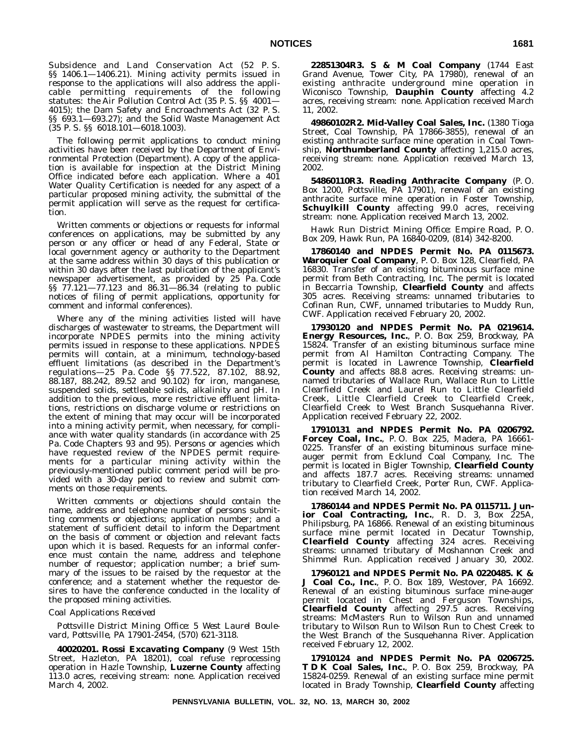Subsidence and Land Conservation Act (52 P. S. §§ 1406.1—1406.21). Mining activity permits issued in response to the applications will also address the applicable permitting requirements of the following statutes: the Air Pollution Control Act (35 P. S. §§ 4001— 4015); the Dam Safety and Encroachments Act (32 P. S. §§ 693.1—693.27); and the Solid Waste Management Act (35 P. S. §§ 6018.101—6018.1003).

The following permit applications to conduct mining activities have been received by the Department of Environmental Protection (Department). A copy of the application is available for inspection at the District Mining Office indicated before each application. Where a 401 Water Quality Certification is needed for any aspect of a particular proposed mining activity, the submittal of the permit application will serve as the request for certification.

Written comments or objections or requests for informal conferences on applications, may be submitted by any person or any officer or head of any Federal, State or local government agency or authority to the Department at the same address within 30 days of this publication or within 30 days after the last publication of the applicant's newspaper advertisement, as provided by 25 Pa. Code §§ 77.121—77.123 and 86.31—86.34 (relating to public notices of filing of permit applications, opportunity for comment and informal conferences).

Where any of the mining activities listed will have discharges of wastewater to streams, the Department will incorporate NPDES permits into the mining activity permits issued in response to these applications. NPDES permits will contain, at a minimum, technology-based effluent limitations (as described in the Department's regulations—25 Pa. Code §§ 77.522, 87.102, 88.92, 88.187, 88.242, 89.52 and 90.102) for iron, manganese, suspended solids, settleable solids, alkalinity and pH. In addition to the previous, more restrictive effluent limitations, restrictions on discharge volume or restrictions on the extent of mining that may occur will be incorporated into a mining activity permit, when necessary, for compliance with water quality standards (in accordance with 25 Pa. Code Chapters 93 and 95). Persons or agencies which have requested review of the NPDES permit requirements for a particular mining activity within the previously-mentioned public comment period will be provided with a 30-day period to review and submit comments on those requirements.

Written comments or objections should contain the name, address and telephone number of persons submitting comments or objections; application number; and a statement of sufficient detail to inform the Department on the basis of comment or objection and relevant facts upon which it is based. Requests for an informal conference must contain the name, address and telephone number of requestor; application number; a brief summary of the issues to be raised by the requestor at the conference; and a statement whether the requestor desires to have the conference conducted in the locality of the proposed mining activities.

#### *Coal Applications Received*

*Pottsville District Mining Office: 5 West Laurel Boulevard, Pottsville, PA 17901-2454, (570) 621-3118.*

**40020201. Rossi Excavating Company** (9 West 15th Street, Hazleton, PA 18201), coal refuse reprocessing operation in Hazle Township, **Luzerne County** affecting 113.0 acres, receiving stream: none. Application received March 4, 2002.

**22851304R3. S & M Coal Company** (1744 East Grand Avenue, Tower City, PA 17980), renewal of an existing anthracite underground mine operation in Wiconisco Township, **Dauphin County** affecting 4.2 acres, receiving stream: none. Application received March 11, 2002.

**49860102R2. Mid-Valley Coal Sales, Inc.** (1380 Tioga Street, Coal Township, PA 17866-3855), renewal of an existing anthracite surface mine operation in Coal Township, **Northumberland County** affecting 1,215.0 acres, receiving stream: none. Application received March 13, 2002.

**54860110R3. Reading Anthracite Company** (P. O. Box 1200, Pottsville, PA 17901), renewal of an existing anthracite surface mine operation in Foster Township, **Schuylkill County** affecting 99.0 acres, receiving stream: none. Application received March 13, 2002.

#### *Hawk Run District Mining Office: Empire Road, P. O. Box 209, Hawk Run, PA 16840-0209, (814) 342-8200.*

**17860140 and NPDES Permit No. PA 0115673. Waroquier Coal Company**, P. O. Box 128, Clearfield, PA 16830. Transfer of an existing bituminous surface mine permit from Beth Contracting, Inc. The permit is located in Beccarria Township, **Clearfield County** and affects 305 acres. Receiving streams: unnamed tributaries to Cofinan Run, CWF, unnamed tributaries to Muddy Run, CWF. Application received February 20, 2002.

**17930120 and NPDES Permit No. PA 0219614. Energy Resources, Inc.**, P. O. Box 259, Brockway, PA 15824. Transfer of an existing bituminous surface mine permit from Al Hamilton Contracting Company. The permit is located in Lawrence Township, **Clearfield County** and affects 88.8 acres. Receiving streams: unnamed tributaries of Wallace Run, Wallace Run to Little Clearfield Creek and Laurel Run to Little Clearfield Creek, Little Clearfield Creek to Clearfield Creek, Clearfield Creek to West Branch Susquehanna River. Application received February 22, 2002.

**17910131 and NPDES Permit No. PA 0206792. Forcey Coal, Inc.**, P. O. Box 225, Madera, PA 16661- 0225. Transfer of an existing bituminous surface mineauger permit from Ecklund Coal Company, Inc. The permit is located in Bigler Township, **Clearfield County** and affects 187.7 acres. Receiving streams: unnamed tributary to Clearfield Creek, Porter Run, CWF. Application received March 14, 2002.

**17860144 and NPDES Permit No. PA 0115711. Junior Coal Contracting, Inc.**, R. D. 3, Box 225A, Philipsburg, PA 16866. Renewal of an existing bituminous surface mine permit located in Decatur Township, **Clearfield County** affecting 324 acres. Receiving streams: unnamed tributary of Moshannon Creek and Shimmel Run. Application received January 30, 2002.

**17960121 and NPDES Permit No. PA 0220485. K & J Coal Co., Inc.**, P. O. Box 189, Westover, PA 16692. Renewal of an existing bituminous surface mine-auger permit located in Chest and Ferguson Townships, **Clearfield County** affecting 297.5 acres. Receiving streams: McMasters Run to Wilson Run and unnamed tributary to Wilson Run to Wilson Run to Chest Creek to the West Branch of the Susquehanna River. Application received February 12, 2002.

**17910124 and NPDES Permit No. PA 0206725. T D K Coal Sales, Inc.**, P. O. Box 259, Brockway, PA 15824-0259. Renewal of an existing surface mine permit located in Brady Township, **Clearfield County** affecting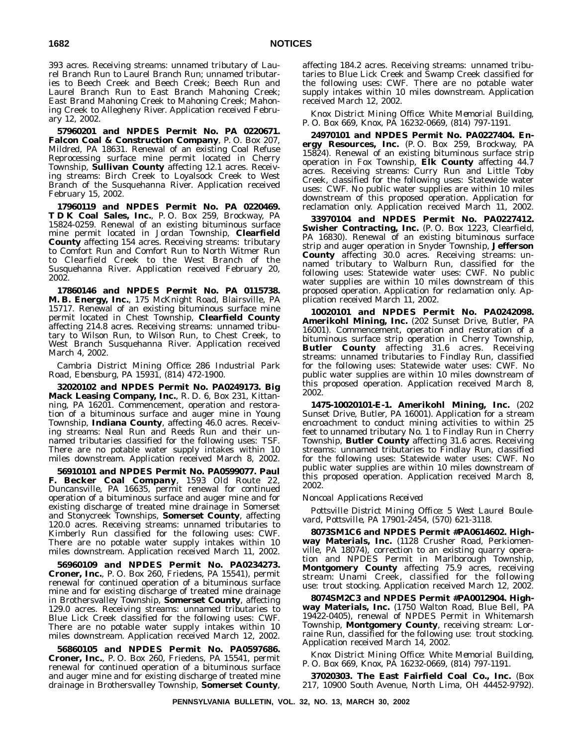393 acres. Receiving streams: unnamed tributary of Laurel Branch Run to Laurel Branch Run; unnamed tributaries to Beech Creek and Beech Creek; Beech Run and Laurel Branch Run to East Branch Mahoning Creek; East Brand Mahoning Creek to Mahoning Creek; Mahoning Creek to Allegheny River. Application received February 12, 2002.

**57960201 and NPDES Permit No. PA 0220671. Falcon Coal & Construction Company**, P. O. Box 207, Mildred, PA 18631. Renewal of an existing Coal Refuse Reprocessing surface mine permit located in Cherry Township, **Sullivan County** affecting 12.1 acres. Receiving streams: Birch Creek to Loyalsock Creek to West Branch of the Susquehanna River. Application received February 15, 2002.

**17960119 and NPDES Permit No. PA 0220469. T D K Coal Sales, Inc.**, P. O. Box 259, Brockway, PA 15824-0259. Renewal of an existing bituminous surface mine permit located in Jordan Township, **Clearfield County** affecting 154 acres. Receiving streams: tributary to Comfort Run and Comfort Run to North Witmer Run to Clearfield Creek to the West Branch of the Susquehanna River. Application received February 20, 2002.

**17860146 and NPDES Permit No. PA 0115738. M. B. Energy, Inc.**, 175 McKnight Road, Blairsville, PA 15717. Renewal of an existing bituminous surface mine permit located in Chest Township, **Clearfield County** affecting 214.8 acres. Receiving streams: unnamed tributary to Wilson Run, to Wilson Run, to Chest Creek, to West Branch Susquehanna River. Application received March 4, 2002.

#### *Cambria District Mining Office: 286 Industrial Park Road, Ebensburg, PA 15931, (814) 472-1900.*

**32020102 and NPDES Permit No. PA0249173. Big Mack Leasing Company, Inc.**, R. D. 6, Box 231, Kittanning, PA 16201. Commencement, operation and restoration of a bituminous surface and auger mine in Young Township, **Indiana County**, affecting 46.0 acres. Receiving streams: Neal Run and Reeds Run and their unnamed tributaries classified for the following uses: TSF. There are no potable water supply intakes within 10 miles downstream. Application received March 8, 2002.

**56910101 and NPDES Permit No. PA0599077. Paul F. Becker Coal Company**, 1593 Old Route 22, Duncansville, PA 16635, permit renewal for continued operation of a bituminous surface and auger mine and for existing discharge of treated mine drainage in Somerset and Stonycreek Townships, **Somerset County**, affecting 120.0 acres. Receiving streams: unnamed tributaries to Kimberly Run classified for the following uses: CWF. There are no potable water supply intakes within 10 miles downstream. Application received March 11, 2002.

**56960109 and NPDES Permit No. PA0234273. Croner, Inc.**, P. O. Box 260, Friedens, PA 15541), permit renewal for continued operation of a bituminous surface mine and for existing discharge of treated mine drainage in Brothersvalley Township, **Somerset County**, affecting 129.0 acres. Receiving streams: unnamed tributaries to Blue Lick Creek classified for the following uses: CWF. There are no potable water supply intakes within 10 miles downstream. Application received March 12, 2002.

**56860105 and NPDES Permit No. PA0597686. Croner, Inc.**, P. O. Box 260, Friedens, PA 15541, permit renewal for continued operation of a bituminous surface and auger mine and for existing discharge of treated mine drainage in Brothersvalley Township, **Somerset County**,

affecting 184.2 acres. Receiving streams: unnamed tributaries to Blue Lick Creek and Swamp Creek classified for the following uses: CWF. There are no potable water supply intakes within 10 miles downstream. Application received March 12, 2002.

*Knox District Mining Office: White Memorial Building, P. O. Box 669, Knox, PA 16232-0669, (814) 797-1191.*

**24970101 and NPDES Permit No. PA0227404. Energy Resources, Inc.** (P. O. Box 259, Brockway, PA 15824). Renewal of an existing bituminous surface strip operation in Fox Township, **Elk County** affecting 44.7 acres. Receiving streams: Curry Run and Little Toby Creek, classified for the following uses: Statewide water uses: CWF. No public water supplies are within 10 miles downstream of this proposed operation. Application for reclamation only. Application received March 11, 2002.

**33970104 and NPDES Permit No. PA0227412. Swisher Contracting, Inc.** (P. O. Box 1223, Clearfield, PA 16830). Renewal of an existing bituminous surface strip and auger operation in Snyder Township, **Jefferson County** affecting 30.0 acres. Receiving streams: unnamed tributary to Walburn Run, classified for the following uses: Statewide water uses: CWF. No public water supplies are within 10 miles downstream of this proposed operation. Application for reclamation only. Application received March 11, 2002.

**10020101 and NPDES Permit No. PA0242098. Amerikohl Mining, Inc.** (202 Sunset Drive, Butler, PA 16001). Commencement, operation and restoration of a bituminous surface strip operation in Cherry Township, **Butler County** affecting 31.6 acres. Receiving streams: unnamed tributaries to Findlay Run, classified for the following uses: Statewide water uses: CWF. No public water supplies are within 10 miles downstream of this proposed operation. Application received March 8, 2002.

**1475-10020101-E-1. Amerikohl Mining, Inc.** (202 Sunset Drive, Butler, PA 16001). Application for a stream encroachment to conduct mining activities to within 25 feet to unnamed tributary No. 1 to Findlay Run in Cherry Township, **Butler County** affecting 31.6 acres. Receiving streams: unnamed tributaries to Findlay Run, classified for the following uses: Statewide water uses: CWF. No public water supplies are within 10 miles downstream of this proposed operation. Application received March 8, 2002.

# *Noncoal Applications Received*

*Pottsville District Mining Office: 5 West Laurel Boulevard, Pottsville, PA 17901-2454, (570) 621-3118.*

**8073SM1C6 and NPDES Permit #PA0614602. Highway Materials, Inc.** (1128 Crusher Road, Perkiomenville, PA 18074), correction to an existing quarry operation and NPDES Permit in Marlborough Township, **Montgomery County** affecting 75.9 acres, receiving stream: Unami Creek, classified for the following use: trout stocking. Application received March 12, 2002.

**8074SM2C3 and NPDES Permit #PA0012904. Highway Materials, Inc.** (1750 Walton Road, Blue Bell, PA 19422-0405), renewal of NPDES Permit in Whitemarsh Township, **Montgomery County**, receiving stream: Lorraine Run, classified for the following use: trout stocking. Application received March 14, 2002.

*Knox District Mining Office: White Memorial Building, P. O. Box 669, Knox, PA 16232-0669, (814) 797-1191.*

**37020303. The East Fairfield Coal Co., Inc.** (Box 217, 10900 South Avenue, North Lima, OH 44452-9792).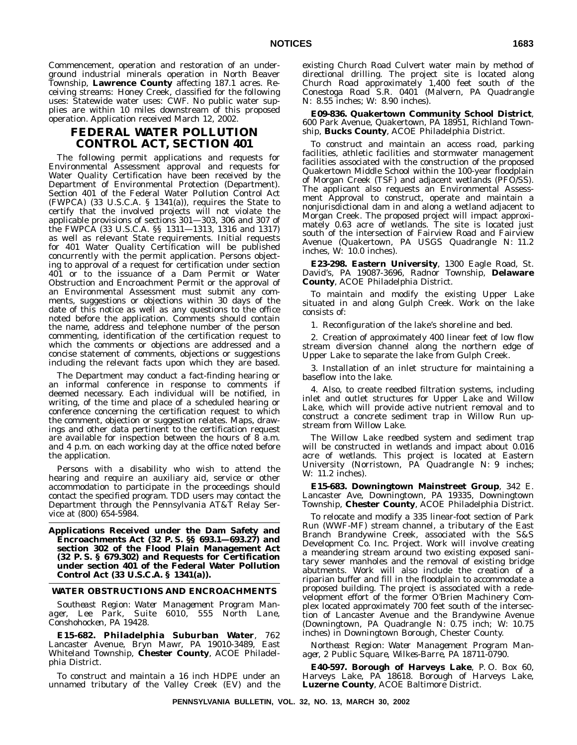Commencement, operation and restoration of an underground industrial minerals operation in North Beaver Township, **Lawrence County** affecting 187.1 acres. Receiving streams: Honey Creek, classified for the following uses: Statewide water uses: CWF. No public water supplies are within 10 miles downstream of this proposed operation. Application received March 12, 2002.

# **FEDERAL WATER POLLUTION CONTROL ACT, SECTION 401**

The following permit applications and requests for Environmental Assessment approval and requests for Water Quality Certification have been received by the Department of Environmental Protection (Department). Section 401 of the Federal Water Pollution Control Act (FWPCA) (33 U.S.C.A. § 1341(a)), requires the State to certify that the involved projects will not violate the applicable provisions of sections 301—303, 306 and 307 of the FWPCA (33 U.S.C.A. §§ 1311—1313, 1316 and 1317) as well as relevant State requirements. Initial requests for 401 Water Quality Certification will be published concurrently with the permit application. Persons objecting to approval of a request for certification under section 401 or to the issuance of a Dam Permit or Water Obstruction and Encroachment Permit or the approval of an Environmental Assessment must submit any comments, suggestions or objections within 30 days of the date of this notice as well as any questions to the office noted before the application. Comments should contain the name, address and telephone number of the person commenting, identification of the certification request to which the comments or objections are addressed and a concise statement of comments, objections or suggestions including the relevant facts upon which they are based.

The Department may conduct a fact-finding hearing or an informal conference in response to comments if deemed necessary. Each individual will be notified, in writing, of the time and place of a scheduled hearing or conference concerning the certification request to which the comment, objection or suggestion relates. Maps, drawings and other data pertinent to the certification request are available for inspection between the hours of 8 a.m. and 4 p.m. on each working day at the office noted before the application.

Persons with a disability who wish to attend the hearing and require an auxiliary aid, service or other accommodation to participate in the proceedings should contact the specified program. TDD users may contact the Department through the Pennsylvania AT&T Relay Service at (800) 654-5984.

**Applications Received under the Dam Safety and Encroachments Act (32 P. S. §§ 693.1—693.27) and section 302 of the Flood Plain Management Act (32 P. S. § 679.302) and Requests for Certification under section 401 of the Federal Water Pollution Control Act (33 U.S.C.A. § 1341(a)).**

## **WATER OBSTRUCTIONS AND ENCROACHMENTS**

*Southeast Region: Water Management Program Manager, Lee Park, Suite 6010, 555 North Lane, Conshohocken, PA 19428.*

**E15-682. Philadelphia Suburban Water**, 762 Lancaster Avenue, Bryn Mawr, PA 19010-3489, East Whiteland Township, **Chester County**, ACOE Philadelphia District.

To construct and maintain a 16 inch HDPE under an unnamed tributary of the Valley Creek (EV) and the existing Church Road Culvert water main by method of directional drilling. The project site is located along Church Road approximately 1,400 feet south of the Conestoga Road S.R. 0401 (Malvern, PA Quadrangle N: 8.55 inches; W: 8.90 inches).

**E09-836. Quakertown Community School District**, 600 Park Avenue, Quakertown, PA 18951, Richland Township, **Bucks County**, ACOE Philadelphia District.

To construct and maintain an access road, parking facilities, athletic facilities and stormwater management facilities associated with the construction of the proposed Quakertown Middle School within the 100-year floodplain of Morgan Creek (TSF) and adjacent wetlands (PFO/SS). The applicant also requests an Environmental Assessment Approval to construct, operate and maintain a nonjurisdictional dam in and along a wetland adjacent to Morgan Creek. The proposed project will impact approximately 0.63 acre of wetlands. The site is located just south of the intersection of Fairview Road and Fairview Avenue (Quakertown, PA USGS Quadrangle N: 11.2 inches, W: 10.0 inches).

**E23-298. Eastern University**, 1300 Eagle Road, St. David's, PA 19087-3696, Radnor Township, **Delaware County**, ACOE Philadelphia District.

To maintain and modify the existing Upper Lake situated in and along Gulph Creek. Work on the lake consists of:

1. Reconfiguration of the lake's shoreline and bed.

2. Creation of approximately 400 linear feet of low flow stream diversion channel along the northern edge of Upper Lake to separate the lake from Gulph Creek.

3. Installation of an inlet structure for maintaining a baseflow into the lake.

4. Also, to create reedbed filtration systems, including inlet and outlet structures for Upper Lake and Willow Lake, which will provide active nutrient removal and to construct a concrete sediment trap in Willow Run upstream from Willow Lake.

The Willow Lake reedbed system and sediment trap will be constructed in wetlands and impact about 0.016 acre of wetlands. This project is located at Eastern University (Norristown, PA Quadrangle N: 9 inches; W: 11.2 inches).

**E15-683. Downingtown Mainstreet Group**, 342 E. Lancaster Ave, Downingtown, PA 19335, Downingtown Township, **Chester County**, ACOE Philadelphia District.

To relocate and modify a 335 linear-foot section of Park Run (WWF-MF) stream channel, a tributary of the East Branch Brandywine Creek, associated with the S&S Development Co. Inc. Project. Work will involve creating a meandering stream around two existing exposed sanitary sewer manholes and the removal of existing bridge abutments. Work will also include the creation of a riparian buffer and fill in the floodplain to accommodate a proposed building. The project is associated with a redevelopment effort of the former O'Brien Machinery Complex located approximately 700 feet south of the intersection of Lancaster Avenue and the Brandywine Avenue (Downingtown, PA Quadrangle N: 0.75 inch; W: 10.75 inches) in Downingtown Borough, Chester County.

*Northeast Region: Water Management Program Manager, 2 Public Square, Wilkes-Barre, PA 18711-0790.*

**E40-597. Borough of Harveys Lake**, P. O. Box 60, Harveys Lake, PA 18618. Borough of Harveys Lake, **Luzerne County**, ACOE Baltimore District.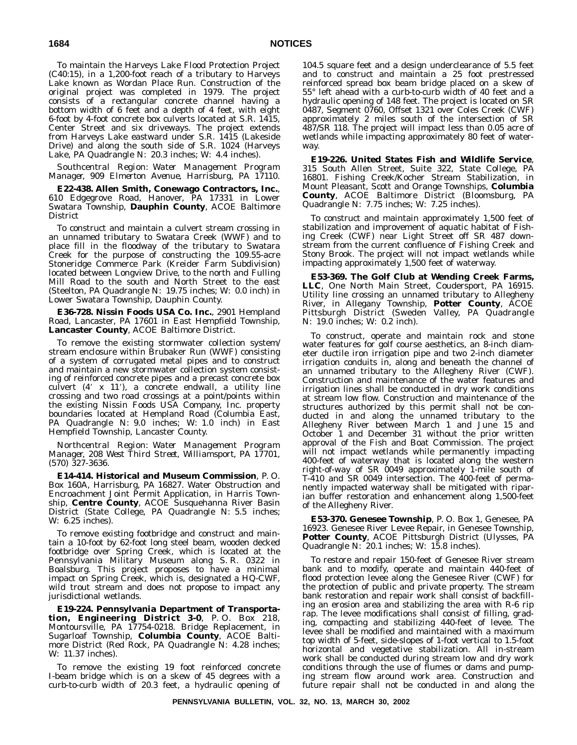To maintain the Harveys Lake Flood Protection Project (C40:15), in a 1,200-foot reach of a tributary to Harveys Lake known as Wordan Place Run. Construction of the original project was completed in 1979. The project consists of a rectangular concrete channel having a bottom width of 6 feet and a depth of 4 feet, with eight 6-foot by 4-foot concrete box culverts located at S.R. 1415, Center Street and six driveways. The project extends from Harveys Lake eastward under S.R. 1415 (Lakeside Drive) and along the south side of S.R. 1024 (Harveys Lake, PA Quadrangle N: 20.3 inches; W: 4.4 inches).

*Southcentral Region: Water Management Program Manager, 909 Elmerton Avenue, Harrisburg, PA 17110.*

**E22-438. Allen Smith, Conewago Contractors, Inc.**, 610 Edgegrove Road, Hanover, PA 17331 in Lower Swatara Township, **Dauphin County**, ACOE Baltimore District

To construct and maintain a culvert stream crossing in an unnamed tributary to Swatara Creek (WWF) and to place fill in the floodway of the tributary to Swatara Creek for the purpose of constructing the 109.55-acre Stoneridge Commerce Park (Kreider Farm Subdivision) located between Longview Drive, to the north and Fulling Mill Road to the south and North Street to the east (Steelton, PA Quadrangle N: 19.75 inches; W: 0.0 inch) in Lower Swatara Township, Dauphin County.

**E36-728. Nissin Foods USA Co. Inc.**, 2901 Hempland Road, Lancaster, PA 17601 in East Hempfield Township, **Lancaster County**, ACOE Baltimore District.

To remove the existing stormwater collection system/ stream enclosure within Brubaker Run (WWF) consisting of a system of corrugated metal pipes and to construct and maintain a new stormwater collection system consisting of reinforced concrete pipes and a precast concrete box culvert (4' x 11'), a concrete endwall, a utility line crossing and two road crossings at a point/points within the existing Nissin Foods USA Company, Inc. property boundaries located at Hempland Road (Columbia East, PA Quadrangle N: 9.0 inches; W: 1.0 inch) in East Hempfield Township, Lancaster County.

*Northcentral Region: Water Management Program Manager, 208 West Third Street, Williamsport, PA 17701, (570) 327-3636.*

**E14-414. Historical and Museum Commission**, P. O. Box 160A, Harrisburg, PA 16827. Water Obstruction and Encroachment Joint Permit Application, in Harris Township, **Centre County**, ACOE Susquehanna River Basin District (State College, PA Quadrangle N: 5.5 inches; W: 6.25 inches).

To remove existing footbridge and construct and maintain a 10-foot by 62-foot long steel beam, wooden decked footbridge over Spring Creek, which is located at the Pennsylvania Military Museum along S. R. 0322 in Boalsburg. This project proposes to have a minimal impact on Spring Creek, which is, designated a HQ-CWF, wild trout stream and does not propose to impact any jurisdictional wetlands.

**E19-224. Pennsylvania Department of Transportation, Engineering District 3-0**, P. O. Box 218, Montoursville, PA 17754-0218. Bridge Replacement, in Sugarloaf Township, **Columbia County**, ACOE Baltimore District (Red Rock, PA Quadrangle N: 4.28 inches; W: 11.37 inches).

To remove the existing 19 foot reinforced concrete I-beam bridge which is on a skew of 45 degrees with a curb-to-curb width of 20.3 feet, a hydraulic opening of

104.5 square feet and a design underclearance of 5.5 feet and to construct and maintain a 25 foot prestressed reinforced spread box beam bridge placed on a skew of 55° left ahead with a curb-to-curb width of 40 feet and a hydraulic opening of 148 feet. The project is located on SR 0487, Segment 0760, Offset 1321 over Coles Creek (CWF) approximately 2 miles south of the intersection of SR 487/SR 118. The project will impact less than 0.05 acre of wetlands while impacting approximately 80 feet of waterway.

**E19-226. United States Fish and Wildlife Service**, 315 South Allen Street, Suite 322, State College, PA 16801. Fishing Creek/Kocher Stream Stabilization, in Mount Pleasant, Scott and Orange Townships, **Columbia County**, ACOE Baltimore District (Bloomsburg, PA Quadrangle N: 7.75 inches; W: 7.25 inches).

To construct and maintain approximately 1,500 feet of stabilization and improvement of aquatic habitat of Fishing Creek (CWF) near Light Street off SR 487 downstream from the current confluence of Fishing Creek and Stony Brook. The project will not impact wetlands while impacting approximately 1,500 feet of waterway.

**E53-369. The Golf Club at Wending Creek Farms, LLC**, One North Main Street, Coudersport, PA 16915. Utility line crossing an unnamed tributary to Allegheny River, in Allegany Township, **Potter County**, ACOE Pittsburgh District (Sweden Valley, PA Quadrangle N: 19.0 inches; W: 0.2 inch).

To construct, operate and maintain rock and stone water features for golf course aesthetics, an 8-inch diameter ductile iron irrigation pipe and two 2-inch diameter irrigation conduits in, along and beneath the channel of an unnamed tributary to the Allegheny River (CWF). Construction and maintenance of the water features and irrigation lines shall be conducted in dry work conditions at stream low flow. Construction and maintenance of the structures authorized by this permit shall not be conducted in and along the unnamed tributary to the Allegheny River between March 1 and June 15 and October 1 and December 31 without the prior written approval of the Fish and Boat Commission. The project will not impact wetlands while permanently impacting 400-feet of waterway that is located along the western right-of-way of SR 0049 approximately 1-mile south of T-410 and SR 0049 intersection. The 400-feet of permanently impacted waterway shall be mitigated with riparian buffer restoration and enhancement along 1,500-feet of the Allegheny River.

**E53-370. Genesee Township**, P. O. Box 1, Genesee, PA 16923. Genesee River Levee Repair, in Genesee Township, **Potter County**, ACOE Pittsburgh District (Ulysses, PA Quadrangle N: 20.1 inches; W: 15.8 inches).

To restore and repair 150-feet of Genesee River stream bank and to modify, operate and maintain 440-feet of flood protection levee along the Genesee River (CWF) for the protection of public and private property. The stream bank restoration and repair work shall consist of backfilling an erosion area and stabilizing the area with R-6 rip rap. The levee modifications shall consist of filling, grading, compacting and stabilizing 440-feet of levee. The levee shall be modified and maintained with a maximum top width of 5-feet, side-slopes of 1-foot vertical to 1.5-foot horizontal and vegetative stabilization. All in-stream work shall be conducted during stream low and dry work conditions through the use of flumes or dams and pumping stream flow around work area. Construction and future repair shall not be conducted in and along the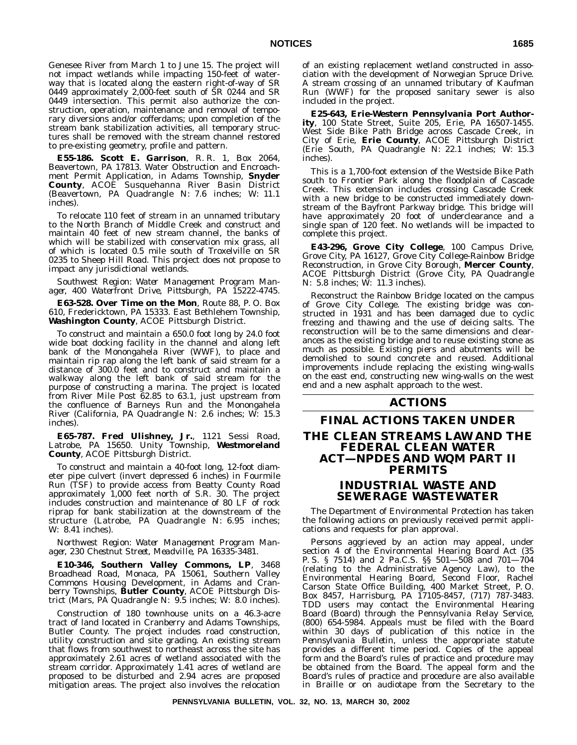Genesee River from March 1 to June 15. The project will not impact wetlands while impacting 150-feet of waterway that is located along the eastern right-of-way of SR 0449 approximately 2,000-feet south of SR 0244 and SR 0449 intersection. This permit also authorize the construction, operation, maintenance and removal of temporary diversions and/or cofferdams; upon completion of the stream bank stabilization activities, all temporary structures shall be removed with the stream channel restored to pre-existing geometry, profile and pattern.

**E55-186. Scott E. Garrison**, R. R. 1, Box 2064, Beavertown, PA 17813. Water Obstruction and Encroachment Permit Application, in Adams Township, **Snyder County**, ACOE Susquehanna River Basin District (Beavertown, PA Quadrangle N: 7.6 inches; W: 11.1 inches).

To relocate 110 feet of stream in an unnamed tributary to the North Branch of Middle Creek and construct and maintain 40 feet of new stream channel, the banks of which will be stabilized with conservation mix grass, all of which is located 0.5 mile south of Troxelville on SR 0235 to Sheep Hill Road. This project does not propose to impact any jurisdictional wetlands.

*Southwest Region: Water Management Program Manager, 400 Waterfront Drive, Pittsburgh, PA 15222-4745.*

**E63-528. Over Time on the Mon**, Route 88, P. O. Box 610, Fredericktown, PA 15333. East Bethlehem Township, **Washington County**, ACOE Pittsburgh District.

To construct and maintain a 650.0 foot long by 24.0 foot wide boat docking facility in the channel and along left bank of the Monongahela River (WWF), to place and maintain rip rap along the left bank of said stream for a distance of 300.0 feet and to construct and maintain a walkway along the left bank of said stream for the purpose of constructing a marina. The project is located from River Mile Post 62.85 to 63.1, just upstream from the confluence of Barneys Run and the Monongahela River (California, PA Quadrangle N: 2.6 inches; W: 15.3 inches).

**E65-787. Fred Ulishney, Jr.**, 1121 Sessi Road, Latrobe, PA 15650. Unity Township, **Westmoreland County**, ACOE Pittsburgh District.

To construct and maintain a 40-foot long, 12-foot diameter pipe culvert (invert depressed 6 inches) in Fourmile Run (TSF) to provide access from Beatty County Road approximately 1,000 feet north of S.R. 30. The project includes construction and maintenance of 80 LF of rock riprap for bank stabilization at the downstream of the structure (Latrobe, PA Quadrangle N: 6.95 inches; W: 8.41 inches).

*Northwest Region: Water Management Program Manager, 230 Chestnut Street, Meadville, PA 16335-3481.*

**E10-346, Southern Valley Commons, LP**, 3468 Broadhead Road, Monaca, PA 15061, Southern Valley Commons Housing Development, in Adams and Cranberry Townships, **Butler County**, ACOE Pittsburgh District (Mars, PA Quadrangle N: 9.5 inches; W: 8.0 inches).

Construction of 180 townhouse units on a 46.3-acre tract of land located in Cranberry and Adams Townships, Butler County. The project includes road construction, utility construction and site grading. An existing stream that flows from southwest to northeast across the site has approximately 2.61 acres of wetland associated with the stream corridor. Approximately 1.41 acres of wetland are proposed to be disturbed and 2.94 acres are proposed mitigation areas. The project also involves the relocation

of an existing replacement wetland constructed in association with the development of Norwegian Spruce Drive. A stream crossing of an unnamed tributary of Kaufman Run (WWF) for the proposed sanitary sewer is also included in the project.

**E25-643, Erie-Western Pennsylvania Port Authority**, 100 State Street, Suite 205, Erie, PA 16507-1455. West Side Bike Path Bridge across Cascade Creek, in City of Erie, **Erie County**, ACOE Pittsburgh District (Erie South, PA Quadrangle N: 22.1 inches; W: 15.3 inches).

This is a 1,700-foot extension of the Westside Bike Path south to Frontier Park along the floodplain of Cascade Creek. This extension includes crossing Cascade Creek with a new bridge to be constructed immediately downstream of the Bayfront Parkway bridge. This bridge will have approximately 20 foot of underclearance and a single span of 120 feet. No wetlands will be impacted to complete this project.

**E43-296, Grove City College**, 100 Campus Drive, Grove City, PA 16127, Grove City College-Rainbow Bridge Reconstruction, in Grove City Borough, **Mercer County**, ACOE Pittsburgh District (Grove City, PA Quadrangle N: 5.8 inches; W: 11.3 inches).

Reconstruct the Rainbow Bridge located on the campus of Grove City College. The existing bridge was constructed in 1931 and has been damaged due to cyclic freezing and thawing and the use of deicing salts. The reconstruction will be to the same dimensions and clearances as the existing bridge and to reuse existing stone as much as possible. Existing piers and abutments will be demolished to sound concrete and reused. Additional improvements include replacing the existing wing-walls on the east end, constructing new wing-walls on the west end and a new asphalt approach to the west.

# **ACTIONS**

# **FINAL ACTIONS TAKEN UNDER THE CLEAN STREAMS LAW AND THE FEDERAL CLEAN WATER ACT—NPDES AND WQM PART II PERMITS**

# **INDUSTRIAL WASTE AND SEWERAGE WASTEWATER**

The Department of Environmental Protection has taken the following actions on previously received permit applications and requests for plan approval.

Persons aggrieved by an action may appeal, under section 4 of the Environmental Hearing Board Act (35 P. S. § 7514) and 2 Pa.C.S. §§ 501—508 and 701—704 (relating to the Administrative Agency Law), to the Environmental Hearing Board, Second Floor, Rachel Carson State Office Building, 400 Market Street, P. O. Box 8457, Harrisburg, PA 17105-8457, (717) 787-3483. TDD users may contact the Environmental Hearing Board (Board) through the Pennsylvania Relay Service, (800) 654-5984. Appeals must be filed with the Board within 30 days of publication of this notice in the *Pennsylvania Bulletin*, unless the appropriate statute provides a different time period. Copies of the appeal form and the Board's rules of practice and procedure may be obtained from the Board. The appeal form and the Board's rules of practice and procedure are also available in Braille or on audiotape from the Secretary to the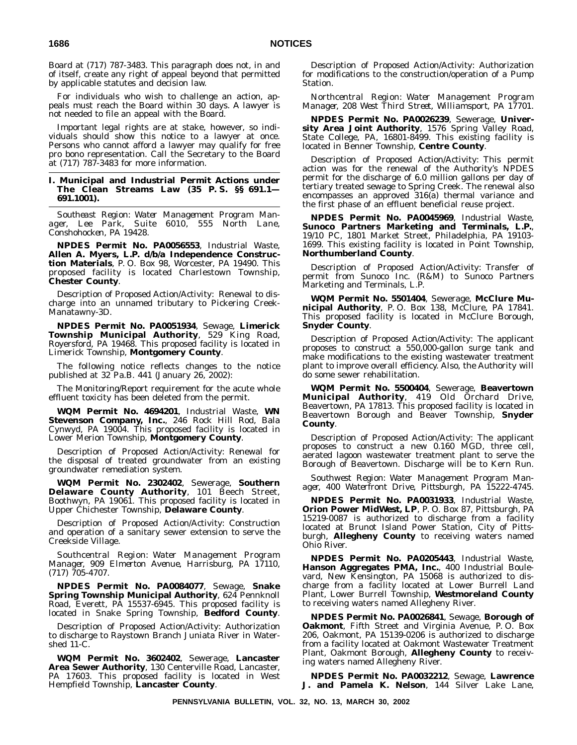Board at (717) 787-3483. This paragraph does not, in and of itself, create any right of appeal beyond that permitted by applicable statutes and decision law.

For individuals who wish to challenge an action, appeals must reach the Board within 30 days. A lawyer is not needed to file an appeal with the Board.

Important legal rights are at stake, however, so individuals should show this notice to a lawyer at once. Persons who cannot afford a lawyer may qualify for free pro bono representation. Call the Secretary to the Board at (717) 787-3483 for more information.

# **I. Municipal and Industrial Permit Actions under The Clean Streams Law (35 P. S. §§ 691.1— 691.1001).**

*Southeast Region: Water Management Program Manager, Lee Park, Suite 6010, 555 North Lane, Conshohocken, PA 19428.*

**NPDES Permit No. PA0056553**, Industrial Waste, **Allen A. Myers, L.P. d/b/a Independence Construction Materials**, P. O. Box 98, Worcester, PA 19490. This proposed facility is located Charlestown Township, **Chester County**.

Description of Proposed Action/Activity: Renewal to discharge into an unnamed tributary to Pickering Creek-Manatawny-3D.

**NPDES Permit No. PA0051934**, Sewage, **Limerick Township Municipal Authority**, 529 King Road, Royersford, PA 19468. This proposed facility is located in Limerick Township, **Montgomery County**.

The following notice reflects changes to the notice published at 32 Pa.B. 441 (January 26, 2002):

The Monitoring/Report requirement for the acute whole effluent toxicity has been deleted from the permit.

**WQM Permit No. 4694201**, Industrial Waste, **WN Stevenson Company, Inc.**, 246 Rock Hill Rod, Bala Cynwyd, PA 19004. This proposed facility is located in Lower Merion Township, **Montgomery County**.

Description of Proposed Action/Activity: Renewal for the disposal of treated groundwater from an existing groundwater remediation system.

**WQM Permit No. 2302402**, Sewerage, **Southern Delaware County Authority**, 101 Beech Street, Boothwyn, PA 19061. This proposed facility is located in Upper Chichester Township, **Delaware County**.

Description of Proposed Action/Activity: Construction and operation of a sanitary sewer extension to serve the Creekside Village.

*Southcentral Region: Water Management Program Manager, 909 Elmerton Avenue, Harrisburg, PA 17110, (717) 705-4707.*

**NPDES Permit No. PA0084077**, Sewage, **Snake Spring Township Municipal Authority**, 624 Pennknoll Road, Everett, PA 15537-6945. This proposed facility is located in Snake Spring Township, **Bedford County**.

Description of Proposed Action/Activity: Authorization to discharge to Raystown Branch Juniata River in Watershed 11-C.

**WQM Permit No. 3602402**, Sewerage, **Lancaster Area Sewer Authority**, 130 Centerville Road, Lancaster, PA 17603. This proposed facility is located in West Hempfield Township, **Lancaster County**.

Description of Proposed Action/Activity: Authorization for modifications to the construction/operation of a Pump Station.

*Northcentral Region: Water Management Program Manager, 208 West Third Street, Williamsport, PA 17701.*

**NPDES Permit No. PA0026239**, Sewerage, **University Area Joint Authority**, 1576 Spring Valley Road, State College, PA, 16801-8499. This existing facility is located in Benner Township, **Centre County**.

Description of Proposed Action/Activity: This permit action was for the renewal of the Authority's NPDES permit for the discharge of 6.0 million gallons per day of tertiary treated sewage to Spring Creek. The renewal also encompasses an approved 316(a) thermal variance and the first phase of an effluent beneficial reuse project.

**NPDES Permit No. PA0045969**, Industrial Waste, **Sunoco Partners Marketing and Terminals, L.P.**, 19/10 PC, 1801 Market Street, Philadelphia, PA 19103- 1699. This existing facility is located in Point Township, **Northumberland County**.

Description of Proposed Action/Activity: Transfer of permit from Sunoco Inc. (R&M) to Sunoco Partners Marketing and Terminals, L.P.

**WQM Permit No. 5501404**, Sewerage, **McClure Municipal Authority**, P. O. Box 138, McClure, PA 17841. This proposed facility is located in McClure Borough, **Snyder County**.

Description of Proposed Action/Activity: The applicant proposes to construct a 550,000-gallon surge tank and make modifications to the existing wastewater treatment plant to improve overall efficiency. Also, the Authority will do some sewer rehabilitation.

**WQM Permit No. 5500404**, Sewerage, **Beavertown Municipal Authority**, 419 Old Orchard Drive, Beavertown, PA 17813. This proposed facility is located in Beavertown Borough and Beaver Township, **Snyder County**.

Description of Proposed Action/Activity: The applicant proposes to construct a new 0.160 MGD, three cell, aerated lagoon wastewater treatment plant to serve the Borough of Beavertown. Discharge will be to Kern Run.

*Southwest Region: Water Management Program Manager, 400 Waterfront Drive, Pittsburgh, PA 15222-4745.*

**NPDES Permit No. PA0031933**, Industrial Waste, **Orion Power MidWest, LP**, P. O. Box 87, Pittsburgh, PA 15219-0087 is authorized to discharge from a facility located at Brunot Island Power Station, City of Pittsburgh, **Allegheny County** to receiving waters named Ohio River.

**NPDES Permit No. PA0205443**, Industrial Waste, **Hanson Aggregates PMA, Inc.**, 400 Industrial Boulevard, New Kensington, PA 15068 is authorized to discharge from a facility located at Lower Burrell Land Plant, Lower Burrell Township, **Westmoreland County** to receiving waters named Allegheny River.

**NPDES Permit No. PA0026841**, Sewage, **Borough of Oakmont**, Fifth Street and Virginia Avenue, P. O. Box 206, Oakmont, PA 15139-0206 is authorized to discharge from a facility located at Oakmont Wastewater Treatment Plant, Oakmont Borough, **Allegheny County** to receiving waters named Allegheny River.

**NPDES Permit No. PA0032212**, Sewage, **Lawrence J. and Pamela K. Nelson**, 144 Silver Lake Lane,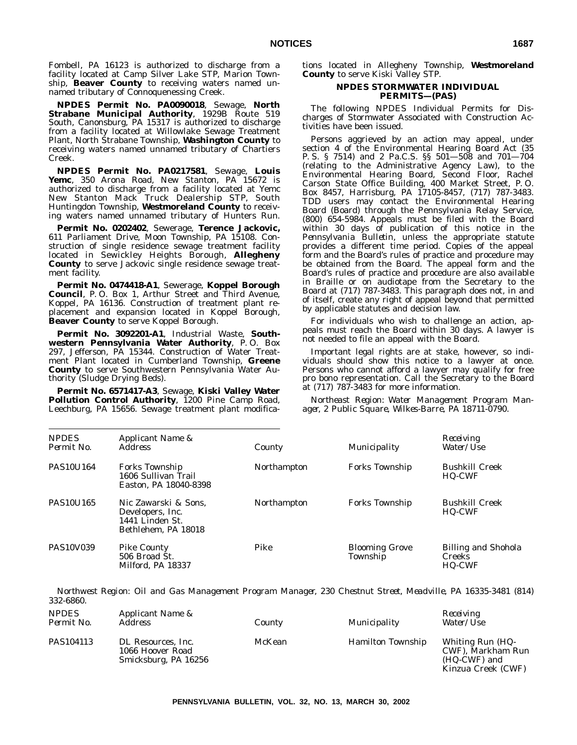Fombell, PA 16123 is authorized to discharge from a facility located at Camp Silver Lake STP, Marion Township, **Beaver County** to receiving waters named unnamed tributary of Connoquenessing Creek.

**NPDES Permit No. PA0090018**, Sewage, **North Strabane Municipal Authority**, 1929B Route 519 South, Canonsburg, PA 15317 is authorized to discharge from a facility located at Willowlake Sewage Treatment Plant, North Strabane Township, **Washington County** to receiving waters named unnamed tributary of Chartiers Creek.

**NPDES Permit No. PA0217581**, Sewage, **Louis Yemc**, 350 Arona Road, New Stanton, PA 15672 is authorized to discharge from a facility located at Yemc New Stanton Mack Truck Dealership STP, South Huntingdon Township, **Westmoreland County** to receiving waters named unnamed tributary of Hunters Run.

**Permit No. 0202402**, Sewerage, **Terence Jackovic,** 611 Parliament Drive, Moon Township, PA 15108. Construction of single residence sewage treatment facility located in Sewickley Heights Borough, **Allegheny County** to serve Jackovic single residence sewage treatment facility.

**Permit No. 0474418-A1**, Sewerage, **Koppel Borough Council**, P. O. Box 1, Arthur Street and Third Avenue, Koppel, PA 16136. Construction of treatment plant replacement and expansion located in Koppel Borough, **Beaver County** to serve Koppel Borough.

**Permit No. 3092201-A1**, Industrial Waste, **Southwestern Pennsylvania Water Authority**, P. O. Box 297, Jefferson, PA 15344. Construction of Water Treatment Plant located in Cumberland Township, **Greene County** to serve Southwestern Pennsylvania Water Authority (Sludge Drying Beds).

**Permit No. 6571417-A3**, Sewage, **Kiski Valley Water Pollution Control Authority**, 1200 Pine Camp Road, Leechburg, PA 15656. Sewage treatment plant modifications located in Allegheny Township, **Westmoreland County** to serve Kiski Valley STP.

# **NPDES STORMWATER INDIVIDUAL PERMITS—(PAS)**

The following NPDES Individual Permits for Discharges of Stormwater Associated with Construction Activities have been issued.

Persons aggrieved by an action may appeal, under section 4 of the Environmental Hearing Board Act (35 P. S. § 7514) and 2 Pa.C.S. §§ 501—508 and 701—704 (relating to the Administrative Agency Law), to the Environmental Hearing Board, Second Floor, Rachel Carson State Office Building, 400 Market Street, P. O. Box 8457, Harrisburg, PA 17105-8457, (717) 787-3483. TDD users may contact the Environmental Hearing Board (Board) through the Pennsylvania Relay Service, (800) 654-5984. Appeals must be filed with the Board within 30 days of publication of this notice in the *Pennsylvania Bulletin*, unless the appropriate statute provides a different time period. Copies of the appeal form and the Board's rules of practice and procedure may be obtained from the Board. The appeal form and the Board's rules of practice and procedure are also available in Braille or on audiotape from the Secretary to the Board at (717) 787-3483. This paragraph does not, in and of itself, create any right of appeal beyond that permitted by applicable statutes and decision law.

For individuals who wish to challenge an action, appeals must reach the Board within 30 days. A lawyer is not needed to file an appeal with the Board.

Important legal rights are at stake, however, so individuals should show this notice to a lawyer at once. Persons who cannot afford a lawyer may qualify for free pro bono representation. Call the Secretary to the Board at (717) 787-3483 for more information.

*Northeast Region: Water Management Program Manager, 2 Public Square, Wilkes-Barre, PA 18711-0790.*

| <b>NPDES</b><br>Permit No. | Applicant Name &<br><i>Address</i>                                                 | County      | Municipality                      | Receiving<br>Water/Use                                       |
|----------------------------|------------------------------------------------------------------------------------|-------------|-----------------------------------|--------------------------------------------------------------|
| <b>PAS10U164</b>           | <b>Forks Township</b><br>1606 Sullivan Trail<br>Easton, PA 18040-8398              | Northampton | <b>Forks Township</b>             | <b>Bushkill Creek</b><br><b>HQ-CWF</b>                       |
| <b>PAS10U165</b>           | Nic Zawarski & Sons,<br>Developers, Inc.<br>1441 Linden St.<br>Bethlehem, PA 18018 | Northampton | <b>Forks Township</b>             | <b>Bushkill Creek</b><br><b>HQ-CWF</b>                       |
| <b>PAS10V039</b>           | <b>Pike County</b><br>506 Broad St.<br>Milford, PA 18337                           | Pike        | <b>Blooming Grove</b><br>Township | <b>Billing and Shohola</b><br><b>Creeks</b><br><b>HQ-CWF</b> |

*Northwest Region: Oil and Gas Management Program Manager, 230 Chestnut Street, Meadville, PA 16335-3481 (814) 332-6860.*

| <b>NPDES</b><br>Permit No. | Applicant Name &<br>Address                                    | County | Municipality             | Receiving<br>Water/Use                                                      |
|----------------------------|----------------------------------------------------------------|--------|--------------------------|-----------------------------------------------------------------------------|
| PAS104113                  | DL Resources, Inc.<br>1066 Hoover Road<br>Smicksburg, PA 16256 | McKean | <b>Hamilton Township</b> | Whiting Run (HQ-<br>CWF), Markham Run<br>(HQ-CWF) and<br>Kinzua Creek (CWF) |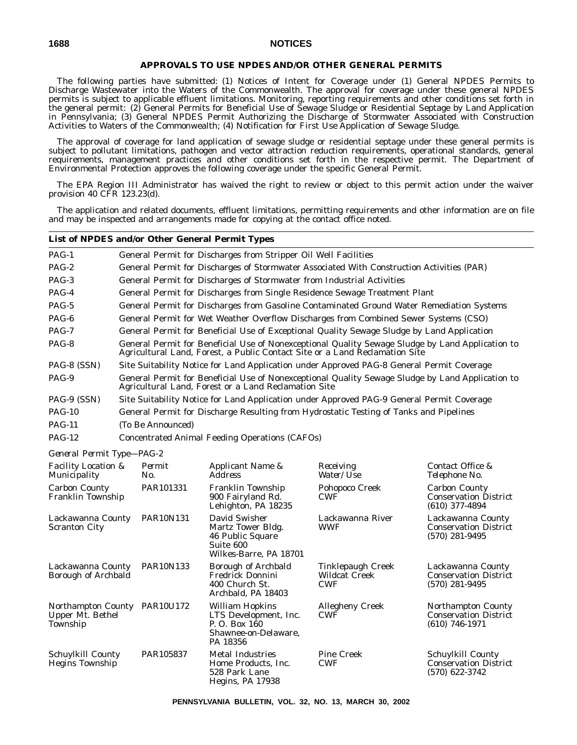# **APPROVALS TO USE NPDES AND/OR OTHER GENERAL PERMITS**

The following parties have submitted: (1) Notices of Intent for Coverage under (1) General NPDES Permits to Discharge Wastewater into the Waters of the Commonwealth. The approval for coverage under these general NPDES permits is subject to applicable effluent limitations. Monitoring, reporting requirements and other conditions set forth in the general permit: (2) General Permits for Beneficial Use of Sewage Sludge or Residential Septage by Land Application in Pennsylvania; (3) General NPDES Permit Authorizing the Discharge of Stormwater Associated with Construction Activities to Waters of the Commonwealth; (4) Notification for First Use Application of Sewage Sludge.

The approval of coverage for land application of sewage sludge or residential septage under these general permits is subject to pollutant limitations, pathogen and vector attraction reduction requirements, operational standards, general requirements, management practices and other conditions set forth in the respective permit. The Department of Environmental Protection approves the following coverage under the specific General Permit.

The EPA Region III Administrator has waived the right to review or object to this permit action under the waiver provision 40 CFR 123.23(d).

The application and related documents, effluent limitations, permitting requirements and other information are on file and may be inspected and arrangements made for copying at the contact office noted.

# **List of NPDES and/or Other General Permit Types**

| PAG-1                                                            | General Permit for Discharges from Stripper Oil Well Facilities                                                                                                                 |
|------------------------------------------------------------------|---------------------------------------------------------------------------------------------------------------------------------------------------------------------------------|
| $PAG-2$                                                          | General Permit for Discharges of Stormwater Associated With Construction Activities (PAR)                                                                                       |
| PAG-3                                                            | General Permit for Discharges of Stormwater from Industrial Activities                                                                                                          |
| PAG-4                                                            | General Permit for Discharges from Single Residence Sewage Treatment Plant                                                                                                      |
| PAG-5                                                            | General Permit for Discharges from Gasoline Contaminated Ground Water Remediation Systems                                                                                       |
| PAG-6                                                            | General Permit for Wet Weather Overflow Discharges from Combined Sewer Systems (CSO)                                                                                            |
| $PAG-7$                                                          | General Permit for Beneficial Use of Exceptional Quality Sewage Sludge by Land Application                                                                                      |
| PAG-8                                                            | General Permit for Beneficial Use of Nonexceptional Quality Sewage Sludge by Land Application to<br>Agricultural Land, Forest, a Public Contact Site or a Land Reclamation Site |
| PAG-8 (SSN)                                                      | Site Suitability Notice for Land Application under Approved PAG-8 General Permit Coverage                                                                                       |
| PAG-9                                                            | General Permit for Beneficial Use of Nonexceptional Quality Sewage Sludge by Land Application to<br>Agricultural Land, Forest or a Land Reclamation Site                        |
| PAG-9 (SSN)                                                      | Site Suitability Notice for Land Application under Approved PAG-9 General Permit Coverage                                                                                       |
| <b>PAG-10</b>                                                    | General Permit for Discharge Resulting from Hydrostatic Testing of Tanks and Pipelines                                                                                          |
| <b>PAG-11</b>                                                    | (To Be Announced)                                                                                                                                                               |
| <b>PAG-12</b>                                                    | Concentrated Animal Feeding Operations (CAFOs)                                                                                                                                  |
| $C_{1}, \ldots, C_{n}$ $D_{1}, \ldots, D_{n}$ $D_{1} \cap D_{n}$ |                                                                                                                                                                                 |

*General Permit Type—PAG-2*

| <b>Facility Location &amp;</b><br>Municipality     | Permit<br>No.    | Applicant Name &<br><i>Address</i>                                                                  | Receiving<br><i>Water/Use</i>                           | Contact Office &<br>Telephone No.                                        |
|----------------------------------------------------|------------------|-----------------------------------------------------------------------------------------------------|---------------------------------------------------------|--------------------------------------------------------------------------|
| <b>Carbon County</b><br>Franklin Township          | PAR101331        | Franklin Township<br>900 Fairyland Rd.<br>Lehighton, PA 18235                                       | Pohopoco Creek<br><b>CWF</b>                            | <b>Carbon County</b><br><b>Conservation District</b><br>$(610)$ 377-4894 |
| Lackawanna County<br><b>Scranton City</b>          | <b>PAR10N131</b> | David Swisher<br>Martz Tower Bldg.<br>46 Public Square<br>Suite 600<br>Wilkes-Barre, PA 18701       | Lackawanna River<br><b>WWF</b>                          | Lackawanna County<br><b>Conservation District</b><br>$(570)$ 281-9495    |
| Lackawanna County<br>Borough of Archbald           | <b>PAR10N133</b> | <b>Borough of Archbald</b><br><b>Fredrick Donnini</b><br>400 Church St.<br>Archbald, PA 18403       | Tinklepaugh Creek<br><b>Wildcat Creek</b><br><b>CWF</b> | Lackawanna County<br><b>Conservation District</b><br>$(570)$ 281-9495    |
| Northampton County<br>Upper Mt. Bethel<br>Township | PAR10U172        | <b>William Hopkins</b><br>LTS Development, Inc.<br>P.O. Box 160<br>Shawnee-on-Delaware,<br>PA 18356 | <b>Allegheny Creek</b><br><b>CWF</b>                    | Northampton County<br><b>Conservation District</b><br>$(610)$ 746-1971   |
| Schuylkill County<br><b>Hegins Township</b>        | PAR105837        | <b>Metal Industries</b><br>Home Products, Inc.<br>528 Park Lane<br>Hegins, PA 17938                 | <b>Pine Creek</b><br><b>CWF</b>                         | Schuylkill County<br><b>Conservation District</b><br>$(570)$ 622-3742    |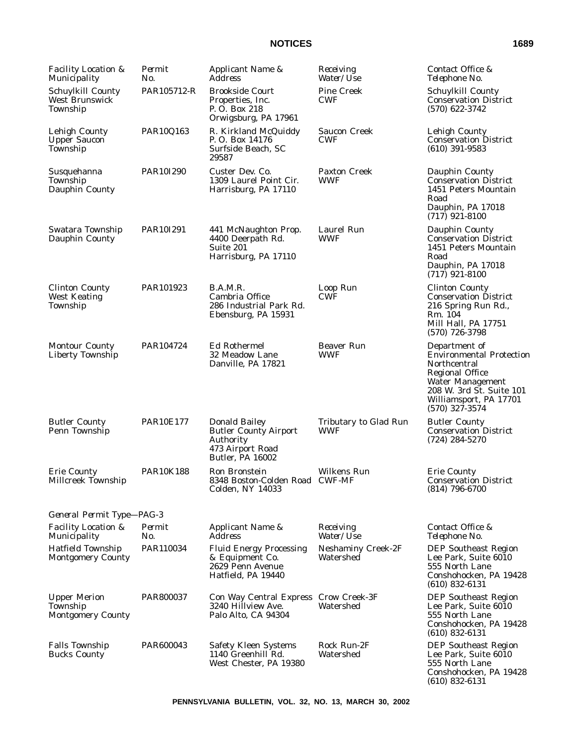| Facility Location &<br>Municipality                         | Permit<br>No.    | Applicant Name &<br>Address                                                                                      | Receiving<br>Water/ <i>Use</i>         | Contact Office &<br>Telephone No.                                                                                                                                                               |
|-------------------------------------------------------------|------------------|------------------------------------------------------------------------------------------------------------------|----------------------------------------|-------------------------------------------------------------------------------------------------------------------------------------------------------------------------------------------------|
| Schuylkill County<br><b>West Brunswick</b><br>Township      | PAR105712-R      | <b>Brookside Court</b><br>Properties, Inc.<br>P.O. Box 218<br>Orwigsburg, PA 17961                               | <b>Pine Creek</b><br><b>CWF</b>        | Schuylkill County<br><b>Conservation District</b><br>$(570)$ 622-3742                                                                                                                           |
| <b>Lehigh County</b><br><b>Upper Saucon</b><br>Township     | PAR10Q163        | R. Kirkland McQuiddy<br>P.O. Box 14176<br>Surfside Beach, SC<br>29587                                            | <b>Saucon Creek</b><br>CWF             | <b>Lehigh County</b><br><b>Conservation District</b><br>$(610)$ 391-9583                                                                                                                        |
| Susquehanna<br>Township<br>Dauphin County                   | PAR10I290        | Custer Dev. Co.<br>1309 Laurel Point Cir.<br>Harrisburg, PA 17110                                                | Paxton Creek<br><b>WWF</b>             | Dauphin County<br><b>Conservation District</b><br>1451 Peters Mountain<br>Road<br>Dauphin, PA 17018<br>$(717)$ 921-8100                                                                         |
| Swatara Township<br>Dauphin County                          | PAR10I291        | 441 McNaughton Prop.<br>4400 Deerpath Rd.<br>Suite 201<br>Harrisburg, PA 17110                                   | Laurel Run<br><b>WWF</b>               | Dauphin County<br><b>Conservation District</b><br>1451 Peters Mountain<br>Road<br>Dauphin, PA 17018<br>$(717)$ 921-8100                                                                         |
| <b>Clinton County</b><br><b>West Keating</b><br>Township    | PAR101923        | B.A.M.R.<br>Cambria Office<br>286 Industrial Park Rd.<br>Ebensburg, PA 15931                                     | Loop Run<br><b>CWF</b>                 | <b>Clinton County</b><br><b>Conservation District</b><br>216 Spring Run Rd.,<br>Rm. 104<br>Mill Hall, PA 17751<br>$(570)$ 726-3798                                                              |
| <b>Montour County</b><br><b>Liberty Township</b>            | PAR104724        | <b>Ed Rothermel</b><br>32 Meadow Lane<br>Danville, PA 17821                                                      | <b>Beaver Run</b><br><b>WWF</b>        | Department of<br><b>Environmental Protection</b><br>Northcentral<br><b>Regional Office</b><br><b>Water Management</b><br>208 W. 3rd St. Suite 101<br>Williamsport, PA 17701<br>$(570)$ 327-3574 |
| <b>Butler County</b><br>Penn Township                       | <b>PAR10E177</b> | <b>Donald Bailey</b><br><b>Butler County Airport</b><br>Authority<br>473 Airport Road<br><b>Butler, PA 16002</b> | Tributary to Glad Run<br>WWF           | <b>Butler County</b><br><b>Conservation District</b><br>$(724) 284 - 5270$                                                                                                                      |
| <b>Erie County</b><br>Millcreek Township                    | <b>PAR10K188</b> | Ron Bronstein<br>8348 Boston-Colden Road CWF-MF<br><b>Colden, NY 14033</b>                                       | <b>Wilkens Run</b>                     | <b>Erie County</b><br><b>Conservation District</b><br>(814) 796-6700                                                                                                                            |
| General Permit Type-PAG-3                                   |                  |                                                                                                                  |                                        |                                                                                                                                                                                                 |
| <b>Facility Location &amp;</b><br>Municipality              | Permit<br>No.    | Applicant Name &<br><b>Address</b>                                                                               | Receiving<br>Water/Use                 | Contact Office &<br>Telephone No.                                                                                                                                                               |
| <b>Hatfield Township</b><br><b>Montgomery County</b>        | PAR110034        | <b>Fluid Energy Processing</b><br>& Equipment Co.<br>2629 Penn Avenue<br>Hatfield, PA 19440                      | <b>Neshaminy Creek-2F</b><br>Watershed | <b>DEP Southeast Region</b><br>Lee Park, Suite 6010<br>555 North Lane<br>Conshohocken, PA 19428<br>$(610)$ 832-6131                                                                             |
| <b>Upper Merion</b><br>Township<br><b>Montgomery County</b> | PAR800037        | Con Way Central Express Crow Creek-3F<br>3240 Hillview Ave.<br>Palo Alto, CA 94304                               | Watershed                              | <b>DEP Southeast Region</b><br>Lee Park, Suite 6010<br>555 North Lane<br>Conshohocken, PA 19428<br>$(610)$ 832-6131                                                                             |
| <b>Falls Township</b><br><b>Bucks County</b>                | PAR600043        | <b>Safety Kleen Systems</b><br>1140 Greenhill Rd.<br>West Chester, PA 19380                                      | Rock Run-2F<br>Watershed               | <b>DEP</b> Southeast Region<br>Lee Park, Suite 6010<br>555 North Lane<br>Conshohocken, PA 19428<br>$(610)$ 832-6131                                                                             |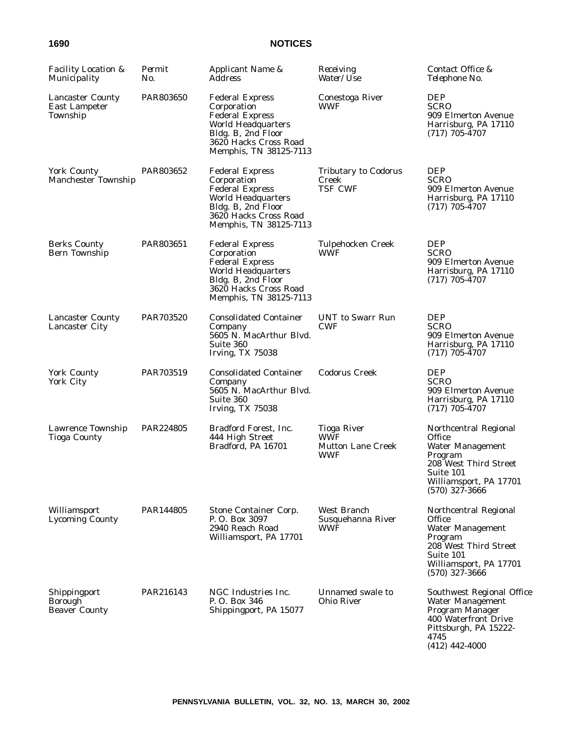| <b>Facility Location &amp;</b><br>Municipality       | Permit<br>No. | Applicant Name &<br><i>Address</i>                                                                                                                                    | Receiving<br>Water/Use                                                     | Contact Office &<br>Telephone No.                                                                                                                         |
|------------------------------------------------------|---------------|-----------------------------------------------------------------------------------------------------------------------------------------------------------------------|----------------------------------------------------------------------------|-----------------------------------------------------------------------------------------------------------------------------------------------------------|
| <b>Lancaster County</b><br>East Lampeter<br>Township | PAR803650     | <b>Federal Express</b><br>Corporation<br><b>Federal Express</b><br><b>World Headquarters</b><br>Bldg. B, 2nd Floor<br>3620 Hacks Cross Road<br>Memphis, TN 38125-7113 | Conestoga River<br>WWF                                                     | <b>DEP</b><br><b>SCRO</b><br>909 Elmerton Avenue<br>Harrisburg, PA 17110<br>$(717)$ 705-4707                                                              |
| <b>York County</b><br>Manchester Township            | PAR803652     | <b>Federal Express</b><br>Corporation<br><b>Federal Express</b><br><b>World Headquarters</b><br>Bldg. B, 2nd Floor<br>3620 Hacks Cross Road<br>Memphis, TN 38125-7113 | <b>Tributary to Codorus</b><br>Creek<br><b>TSF CWF</b>                     | <b>DEP</b><br><b>SCRO</b><br>909 Elmerton Avenue<br>Harrisburg, PA 17110<br>$(717)$ 705-4707                                                              |
| <b>Berks County</b><br>Bern Township                 | PAR803651     | <b>Federal Express</b><br>Corporation<br><b>Federal Express</b><br><b>World Headquarters</b><br>Bldg. B, 2nd Floor<br>3620 Hacks Cross Road<br>Memphis, TN 38125-7113 | <b>Tulpehocken Creek</b><br><b>WWF</b>                                     | <b>DEP</b><br><b>SCRO</b><br>909 Elmerton Avenue<br>Harrisburg, PA 17110<br>$(717)$ 705-4707                                                              |
| <b>Lancaster County</b><br><b>Lancaster City</b>     | PAR703520     | <b>Consolidated Container</b><br>Company<br>5605 N. MacArthur Blvd.<br>Suite 360<br><b>Irving, TX 75038</b>                                                           | <b>UNT</b> to Swarr Run<br><b>CWF</b>                                      | <b>DEP</b><br><b>SCRO</b><br>909 Elmerton Avenue<br>Harrisburg, PA 17110<br>$(717)$ 705-4707                                                              |
| <b>York County</b><br>York City                      | PAR703519     | <b>Consolidated Container</b><br>Company<br>5605 N. MacArthur Blvd.<br>Suite 360<br><b>Irving, TX 75038</b>                                                           | <b>Codorus Creek</b>                                                       | <b>DEP</b><br><b>SCRO</b><br>909 Elmerton Avenue<br>Harrisburg, PA 17110<br>$(717)$ 705-4707                                                              |
| Lawrence Township<br><b>Tioga County</b>             | PAR224805     | Bradford Forest, Inc.<br>444 High Street<br>Bradford, PA 16701                                                                                                        | <b>Tioga River</b><br><b>WWF</b><br><b>Mutton Lane Creek</b><br><b>WWF</b> | Northcentral Regional<br>Office<br><b>Water Management</b><br>Program<br>208 West Third Street<br>Suite 101<br>Williamsport, PA 17701<br>$(570)$ 327-3666 |
| Williamsport<br><b>Lycoming County</b>               | PAR144805     | Stone Container Corp.<br>P.O. Box 3097<br>2940 Reach Road<br>Williamsport, PA 17701                                                                                   | West Branch<br>Susquehanna River<br><b>WWF</b>                             | Northcentral Regional<br>Office<br><b>Water Management</b><br>Program<br>208 West Third Street<br>Suite 101<br>Williamsport, PA 17701<br>$(570)$ 327-3666 |
| Shippingport<br>Borough<br><b>Beaver County</b>      | PAR216143     | NGC Industries Inc.<br>P.O. Box 346<br>Shippingport, PA 15077                                                                                                         | Unnamed swale to<br>Ohio River                                             | Southwest Regional Office<br>Water Management<br>Program Manager<br>400 Waterfront Drive<br>Pittsburgh, PA 15222-<br>4745<br>$(412)$ 442-4000             |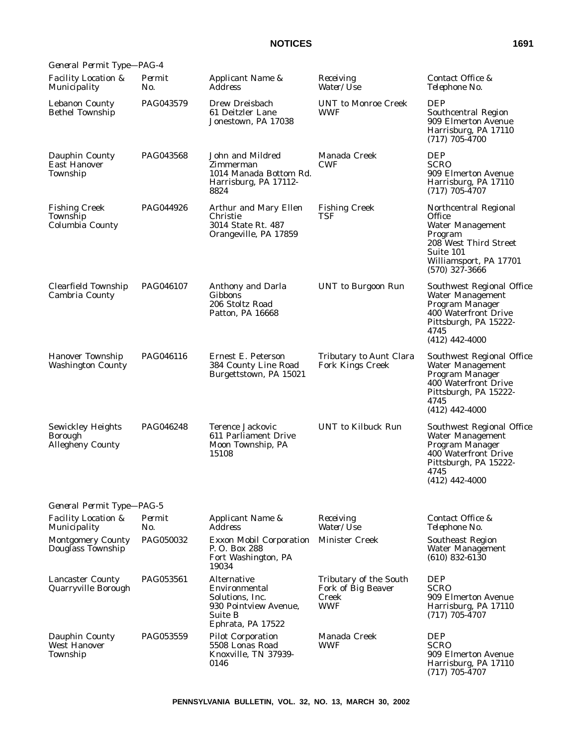| General Permit Type-PAG-4                                             |               |                                                                                                          |                                                                     |                                                                                                                                                                  |
|-----------------------------------------------------------------------|---------------|----------------------------------------------------------------------------------------------------------|---------------------------------------------------------------------|------------------------------------------------------------------------------------------------------------------------------------------------------------------|
| <b>Facility Location &amp;</b><br>Municipality                        | Permit<br>No. | Applicant Name &<br><b>Address</b>                                                                       | Receiving<br>Water/ <i>Use</i>                                      | Contact Office &<br>Telephone No.                                                                                                                                |
| <b>Lebanon County</b><br><b>Bethel Township</b>                       | PAG043579     | Drew Dreisbach<br>61 Deitzler Lane<br>Jonestown, PA 17038                                                | <b>UNT</b> to Monroe Creek<br><b>WWF</b>                            | DEP<br>Southcentral Region<br>909 Elmerton Avenue<br>Harrisburg, PA 17110<br>$(717)$ 705-4700                                                                    |
| Dauphin County<br><b>East Hanover</b><br>Township                     | PAG043568     | John and Mildred<br>Zimmerman<br>1014 Manada Bottom Rd.<br>Harrisburg, PA 17112-<br>8824                 | Manada Creek<br><b>CWF</b>                                          | <b>DEP</b><br><b>SCRO</b><br>909 Elmerton Avenue<br>Harrisburg, PA 17110<br>$(717)$ 705-4707                                                                     |
| <b>Fishing Creek</b><br>Township<br>Columbia County                   | PAG044926     | Arthur and Mary Ellen<br>Christie<br>3014 State Rt. 487<br>Orangeville, PA 17859                         | <b>Fishing Creek</b><br>TSF                                         | Northcentral Regional<br><b>Office</b><br><b>Water Management</b><br>Program<br>208 West Third Street<br>Suite 101<br>Williamsport, PA 17701<br>$(570)$ 327-3666 |
| Clearfield Township<br>Cambria County                                 | PAG046107     | Anthony and Darla<br>Gibbons<br>206 Stoltz Road<br>Patton, PA 16668                                      | <b>UNT</b> to Burgoon Run                                           | Southwest Regional Office<br><b>Water Management</b><br>Program Manager<br>400 Waterfront Drive<br>Pittsburgh, PA 15222-<br>4745<br>$(412)$ 442-4000             |
| <b>Hanover Township</b><br><b>Washington County</b>                   | PAG046116     | Ernest E. Peterson<br>384 County Line Road<br>Burgettstown, PA 15021                                     | Tributary to Aunt Clara<br><b>Fork Kings Creek</b>                  | Southwest Regional Office<br>Water Management<br>Program Manager<br>400 Waterfront Drive<br>Pittsburgh, PA 15222-<br>4745<br>$(412)$ 442-4000                    |
| <b>Sewickley Heights</b><br><b>Borough</b><br><b>Allegheny County</b> | PAG046248     | Terence Jackovic<br>611 Parliament Drive<br>Moon Township, PA<br>15108                                   | <b>UNT</b> to Kilbuck Run                                           | Southwest Regional Office<br><b>Water Management</b><br>Program Manager<br>400 Waterfront Drive<br>Pittsburgh, PA 15222-<br>4745<br>$(412)$ 442-4000             |
| General Permit Type-PAG-5                                             |               |                                                                                                          |                                                                     |                                                                                                                                                                  |
| Facility Location &<br>Municipality                                   | Permit<br>No. | Applicant Name &<br>Address                                                                              | Receiving<br>Water/Use                                              | Contact Office &<br>Telephone No.                                                                                                                                |
| <b>Montgomery County</b><br>Douglass Township                         | PAG050032     | <b>Exxon Mobil Corporation</b><br>P. O. Box 288<br>Fort Washington, PA<br>19034                          | <b>Minister Creek</b>                                               | Southeast Region<br><b>Water Management</b><br>$(610)$ 832-6130                                                                                                  |
| <b>Lancaster County</b><br>Quarryville Borough                        | PAG053561     | Alternative<br>Environmental<br>Solutions, Inc.<br>930 Pointview Avenue,<br>Suite B<br>Ephrata, PA 17522 | Tributary of the South<br>Fork of Big Beaver<br>Creek<br><b>WWF</b> | <b>DEP</b><br><b>SCRO</b><br>909 Elmerton Avenue<br>Harrisburg, PA 17110<br>$(717)$ 705-4707                                                                     |
| Dauphin County<br><b>West Hanover</b><br>Township                     | PAG053559     | <b>Pilot Corporation</b><br>5508 Lonas Road<br>Knoxville, TN 37939-<br>0146                              | Manada Creek<br><b>WWF</b>                                          | <b>DEP</b><br><b>SCRO</b><br>909 Elmerton Avenue<br>Harrisburg, PA 17110<br>$(717) 705 - 4707$                                                                   |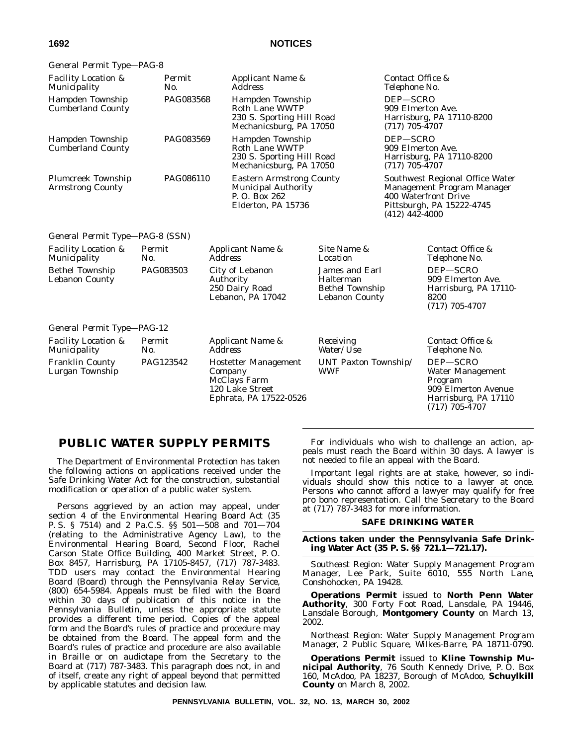| General Permit Type-PAG-8                            |               |                |                                                                                                   |                                                                         |                                                                                                                                        |                                                                                                                   |
|------------------------------------------------------|---------------|----------------|---------------------------------------------------------------------------------------------------|-------------------------------------------------------------------------|----------------------------------------------------------------------------------------------------------------------------------------|-------------------------------------------------------------------------------------------------------------------|
| <b>Facility Location &amp;</b><br>Municipality       | Permit<br>No. |                | Applicant Name &<br><b>Address</b>                                                                |                                                                         | Contact Office &<br>Telephone No.                                                                                                      |                                                                                                                   |
| <b>Hampden Township</b><br><b>Cumberland County</b>  | PAG083568     |                | Hampden Township<br><b>Roth Lane WWTP</b><br>230 S. Sporting Hill Road<br>Mechanicsburg, PA 17050 |                                                                         | DEP-SCRO<br>909 Elmerton Ave.<br>Harrisburg, PA 17110-8200<br>$(717)$ 705-4707                                                         |                                                                                                                   |
| Hampden Township<br><b>Cumberland County</b>         | PAG083569     |                | Hampden Township<br><b>Roth Lane WWTP</b><br>230 S. Sporting Hill Road<br>Mechanicsburg, PA 17050 |                                                                         | DEP-SCRO<br>909 Elmerton Ave.<br>Harrisburg, PA 17110-8200<br>$(717)$ 705-4707                                                         |                                                                                                                   |
| <b>Plumcreek Township</b><br><b>Armstrong County</b> | PAG086110     |                | <b>Eastern Armstrong County</b><br>Municipal Authority<br>P.O. Box 262<br>Elderton, PA 15736      |                                                                         | Southwest Regional Office Water<br>Management Program Manager<br>400 Waterfront Drive<br>Pittsburgh, PA 15222-4745<br>$(412)$ 442-4000 |                                                                                                                   |
| General Permit Type-PAG-8 (SSN)                      |               |                |                                                                                                   |                                                                         |                                                                                                                                        |                                                                                                                   |
| <b>Facility Location &amp;</b><br>Municipality       | Permit<br>No. | <b>Address</b> | Applicant Name &                                                                                  | Site Name &<br>Location                                                 |                                                                                                                                        | Contact Office &<br>Telephone No.                                                                                 |
| <b>Bethel Township</b><br><b>Lebanon County</b>      | PAG083503     | Authority      | City of Lebanon<br>250 Dairy Road<br>Lebanon, PA 17042                                            | James and Earl<br>Halterman<br><b>Bethel Township</b><br>Lebanon County |                                                                                                                                        | DEP-SCRO<br>909 Elmerton Ave.<br>Harrisburg, PA 17110-<br>8200<br>$(717)$ 705-4707                                |
| General Permit Type-PAG-12                           |               |                |                                                                                                   |                                                                         |                                                                                                                                        |                                                                                                                   |
| <b>Facility Location &amp;</b><br>Municipality       | Permit<br>No. | <b>Address</b> | Applicant Name &                                                                                  | Receiving<br>Water/Use                                                  |                                                                                                                                        | Contact Office &<br>Telephone No.                                                                                 |
| <b>Franklin County</b><br>Lurgan Township            | PAG123542     | Company        | <b>Hostetter Management</b><br>McClays Farm<br>120 Lake Street<br>Ephrata, PA 17522-0526          | UNT Paxton Township/<br><b>WWF</b>                                      |                                                                                                                                        | DEP-SCRO<br><b>Water Management</b><br>Program<br>909 Elmerton Avenue<br>Harrisburg, PA 17110<br>$(717)$ 705-4707 |

# **PUBLIC WATER SUPPLY PERMITS**

The Department of Environmental Protection has taken the following actions on applications received under the Safe Drinking Water Act for the construction, substantial modification or operation of a public water system.

Persons aggrieved by an action may appeal, under section 4 of the Environmental Hearing Board Act (35 P. S. § 7514) and 2 Pa.C.S. §§ 501—508 and 701—704 (relating to the Administrative Agency Law), to the Environmental Hearing Board, Second Floor, Rachel Carson State Office Building, 400 Market Street, P. O. Box 8457, Harrisburg, PA 17105-8457, (717) 787-3483. TDD users may contact the Environmental Hearing Board (Board) through the Pennsylvania Relay Service, (800) 654-5984. Appeals must be filed with the Board within 30 days of publication of this notice in the *Pennsylvania Bulletin*, unless the appropriate statute provides a different time period. Copies of the appeal form and the Board's rules of practice and procedure may be obtained from the Board. The appeal form and the Board's rules of practice and procedure are also available in Braille or on audiotape from the Secretary to the Board at (717) 787-3483. This paragraph does not, in and of itself, create any right of appeal beyond that permitted by applicable statutes and decision law.

For individuals who wish to challenge an action, appeals must reach the Board within 30 days. A lawyer is not needed to file an appeal with the Board.

Important legal rights are at stake, however, so individuals should show this notice to a lawyer at once. Persons who cannot afford a lawyer may qualify for free pro bono representation. Call the Secretary to the Board at (717) 787-3483 for more information.

# **SAFE DRINKING WATER**

**Actions taken under the Pennsylvania Safe Drinking Water Act (35 P. S. §§ 721.1—721.17).**

*Southeast Region: Water Supply Management Program Manager, Lee Park, Suite 6010, 555 North Lane, Conshohocken, PA 19428.*

**Operations Permit** issued to **North Penn Water Authority**, 300 Forty Foot Road, Lansdale, PA 19446, Lansdale Borough, **Montgomery County** on March 13, 2002.

*Northeast Region: Water Supply Management Program Manager, 2 Public Square, Wilkes-Barre, PA 18711-0790.*

**Operations Permit** issued to **Kline Township Municipal Authority**, 76 South Kennedy Drive, P. O. Box 160, McAdoo, PA 18237, Borough of McAdoo, **Schuylkill County** on March 8, 2002.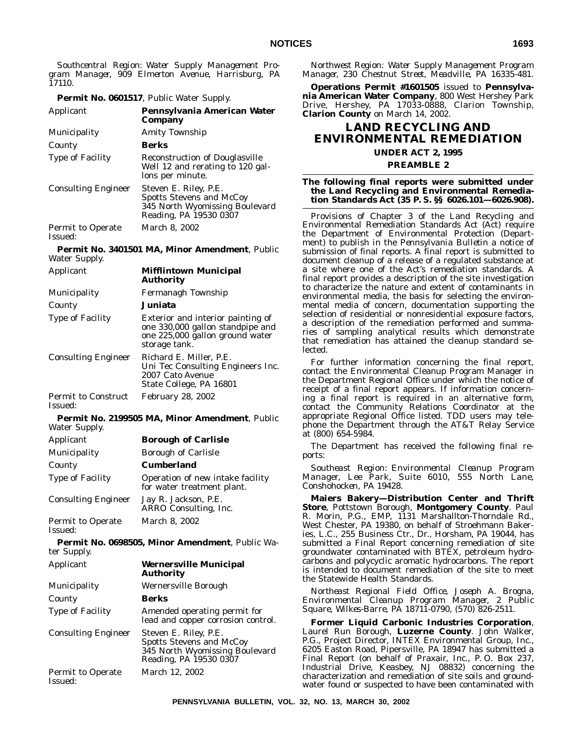*Southcentral Region: Water Supply Management Program Manager, 909 Elmerton Avenue, Harrisburg, PA 17110.*

#### **Permit No. 0601517**, Public Water Supply.

| Applicant                           | Pennsylvania American Water<br>Company                                                                               |
|-------------------------------------|----------------------------------------------------------------------------------------------------------------------|
| Municipality                        | Amity Township                                                                                                       |
| County                              | Berks                                                                                                                |
| <b>Type of Facility</b>             | <b>Reconstruction of Douglasville</b><br>Well 12 and rerating to 120 gal-<br>lons per minute.                        |
| <b>Consulting Engineer</b>          | Steven E. Riley, P.E.<br><b>Spotts Stevens and McCoy</b><br>345 North Wyomissing Boulevard<br>Reading, PA 19530 0307 |
| <b>Permit to Operate</b><br>Issued: | March 8, 2002                                                                                                        |

**Permit No. 3401501 MA, Minor Amendment**, Public Water Supply.

| Applicant                             | <b>Mifflintown Municipal</b><br>Authority                                                                                 |
|---------------------------------------|---------------------------------------------------------------------------------------------------------------------------|
| <b>Municipality</b>                   | Fermanagh Township                                                                                                        |
| County                                | Juniata                                                                                                                   |
| <b>Type of Facility</b>               | Exterior and interior painting of<br>one 330,000 gallon standpipe and<br>one 225,000 gallon ground water<br>storage tank. |
| <b>Consulting Engineer</b>            | Richard E. Miller, P.E.<br>Uni Tec Consulting Engineers Inc.<br>2007 Cato Avenue<br>State College, PA 16801               |
| <b>Permit to Construct</b><br>Issued: | <b>February 28, 2002</b>                                                                                                  |

# **Permit No. 2199505 MA, Minor Amendment**, Public Water Supply.

| Applicant                           | <b>Borough of Carlisle</b>                                     |
|-------------------------------------|----------------------------------------------------------------|
| Municipality                        | <b>Borough of Carlisle</b>                                     |
| County                              | <b>Cumberland</b>                                              |
| Type of Facility                    | Operation of new intake facility<br>for water treatment plant. |
| <b>Consulting Engineer</b>          | Jay R. Jackson, P.E.<br>ARRO Consulting, Inc.                  |
| <b>Permit to Operate</b><br>Issued: | March 8, 2002                                                  |

**Permit No. 0698505, Minor Amendment**, Public Water Supply.

| Applicant                           | <b>Wernersville Municipal</b><br><b>Authority</b>                                                                    |
|-------------------------------------|----------------------------------------------------------------------------------------------------------------------|
| Municipality                        | Wernersville Borough                                                                                                 |
| County                              | Berks                                                                                                                |
| <b>Type of Facility</b>             | Amended operating permit for<br>lead and copper corrosion control.                                                   |
| <b>Consulting Engineer</b>          | Steven E. Riley, P.E.<br><b>Spotts Stevens and McCoy</b><br>345 North Wyomissing Boulevard<br>Reading, PA 19530 0307 |
| <b>Permit to Operate</b><br>Issued: | March 12, 2002                                                                                                       |

*Northwest Region: Water Supply Management Program Manager, 230 Chestnut Street, Meadville, PA 16335-481.*

**Operations Permit #1601505** issued to **Pennsylvania American Water Company**, 800 West Hershey Park Drive, Hershey, PA 17033-0888, Clarion Township, **Clarion County** on March 14, 2002.

# **LAND RECYCLING AND ENVIRONMENTAL REMEDIATION**

# **UNDER ACT 2, 1995 PREAMBLE 2**

# **The following final reports were submitted under the Land Recycling and Environmental Remediation Standards Act (35 P. S. §§ 6026.101—6026.908).**

Provisions of Chapter 3 of the Land Recycling and Environmental Remediation Standards Act (Act) require the Department of Environmental Protection (Department) to publish in the *Pennsylvania Bulletin* a notice of submission of final reports. A final report is submitted to document cleanup of a release of a regulated substance at a site where one of the Act's remediation standards. A final report provides a description of the site investigation to characterize the nature and extent of contaminants in environmental media, the basis for selecting the environmental media of concern, documentation supporting the selection of residential or nonresidential exposure factors, a description of the remediation performed and summaries of sampling analytical results which demonstrate that remediation has attained the cleanup standard selected.

For further information concerning the final report, contact the Environmental Cleanup Program Manager in the Department Regional Office under which the notice of receipt of a final report appears. If information concerning a final report is required in an alternative form, contact the Community Relations Coordinator at the appropriate Regional Office listed. TDD users may telephone the Department through the AT&T Relay Service at (800) 654-5984.

The Department has received the following final reports:

*Southeast Region: Environmental Cleanup Program Manager, Lee Park, Suite 6010, 555 North Lane, Conshohocken, PA 19428.*

**Maiers Bakery—Distribution Center and Thrift Store**, Pottstown Borough, **Montgomery County**. Paul R. Morin, P.G., EMP, 1131 Marshallton-Thorndale Rd., West Chester, PA 19380, on behalf of Stroehmann Bakeries, L.C., 255 Business Ctr., Dr., Horsham, PA 19044, has submitted a Final Report concerning remediation of site groundwater contaminated with BTEX, petroleum hydrocarbons and polycyclic aromatic hydrocarbons. The report is intended to document remediation of the site to meet the Statewide Health Standards.

*Northeast Regional Field Office, Joseph A. Brogna, Environmental Cleanup Program Manager, 2 Public Square, Wilkes-Barre, PA 18711-0790, (570) 826-2511.*

**Former Liquid Carbonic Industries Corporation**, Laurel Run Borough, **Luzerne County**. John Walker, P.G., Project Director, INTEX Environmental Group, Inc., 6205 Easton Road, Pipersville, PA 18947 has submitted a Final Report (on behalf of Praxair, Inc., P. O. Box 237, Industrial Drive, Keasbey, NJ 08832) concerning the characterization and remediation of site soils and groundwater found or suspected to have been contaminated with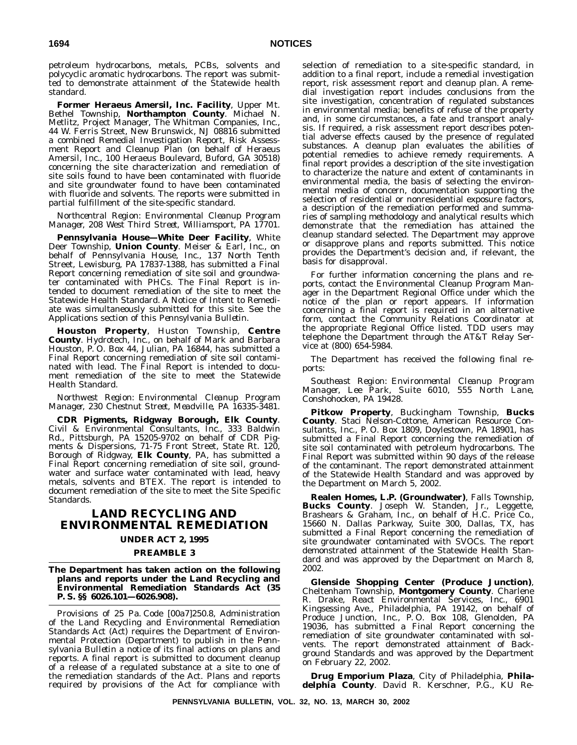petroleum hydrocarbons, metals, PCBs, solvents and polycyclic aromatic hydrocarbons. The report was submitted to demonstrate attainment of the Statewide health standard.

**Former Heraeus Amersil, Inc. Facility**, Upper Mt. Bethel Township, **Northampton County**. Michael N. Metlitz, Project Manager, The Whitman Companies, Inc., 44 W. Ferris Street, New Brunswick, NJ 08816 submitted a combined Remedial Investigation Report, Risk Assessment Report and Cleanup Plan (on behalf of Heraeus Amersil, Inc., 100 Heraeus Boulevard, Buford, GA 30518) concerning the site characterization and remediation of site soils found to have been contaminated with fluoride and site groundwater found to have been contaminated with fluoride and solvents. The reports were submitted in partial fulfillment of the site-specific standard.

#### *Northcentral Region: Environmental Cleanup Program Manager, 208 West Third Street, Williamsport, PA 17701.*

**Pennsylvania House—White Deer Facility**, White Deer Township, **Union County**. Meiser & Earl, Inc., on behalf of Pennsylvania House, Inc., 137 North Tenth Street, Lewisburg, PA 17837-1388, has submitted a Final Report concerning remediation of site soil and groundwater contaminated with PHCs. The Final Report is intended to document remediation of the site to meet the Statewide Health Standard. A Notice of Intent to Remediate was simultaneously submitted for this site. See the Applications section of this *Pennsylvania Bulletin*.

**Houston Property**, Huston Township, **Centre County**. Hydrotech, Inc., on behalf of Mark and Barbara Houston, P. O. Box 44, Julian, PA 16844, has submitted a Final Report concerning remediation of site soil contaminated with lead. The Final Report is intended to document remediation of the site to meet the Statewide Health Standard.

*Northwest Region: Environmental Cleanup Program Manager, 230 Chestnut Street, Meadville, PA 16335-3481.*

**CDR Pigments, Ridgway Borough, Elk County**. Civil & Environmental Consultants, Inc., 333 Baldwin Rd., Pittsburgh, PA 15205-9702 on behalf of CDR Pigments & Dispersions, 71-75 Front Street, State Rt. 120, Borough of Ridgway, **Elk County**, PA, has submitted a Final Report concerning remediation of site soil, groundwater and surface water contaminated with lead, heavy metals, solvents and BTEX. The report is intended to document remediation of the site to meet the Site Specific Standards.

# **LAND RECYCLING AND ENVIRONMENTAL REMEDIATION**

# **UNDER ACT 2, 1995**

### **PREAMBLE 3**

#### **The Department has taken action on the following plans and reports under the Land Recycling and Environmental Remediation Standards Act (35 P. S. §§ 6026.101—6026.908).**

Provisions of 25 Pa. Code [00a7]250.8, Administration of the Land Recycling and Environmental Remediation Standards Act (Act) requires the Department of Environmental Protection (Department) to publish in the *Pennsylvania Bulletin* a notice of its final actions on plans and reports. A final report is submitted to document cleanup of a release of a regulated substance at a site to one of the remediation standards of the Act. Plans and reports required by provisions of the Act for compliance with

selection of remediation to a site-specific standard, in addition to a final report, include a remedial investigation report, risk assessment report and cleanup plan. A remedial investigation report includes conclusions from the site investigation, concentration of regulated substances in environmental media; benefits of refuse of the property and, in some circumstances, a fate and transport analysis. If required, a risk assessment report describes potential adverse effects caused by the presence of regulated substances. A cleanup plan evaluates the abilities of potential remedies to achieve remedy requirements. A final report provides a description of the site investigation to characterize the nature and extent of contaminants in environmental media, the basis of selecting the environmental media of concern, documentation supporting the selection of residential or nonresidential exposure factors, a description of the remediation performed and summaries of sampling methodology and analytical results which demonstrate that the remediation has attained the cleanup standard selected. The Department may approve or disapprove plans and reports submitted. This notice provides the Department's decision and, if relevant, the basis for disapproval.

For further information concerning the plans and reports, contact the Environmental Cleanup Program Manager in the Department Regional Office under which the notice of the plan or report appears. If information concerning a final report is required in an alternative form, contact the Community Relations Coordinator at the appropriate Regional Office listed. TDD users may telephone the Department through the AT&T Relay Service at (800) 654-5984.

The Department has received the following final reports:

*Southeast Region: Environmental Cleanup Program Manager, Lee Park, Suite 6010, 555 North Lane, Conshohocken, PA 19428.*

**Pitkow Property**, Buckingham Township, **Bucks County**. Staci Nelson-Cottone, American Resource Consultants, Inc., P. O. Box 1809, Doylestown, PA 18901, has submitted a Final Report concerning the remediation of site soil contaminated with petroleum hydrocarbons. The Final Report was submitted within 90 days of the release of the contaminant. The report demonstrated attainment of the Statewide Health Standard and was approved by the Department on March 5, 2002.

**Realen Homes, L.P. (Groundwater)**, Falls Township, **Bucks County**. Joseph W. Standen, Jr., Leggette, Brashears & Graham, Inc., on behalf of H.C. Price Co., 15660 N. Dallas Parkway, Suite 300, Dallas, TX, has submitted a Final Report concerning the remediation of site groundwater contaminated with SVOCs. The report demonstrated attainment of the Statewide Health Standard and was approved by the Department on March 8, 2002.

**Glenside Shopping Center (Produce Junction)**, Cheltenham Township, **Montgomery County**. Charlene R. Drake, React Environmental Services, Inc., 6901 Kingsessing Ave., Philadelphia, PA 19142, on behalf of Produce Junction, Inc., P. O. Box 108, Glenolden, PA 19036, has submitted a Final Report concerning the remediation of site groundwater contaminated with solvents. The report demonstrated attainment of Background Standards and was approved by the Department on February 22, 2002.

**Drug Emporium Plaza**, City of Philadelphia, **Philadelphia County**. David R. Kerschner, P.G., KU Re-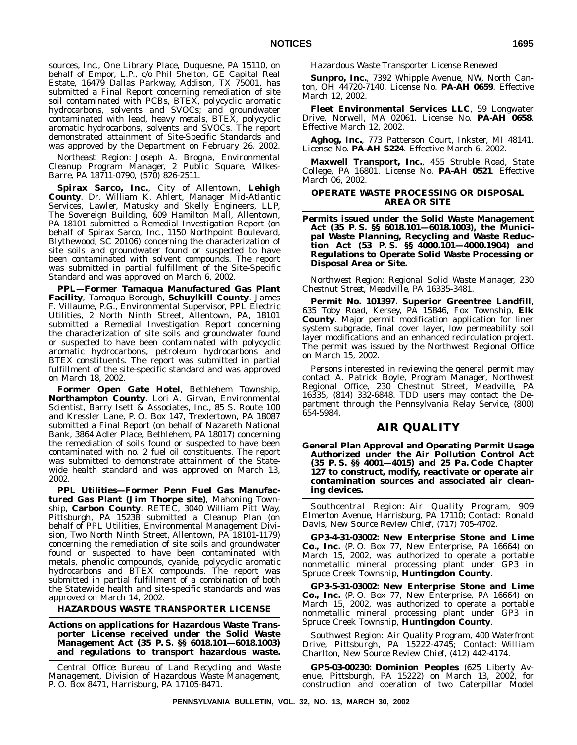sources, Inc., One Library Place, Duquesne, PA 15110, on behalf of Empor, L.P., c/o Phil Shelton, GE Capital Real Estate, 16479 Dallas Parkway, Addison, TX 75001, has submitted a Final Report concerning remediation of site soil contaminated with PCBs, BTEX, polycyclic aromatic hydrocarbons, solvents and SVOCs; and groundwater contaminated with lead, heavy metals, BTEX, polycyclic aromatic hydrocarbons, solvents and SVOCs. The report demonstrated attainment of Site-Specific Standards and was approved by the Department on February 26, 2002.

*Northeast Region: Joseph A. Brogna, Environmental Cleanup Program Manager, 2 Public Square, Wilkes-Barre, PA 18711-0790, (570) 826-2511.*

**Spirax Sarco, Inc.**, City of Allentown, **Lehigh County**. Dr. William K. Ahlert, Manager Mid-Atlantic Services, Lawler, Matusky and Skelly Engineers, LLP, The Sovereign Building, 609 Hamilton Mall, Allentown, PA 18101 submitted a Remedial Investigation Report (on behalf of Spirax Sarco, Inc., 1150 Northpoint Boulevard, Blythewood, SC 20106) concerning the characterization of site soils and groundwater found or suspected to have been contaminated with solvent compounds. The report was submitted in partial fulfillment of the Site-Specific Standard and was approved on March 6, 2002.

**PPL—Former Tamaqua Manufactured Gas Plant Facility**, Tamaqua Borough, **Schuylkill County**. James F. Villaume, P.G., Environmental Supervisor, PPL Electric Utilities, 2 North Ninth Street, Allentown, PA, 18101 submitted a Remedial Investigation Report concerning the characterization of site soils and groundwater found or suspected to have been contaminated with polycyclic aromatic hydrocarbons, petroleum hydrocarbons and BTEX constituents. The report was submitted in partial fulfillment of the site-specific standard and was approved on March 18, 2002.

**Former Open Gate Hotel**, Bethlehem Township, **Northampton County**. Lori A. Girvan, Environmental Scientist, Barry Isett & Associates, Inc., 85 S. Route 100 and Kressler Lane, P. O. Box 147, Trexlertown, PA 18087 submitted a Final Report (on behalf of Nazareth National Bank, 3864 Adler Place, Bethlehem, PA 18017) concerning the remediation of soils found or suspected to have been contaminated with no. 2 fuel oil constituents. The report was submitted to demonstrate attainment of the Statewide health standard and was approved on March 13, 2002.

**PPL Utilities—Former Penn Fuel Gas Manufactured Gas Plant (Jim Thorpe site)**, Mahoning Township, **Carbon County**. RETEC, 3040 William Pitt Way, Pittsburgh, PA 15238 submitted a Cleanup Plan (on behalf of PPL Utilities, Environmental Management Division, Two North Ninth Street, Allentown, PA 18101-1179) concerning the remediation of site soils and groundwater found or suspected to have been contaminated with metals, phenolic compounds, cyanide, polycyclic aromatic hydrocarbons and BTEX compounds. The report was submitted in partial fulfillment of a combination of both the Statewide health and site-specific standards and was approved on March 14, 2002.

## **HAZARDOUS WASTE TRANSPORTER LICENSE**

**Actions on applications for Hazardous Waste Transporter License received under the Solid Waste Management Act (35 P. S. §§ 6018.101—6018.1003) and regulations to transport hazardous waste.**

*Central Office: Bureau of Land Recycling and Waste Management, Division of Hazardous Waste Management, P. O. Box 8471, Harrisburg, PA 17105-8471.*

*Hazardous Waste Transporter License Renewed*

**Sunpro, Inc.**, 7392 Whipple Avenue, NW, North Canton, OH 44720-7140. License No. **PA-AH 0659**. Effective March 12, 2002.

**Fleet Environmental Services LLC**, 59 Longwater Drive, Norwell, MA 02061. License No. **PA-AH 0658**. Effective March 12, 2002.

**Aghog, Inc.**, 773 Patterson Court, Inkster, MI 48141. License No. **PA-AH S224**. Effective March 6, 2002.

**Maxwell Transport, Inc.**, 455 Struble Road, State College, PA 16801. License No. **PA-AH 0521**. Effective March 06, 2002.

### **OPERATE WASTE PROCESSING OR DISPOSAL AREA OR SITE**

**Permits issued under the Solid Waste Management Act (35 P. S. §§ 6018.101—6018.1003), the Municipal Waste Planning, Recycling and Waste Reduction Act (53 P. S. §§ 4000.101—4000.1904) and Regulations to Operate Solid Waste Processing or Disposal Area or Site.**

*Northwest Region: Regional Solid Waste Manager, 230 Chestnut Street, Meadville, PA 16335-3481.*

**Permit No. 101397. Superior Greentree Landfill**, 635 Toby Road, Kersey, PA 15846, Fox Township, **Elk County**. Major permit modification application for liner system subgrade, final cover layer, low permeability soil layer modifications and an enhanced recirculation project. The permit was issued by the Northwest Regional Office on March 15, 2002.

Persons interested in reviewing the general permit may contact A. Patrick Boyle, Program Manager, Northwest Regional Office, 230 Chestnut Street, Meadville, PA 16335, (814) 332-6848. TDD users may contact the Department through the Pennsylvania Relay Service, (800) 654-5984.

## **AIR QUALITY**

**General Plan Approval and Operating Permit Usage Authorized under the Air Pollution Control Act (35 P. S. §§ 4001—4015) and 25 Pa. Code Chapter 127 to construct, modify, reactivate or operate air contamination sources and associated air cleaning devices.**

*Southcentral Region: Air Quality Program, 909 Elmerton Avenue, Harrisburg, PA 17110; Contact: Ronald Davis, New Source Review Chief, (717) 705-4702.*

**GP3-4-31-03002: New Enterprise Stone and Lime Co., Inc.** (P. O. Box 77, New Enterprise, PA 16664) on March 15, 2002, was authorized to operate a portable nonmetallic mineral processing plant under GP3 in Spruce Creek Township, **Huntingdon County**.

**GP3-5-31-03002: New Enterprise Stone and Lime Co., Inc.** (P. O. Box 77, New Enterprise, PA 16664) on March 15, 2002, was authorized to operate a portable nonmetallic mineral processing plant under GP3 in Spruce Creek Township, **Huntingdon County**.

*Southwest Region: Air Quality Program, 400 Waterfront Drive, Pittsburgh, PA 15222-4745; Contact: William Charlton, New Source Review Chief, (412) 442-4174.*

**GP5-03-00230: Dominion Peoples** (625 Liberty Avenue, Pittsburgh, PA 15222) on March 13, 2002, for construction and operation of two Caterpillar Model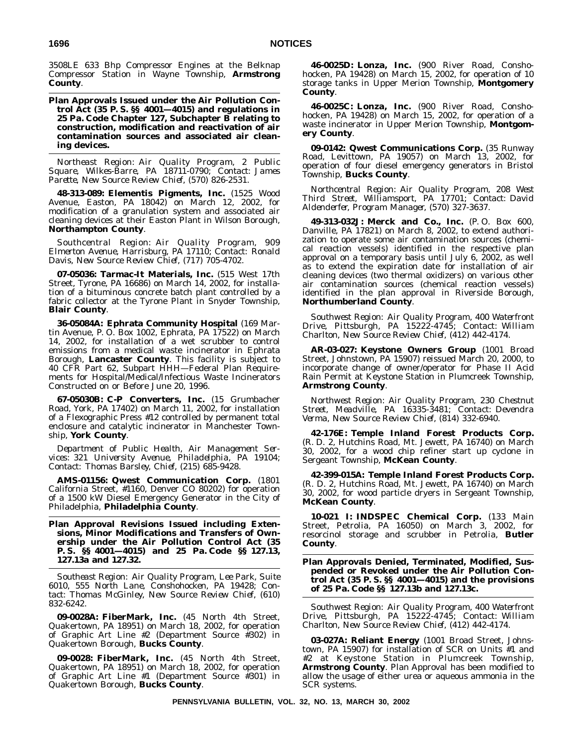3508LE 633 Bhp Compressor Engines at the Belknap Compressor Station in Wayne Township, **Armstrong County**.

**Plan Approvals Issued under the Air Pollution Control Act (35 P. S. §§ 4001—4015) and regulations in 25 Pa. Code Chapter 127, Subchapter B relating to construction, modification and reactivation of air contamination sources and associated air cleaning devices.**

*Northeast Region: Air Quality Program, 2 Public Square, Wilkes-Barre, PA 18711-0790; Contact: James Parette, New Source Review Chief, (570) 826-2531.*

**48-313-089: Elementis Pigments, Inc.** (1525 Wood Avenue, Easton, PA 18042) on March 12, 2002, for modification of a granulation system and associated air cleaning devices at their Easton Plant in Wilson Borough, **Northampton County**.

*Southcentral Region: Air Quality Program, 909 Elmerton Avenue, Harrisburg, PA 17110; Contact: Ronald Davis, New Source Review Chief, (717) 705-4702.*

**07-05036: Tarmac-It Materials, Inc.** (515 West 17th Street, Tyrone, PA 16686) on March 14, 2002, for installation of a bituminous concrete batch plant controlled by a fabric collector at the Tyrone Plant in Snyder Township, **Blair County**.

**36-05084A: Ephrata Community Hospital** (169 Martin Avenue, P. O. Box 1002, Ephrata, PA 17522) on March 14, 2002, for installation of a wet scrubber to control emissions from a medical waste incinerator in Ephrata Borough, **Lancaster County**. This facility is subject to 40 CFR Part 62, Subpart HHH—Federal Plan Requirements for Hospital/Medical/Infectious Waste Incinerators Constructed on or Before June 20, 1996.

**67-05030B: C-P Converters, Inc.** (15 Grumbacher Road, York, PA 17402) on March 11, 2002, for installation of a Flexographic Press #12 controlled by permanent total enclosure and catalytic incinerator in Manchester Township, **York County**.

*Department of Public Health, Air Management Services: 321 University Avenue, Philadelphia, PA 19104; Contact: Thomas Barsley, Chief, (215) 685-9428.*

**AMS-01156: Qwest Communication Corp.** (1801 California Street, #1160, Denver CO 80202) for operation of a 1500 kW Diesel Emergency Generator in the City of Philadelphia, **Philadelphia County**.

**Plan Approval Revisions Issued including Extensions, Minor Modifications and Transfers of Ownership under the Air Pollution Control Act (35 P. S. §§ 4001—4015) and 25 Pa. Code §§ 127.13, 127.13a and 127.32.**

*Southeast Region: Air Quality Program, Lee Park, Suite 6010, 555 North Lane, Conshohocken, PA 19428; Contact: Thomas McGinley, New Source Review Chief, (610) 832-6242.*

**09-0028A: FiberMark, Inc.** (45 North 4th Street, Quakertown, PA 18951) on March 18, 2002, for operation of Graphic Art Line #2 (Department Source #302) in Quakertown Borough, **Bucks County**.

**09-0028: FiberMark, Inc.** (45 North 4th Street, Quakertown, PA 18951) on March 18, 2002, for operation of Graphic Art Line #1 (Department Source #301) in Quakertown Borough, **Bucks County**.

**46-0025D: Lonza, Inc.** (900 River Road, Conshohocken, PA 19428) on March 15, 2002, for operation of 10 storage tanks in Upper Merion Township, **Montgomery County**.

**46-0025C: Lonza, Inc.** (900 River Road, Conshohocken, PA 19428) on March 15, 2002, for operation of a waste incinerator in Upper Merion Township, **Montgomery County**.

**09-0142: Qwest Communications Corp.** (35 Runway Road, Levittown, PA 19057) on March 13, 2002, for operation of four diesel emergency generators in Bristol Township, **Bucks County**.

*Northcentral Region: Air Quality Program, 208 West Third Street, Williamsport, PA 17701; Contact: David Aldenderfer, Program Manager, (570) 327-3637.*

**49-313-032J: Merck and Co., Inc.** (P. O. Box 600, Danville, PA 17821) on March 8, 2002, to extend authorization to operate some air contamination sources (chemical reaction vessels) identified in the respective plan approval on a temporary basis until July 6, 2002, as well as to extend the expiration date for installation of air cleaning devices (two thermal oxidizers) on various other air contamination sources (chemical reaction vessels) identified in the plan approval in Riverside Borough, **Northumberland County**.

*Southwest Region: Air Quality Program, 400 Waterfront Drive, Pittsburgh, PA 15222-4745; Contact: William Charlton, New Source Review Chief, (412) 442-4174.*

**AR-03-027: Keystone Owners Group** (1001 Broad Street, Johnstown, PA 15907) reissued March 20, 2000, to incorporate change of owner/operator for Phase II Acid Rain Permit at Keystone Station in Plumcreek Township, **Armstrong County**.

*Northwest Region: Air Quality Program, 230 Chestnut Street, Meadville, PA 16335-3481; Contact: Devendra Verma, New Source Review Chief, (814) 332-6940.*

**42-176E: Temple Inland Forest Products Corp.** (R. D. 2, Hutchins Road, Mt. Jewett, PA 16740) on March 30, 2002, for a wood chip refiner start up cyclone in Sergeant Township, **McKean County**.

**42-399-015A: Temple Inland Forest Products Corp.** (R. D. 2, Hutchins Road, Mt. Jewett, PA 16740) on March 30, 2002, for wood particle dryers in Sergeant Township, **McKean County**.

**10-021 I: INDSPEC Chemical Corp.** (133 Main Street, Petrolia, PA 16050) on March 3, 2002, for resorcinol storage and scrubber in Petrolia, **Butler County**.

### **Plan Approvals Denied, Terminated, Modified, Suspended or Revoked under the Air Pollution Control Act (35 P. S. §§ 4001—4015) and the provisions of 25 Pa. Code §§ 127.13b and 127.13c.**

*Southwest Region: Air Quality Program, 400 Waterfront Drive, Pittsburgh, PA 15222-4745; Contact: William Charlton, New Source Review Chief, (412) 442-4174.*

**03-027A: Reliant Energy** (1001 Broad Street, Johnstown, PA 15907) for installation of SCR on Units #1 and #2 at Keystone Station in Plumcreek Township, **Armstrong County**. Plan Approval has been modified to allow the usage of either urea or aqueous ammonia in the SCR systems.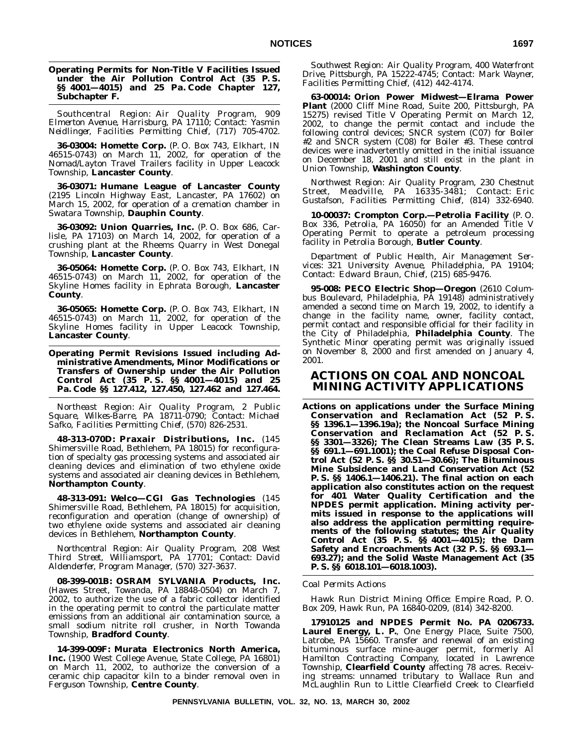#### **Operating Permits for Non-Title V Facilities Issued under the Air Pollution Control Act (35 P. S. §§ 4001—4015) and 25 Pa. Code Chapter 127, Subchapter F.**

*Southcentral Region: Air Quality Program, 909 Elmerton Avenue, Harrisburg, PA 17110; Contact: Yasmin Neidlinger, Facilities Permitting Chief, (717) 705-4702.*

**36-03004: Homette Corp.** (P. O. Box 743, Elkhart, IN 46515-0743) on March 11, 2002, for operation of the Nomad/Layton Travel Trailers facility in Upper Leacock Township, **Lancaster County**.

**36-03071: Humane League of Lancaster County** (2195 Lincoln Highway East, Lancaster, PA 17602) on March 15, 2002, for operation of a cremation chamber in Swatara Township, **Dauphin County**.

**36-03092: Union Quarries, Inc.** (P. O. Box 686, Carlisle, PA 17103) on March 14, 2002, for operation of a crushing plant at the Rheems Quarry in West Donegal Township, **Lancaster County**.

**36-05064: Homette Corp.** (P. O. Box 743, Elkhart, IN 46515-0743) on March 11, 2002, for operation of the Skyline Homes facility in Ephrata Borough, **Lancaster County**.

**36-05065: Homette Corp.** (P. O. Box 743, Elkhart, IN 46515-0743) on March 11, 2002, for operation of the Skyline Homes facility in Upper Leacock Township, **Lancaster County**.

**Operating Permit Revisions Issued including Administrative Amendments, Minor Modifications or Transfers of Ownership under the Air Pollution Control Act (35 P. S. §§ 4001—4015) and 25 Pa. Code §§ 127.412, 127.450, 127.462 and 127.464.**

*Northeast Region: Air Quality Program, 2 Public Square, Wilkes-Barre, PA 18711-0790; Contact: Michael Safko, Facilities Permitting Chief, (570) 826-2531.*

**48-313-070D: Praxair Distributions, Inc.** (145 Shimersville Road, Bethlehem, PA 18015) for reconfiguration of specialty gas processing systems and associated air cleaning devices and elimination of two ethylene oxide systems and associated air cleaning devices in Bethlehem, **Northampton County**.

**48-313-091: Welco—CGI Gas Technologies** (145 Shimersville Road, Bethlehem, PA 18015) for acquisition, reconfiguration and operation (change of ownership) of two ethylene oxide systems and associated air cleaning devices in Bethlehem, **Northampton County**.

*Northcentral Region: Air Quality Program, 208 West Third Street, Williamsport, PA 17701; Contact: David Aldenderfer, Program Manager, (570) 327-3637.*

**08-399-001B: OSRAM SYLVANIA Products, Inc.** (Hawes Street, Towanda, PA 18848-0504) on March 7, 2002, to authorize the use of a fabric collector identified in the operating permit to control the particulate matter emissions from an additional air contamination source, a small sodium nitrite roll crusher, in North Towanda Township, **Bradford County**.

**14-399-009F: Murata Electronics North America, Inc.** (1900 West College Avenue, State College, PA 16801) on March 11, 2002, to authorize the conversion of a ceramic chip capacitor kiln to a binder removal oven in Ferguson Township, **Centre County**.

*Southwest Region: Air Quality Program, 400 Waterfront Drive, Pittsburgh, PA 15222-4745; Contact: Mark Wayner, Facilities Permitting Chief, (412) 442-4174.*

**63-00014: Orion Power Midwest—Elrama Power Plant** (2000 Cliff Mine Road, Suite 200, Pittsburgh, PA 15275) revised Title V Operating Permit on March 12, 2002, to change the permit contact and include the following control devices; SNCR system (C07) for Boiler #2 and SNCR system (C08) for Boiler #3. These control devices were inadvertently omitted in the initial issuance on December 18, 2001 and still exist in the plant in Union Township, **Washington County**.

*Northwest Region: Air Quality Program, 230 Chestnut Street, Meadville, PA 16335-3481; Contact: Eric Gustafson, Facilities Permitting Chief, (814) 332-6940.*

**10-00037: Crompton Corp.—Petrolia Facility** (P. O. Box 336, Petrolia, PA 16050) for an Amended Title V Operating Permit to operate a petroleum processing facility in Petrolia Borough, **Butler County**.

*Department of Public Health, Air Management Services: 321 University Avenue, Philadelphia, PA 19104; Contact: Edward Braun, Chief, (215) 685-9476.*

**95-008: PECO Electric Shop—Oregon** (2610 Columbus Boulevard, Philadelphia, PA 19148) administratively amended a second time on March 19, 2002, to identify a change in the facility name, owner, facility contact, permit contact and responsible official for their facility in the City of Philadelphia, **Philadelphia County**. The Synthetic Minor operating permit was originally issued on November 8, 2000 and first amended on January 4, 2001.

## **ACTIONS ON COAL AND NONCOAL MINING ACTIVITY APPLICATIONS**

**Actions on applications under the Surface Mining Conservation and Reclamation Act (52 P. S. §§ 1396.1—1396.19a); the Noncoal Surface Mining Conservation and Reclamation Act (52 P. S. §§ 3301—3326); The Clean Streams Law (35 P. S. §§ 691.1—691.1001); the Coal Refuse Disposal Control Act (52 P. S. §§ 30.51—30.66); The Bituminous Mine Subsidence and Land Conservation Act (52 P. S. §§ 1406.1—1406.21). The final action on each application also constitutes action on the request for 401 Water Quality Certification and the NPDES permit application. Mining activity permits issued in response to the applications will also address the application permitting requirements of the following statutes; the Air Quality Control Act (35 P. S. §§ 4001—4015); the Dam Safety and Encroachments Act (32 P. S. §§ 693.1— 693.27); and the Solid Waste Management Act (35 P. S. §§ 6018.101—6018.1003).**

#### *Coal Permits Actions*

*Hawk Run District Mining Office: Empire Road, P. O. Box 209, Hawk Run, PA 16840-0209, (814) 342-8200.*

**17910125 and NPDES Permit No. PA 0206733. Laurel Energy, L. P.**, One Energy Place, Suite 7500, Latrobe, PA 15660. Transfer and renewal of an existing bituminous surface mine-auger permit, formerly Al Hamilton Contracting Company, located in Lawrence Township, **Clearfield County** affecting 78 acres. Receiving streams: unnamed tributary to Wallace Run and McLaughlin Run to Little Clearfield Creek to Clearfield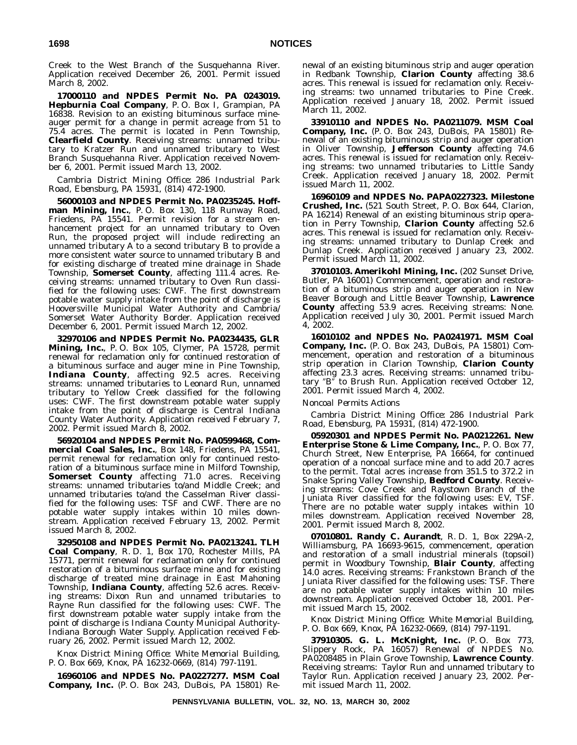Creek to the West Branch of the Susquehanna River. Application received December 26, 2001. Permit issued March 8, 2002.

**17000110 and NPDES Permit No. PA 0243019. Hepburnia Coal Company**, P. O. Box I, Grampian, PA 16838. Revision to an existing bituminous surface mineauger permit for a change in permit acreage from 51 to 75.4 acres. The permit is located in Penn Township, **Clearfield County**. Receiving streams: unnamed tributary to Kratzer Run and unnamed tributary to West Branch Susquehanna River. Application received November 6, 2001. Permit issued March 13, 2002.

## *Cambria District Mining Office: 286 Industrial Park Road, Ebensburg, PA 15931, (814) 472-1900.*

**56000103 and NPDES Permit No. PA0235245. Hoffman Mining, Inc.**, P. O. Box 130, 118 Runway Road, Friedens, PA 15541. Permit revision for a stream enhancement project for an unnamed tributary to Oven Run, the proposed project will include redirecting an unnamed tributary A to a second tributary B to provide a more consistent water source to unnamed tributary B and for existing discharge of treated mine drainage in Shade Township, **Somerset County**, affecting 111.4 acres. Receiving streams: unnamed tributary to Oven Run classified for the following uses: CWF. The first downstream potable water supply intake from the point of discharge is Hooversville Municipal Water Authority and Cambria/ Somerset Water Authority Border. Application received December 6, 2001. Permit issued March 12, 2002.

**32970106 and NPDES Permit No. PA0234435, GLR Mining, Inc.**, P. O. Box 105, Clymer, PA 15728, permit renewal for reclamation only for continued restoration of a bituminous surface and auger mine in Pine Township, **Indiana County**, affecting 92.5 acres. Receiving streams: unnamed tributaries to Leonard Run, unnamed tributary to Yellow Creek classified for the following uses: CWF. The first downstream potable water supply intake from the point of discharge is Central Indiana County Water Authority. Application received February 7, 2002. Permit issued March 8, 2002.

**56920104 and NPDES Permit No. PA0599468, Commercial Coal Sales, Inc.**, Box 148, Friedens, PA 15541, permit renewal for reclamation only for continued restoration of a bituminous surface mine in Milford Township, **Somerset County** affecting 71.0 acres. Receiving streams: unnamed tributaries to/and Middle Creek; and unnamed tributaries to/and the Casselman River classified for the following uses: TSF and CWF. There are no potable water supply intakes within 10 miles downstream. Application received February 13, 2002. Permit issued March 8, 2002.

**32950108 and NPDES Permit No. PA0213241. TLH Coal Company**, R. D. 1, Box 170, Rochester Mills, PA 15771, permit renewal for reclamation only for continued restoration of a bituminous surface mine and for existing discharge of treated mine drainage in East Mahoning Township, **Indiana County**, affecting 52.6 acres. Receiving streams: Dixon Run and unnamed tributaries to Rayne Run classified for the following uses: CWF. The first downstream potable water supply intake from the point of discharge is Indiana County Municipal Authority-Indiana Borough Water Supply. Application received February 26, 2002. Permit issued March 12, 2002.

*Knox District Mining Office: White Memorial Building, P. O. Box 669, Knox, PA 16232-0669, (814) 797-1191.*

**16960106 and NPDES No. PA0227277. MSM Coal Company, Inc.** (P. O. Box 243, DuBois, PA 15801) Renewal of an existing bituminous strip and auger operation in Redbank Township, **Clarion County** affecting 38.6 acres. This renewal is issued for reclamation only. Receiving streams: two unnamed tributaries to Pine Creek. Application received January 18, 2002. Permit issued March 11, 2002.

**33910110 and NPDES No. PA0211079. MSM Coal Company, Inc.** (P. O. Box 243, DuBois, PA 15801) Renewal of an existing bituminous strip and auger operation in Oliver Township, **Jefferson County** affecting 74.6 acres. This renewal is issued for reclamation only. Receiving streams: two unnamed tributaries to Little Sandy Creek. Application received January 18, 2002. Permit issued March 11, 2002.

**16960109 and NPDES No. PAPA0227323. Milestone Crushed, Inc.** (521 South Street, P. O. Box 644, Clarion, PA 16214) Renewal of an existing bituminous strip operation in Perry Township, **Clarion County** affecting 52.6 acres. This renewal is issued for reclamation only. Receiving streams: unnamed tributary to Dunlap Creek and Dunlap Creek. Application received January 23, 2002. Permit issued March 11, 2002.

**37010103. Amerikohl Mining, Inc.** (202 Sunset Drive, Butler, PA 16001) Commencement, operation and restoration of a bituminous strip and auger operation in New Beaver Borough and Little Beaver Township, **Lawrence County** affecting 53.9 acres. Receiving streams: None. Application received July 30, 2001. Permit issued March 4, 2002.

**16010102 and NPDES No. PA0241971. MSM Coal Company, Inc.** (P. O. Box 243, DuBois, PA 15801) Commencement, operation and restoration of a bituminous strip operation in Clarion Township, **Clarion County** affecting 23.3 acres. Receiving streams: unnamed tributary "B" to Brush Run. Application received October 12, 2001. Permit issued March 4, 2002.

## *Noncoal Permits Actions*

*Cambria District Mining Office: 286 Industrial Park Road, Ebensburg, PA 15931, (814) 472-1900.*

**05920301 and NPDES Permit No. PA0212261. New Enterprise Stone & Lime Company, Inc.**, P. O. Box 77, Church Street, New Enterprise, PA 16664, for continued operation of a noncoal surface mine and to add 20.7 acres to the permit. Total acres increase from 351.5 to 372.2 in Snake Spring Valley Township, **Bedford County**. Receiving streams: Cove Creek and Raystown Branch of the Juniata River classified for the following uses: EV, TSF. There are no potable water supply intakes within 10 miles downstream. Application received November 28, 2001. Permit issued March 8, 2002.

**07010801. Randy C. Aurandt**, R. D. 1, Box 229A-2, Williamsburg, PA 16693-9615, commencement, operation and restoration of a small industrial minerals (topsoil) permit in Woodbury Township, **Blair County**, affecting 14.0 acres. Receiving streams: Frankstown Branch of the Juniata River classified for the following uses: TSF. There are no potable water supply intakes within 10 miles downstream. Application received October 18, 2001. Permit issued March 15, 2002.

*Knox District Mining Office: White Memorial Building, P. O. Box 669, Knox, PA 16232-0669, (814) 797-1191.*

**37910305. G. L. McKnight, Inc.** (P. O. Box 773, Slippery Rock, PA 16057) Renewal of NPDES No. PA0208485 in Plain Grove Township, **Lawrence County**. Receiving streams: Taylor Run and unnamed tributary to Taylor Run. Application received January 23, 2002. Permit issued March 11, 2002.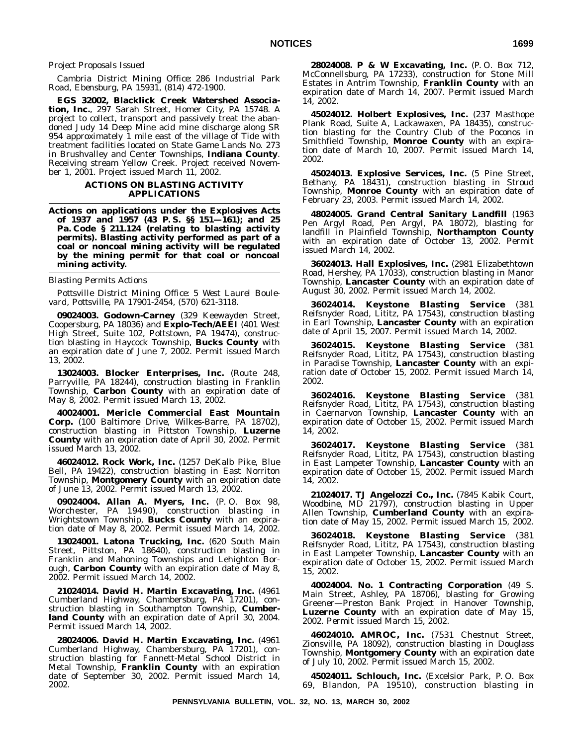#### *Project Proposals Issued*

#### *Cambria District Mining Office: 286 Industrial Park Road, Ebensburg, PA 15931, (814) 472-1900.*

**EGS 32002, Blacklick Creek Watershed Association, Inc.**, 297 Sarah Street, Homer City, PA 15748. A project to collect, transport and passively treat the abandoned Judy 14 Deep Mine acid mine discharge along SR 954 approximately 1 mile east of the village of Tide with treatment facilities located on State Game Lands No. 273 in Brushvalley and Center Townships, **Indiana County**. Receiving stream Yellow Creek. Project received November 1, 2001. Project issued March 11, 2002.

### **ACTIONS ON BLASTING ACTIVITY APPLICATIONS**

**Actions on applications under the Explosives Acts of 1937 and 1957 (43 P. S. §§ 151—161); and 25 Pa. Code § 211.124 (relating to blasting activity permits). Blasting activity performed as part of a coal or noncoal mining activity will be regulated by the mining permit for that coal or noncoal mining activity.**

## *Blasting Permits Actions*

*Pottsville District Mining Office: 5 West Laurel Boulevard, Pottsville, PA 17901-2454, (570) 621-3118.*

**09024003. Godown-Carney** (329 Keewayden Street, Coopersburg, PA 18036) and **Explo-Tech/AEEI** (401 West High Street, Suite 102, Pottstown, PA 19474), construction blasting in Haycock Township, **Bucks County** with an expiration date of June 7, 2002. Permit issued March 13, 2002.

**13024003. Blocker Enterprises, Inc.** (Route 248, Parryville, PA 18244), construction blasting in Franklin Township, **Carbon County** with an expiration date of May 8, 2002. Permit issued March 13, 2002.

**40024001. Mericle Commercial East Mountain Corp.** (100 Baltimore Drive, Wilkes-Barre, PA 18702), construction blasting in Pittston Township, **Luzerne County** with an expiration date of April 30, 2002. Permit issued March 13, 2002.

**46024012. Rock Work, Inc.** (1257 DeKalb Pike, Blue Bell, PA 19422), construction blasting in East Norriton Township, **Montgomery County** with an expiration date of June 13, 2002. Permit issued March 13, 2002.

**09024004. Allan A. Myers, Inc.** (P. O. Box 98, Worchester, PA 19490), construction blasting in Wrightstown Township, **Bucks County** with an expiration date of May 8, 2002. Permit issued March 14, 2002.

**13024001. Latona Trucking, Inc.** (620 South Main Street, Pittston, PA 18640), construction blasting in Franklin and Mahoning Townships and Lehighton Borough, **Carbon County** with an expiration date of May 8, 2002. Permit issued March 14, 2002.

**21024014. David H. Martin Excavating, Inc.** (4961 Cumberland Highway, Chambersburg, PA 17201), construction blasting in Southampton Township, **Cumberland County** with an expiration date of April 30, 2004. Permit issued March 14, 2002.

**28024006. David H. Martin Excavating, Inc.** (4961 Cumberland Highway, Chambersburg, PA 17201), construction blasting for Fannett-Metal School District in Metal Township, **Franklin County** with an expiration date of September 30, 2002. Permit issued March 14, 2002.

**28024008. P & W Excavating, Inc.** (P. O. Box 712, McConnellsburg, PA 17233), construction for Stone Mill Estates in Antrim Township, **Franklin County** with an expiration date of March 14, 2007. Permit issued March 14, 2002.

**45024012. Holbert Explosives, Inc.** (237 Masthope Plank Road, Suite A, Lackawaxen, PA 18435), construction blasting for the Country Club of the Poconos in Smithfield Township, **Monroe County** with an expiration date of March 10, 2007. Permit issued March 14, 2002.

**45024013. Explosive Services, Inc.** (5 Pine Street, Bethany, PA 18431), construction blasting in Stroud Township, **Monroe County** with an expiration date of February 23, 2003. Permit issued March 14, 2002.

**48024005. Grand Central Sanitary Landfill** (1963 Pen Argyl Road, Pen Argyl, PA 18072), blasting for landfill in Plainfield Township, **Northampton County** with an expiration date of October 13, 2002. Permit issued March 14, 2002.

**36024013. Hall Explosives, Inc.** (2981 Elizabethtown Road, Hershey, PA 17033), construction blasting in Manor Township, **Lancaster County** with an expiration date of August 30, 2002. Permit issued March 14, 2002.

**36024014. Keystone Blasting Service** (381 Reifsnyder Road, Lititz, PA 17543), construction blasting in Earl Township, **Lancaster County** with an expiration date of April 15, 2007. Permit issued March 14, 2002.

**36024015. Keystone Blasting Service** (381 Reifsnyder Road, Lititz, PA 17543), construction blasting in Paradise Township, **Lancaster County** with an expiration date of October 15, 2002. Permit issued March 14, 2002.

**36024016. Keystone Blasting Service** (381 Reifsnyder Road, Lititz, PA 17543), construction blasting in Caernarvon Township, **Lancaster County** with an expiration date of October 15, 2002. Permit issued March 14, 2002.

**36024017. Keystone Blasting Service** (381 Reifsnyder Road, Lititz, PA 17543), construction blasting in East Lampeter Township, **Lancaster County** with an expiration date of October 15, 2002. Permit issued March 14, 2002.

**21024017. TJ Angelozzi Co., Inc.** (7845 Kabik Court, Woodbine, MD 21797), construction blasting in Upper Allen Township, **Cumberland County** with an expiration date of May 15, 2002. Permit issued March 15, 2002.

**36024018. Keystone Blasting Service** Reifsnyder Road, Lititz, PA 17543), construction blasting in East Lampeter Township, **Lancaster County** with an expiration date of October 15, 2002. Permit issued March 15, 2002.

**40024004. No. 1 Contracting Corporation** (49 S. Main Street, Ashley, PA 18706), blasting for Growing Greener—Preston Bank Project in Hanover Township, **Luzerne County** with an expiration date of May 15, 2002. Permit issued March 15, 2002.

**46024010. AMROC, Inc.** (7531 Chestnut Street, Zionsville, PA 18092), construction blasting in Douglass Township, **Montgomery County** with an expiration date of July 10, 2002. Permit issued March 15, 2002.

**45024011. Schlouch, Inc.** (Excelsior Park, P. O. Box 69, Blandon, PA 19510), construction blasting in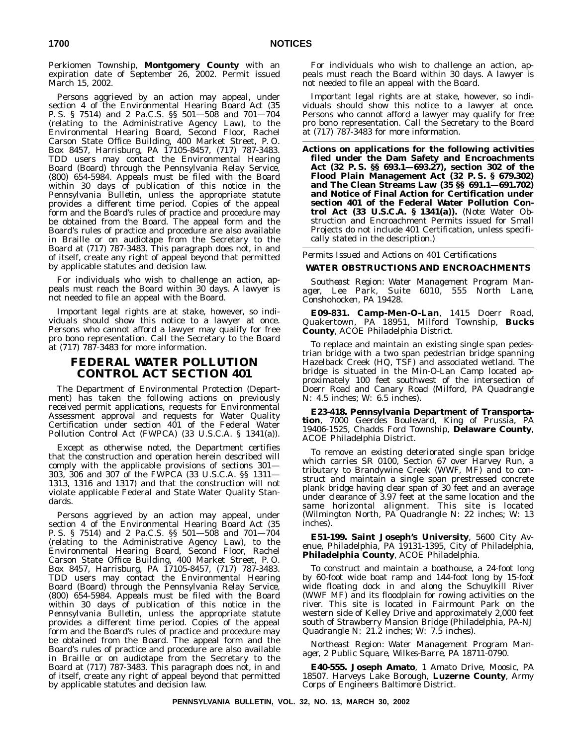Perkiomen Township, **Montgomery County** with an expiration date of September 26, 2002. Permit issued March 15, 2002.

Persons aggrieved by an action may appeal, under section 4 of the Environmental Hearing Board Act (35 P. S. § 7514) and 2 Pa.C.S. §§ 501—508 and 701—704 (relating to the Administrative Agency Law), to the Environmental Hearing Board, Second Floor, Rachel Carson State Office Building, 400 Market Street, P. O. Box 8457, Harrisburg, PA 17105-8457, (717) 787-3483. TDD users may contact the Environmental Hearing Board (Board) through the Pennsylvania Relay Service, (800) 654-5984. Appeals must be filed with the Board within 30 days of publication of this notice in the *Pennsylvania Bulletin*, unless the appropriate statute provides a different time period. Copies of the appeal form and the Board's rules of practice and procedure may be obtained from the Board. The appeal form and the Board's rules of practice and procedure are also available in Braille or on audiotape from the Secretary to the Board at (717) 787-3483. This paragraph does not, in and of itself, create any right of appeal beyond that permitted by applicable statutes and decision law.

For individuals who wish to challenge an action, appeals must reach the Board within 30 days. A lawyer is not needed to file an appeal with the Board.

Important legal rights are at stake, however, so individuals should show this notice to a lawyer at once. Persons who cannot afford a lawyer may qualify for free pro bono representation. Call the Secretary to the Board at (717) 787-3483 for more information.

## **FEDERAL WATER POLLUTION CONTROL ACT SECTION 401**

The Department of Environmental Protection (Department) has taken the following actions on previously received permit applications, requests for Environmental Assessment approval and requests for Water Quality Certification under section 401 of the Federal Water Pollution Control Act (FWPCA) (33 U.S.C.A. § 1341(a)).

Except as otherwise noted, the Department certifies that the construction and operation herein described will comply with the applicable provisions of sections 301— 303, 306 and 307 of the FWPCA (33 U.S.C.A. §§ 1311— 1313, 1316 and 1317) and that the construction will not violate applicable Federal and State Water Quality Standards.

Persons aggrieved by an action may appeal, under section 4 of the Environmental Hearing Board Act (35 P. S. § 7514) and 2 Pa.C.S. §§ 501—508 and 701—704 (relating to the Administrative Agency Law), to the Environmental Hearing Board, Second Floor, Rachel Carson State Office Building, 400 Market Street, P. O. Box 8457, Harrisburg, PA 17105-8457, (717) 787-3483. TDD users may contact the Environmental Hearing Board (Board) through the Pennsylvania Relay Service, (800) 654-5984. Appeals must be filed with the Board within 30 days of publication of this notice in the *Pennsylvania Bulletin*, unless the appropriate statute provides a different time period. Copies of the appeal form and the Board's rules of practice and procedure may be obtained from the Board. The appeal form and the Board's rules of practice and procedure are also available in Braille or on audiotape from the Secretary to the Board at (717) 787-3483. This paragraph does not, in and of itself, create any right of appeal beyond that permitted by applicable statutes and decision law.

For individuals who wish to challenge an action, appeals must reach the Board within 30 days. A lawyer is not needed to file an appeal with the Board.

Important legal rights are at stake, however, so individuals should show this notice to a lawyer at once. Persons who cannot afford a lawyer may qualify for free pro bono representation. Call the Secretary to the Board at (717) 787-3483 for more information.

**Actions on applications for the following activities filed under the Dam Safety and Encroachments Act (32 P. S. §§ 693.1—693.27), section 302 of the Flood Plain Management Act (32 P. S. § 679.302) and The Clean Streams Law (35 §§ 691.1—691.702) and Notice of Final Action for Certification under section 401 of the Federal Water Pollution Control Act (33 U.S.C.A. § 1341(a)).** (*Note*: Water Obstruction and Encroachment Permits issued for Small Projects do not include 401 Certification, unless specifically stated in the description.)

### *Permits Issued and Actions on 401 Certifications*

## **WATER OBSTRUCTIONS AND ENCROACHMENTS**

*Southeast Region: Water Management Program Manager, Lee Park, Suite 6010, 555 North Lane, Conshohocken, PA 19428.*

**E09-831. Camp-Men-O-Lan**, 1415 Doerr Road, Quakertown, PA 18951, Milford Township, **Bucks County**, ACOE Philadelphia District.

To replace and maintain an existing single span pedestrian bridge with a two span pedestrian bridge spanning Hazelback Creek (HQ, TSF) and associated wetland. The bridge is situated in the Min-O-Lan Camp located approximately 100 feet southwest of the intersection of Doerr Road and Canary Road (Milford, PA Quadrangle N: 4.5 inches; W: 6.5 inches).

**E23-418. Pennsylvania Department of Transportation**, 7000 Geerdes Boulevard, King of Prussia, PA 19406-1525, Chadds Ford Township, **Delaware County**, ACOE Philadelphia District.

To remove an existing deteriorated single span bridge which carries SR 0100, Section 67 over Harvey Run, a tributary to Brandywine Creek (WWF, MF) and to construct and maintain a single span prestressed concrete plank bridge having clear span of 30 feet and an average under clearance of 3.97 feet at the same location and the same horizontal alignment. This site is located (Wilmington North, PA Quadrangle N: 22 inches; W: 13 inches).

**E51-199. Saint Joseph's University**, 5600 City Avenue, Philadelphia, PA 19131-1395, City of Philadelphia, **Philadelphia County**, ACOE Philadelphia.

To construct and maintain a boathouse, a 24-foot long by 60-foot wide boat ramp and 144-foot long by 15-foot wide floating dock in and along the Schuylkill River (WWF MF) and its floodplain for rowing activities on the river. This site is located in Fairmount Park on the western side of Kelley Drive and approximately 2,000 feet south of Strawberry Mansion Bridge (Philadelphia, PA-NJ Quadrangle N: 21.2 inches; W: 7.5 inches).

*Northeast Region: Water Management Program Manager, 2 Public Square, Wilkes-Barre, PA 18711-0790.*

**E40-555. Joseph Amato**, 1 Amato Drive, Moosic, PA 18507. Harveys Lake Borough, **Luzerne County**, Army Corps of Engineers Baltimore District.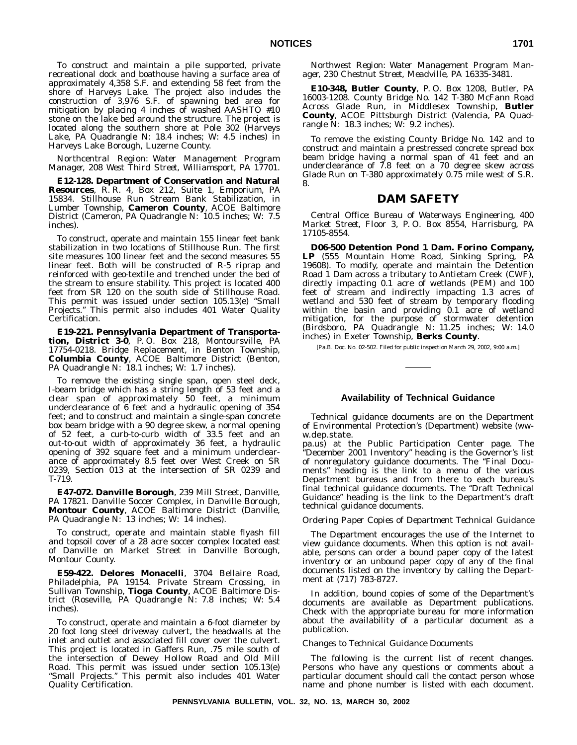To construct and maintain a pile supported, private recreational dock and boathouse having a surface area of approximately 4,358 S.F. and extending 58 feet from the shore of Harveys Lake. The project also includes the construction of 3,976 S.F. of spawning bed area for mitigation by placing 4 inches of washed AASHTO #10 stone on the lake bed around the structure. The project is located along the southern shore at Pole 302 (Harveys Lake, PA Quadrangle N: 18.4 inches; W: 4.5 inches) in Harveys Lake Borough, Luzerne County.

*Northcentral Region: Water Management Program Manager, 208 West Third Street, Williamsport, PA 17701.*

**E12-128. Department of Conservation and Natural Resources**, R. R. 4, Box 212, Suite 1, Emporium, PA 15834. Stillhouse Run Stream Bank Stabilization, in Lumber Township, **Cameron County**, ACOE Baltimore District (Cameron, PA Quadrangle N: 10.5 inches; W: 7.5 inches).

To construct, operate and maintain 155 linear feet bank stabilization in two locations of Stillhouse Run. The first site measures 100 linear feet and the second measures 55 linear feet. Both will be constructed of R-5 riprap and reinforced with geo-textile and trenched under the bed of the stream to ensure stability. This project is located 400 feet from SR 120 on the south side of Stillhouse Road. This permit was issued under section 105.13(e) ''Small Projects.'' This permit also includes 401 Water Quality Certification.

**E19-221. Pennsylvania Department of Transportation, District 3-0**, P. O. Box 218, Montoursville, PA 17754-0218. Bridge Replacement, in Benton Township, **Columbia County**, ACOE Baltimore District (Benton, PA Quadrangle N: 18.1 inches; W: 1.7 inches).

To remove the existing single span, open steel deck, I-beam bridge which has a string length of 53 feet and a clear span of approximately 50 feet, a minimum underclearance of 6 feet and a hydraulic opening of 354 feet; and to construct and maintain a single-span concrete box beam bridge with a 90 degree skew, a normal opening of 52 feet, a curb-to-curb width of 33.5 feet and an out-to-out width of approximately 36 feet, a hydraulic opening of 392 square feet and a minimum underclearance of approximately 8.5 feet over West Creek on SR 0239, Section 013 at the intersection of SR 0239 and T-719.

**E47-072. Danville Borough**, 239 Mill Street, Danville, PA 17821. Danville Soccer Complex, in Danville Borough, **Montour County**, ACOE Baltimore District (Danville, PA Quadrangle N: 13 inches; W: 14 inches).

To construct, operate and maintain stable flyash fill and topsoil cover of a 28 acre soccer complex located east of Danville on Market Street in Danville Borough, Montour County.

**E59-422. Delores Monacelli**, 3704 Bellaire Road, Philadelphia, PA 19154. Private Stream Crossing, in Sullivan Township, **Tioga County**, ACOE Baltimore District (Roseville, PA Quadrangle N: 7.8 inches; W: 5.4 inches).

To construct, operate and maintain a 6-foot diameter by 20 foot long steel driveway culvert, the headwalls at the inlet and outlet and associated fill cover over the culvert. This project is located in Gaffers Run, .75 mile south of the intersection of Dewey Hollow Road and Old Mill Road. This permit was issued under section 105.13(e) "Small Projects." This permit also includes 401 Water Quality Certification.

*Northwest Region: Water Management Program Manager, 230 Chestnut Street, Meadville, PA 16335-3481.*

**E10-348, Butler County**, P. O. Box 1208, Butler, PA 16003-1208. County Bridge No. 142 T-380 McFann Road Across Glade Run, in Middlesex Township, **Butler County**, ACOE Pittsburgh District (Valencia, PA Quadrangle N: 18.3 inches; W: 9.2 inches).

To remove the existing County Bridge No. 142 and to construct and maintain a prestressed concrete spread box beam bridge having a normal span of 41 feet and an underclearance of 7.8 feet on a 70 degree skew across Glade Run on T-380 approximately 0.75 mile west of S.R. 8.

## **DAM SAFETY**

*Central Office: Bureau of Waterways Engineering, 400 Market Street, Floor 3, P. O. Box 8554, Harrisburg, PA 17105-8554.*

**D06-500 Detention Pond 1 Dam. Forino Company, LP** (555 Mountain Home Road, Sinking Spring, PA 19608). To modify, operate and maintain the Detention Road 1 Dam across a tributary to Antietam Creek (CWF), directly impacting 0.1 acre of wetlands (PEM) and 100 feet of stream and indirectly impacting 1.3 acres of wetland and 530 feet of stream by temporary flooding within the basin and providing 0.1 acre of wetland mitigation, for the purpose of stormwater detention (Birdsboro, PA Quadrangle N: 11.25 inches; W: 14.0 inches) in Exeter Township, **Berks County**.

[Pa.B. Doc. No. 02-502. Filed for public inspection March 29, 2002, 9:00 a.m.]

## **Availability of Technical Guidance**

Technical guidance documents are on the Department of Environmental Protection's (Department) website (www.dep.state.

pa.us) at the Public Participation Center page. The ''December 2001 Inventory'' heading is the Governor's list of nonregulatory guidance documents. The ''Final Documents'' heading is the link to a menu of the various Department bureaus and from there to each bureau's final technical guidance documents. The ''Draft Technical Guidance'' heading is the link to the Department's draft technical guidance documents.

## *Ordering Paper Copies of Department Technical Guidance*

The Department encourages the use of the Internet to view guidance documents. When this option is not available, persons can order a bound paper copy of the latest inventory or an unbound paper copy of any of the final documents listed on the inventory by calling the Department at (717) 783-8727.

In addition, bound copies of some of the Department's documents are available as Department publications. Check with the appropriate bureau for more information about the availability of a particular document as a publication.

#### *Changes to Technical Guidance Documents*

The following is the current list of recent changes. Persons who have any questions or comments about a particular document should call the contact person whose name and phone number is listed with each document.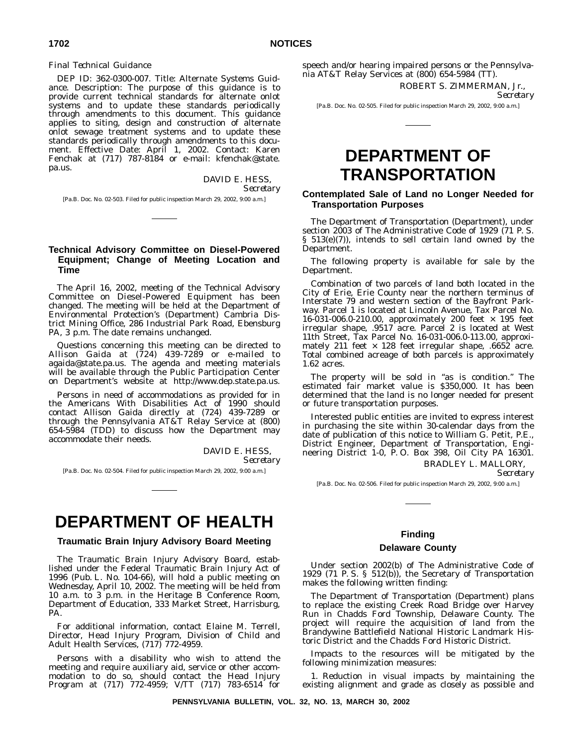#### *Final Technical Guidance*

DEP ID: 362-0300-007. Title: Alternate Systems Guidance. Description: The purpose of this guidance is to provide current technical standards for alternate onlot systems and to update these standards periodically through amendments to this document. This guidance applies to siting, design and construction of alternate onlot sewage treatment systems and to update these standards periodically through amendments to this document. Effective Date: April 1, 2002. Contact: Karen Fenchak at (717) 787-8184 or e-mail: kfenchak@state. pa.us.

DAVID E. HESS,

*Secretary*

[Pa.B. Doc. No. 02-503. Filed for public inspection March 29, 2002, 9:00 a.m.]

## **Technical Advisory Committee on Diesel-Powered Equipment; Change of Meeting Location and Time**

The April 16, 2002, meeting of the Technical Advisory Committee on Diesel-Powered Equipment has been changed. The meeting will be held at the Department of Environmental Protection's (Department) Cambria District Mining Office, 286 Industrial Park Road, Ebensburg PA, 3 p.m. The date remains unchanged.

Questions concerning this meeting can be directed to Allison Gaida at (724) 439-7289 or e-mailed to agaida@state.pa.us. The agenda and meeting materials will be available through the Public Participation Center on Department's website at http://www.dep.state.pa.us.

Persons in need of accommodations as provided for in the Americans With Disabilities Act of 1990 should contact Allison Gaida directly at (724) 439-7289 or through the Pennsylvania AT&T Relay Service at (800) 654-5984 (TDD) to discuss how the Department may accommodate their needs.

> DAVID E. HESS, *Secretary*

[Pa.B. Doc. No. 02-504. Filed for public inspection March 29, 2002, 9:00 a.m.]

## **DEPARTMENT OF HEALTH**

## **Traumatic Brain Injury Advisory Board Meeting**

The Traumatic Brain Injury Advisory Board, established under the Federal Traumatic Brain Injury Act of 1996 (Pub. L. No. 104-66), will hold a public meeting on Wednesday, April 10, 2002. The meeting will be held from 10 a.m. to 3 p.m. in the Heritage B Conference Room, Department of Education, 333 Market Street, Harrisburg, PA.

For additional information, contact Elaine M. Terrell, Director, Head Injury Program, Division of Child and Adult Health Services, (717) 772-4959.

Persons with a disability who wish to attend the meeting and require auxiliary aid, service or other accommodation to do so, should contact the Head Injury Program at (717) 772-4959; V/TT (717) 783-6514 for

speech and/or hearing impaired persons or the Pennsylvania AT&T Relay Services at (800) 654-5984 (TT).

ROBERT S. ZIMMERMAN, Jr.,

*Secretary*

[Pa.B. Doc. No. 02-505. Filed for public inspection March 29, 2002, 9:00 a.m.]

## **DEPARTMENT OF TRANSPORTATION**

## **Contemplated Sale of Land no Longer Needed for Transportation Purposes**

The Department of Transportation (Department), under section 2003 of The Administrative Code of 1929 (71 P. S. § 513(e)(7)), intends to sell certain land owned by the Department.

The following property is available for sale by the Department.

Combination of two parcels of land both located in the City of Erie, Erie County near the northern terminus of Interstate 79 and western section of the Bayfront Parkway. Parcel 1 is located at Lincoln Avenue, Tax Parcel No. 16-031-006.0-210.00, approximately 200 feet × 195 feet irregular shape, .9517 acre. Parcel 2 is located at West 11th Street, Tax Parcel No. 16-031-006.0-113.00, approximately 211 feet  $\times$  128 feet irregular shape, .6652 acre. Total combined acreage of both parcels is approximately 1.62 acres.

The property will be sold in "as is condition." The estimated fair market value is \$350,000. It has been determined that the land is no longer needed for present or future transportation purposes.

Interested public entities are invited to express interest in purchasing the site within 30-calendar days from the date of publication of this notice to William G. Petit, P.E., District Engineer, Department of Transportation, Engineering District 1-0, P. O. Box 398, Oil City PA 16301.

BRADLEY L. MALLORY,

*Secretary*

[Pa.B. Doc. No. 02-506. Filed for public inspection March 29, 2002, 9:00 a.m.]

### **Finding**

## **Delaware County**

Under section 2002(b) of The Administrative Code of 1929 (71 P. S. § 512(b)), the Secretary of Transportation makes the following written finding:

The Department of Transportation (Department) plans to replace the existing Creek Road Bridge over Harvey Run in Chadds Ford Township, Delaware County. The project will require the acquisition of land from the Brandywine Battlefield National Historic Landmark Historic District and the Chadds Ford Historic District.

Impacts to the resources will be mitigated by the following minimization measures:

1. Reduction in visual impacts by maintaining the existing alignment and grade as closely as possible and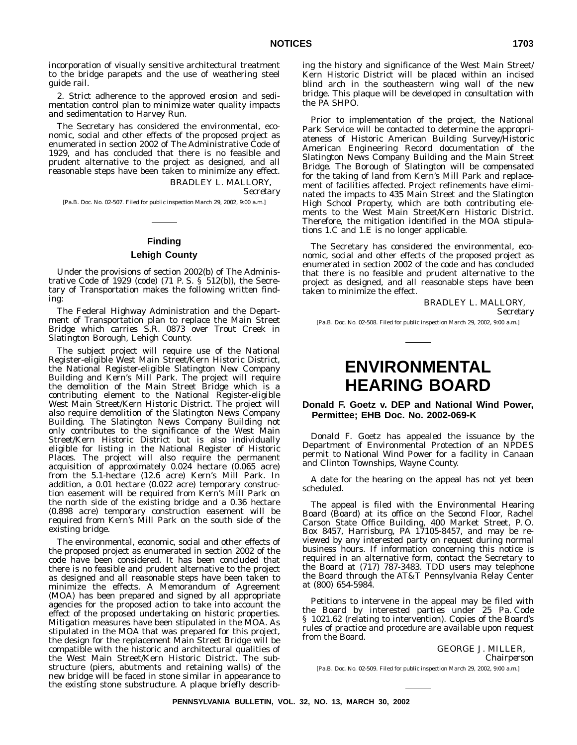incorporation of visually sensitive architectural treatment to the bridge parapets and the use of weathering steel guide rail.

2. Strict adherence to the approved erosion and sedimentation control plan to minimize water quality impacts and sedimentation to Harvey Run.

The Secretary has considered the environmental, economic, social and other effects of the proposed project as enumerated in section 2002 of The Administrative Code of 1929, and has concluded that there is no feasible and prudent alternative to the project as designed, and all reasonable steps have been taken to minimize any effect.

BRADLEY L. MALLORY,

*Secretary*

[Pa.B. Doc. No. 02-507. Filed for public inspection March 29, 2002, 9:00 a.m.]

## **Finding**

#### **Lehigh County**

Under the provisions of section 2002(b) of The Administrative Code of 1929 (code) (71 P. S. § 512(b)), the Secretary of Transportation makes the following written finding:

The Federal Highway Administration and the Department of Transportation plan to replace the Main Street Bridge which carries S.R. 0873 over Trout Creek in Slatington Borough, Lehigh County.

The subject project will require use of the National Register-eligible West Main Street/Kern Historic District, the National Register-eligible Slatington New Company Building and Kern's Mill Park. The project will require the demolition of the Main Street Bridge which is a contributing element to the National Register-eligible West Main Street/Kern Historic District. The project will also require demolition of the Slatington News Company Building. The Slatington News Company Building not only contributes to the significance of the West Main Street/Kern Historic District but is also individually eligible for listing in the National Register of Historic Places. The project will also require the permanent acquisition of approximately 0.024 hectare (0.065 acre) from the 5.1-hectare (12.6 acre) Kern's Mill Park. In addition, a 0.01 hectare (0.022 acre) temporary construction easement will be required from Kern's Mill Park on the north side of the existing bridge and a 0.36 hectare (0.898 acre) temporary construction easement will be required from Kern's Mill Park on the south side of the existing bridge.

The environmental, economic, social and other effects of the proposed project as enumerated in section 2002 of the code have been considered. It has been concluded that there is no feasible and prudent alternative to the project as designed and all reasonable steps have been taken to minimize the effects. A Memorandum of Agreement (MOA) has been prepared and signed by all appropriate agencies for the proposed action to take into account the effect of the proposed undertaking on historic properties. Mitigation measures have been stipulated in the MOA. As stipulated in the MOA that was prepared for this project, the design for the replacement Main Street Bridge will be compatible with the historic and architectural qualities of the West Main Street/Kern Historic District. The substructure (piers, abutments and retaining walls) of the new bridge will be faced in stone similar in appearance to the existing stone substructure. A plaque briefly describing the history and significance of the West Main Street/ Kern Historic District will be placed within an incised blind arch in the southeastern wing wall of the new bridge. This plaque will be developed in consultation with the PA SHPO.

Prior to implementation of the project, the National Park Service will be contacted to determine the appropriateness of Historic American Building Survey/Historic American Engineering Record documentation of the Slatington News Company Building and the Main Street Bridge. The Borough of Slatington will be compensated for the taking of land from Kern's Mill Park and replacement of facilities affected. Project refinements have eliminated the impacts to 435 Main Street and the Slatington High School Property, which are both contributing elements to the West Main Street/Kern Historic District. Therefore, the mitigation identified in the MOA stipulations 1.C and 1.E is no longer applicable.

The Secretary has considered the environmental, economic, social and other effects of the proposed project as enumerated in section 2002 of the code and has concluded that there is no feasible and prudent alternative to the project as designed, and all reasonable steps have been taken to minimize the effect.

> BRADLEY L. MALLORY, *Secretary*

[Pa.B. Doc. No. 02-508. Filed for public inspection March 29, 2002, 9:00 a.m.]

## **ENVIRONMENTAL HEARING BOARD**

## **Donald F. Goetz v. DEP and National Wind Power, Permittee; EHB Doc. No. 2002-069-K**

Donald F. Goetz has appealed the issuance by the Department of Environmental Protection of an NPDES permit to National Wind Power for a facility in Canaan and Clinton Townships, Wayne County.

A date for the hearing on the appeal has not yet been scheduled.

The appeal is filed with the Environmental Hearing Board (Board) at its office on the Second Floor, Rachel Carson State Office Building, 400 Market Street, P. O. Box 8457, Harrisburg, PA 17105-8457, and may be reviewed by any interested party on request during normal business hours. If information concerning this notice is required in an alternative form, contact the Secretary to the Board at (717) 787-3483. TDD users may telephone the Board through the AT&T Pennsylvania Relay Center at (800) 654-5984.

Petitions to intervene in the appeal may be filed with the Board by interested parties under 25 Pa. Code § 1021.62 (relating to intervention). Copies of the Board's rules of practice and procedure are available upon request from the Board.

> GEORGE J. MILLER, *Chairperson*

[Pa.B. Doc. No. 02-509. Filed for public inspection March 29, 2002, 9:00 a.m.]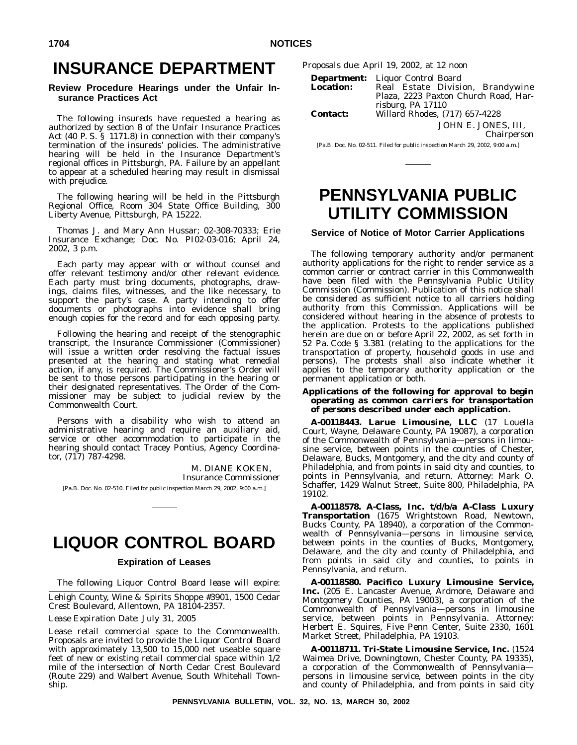## **INSURANCE DEPARTMENT**

## **Review Procedure Hearings under the Unfair Insurance Practices Act**

The following insureds have requested a hearing as authorized by section 8 of the Unfair Insurance Practices Act (40 P. S. § 1171.8) in connection with their company's termination of the insureds' policies. The administrative hearing will be held in the Insurance Department's regional offices in Pittsburgh, PA. Failure by an appellant to appear at a scheduled hearing may result in dismissal with prejudice.

The following hearing will be held in the Pittsburgh Regional Office, Room 304 State Office Building, 300 Liberty Avenue, Pittsburgh, PA 15222.

Thomas J. and Mary Ann Hussar; 02-308-70333; Erie Insurance Exchange; Doc. No. PI02-03-016; April 24, 2002, 3 p.m.

Each party may appear with or without counsel and offer relevant testimony and/or other relevant evidence. Each party must bring documents, photographs, drawings, claims files, witnesses, and the like necessary, to support the party's case. A party intending to offer documents or photographs into evidence shall bring enough copies for the record and for each opposing party.

Following the hearing and receipt of the stenographic transcript, the Insurance Commissioner (Commissioner) will issue a written order resolving the factual issues presented at the hearing and stating what remedial action, if any, is required. The Commissioner's Order will be sent to those persons participating in the hearing or their designated representatives. The Order of the Commissioner may be subject to judicial review by the Commonwealth Court.

Persons with a disability who wish to attend an administrative hearing and require an auxiliary aid, service or other accommodation to participate in the hearing should contact Tracey Pontius, Agency Coordinator, (717) 787-4298.

> M. DIANE KOKEN, *Insurance Commissioner*

[Pa.B. Doc. No. 02-510. Filed for public inspection March 29, 2002, 9:00 a.m.]

## **LIQUOR CONTROL BOARD**

## **Expiration of Leases**

The following Liquor Control Board lease will expire:

Lehigh County, Wine & Spirits Shoppe #3901, 1500 Cedar Crest Boulevard, Allentown, PA 18104-2357.

*Lease Expiration Date:* July 31, 2005

Lease retail commercial space to the Commonwealth. Proposals are invited to provide the Liquor Control Board with approximately 13,500 to 15,000 net useable square feet of new or existing retail commercial space within  $1/2$ mile of the intersection of North Cedar Crest Boulevard (Route 229) and Walbert Avenue, South Whitehall Township.

*Proposals due:* April 19, 2002, at 12 noon

| <b>Location:</b> | <b>Department:</b> Liquor Control Board<br>Real Estate Division, Brandywine<br>Plaza, 2223 Paxton Church Road, Har- |
|------------------|---------------------------------------------------------------------------------------------------------------------|
| <b>Contact:</b>  | risburg, PA 17110<br>Willard Rhodes. (717) 657-4228                                                                 |
|                  | JOHN E. JONES, III.                                                                                                 |

*Chairperson*

[Pa.B. Doc. No. 02-511. Filed for public inspection March 29, 2002, 9:00 a.m.]

## **PENNSYLVANIA PUBLIC UTILITY COMMISSION**

## **Service of Notice of Motor Carrier Applications**

The following temporary authority and/or permanent authority applications for the right to render service as a common carrier or contract carrier in this Commonwealth have been filed with the Pennsylvania Public Utility Commission (Commission). Publication of this notice shall be considered as sufficient notice to all carriers holding authority from this Commission. Applications will be considered without hearing in the absence of protests to the application. Protests to the applications published herein are due on or before April 22, 2002, as set forth in 52 Pa. Code § 3.381 (relating to the applications for the transportation of property, household goods in use and persons). The protests shall also indicate whether it applies to the temporary authority application or the permanent application or both.

**Applications of the following for approval to** *begin* **operating as** *common carriers* **for transportation of** *persons* **described under each application.**

**A-00118443. Larue Limousine, LLC** (17 Louella Court, Wayne, Delaware County, PA 19087), a corporation of the Commonwealth of Pennsylvania—persons in limousine service, between points in the counties of Chester, Delaware, Bucks, Montgomery, and the city and county of Philadelphia, and from points in said city and counties, to points in Pennsylvania, and return. *Attorney*: Mark O. Schaffer, 1429 Walnut Street, Suite 800, Philadelphia, PA 19102.

**A-00118578. A-Class, Inc. t/d/b/a A-Class Luxury Transportation** (1675 Wrightstown Road, Newtown, Bucks County, PA 18940), a corporation of the Commonwealth of Pennsylvania—persons in limousine service, between points in the counties of Bucks, Montgomery, Delaware, and the city and county of Philadelphia, and from points in said city and counties, to points in Pennsylvania, and return.

**A-00118580. Pacifico Luxury Limousine Service, Inc.** (205 E. Lancaster Avenue, Ardmore, Delaware and Montgomery Counties, PA 19003), a corporation of the Commonwealth of Pennsylvania—persons in limousine service, between points in Pennsylvania. *Attorney*: Herbert E. Squires, Five Penn Center, Suite 2330, 1601 Market Street, Philadelphia, PA 19103.

**A-00118711. Tri-State Limousine Service, Inc.** (1524 Waimea Drive, Downingtown, Chester County, PA 19335), a corporation of the Commonwealth of Pennsylvania persons in limousine service, between points in the city and county of Philadelphia, and from points in said city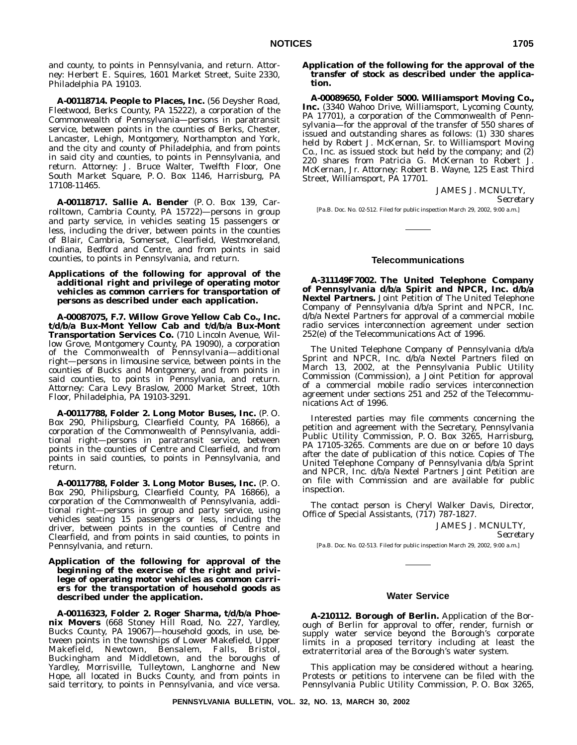and county, to points in Pennsylvania, and return. *Attorney*: Herbert E. Squires, 1601 Market Street, Suite 2330, Philadelphia PA 19103.

**A-00118714. People to Places, Inc.** (56 Deysher Road, Fleetwood, Berks County, PA 15222), a corporation of the Commonwealth of Pennsylvania—persons in paratransit service, between points in the counties of Berks, Chester, Lancaster, Lehigh, Montgomery, Northampton and York, and the city and county of Philadelphia, and from points in said city and counties, to points in Pennsylvania, and return. *Attorney*: J. Bruce Walter, Twelfth Floor, One South Market Square, P. O. Box 1146, Harrisburg, PA 17108-11465.

**A-00118717. Sallie A. Bender** (P. O. Box 139, Carrolltown, Cambria County, PA 15722)—persons in group and party service, in vehicles seating 15 passengers or less, including the driver, between points in the counties of Blair, Cambria, Somerset, Clearfield, Westmoreland, Indiana, Bedford and Centre, and from points in said counties, to points in Pennsylvania, and return.

## **Applications of the following for approval of the** *additional right* **and privilege of operating motor vehicles as** *common carriers* **for transportation of** *persons as* **described under each application.**

**A-00087075, F.7. Willow Grove Yellow Cab Co., Inc. t/d/b/a Bux-Mont Yellow Cab and t/d/b/a Bux-Mont Transportation Services Co.** (710 Lincoln Avenue, Willow Grove, Montgomery County, PA 19090), a corporation of the Commonwealth of Pennsylvania—additional right—persons in limousine service, between points in the counties of Bucks and Montgomery, and from points in said counties, to points in Pennsylvania, and return. *Attorney*: Cara Levy Braslow, 2000 Market Street, 10th Floor, Philadelphia, PA 19103-3291.

**A-00117788, Folder 2. Long Motor Buses, Inc.** (P. O. Box 290, Philipsburg, Clearfield County, PA 16866), a corporation of the Commonwealth of Pennsylvania, additional right—persons in paratransit service, between points in the counties of Centre and Clearfield, and from points in said counties, to points in Pennsylvania, and return.

**A-00117788, Folder 3. Long Motor Buses, Inc.** (P. O. Box 290, Philipsburg, Clearfield County, PA 16866), a corporation of the Commonwealth of Pennsylvania, additional right—persons in group and party service, using vehicles seating 15 passengers or less, including the driver, between points in the counties of Centre and Clearfield, and from points in said counties, to points in Pennsylvania, and return.

### **Application of the following for approval of the** *beginning* **of the exercise of the right and privilege of operating motor vehicles as** *common carriers* **for the transportation of** *household goods* **as described under the application.**

**A-00116323, Folder 2. Roger Sharma, t/d/b/a Phoenix Movers** (668 Stoney Hill Road, No. 227, Yardley, Bucks County, PA 19067)—household goods, in use, between points in the townships of Lower Makefield, Upper Makefield, Newtown, Bensalem, Falls, Bristol, Makefield, Newtown, Bensalem, Falls, Bristol,<br>Buckingham and Middletown, and the boroughs of Yardley, Morrisville, Tulleytown, Langhorne and New Hope, all located in Bucks County, and from points in said territory, to points in Pennsylvania, and vice versa.

### **Application of the following for the approval of the** *transfer of stock* **as described under the application.**

**A-00089650, Folder 5000. Williamsport Moving Co., Inc.** (3340 Wahoo Drive, Williamsport, Lycoming County, PA 17701), a corporation of the Commonwealth of Pennsylvania—for the approval of the transfer of 550 shares of issued and outstanding shares as follows: (1) 330 shares held by Robert J. McKernan, Sr. to Williamsport Moving Co., Inc. as issued stock but held by the company; and  $(2)$ 220 shares from Patricia G. McKernan to Robert J. McKernan, Jr. *Attorney*: Robert B. Wayne, 125 East Third Street, Williamsport, PA 17701.

```
JAMES J. MCNULTY,
```
*Secretary*

[Pa.B. Doc. No. 02-512. Filed for public inspection March 29, 2002, 9:00 a.m.]

### **Telecommunications**

**A-311149F7002. The United Telephone Company of Pennsylvania d/b/a Spirit and NPCR, Inc. d/b/a Nextel Partners.** Joint Petition of The United Telephone Company of Pennsylvania d/b/a Sprint and NPCR, Inc. d/b/a Nextel Partners for approval of a commercial mobile radio services interconnection agreement under section 252(e) of the Telecommunications Act of 1996.

The United Telephone Company of Pennsylvania d/b/a Sprint and NPCR, Inc. d/b/a Nextel Partners filed on March 13, 2002, at the Pennsylvania Public Utility Commission (Commission), a Joint Petition for approval of a commercial mobile radio services interconnection agreement under sections 251 and 252 of the Telecommunications Act of 1996.

Interested parties may file comments concerning the petition and agreement with the Secretary, Pennsylvania Public Utility Commission, P. O. Box 3265, Harrisburg, PA 17105-3265. Comments are due on or before 10 days after the date of publication of this notice. Copies of The United Telephone Company of Pennsylvania d/b/a Sprint and NPCR, Inc. d/b/a Nextel Partners Joint Petition are on file with Commission and are available for public inspection.

The contact person is Cheryl Walker Davis, Director, Office of Special Assistants, (717) 787-1827.

JAMES J. MCNULTY,

*Secretary*

[Pa.B. Doc. No. 02-513. Filed for public inspection March 29, 2002, 9:00 a.m.]

#### **Water Service**

**A-210112. Borough of Berlin.** Application of the Borough of Berlin for approval to offer, render, furnish or supply water service beyond the Borough's corporate limits in a proposed territory including at least the extraterritorial area of the Borough's water system.

This application may be considered without a hearing. Protests or petitions to intervene can be filed with the Pennsylvania Public Utility Commission, P. O. Box 3265,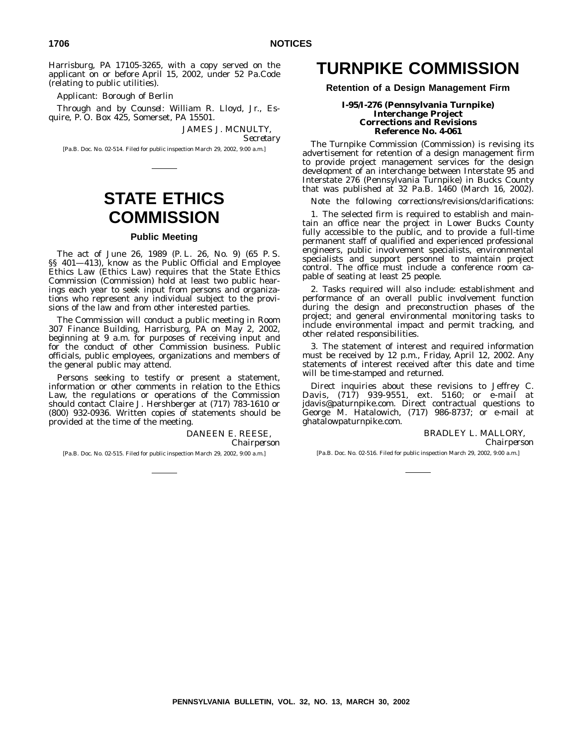Harrisburg, PA 17105-3265, with a copy served on the applicant on or before April 15, 2002, under 52 Pa.Code (relating to public utilities).

*Applicant*: Borough of Berlin

*Through and by Counsel*: William R. Lloyd, Jr., Esquire, P. O. Box 425, Somerset, PA 15501.

JAMES J. MCNULTY,

*Secretary*

[Pa.B. Doc. No. 02-514. Filed for public inspection March 29, 2002, 9:00 a.m.]

## **STATE ETHICS COMMISSION**

## **Public Meeting**

The act of June 26, 1989 (P. L. 26, No. 9) (65 P. S. §§ 401—413), know as the Public Official and Employee Ethics Law (Ethics Law) requires that the State Ethics Commission (Commission) hold at least two public hearings each year to seek input from persons and organizations who represent any individual subject to the provisions of the law and from other interested parties.

The Commission will conduct a public meeting in Room 307 Finance Building, Harrisburg, PA on May 2, 2002, beginning at 9 a.m. for purposes of receiving input and for the conduct of other Commission business. Public officials, public employees, organizations and members of the general public may attend.

Persons seeking to testify or present a statement, information or other comments in relation to the Ethics Law, the regulations or operations of the Commission should contact Claire J. Hershberger at (717) 783-1610 or (800) 932-0936. Written copies of statements should be provided at the time of the meeting.

> DANEEN E. REESE, *Chairperson*

[Pa.B. Doc. No. 02-515. Filed for public inspection March 29, 2002, 9:00 a.m.]

## **TURNPIKE COMMISSION**

## **Retention of a Design Management Firm**

#### **I-95/I-276 (Pennsylvania Turnpike) Interchange Project Corrections and Revisions Reference No. 4-061**

The Turnpike Commission (Commission) is revising its advertisement for retention of a design management firm to provide project management services for the design development of an interchange between Interstate 95 and Interstate 276 (Pennsylvania Turnpike) in Bucks County that was published at 32 Pa.B. 1460 (March 16, 2002).

Note the following corrections/revisions/clarifications:

1. The selected firm is required to establish and maintain an office near the project in Lower Bucks County fully accessible to the public, and to provide a full-time permanent staff of qualified and experienced professional engineers, public involvement specialists, environmental specialists and support personnel to maintain project control. The office must include a conference room capable of seating at least 25 people.

2. Tasks required will also include: establishment and performance of an overall public involvement function during the design and preconstruction phases of the project; and general environmental monitoring tasks to include environmental impact and permit tracking, and other related responsibilities.

3. The statement of interest and required information must be received by 12 p.m., Friday, April 12, 2002. Any statements of interest received after this date and time will be time-stamped and returned.

Direct inquiries about these revisions to Jeffrey C. Davis, (717) 939-9551, ext. 5160; or e-mail at jdavis@paturnpike.com. Direct contractual questions to George M. Hatalowich, (717) 986-8737; or e-mail at ghatalowpaturnpike.com.

BRADLEY L. MALLORY,

*Chairperson*

[Pa.B. Doc. No. 02-516. Filed for public inspection March 29, 2002, 9:00 a.m.]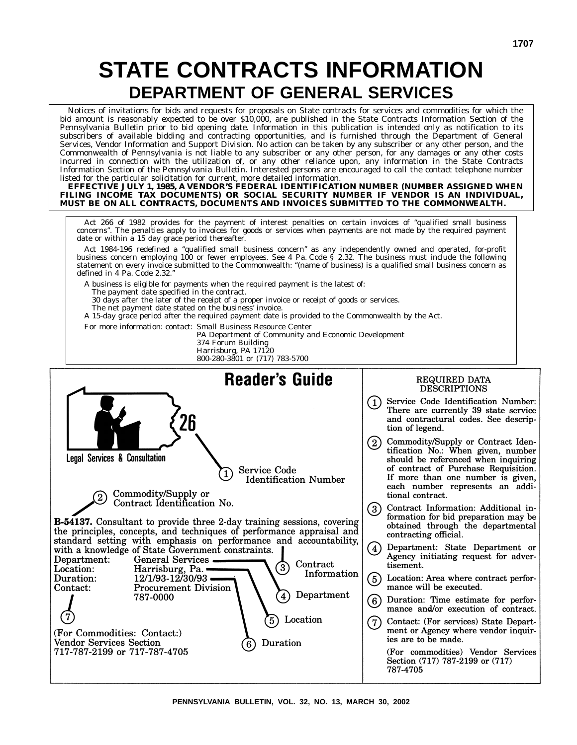# **STATE CONTRACTS INFORMATION DEPARTMENT OF GENERAL SERVICES**

Notices of invitations for bids and requests for proposals on State contracts for services and commodities for which the bid amount is reasonably expected to be over \$10,000, are published in the State Contracts Information Section of the *Pennsylvania Bulletin* prior to bid opening date. Information in this publication is intended only as notification to its subscribers of available bidding and contracting opportunities, and is furnished through the Department of General Services, Vendor Information and Support Division. No action can be taken by any subscriber or any other person, and the Commonwealth of Pennsylvania is not liable to any subscriber or any other person, for any damages or any other costs incurred in connection with the utilization of, or any other reliance upon, any information in the State Contracts Information Section of the *Pennsylvania Bulletin*. Interested persons are encouraged to call the contact telephone number listed for the particular solicitation for current, more detailed information.

**EFFECTIVE JULY 1, 1985, A VENDOR'S FEDERAL IDENTIFICATION NUMBER (NUMBER ASSIGNED WHEN FILING INCOME TAX DOCUMENTS) OR SOCIAL SECURITY NUMBER IF VENDOR IS AN INDIVIDUAL, MUST BE ON ALL CONTRACTS, DOCUMENTS AND INVOICES SUBMITTED TO THE COMMONWEALTH.**

Act 266 of 1982 provides for the payment of interest penalties on certain invoices of ''qualified small business concerns''. The penalties apply to invoices for goods or services when payments are not made by the required payment date or within a 15 day grace period thereafter.

Act 1984-196 redefined a ''qualified small business concern'' as any independently owned and operated, for-profit business concern employing 100 or fewer employees. See 4 Pa. Code § 2.32. The business must include the following statement on every invoice submitted to the Commonwealth: ''(name of business) is a qualified small business concern as defined in 4 Pa. Code 2.32.''

A business is eligible for payments when the required payment is the latest of:

The payment date specified in the contract.

30 days after the later of the receipt of a proper invoice or receipt of goods or services.

The net payment date stated on the business' invoice. A 15-day grace period after the required payment date is provided to the Commonwealth by the Act.

For more information: contact: Small Business Resource Center

PA Department of Community and Economic Development

374 Forum Building Harrisburg, PA 17120

800-280-3801 or (717) 783-5700

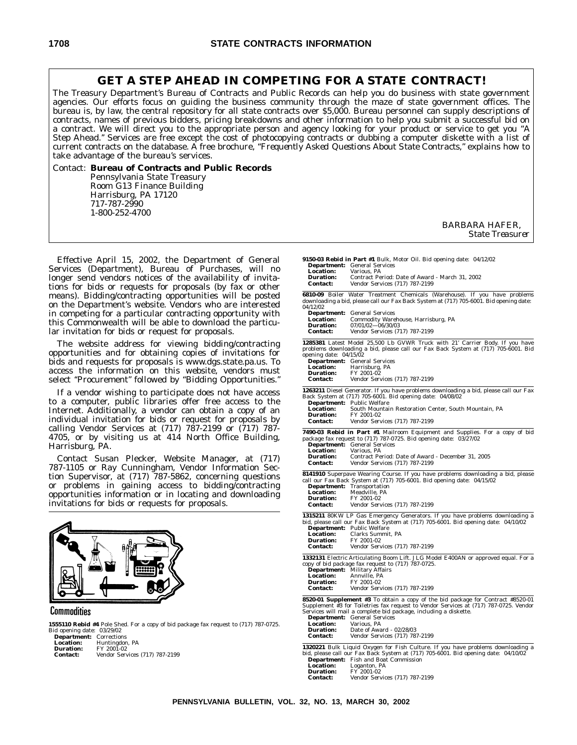## **GET A STEP AHEAD IN COMPETING FOR A STATE CONTRACT!**

The Treasury Department's Bureau of Contracts and Public Records can help you do business with state government agencies. Our efforts focus on guiding the business community through the maze of state government offices. The bureau is, by law, the central repository for all state contracts over \$5,000. Bureau personnel can supply descriptions of contracts, names of previous bidders, pricing breakdowns and other information to help you submit a successful bid on a contract. We will direct you to the appropriate person and agency looking for your product or service to get you ''A Step Ahead." Services are free except the cost of photocopying contracts or dubbing a computer diskette with a list of current contracts on the database. A free brochure, *''Frequently Asked Questions About State Contracts,''* explains how to take advantage of the bureau's services.

Contact: **Bureau of Contracts and Public Records** Pennsylvania State Treasury Room G13 Finance Building Harrisburg, PA 17120 717-787-2990 1-800-252-4700

> BARBARA HAFER, *State Treasurer*

Effective April 15, 2002, the Department of General Services (Department), Bureau of Purchases, will no longer send vendors notices of the availability of invitations for bids or requests for proposals (by fax or other means). Bidding/contracting opportunities will be posted on the Department's website. Vendors who are interested in competing for a particular contracting opportunity with this Commonwealth will be able to download the particular invitation for bids or request for proposals.

The website address for viewing bidding/contracting opportunities and for obtaining copies of invitations for bids and requests for proposals is www.dgs.state.pa.us. To access the information on this website, vendors must select "Procurement" followed by "Bidding Opportunities."

If a vendor wishing to participate does not have access to a computer, public libraries offer free access to the Internet. Additionally, a vendor can obtain a copy of an individual invitation for bids or request for proposals by calling Vendor Services at (717) 787-2199 or (717) 787- 4705, or by visiting us at 414 North Office Building, Harrisburg, PA.

Contact Susan Plecker, Website Manager, at (717) 787-1105 or Ray Cunningham, Vendor Information Section Supervisor, at (717) 787-5862, concerning questions or problems in gaining access to bidding/contracting opportunities information or in locating and downloading invitations for bids or requests for proposals.



#### Commodities

**1555110 Rebid #4** Pole Shed. For a copy of bid package fax request to (717) 787-0725. Bid opening date: 03/29/02

| <b>Department:</b> Corrections |
|--------------------------------|
| Huntingdon, PA                 |
| FY 2001-02                     |
| Vendor Services (717) 787-2199 |
|                                |

| <b>Location:</b>                                                                  | 9150-03 Rebid in Part #1 Bulk, Motor Oil. Bid opening date: 04/12/02<br><b>Department:</b> General Services<br>Various. PA                                                                                                                                                                                                                                       |
|-----------------------------------------------------------------------------------|------------------------------------------------------------------------------------------------------------------------------------------------------------------------------------------------------------------------------------------------------------------------------------------------------------------------------------------------------------------|
| <b>Duration:</b><br><b>Contact:</b>                                               | Contract Period: Date of Award - March 31, 2002<br><b>Vendor Services (717) 787-2199</b>                                                                                                                                                                                                                                                                         |
| <b>04/12/02</b>                                                                   | 6810-09 Boiler Water Treatment Chemicals (Warehouse). If you have problems<br>downloading a bid, please call our Fax Back System at (717) 705-6001. Bid opening date:                                                                                                                                                                                            |
| <b>Location:</b><br><b>Duration:</b>                                              | <b>Department:</b> General Services<br>Commodity Warehouse, Harrisburg, PA<br>07/01/02-06/30/03                                                                                                                                                                                                                                                                  |
| <b>Contact:</b>                                                                   | Vendor Services (717) 787-2199                                                                                                                                                                                                                                                                                                                                   |
| opening date: 04/15/02<br><b>Location:</b><br><b>Duration:</b><br><b>Contact:</b> | 1285381 Latest Model 25,500 Lb GVWR Truck with 21' Carrier Body. If you have<br>problems downloading a bid, please call our Fax Back System at (717) 705-6001. Bid<br><b>Department:</b> General Services<br>Harrisburg, PA<br>FY 2001-02<br>Vendor Services (717) 787-2199                                                                                      |
| <b>Location:</b><br><b>Duration:</b><br><b>Contact:</b>                           | 1263211 Diesel Generator. If you have problems downloading a bid, please call our Fax<br>Back System at (717) 705-6001. Bid opening date: 04/08/02<br>Department: Public Welfare<br>South Mountain Restoration Center, South Mountain, PA<br>FY 2001-02<br>Vendor Services (717) 787-2199                                                                        |
| <b>Location:</b><br><b>Duration:</b><br><b>Contact:</b>                           | 7490-03 Rebid in Part #1 Mailroom Equipment and Supplies. For a copy of bid<br>package fax request to (717) 787-0725. Bid opening date: 03/27/02<br><b>Department:</b> General Services<br>Various, PA<br>Contract Period: Date of Award - December 31, 2005<br>Vendor Services (717) 787-2199                                                                   |
| <b>Location:</b><br><b>Duration:</b><br><b>Contact:</b>                           | 8141910 Superpave Wearing Course. If you have problems downloading a bid, please<br>call our Fax Back System at (717) 705-6001. Bid opening date: 04/15/02<br><b>Department:</b> Transportation<br>Meadville, PA<br>FY 2001-02<br>Vendor Services (717) 787-2199                                                                                                 |
| <b>Location:</b><br><b>Duration:</b><br><b>Contact:</b>                           | 1315211 80KW LP Gas Emergency Generators. If you have problems downloading a<br>bid, please call our Fax Back System at (717) 705-6001. Bid opening date: 04/10/02<br>Department: Public Welfare<br>Clarks Summit, PA<br>FY 2001-02<br>Vendor Services (717) 787-2199                                                                                            |
| <b>Location:</b><br><b>Duration:</b><br><b>Contact:</b>                           | 1332131 Electric Articulating Boom Lift. JLG Model E400AN or approved equal. For a<br>copy of bid package fax request to (717) 787-0725.<br><b>Department:</b> Military Affairs<br>Annville. PA<br>FY 2001-02<br>Vendor Services (717) 787-2199                                                                                                                  |
| <b>Location:</b><br><b>Duration:</b><br><b>Contact:</b>                           | 8520-01 Supplement #3 To obtain a copy of the bid package for Contract #8520-01<br>Supplement #3 for Toiletries fax request to Vendor Services at (717) 787-0725. Vendor<br>Services will mail a complete bid package, including a diskette.<br><b>Department:</b> General Services<br>Various, PA<br>Date of Award - 02/28/03<br>Vendor Services (717) 787-2199 |
| <b>Location:</b>                                                                  | 1320221 Bulk Liquid Oxygen for Fish Culture. If you have problems downloading a<br>bid, please call our Fax Back System at (717) 705-6001. Bid opening date: 04/10/02<br><b>Department:</b> Fish and Boat Commission<br>Loganton, PA                                                                                                                             |

**Duration:** FY 2001-02<br>**Contact:** Vendor Serv

**Contact:** Vendor Services (717) 787-2199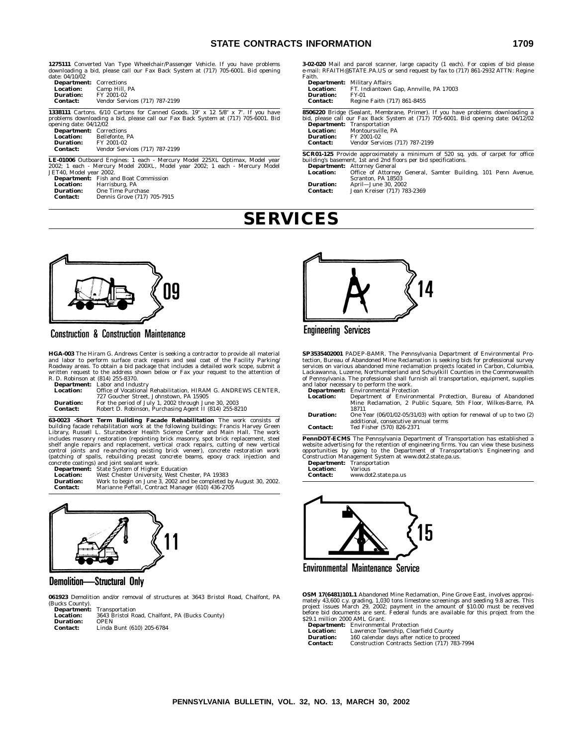## **STATE CONTRACTS INFORMATION 1709**

**1275111** Converted Van Type Wheelchair/Passenger Vehicle. If you have problems downloading a bid, please call our Fax Back System at (717) 705-6001. Bid opening date: 04/10/02 **Department:** Corrections

| <b>Department:</b> Corrections |                                |  |
|--------------------------------|--------------------------------|--|
| <b>Location:</b>               | Camp Hill, PA                  |  |
| Duration:                      | FY 2001-02                     |  |
| <b>Contact:</b>                | Vendor Services (717) 787-2199 |  |

**1338111** Cartons. 6/10 Cartons for Canned Goods. 19" x 12 5/8" x 7". If you have problems downloading a bid, please call our Fax Back System at (717) 705-6001. Bid opening date: 04/12/02

| .<br><b>Department:</b> Corrections |                                |  |
|-------------------------------------|--------------------------------|--|
| <b>Location:</b>                    | Bellefonte, PA                 |  |
| Duration:                           | FY 2001-02                     |  |
| Contact:                            | Vendor Services (717) 787-2199 |  |

**LE-01006** Outboard Engines: 1 each - Mercury Model 225XL Optimax, Model year 2002; 1 each - Mercury Model 200XL, Model year 2002; 1 each - Mercury Model JET40, Model year 2002. **Department:** Fish and Boat Commission

| FISH AND DUAL COMMISSION    |
|-----------------------------|
| Harrisburg, PA              |
| <b>One Time Purchase</b>    |
| Dennis Grove (717) 705-7915 |
|                             |

**3-02-020** Mail and parcel scanner, large capacity (1 each). For copies of bid please e-mail: RFAITH@STATE.PA.US or send request by fax to (717) 861-2932 ATTN: Regine Faith.

#### **Department:** Military Affairs<br>**Location:** FT. Indiantown **Location:** FT. Indiantown Gap, Annville, PA 17003 **Duration:**<br>Contact:

**Contact:** Regine Faith (717) 861-8455

**8506220** Bridge (Sealant, Membrane, Primer). If you have problems downloading a bid, please call our Fax Back System at (717) 705-6001. Bid opening date: 04/12/02 **Department:** Transportation

**Location:** Montoursville, PA<br>**Duration:** FY 2001-02

**Duration:** FY 2001-02<br> **Contact:** Vendor Serv **Contact:** Vendor Services (717) 787-2199

**SCR01-125** Provide approximately a minimum of 520 sq. yds. of carpet for office building's basement, 1st and 2nd floors per bid specifications.

**Department:** Attorney General **Location:** Office of Attorney General, Samter Building, 101 Penn Avenue, Scranton, PA 18503

**Duration:** April—June 30, 2002 **Contact:** Jean Kreiser (717) 783-2369

## **SERVICES**



## **Construction & Construction Maintenance**

**HGA-003** The Hiram G. Andrews Center is seeking a contractor to provide all material and labor to perform surface crack repairs and seal coat of the Facility Parking/ Roadway areas. To obtain a bid package that includes a detailed work scope, submit a written request to the address shown below or Fax your request to the attention of R. D. Robinson at (814) 255-8370.

|                  | <b>Department:</b> Labor and Industry                         |
|------------------|---------------------------------------------------------------|
| <b>Location:</b> | Office of Vocational Rehabilitation. HIRAM G. ANDREWS CENTER. |
|                  | 727 Goucher Street. Johnstown. PA 15905                       |
| <b>Duration:</b> | For the period of July 1, 2002 through June 30, 2003          |
| <b>Contact:</b>  | Robert D. Robinson, Purchasing Agent II (814) 255-8210        |
|                  |                                                               |

**63-0023 -Short Term Building Facade Rehabilitation** The work consists of<br>building facade rehabilitation work at the following buildings: Francis Harvey Green<br>Library, Russell L. Sturzebecker Health Science Center and Main includes masonry restoration (repointing brick masonry, spot brick replacement, steel shelf angle repairs and replacement, vertical crack repairs, cutting of new vertical control joints and re-anchoring existing brick veneer), concrete restoration work<br>(patching of spalls, rebuilding precast concrete beams, epoxy crack injection and<br>concrete coatings) and joint sealant work.<br>**Department:** S

**Contact:** Marianne Peffall, Contract Manager (610) 436-2705



**Demolition-**—Structural Only

**061923** Demolition and/or removal of structures at 3643 Bristol Road, Chalfont, PA (Bucks County).

| <b>Department:</b> | Transportation                                 |
|--------------------|------------------------------------------------|
| Location:          | 3643 Bristol Road, Chalfont, PA (Bucks County) |
| Duration:          | <b>OPEN</b>                                    |
| Contact:           | Linda Bunt (610) 205-6784                      |



## **Engineering Services**

**SP3535402001** PADEP-BAMR. The Pennsylvania Department of Environmental Protection, Bureau of Abandoned Mine Reclamation is seeking bids for professional survey<br>services on various abandoned mine reclamation projects locat

|                  | <b>Department:</b> Environmental Protection                                                                       |  |
|------------------|-------------------------------------------------------------------------------------------------------------------|--|
| <b>Location:</b> | Department of Environmental Protection, Bureau of Abandoned                                                       |  |
|                  | Mine Reclamation, 2 Public Square, 5th Floor, Wilkes-Barre, PA                                                    |  |
|                  | 18711                                                                                                             |  |
| <b>Duration:</b> | One Year $(06/01/02-05/31/03)$ with option for renewal of up to two $(2)$<br>additional, consecutive annual terms |  |
| <b>Contact:</b>  | Ted Fisher (570) 826-2371                                                                                         |  |

**PennDOT-ECMS** The Pennsylvania Department of Transportation has established a website advertising for the retention of engineering firms. You can view these business opportunities by going to the Department of Transportat

| <b>Department:</b> | Transportation       |
|--------------------|----------------------|
| <b>Location:</b>   | <b>Various</b>       |
| <b>Contact:</b>    | www.dot2.state.pa.us |



**Environmental Maintenance Service** 

**OSM 17(6481)101.1** Abandoned Mine Reclamation, Pine Grove East, involves approximately 43,600 c.y. grading, 1,030 tons limestone screenings and seeding 9.8 acress. This project issues March 29, 2002; payment in the amount

| <b>Department:</b> | <b>Environmental Protection</b>               |
|--------------------|-----------------------------------------------|
| <b>Location:</b>   | Lawrence Township, Clearfield County          |
| <b>Duration:</b>   | 160 calendar days after notice to proceed     |
| Contact:           | Construction Contracts Section (717) 783-7994 |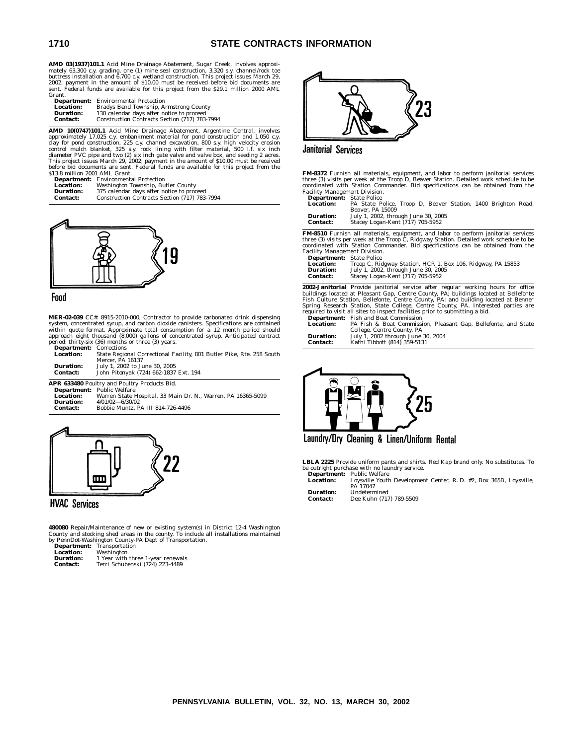**AMD 03(1937)101.1** Acid Mine Drainage Abatement, Sugar Creek, involves approximately 63,300 c.y. grading, one (1) mine seal construction, 3,320 s.y. channel/rock toe<br>buttress installation and 6,700 c.y. wetland construction. This project issues March 29,<br>2002; payment in the amount of \$10.00 must be Grant.

| <b>Department:</b> | <b>Environmental Protection</b>               |
|--------------------|-----------------------------------------------|
| Location:          | Bradys Bend Township, Armstrong County        |
| Duration:          | 130 calendar days after notice to proceed     |
| Contact:           | Construction Contracts Section (717) 783-7994 |

**AMD 10(0747)101.1** Acid Mine Drainage Abatement, Argentine Central, involves<br>approximately 17,025 c.y. embankment material for pond construction and 1,050 c.y.<br>clay for pond construction, 225 c.y. channel excavation, 800 \$13.8 million 2001 AML Grant.

| <b>Department:</b> | <b>Environmental Protection</b>               |
|--------------------|-----------------------------------------------|
| <b>Location:</b>   | Washington Township, Butler County            |
| <b>Duration:</b>   | 375 calendar days after notice to proceed     |
| Contact:           | Construction Contracts Section (717) 783-7994 |



#### Food

**MER-02-039** CC#: 8915-2010-000, Contractor to provide carbonated drink dispensing system, concentrated syrup, and carbon dioxide canisters. Specifications are contained<br>within quote format. Approximate total consumption for a 12 month period should<br>approach eight thousand (8,000) gallons of concentrated period: thirty-six (36) months or three (3) years. **Department:** Corrections

| ---------------  | $-0.11$ $-0.101$                                                      |
|------------------|-----------------------------------------------------------------------|
| <b>Location:</b> | State Regional Correctional Facility, 801 Butler Pike, Rte. 258 South |
|                  | Mercer. PA 16137                                                      |
| <b>Duration:</b> | July 1, 2002 to June 30, 2005                                         |
| <b>Contact:</b>  | John Pitonyak (724) 662-1837 Ext. 194                                 |
|                  |                                                                       |

|                  | APR 633480 Poultry and Poultry Products Bid.                 |
|------------------|--------------------------------------------------------------|
|                  | <b>Department:</b> Public Welfare                            |
| <b>Location:</b> | Warren State Hospital, 33 Main Dr. N., Warren, PA 16365-5099 |
| Duration:        | $4/01/02 - 6/30/02$                                          |
| Contact:         | Bobbie Muntz. PA III 814-726-4496                            |
|                  |                                                              |



**HVAC Services** 

**480080** Repair/Maintenance of new or existing system(s) in District 12-4 Washington<br>County and stocking shed areas in the county. To include all installations maintained<br>by PennDot-Washington County-PA Dept of Transportat

|                  | у генирос-мазнивкон социку-гд рерс ог панзро |
|------------------|----------------------------------------------|
|                  | <b>Department:</b> Transportation            |
| <b>Location:</b> | Washington                                   |
| <b>Duration:</b> | 1 Year with three 1-year renewals            |
| Contact:         | Terri Schubenski (724) 223-4489              |



**Janitorial Services** 

**FM-8372** Furnish all materials, equipment, and labor to perform janitorial services<br>three (3) visits per week at the Troop D, Beaver Station. Detailed work schedule to be<br>coordinated with Station Commander. Bid specificat Facility Management Division. **Department:** State Police

| <b>Department</b> . Diate Ponte                               |  |
|---------------------------------------------------------------|--|
| PA State Police, Troop D, Beaver Station, 1400 Brighton Road, |  |
| Beaver. PA 15009                                              |  |
| July 1, 2002, through June 30, 2005                           |  |
| Stacey Logan-Kent (717) 705-5952                              |  |
|                                                               |  |

**FM-8510** Furnish all materials, equipment, and labor to perform janitorial services<br>three (3) visits per week at the Troop C, Ridgway Station. Detailed work schedule to be<br>coordinated with Station Commander. Bid specifica Facility Management Division. **Department:** State Police

| <b>Department:</b> State Police |                                                             |
|---------------------------------|-------------------------------------------------------------|
| <b>Location:</b>                | Troop C, Ridgway Station, HCR 1, Box 106, Ridgway, PA 15853 |
| <b>Duration:</b>                | July 1, 2002, through June 30, 2005                         |
| <b>Contact:</b>                 | Stacey Logan-Kent (717) 705-5952                            |

**2002-Janitorial** Provide janitorial service after regular working hours for office<br>buildings located at Pleasant Gap, Centre County, PA; buildings located at Bellefonte<br>Fish Culture Station, Bellefonte, Centre County, PA; required to visit all sites to inspect facilities prior to submitting a bid. **Department:** Fish and Boat Commission

|                  | <b>Department.</b> Fish and Doat Commission                    |
|------------------|----------------------------------------------------------------|
| <b>Location:</b> | PA Fish & Boat Commission, Pleasant Gap, Bellefonte, and State |
|                  | College. Centre County. PA                                     |
| <b>Duration:</b> | July 1, 2002 through June 30, 2004                             |
| <b>Contact:</b>  | Kathi Tibbott (814) 359-5131                                   |



Laundry/Dry Cleaning & Linen/Uniform Rental

**LBLA 2225** Provide uniform pants and shirts. Red Kap brand only. No substitutes. To be outright purchase with no laundry service. **Department:** Public Welfare

**Location:** Loysville Youth Development Center, R. D. #2, Box 365B, Loysville, PA 17047

**Duration:** Undetermined<br> **Contact:** Dee Kuhn (71)

**Contact:** Dee Kuhn (717) 789-5509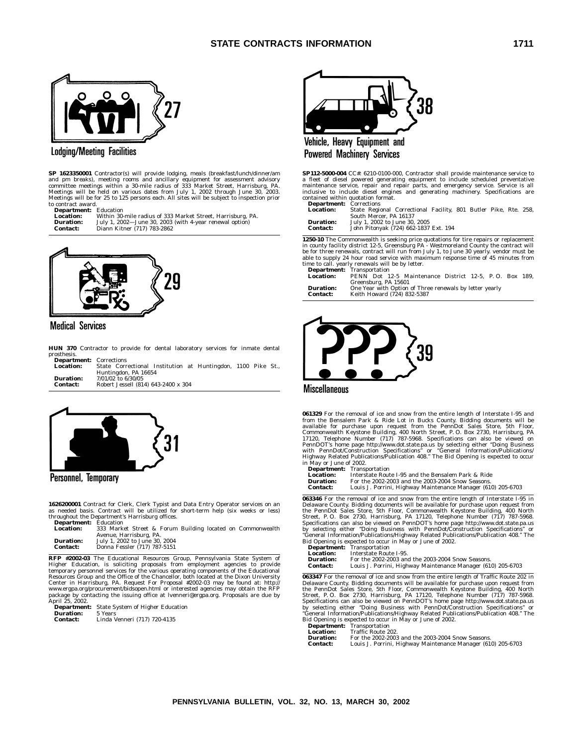

## **Lodging/Meeting Facilities**

**SP 1623350001** Contractor(s) will provide lodging, meals (breakfast/lunch/dinner/am and pm breaks), meeting rooms and ancillary equipment for assessment advisory<br>committee meetings within a 30-mile radius of 333 Market Street, Harrisburg, PA.<br>Meetings will be held on various dates from July 1, 2002 throug to contract award.

**Department:** Education<br>**Location:** Within 30 **Location:** Within 30-mile radius of 333 Market Street, Harrisburg, PA. **Duration:** July 1, 2002—June 30, 2003 (with 4-year renewal option) **Contact:** Diann Kitner (717) 783-2862



## **Medical Services**

**HUN 370** Contractor to provide for dental laboratory services for inmate dental prosthesis.<br>**Departs Department:** Corrections

| <b>Department</b> : corrections |                                                              |
|---------------------------------|--------------------------------------------------------------|
| <b>Location:</b>                | State Correctional Institution at Huntingdon, 1100 Pike St., |
|                                 | Huntingdon, PA 16654                                         |
| <b>Duration:</b>                | 7/01/02 to 6/30/05                                           |
| <b>Contact:</b>                 | Robert Jessell (814) 643-2400 x 304                          |



## Personnel, Temporary

**1626200001** Contract for Clerk, Clerk Typist and Data Entry Operator services on an as needed basis. Contract will be utilized for short-term help (six weeks or less) throughout the Department's Harrisburg offices. **Department:** Education

| Deput chichee    | <u>Luututivii</u>                                          |  |
|------------------|------------------------------------------------------------|--|
| <b>Location:</b> | 333 Market Street & Forum Building located on Commonwealth |  |
|                  | Avenue, Harrisburg, PA.                                    |  |
| <b>Duration:</b> | July 1, 2002 to June 30, 2004                              |  |
| <b>Contact:</b>  | Donna Fessler (717) 787-5151                               |  |
|                  |                                                            |  |

**RFP #2002-03** The Educational Resources Group, Pennsylvania State System of Higher Education, is soliciting proposals from employment agencies to provide<br>temporary personnel services for the various operating components of the Educational<br>Resources Group and the Office of the Chancellor, both loca Center in Harrisburg, PA. Request For Proposal #2002-03 may be found at: http://<br>www.ergpa.org/procurement/bidsopen.html or interested agencies may obtain the RFP<br>package by contacting the issuing office at lvenneri@ergpa. package by cor<br>April 25, 2002.

**Department:** State System of Higher Education **Duration:** 5 Years **Contact:** Linda Venneri (717) 720-4135



Vehicle, Heavy Equipment and **Powered Machinery Services** 

**SP112-5000-004** CC#: 6210-0100-000, Contractor shall provide maintenance service to a fleet of diesel powered generating equipment to include scheduled preventative<br>maintenance service, repair and repair parts, and emergency service. Service is all<br>inclusive to include diesel engines and generating machin contained within quotation format. **Department:** Corrections

| -----------      |                                                                  |  |  |  |
|------------------|------------------------------------------------------------------|--|--|--|
| <b>Location:</b> | State Regional Correctional Facility, 801 Butler Pike, Rte. 258, |  |  |  |
|                  | South Mercer, PA 16137                                           |  |  |  |
| <b>Duration:</b> | July 1, 2002 to June 30, 2005                                    |  |  |  |

| -----------     | $0.41$ , $1.7000$ $0.0000$ $0.0000$ $0.0000$ |  |  |
|-----------------|----------------------------------------------|--|--|
| <b>Contact:</b> | John Pitonyak (724) 662-1837 Ext. 194        |  |  |

**1250-10** The Commonwealth is seeking price quotations for tire repairs or replacement<br>in county facility district 12-5, Greensburg PA - Westmoreland County the contract will<br>be for three renewals, contract will run from

|                  | <b>Department:</b> Iransportation                       |
|------------------|---------------------------------------------------------|
| Location:        | PENN Dot 12-5 Maintenance District 12-5, P.O. Box 189.  |
|                  | Greensburg, PA 15601                                    |
| <b>Duration:</b> | One Year with Option of Three renewals by letter yearly |
| <b>Contact:</b>  | Keith Howard (724) 832-5387                             |



**Miscellaneous** 

**061329** For the removal of ice and snow from the entire length of Interstate I-95 and from the Bensalem Park & Ride Lot in Bucks County, Bidding documents will be<br>available for purchase upon request from the PennDot Sales Store, 5th Floor,<br>Commonwealth Keystone Building, 400 North Street, P. O. Box 2730, Ha in May or June of 2002.

**Department:** Transportation **Location:** Interstate Route I-95 and the Bensalem Park & Ride **Duration:** For the 2002-2003 and the 2003-2004 Snow Season **Contact:** Louis J. Porrini, Highway Maintenance Manager (610) 205-6703

**063346** For the removal of ice and snow from the entire length of Interstate I-95 in Delaware County. Bidding documents will be available for purchase upon request from the PennDot Sales Store, 5th Floor, Commonwealth Key ''General Information/Publications/Highway Related Publications/Publication 408.'' The Bid Opening is expected to occur in May or June of 2002.

| <b>Department:</b> Transportation                            |
|--------------------------------------------------------------|
| Interstate Route I-95.                                       |
| For the 2002-2003 and the 2003-2004 Snow Seasons.            |
| Louis J. Porrini, Highway Maintenance Manager (610) 205-6703 |
|                                                              |

**063347** For the removal of ice and snow from the entire length of Traffic Route 202 in Delaware County. Bidding documents will be available for purchase upon request from the PennDot Sales Store, 5th Floor, Commonwealth K

| ----------       |                                                              |
|------------------|--------------------------------------------------------------|
| <b>Duration:</b> | For the 2002-2003 and the 2003-2004 Snow Seasons.            |
| Contact:         | Louis J. Porrini, Highway Maintenance Manager (610) 205-6703 |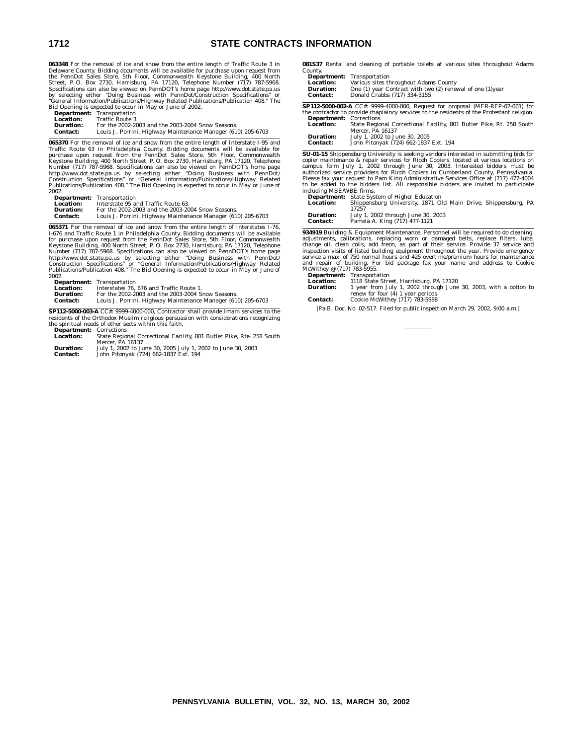**063348** For the removal of ice and snow from the entire length of Traffic Route 3 in Delaware County. Bidding documents will be available for purchase upon request from<br>the PennDot Sales Store, 5th Floor, Commonwealth Keystone Building, 400 North<br>Street, P.O. Box 2730, Harrisburg, PA 17120, Telephone Numbe

| Bid Opening is expected to occur in May or June of 2002. |                                                              |  |  |  |
|----------------------------------------------------------|--------------------------------------------------------------|--|--|--|
|                                                          | <b>Department:</b> Transportation                            |  |  |  |
| Location:                                                | Traffic Route 3                                              |  |  |  |
| Duration:                                                | For the 2002-2003 and the 2003-2004 Snow Seasons.            |  |  |  |
| Contact:                                                 | Louis J. Porrini, Highway Maintenance Manager (610) 205-6703 |  |  |  |

**065370** For the removal of ice and snow from the entire length of Interstate I-95 and Traffic Route 63 in Philadelphia County. Bidding documents will be available for purchase upon request from the PennDot Sales Store, 5t

|                 | <b>Department:</b> Transportation                            |
|-----------------|--------------------------------------------------------------|
|                 |                                                              |
| Location:       | Interstate 95 and Traffic Route 63.                          |
| Duration:       | For the 2002-2003 and the 2003-2004 Snow Seasons.            |
| <b>Contact:</b> | Louis J. Porrini, Highway Maintenance Manager (610) 205-6703 |

**065371** For the removal of ice and snow from the entire length of Interstates I-76, 1-676 and Traffic Route 1 in Philadelphia County. Bidding documents will be available for purchase upon request from the PennDot Sales S

|                 | <b>Department:</b> Transportation                            |
|-----------------|--------------------------------------------------------------|
| Location:       | Interstates 76, 676 and Traffic Route 1.                     |
| Duration:       | For the 2002-2003 and the 2003-2004 Snow Seasons.            |
| <b>Contact:</b> | Louis J. Porrini, Highway Maintenance Manager (610) 205-6703 |

**SP112-5000-003-A** CC#: 9999-4000-000, Contractor shall provide Imam services to the residents of the Orthodox Muslim religious persuasion with considerations recognizing the spiritual needs of other sects within this faith.

**Department:** Corrections **Location:** State Regional Correctional Facility, 801 Butler Pike, Rte. 258 South Mercer, PA 16137

| <b>Duration:</b> | July 1, 2002 to June 30, 2005 July 1, 2002 to June 30, 2003 |
|------------------|-------------------------------------------------------------|
| <b>Contact:</b>  | John Pitonyak (724) 662-1837 Ext. 194                       |

**081S37** Rental and cleaning of portable toilets at various sites throughout Adams County.

|                                                                                       | <b>Department:</b> Transportation                                                          |  |  |  |  |
|---------------------------------------------------------------------------------------|--------------------------------------------------------------------------------------------|--|--|--|--|
| Location:                                                                             | Various sites throughout Adams County                                                      |  |  |  |  |
| One (1) year Contract with two (2) renewal of one (1) year<br><b>Duration:</b>        |                                                                                            |  |  |  |  |
| Donald Crabbs (717) 334-3155<br><b>Contact:</b>                                       |                                                                                            |  |  |  |  |
| <b>SP112-5000-002-A</b> CC#: 9999-4000-000, Request for proposal (MER-RFP-02-001) for |                                                                                            |  |  |  |  |
|                                                                                       | the contractor to provide chaplaincy services to the residents of the Protestant religion. |  |  |  |  |
| <b>Department:</b> Corrections                                                        |                                                                                            |  |  |  |  |
| <b>Location:</b>                                                                      | State Regional Correctional Facility, 801 Butler Pike, Rt. 258 South                       |  |  |  |  |
|                                                                                       | Mercer, PA 16137                                                                           |  |  |  |  |
| <b>Duration:</b>                                                                      | July 1, 2002 to June 30, 2005                                                              |  |  |  |  |
| <b>Contact:</b>                                                                       | John Pitonyak (724) 662-1837 Ext. 194                                                      |  |  |  |  |

**SU-01-15** Shippensburg University is seeking vendors interested in submitting bids for copier maintenance & repair services for Ricoh Copiers, located at various locations on campus form July 1, 2002 through June 30, 2003. Interested bidders must be authorized service providers for Ricoh Copiers in Cumberlan

**Department:** State System of Higher Education<br>Location: Shippensburg University, 1871 O **Location:** Shippensburg University, 1871 Old Main Drive, Shippensburg, PA 17257 **Duration:** July 1, 2002 through June 30, 2003 **Contact:** Pamela A. King (717) 477-1121

**934919** Building & Equipment Maintenance. Personnel will be required to do cleaning, calibrations, replacing worn or damaged belts, replace filters, lube, change oil, clean coils, add freon, as part of their service. Prov service a max. of 750 normal hours and 425 overtime/premium hours for maintenance and repair of building. For bid package fax your name and address to Cookie McWithey @ (717) 783-5955. **Department:** Transportation

| реративень       | 11 answer cauvil                                                 |
|------------------|------------------------------------------------------------------|
| <b>Location:</b> | 1118 State Street. Harrisburg. PA 17120                          |
| <b>Duration:</b> | 1 year from July 1, 2002 through June 30, 2003, with a option to |
|                  | renew for four (4) 1 year periods.                               |
| <b>Contact:</b>  | Cookie McWithey (717) 783-5988                                   |

[Pa.B. Doc. No. 02-517. Filed for public inspection March 29, 2002, 9:00 a.m.]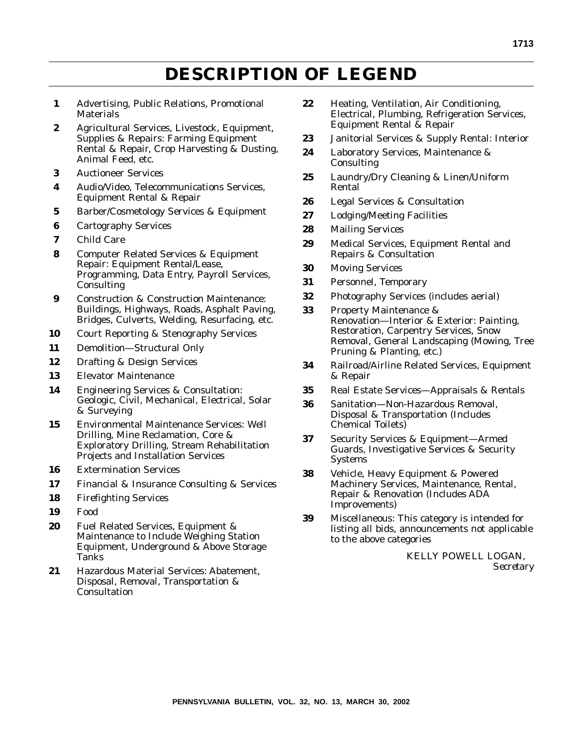## **DESCRIPTION OF LEGEND**

- **1** Advertising, Public Relations, Promotional **Materials**
- **2** Agricultural Services, Livestock, Equipment, Supplies & Repairs: Farming Equipment Rental & Repair, Crop Harvesting & Dusting, Animal Feed, etc.
- **3** Auctioneer Services
- **4** Audio/Video, Telecommunications Services, Equipment Rental & Repair
- **5** Barber/Cosmetology Services & Equipment
- **6** Cartography Services
- **7** Child Care
- **8** Computer Related Services & Equipment Repair: Equipment Rental/Lease, Programming, Data Entry, Payroll Services, Consulting
- **9** Construction & Construction Maintenance: Buildings, Highways, Roads, Asphalt Paving, Bridges, Culverts, Welding, Resurfacing, etc.
- **10** Court Reporting & Stenography Services
- **11** Demolition—Structural Only
- **12** Drafting & Design Services
- **13** Elevator Maintenance
- **14** Engineering Services & Consultation: Geologic, Civil, Mechanical, Electrical, Solar & Surveying
- **15** Environmental Maintenance Services: Well Drilling, Mine Reclamation, Core & Exploratory Drilling, Stream Rehabilitation Projects and Installation Services
- **16** Extermination Services
- **17** Financial & Insurance Consulting & Services
- **18** Firefighting Services
- **19** Food
- **20** Fuel Related Services, Equipment & Maintenance to Include Weighing Station Equipment, Underground & Above Storage Tanks
- **21** Hazardous Material Services: Abatement, Disposal, Removal, Transportation & **Consultation**
- **22** Heating, Ventilation, Air Conditioning, Electrical, Plumbing, Refrigeration Services, Equipment Rental & Repair
- **23** Janitorial Services & Supply Rental: Interior
- **24** Laboratory Services, Maintenance & Consulting
- **25** Laundry/Dry Cleaning & Linen/Uniform Rental
- **26** Legal Services & Consultation
- **27** Lodging/Meeting Facilities
- **28** Mailing Services
- **29** Medical Services, Equipment Rental and Repairs & Consultation
- **30** Moving Services
- **31** Personnel, Temporary
- **32** Photography Services (includes aerial)
- **33** Property Maintenance & Renovation—Interior & Exterior: Painting, Restoration, Carpentry Services, Snow Removal, General Landscaping (Mowing, Tree Pruning & Planting, etc.)
- **34** Railroad/Airline Related Services, Equipment & Repair
- **35** Real Estate Services—Appraisals & Rentals
- **36** Sanitation—Non-Hazardous Removal, Disposal & Transportation (Includes Chemical Toilets)
- **37** Security Services & Equipment—Armed Guards, Investigative Services & Security Systems
- **38** Vehicle, Heavy Equipment & Powered Machinery Services, Maintenance, Rental, Repair & Renovation (Includes ADA Improvements)
- **39** Miscellaneous: This category is intended for listing all bids, announcements not applicable to the above categories

KELLY POWELL LOGAN, *Secretary*